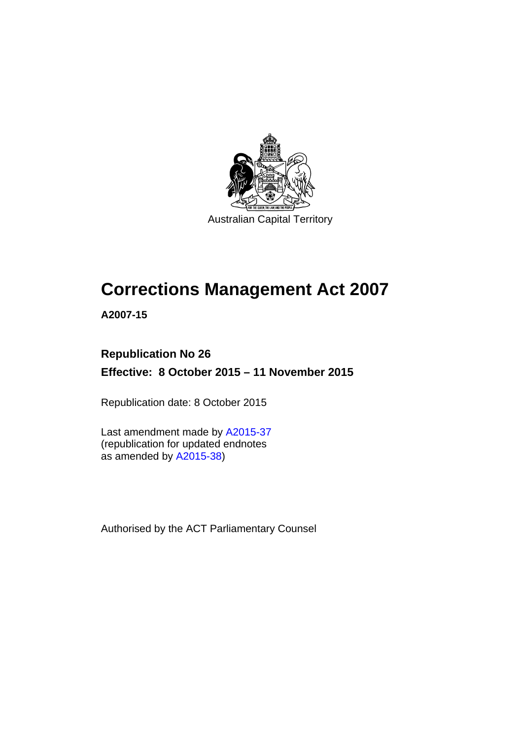

Australian Capital Territory

# **Corrections Management Act 2007**

**A2007-15** 

# **Republication No 26 Effective: 8 October 2015 – 11 November 2015**

Republication date: 8 October 2015

Last amendment made by [A2015-37](http://www.legislation.act.gov.au/a/2015-37) (republication for updated endnotes as amended by [A2015-38](http://www.legislation.act.gov.au/a/2015-38))

Authorised by the ACT Parliamentary Counsel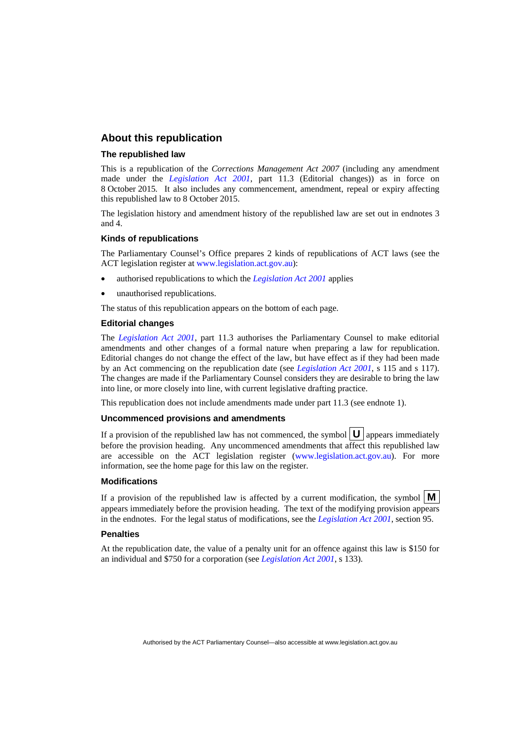### **About this republication**

#### **The republished law**

This is a republication of the *Corrections Management Act 2007* (including any amendment made under the *[Legislation Act 2001](http://www.legislation.act.gov.au/a/2001-14)*, part 11.3 (Editorial changes)) as in force on 8 October 2015*.* It also includes any commencement, amendment, repeal or expiry affecting this republished law to 8 October 2015.

The legislation history and amendment history of the republished law are set out in endnotes 3 and 4.

#### **Kinds of republications**

The Parliamentary Counsel's Office prepares 2 kinds of republications of ACT laws (see the ACT legislation register at [www.legislation.act.gov.au](http://www.legislation.act.gov.au/)):

- authorised republications to which the *[Legislation Act 2001](http://www.legislation.act.gov.au/a/2001-14)* applies
- unauthorised republications.

The status of this republication appears on the bottom of each page.

#### **Editorial changes**

The *[Legislation Act 2001](http://www.legislation.act.gov.au/a/2001-14)*, part 11.3 authorises the Parliamentary Counsel to make editorial amendments and other changes of a formal nature when preparing a law for republication. Editorial changes do not change the effect of the law, but have effect as if they had been made by an Act commencing on the republication date (see *[Legislation Act 2001](http://www.legislation.act.gov.au/a/2001-14)*, s 115 and s 117). The changes are made if the Parliamentary Counsel considers they are desirable to bring the law into line, or more closely into line, with current legislative drafting practice.

This republication does not include amendments made under part 11.3 (see endnote 1).

#### **Uncommenced provisions and amendments**

If a provision of the republished law has not commenced, the symbol  $\mathbf{U}$  appears immediately before the provision heading. Any uncommenced amendments that affect this republished law are accessible on the ACT legislation register [\(www.legislation.act.gov.au\)](http://www.legislation.act.gov.au/). For more information, see the home page for this law on the register.

#### **Modifications**

If a provision of the republished law is affected by a current modification, the symbol  $\mathbf{M}$ appears immediately before the provision heading. The text of the modifying provision appears in the endnotes. For the legal status of modifications, see the *[Legislation Act 2001](http://www.legislation.act.gov.au/a/2001-14)*, section 95.

#### **Penalties**

At the republication date, the value of a penalty unit for an offence against this law is \$150 for an individual and \$750 for a corporation (see *[Legislation Act 2001](http://www.legislation.act.gov.au/a/2001-14)*, s 133).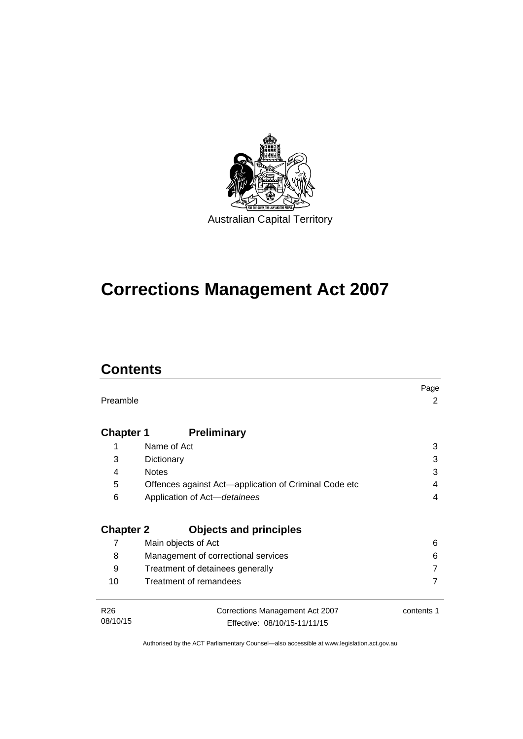

# **Corrections Management Act 2007**

# **Contents**

|                  |                                                       | Page       |
|------------------|-------------------------------------------------------|------------|
| Preamble         |                                                       | 2          |
|                  |                                                       |            |
| <b>Chapter 1</b> | <b>Preliminary</b>                                    |            |
| 1                | Name of Act                                           | 3          |
| 3                | Dictionary                                            | 3          |
| 4                | <b>Notes</b>                                          | 3          |
| 5                | Offences against Act-application of Criminal Code etc | 4          |
| 6                | Application of Act-detainees                          | 4          |
|                  |                                                       |            |
| <b>Chapter 2</b> | <b>Objects and principles</b>                         |            |
| 7                | Main objects of Act                                   | 6          |
| 8                | Management of correctional services                   | 6          |
| 9                | Treatment of detainees generally                      |            |
| 10               | Treatment of remandees                                |            |
|                  |                                                       |            |
| R <sub>26</sub>  | Corrections Management Act 2007                       | contents 1 |
| 08/10/15         | Effective: 08/10/15-11/11/15                          |            |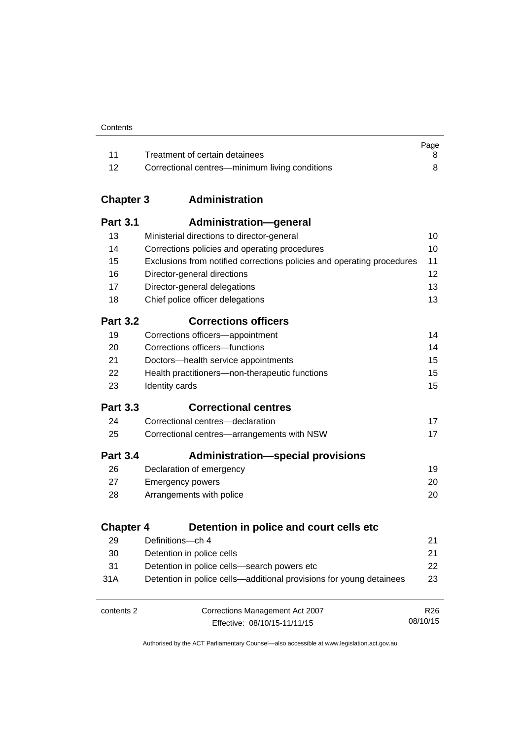|      |                                                | Page |
|------|------------------------------------------------|------|
|      | Treatment of certain detainees                 |      |
| - 12 | Correctional centres—minimum living conditions |      |

# **Chapter 3 [Administration](#page-23-0)**

| <b>Part 3.1</b>  | Administration-general                                                 |                 |
|------------------|------------------------------------------------------------------------|-----------------|
| 13               | Ministerial directions to director-general                             | 10              |
| 14               | Corrections policies and operating procedures                          | 10              |
| 15               | Exclusions from notified corrections policies and operating procedures | 11              |
| 16               | Director-general directions                                            | 12              |
| 17               | Director-general delegations                                           | 13              |
| 18               | Chief police officer delegations                                       | 13              |
| <b>Part 3.2</b>  | <b>Corrections officers</b>                                            |                 |
| 19               | Corrections officers-appointment                                       | 14              |
| 20               | Corrections officers-functions                                         | 14              |
| 21               | Doctors-health service appointments                                    | 15              |
| 22               | Health practitioners-non-therapeutic functions                         | 15              |
| 23               | Identity cards                                                         | 15              |
| <b>Part 3.3</b>  | <b>Correctional centres</b>                                            |                 |
| 24               | Correctional centres-declaration                                       | 17              |
| 25               | Correctional centres-arrangements with NSW                             | 17              |
| <b>Part 3.4</b>  | <b>Administration-special provisions</b>                               |                 |
| 26               | Declaration of emergency                                               | 19              |
| 27               | <b>Emergency powers</b>                                                | 20              |
| 28               | Arrangements with police                                               | 20              |
| <b>Chapter 4</b> | Detention in police and court cells etc                                |                 |
| 29               | Definitions-ch 4                                                       | 21              |
| 30               | Detention in police cells                                              | 21              |
| 31               | Detention in police cells-search powers etc                            | 22              |
| 31A              | Detention in police cells—additional provisions for young detainees    | 23              |
| contents 2       | Corrections Management Act 2007                                        | R <sub>26</sub> |
|                  | Effective: 08/10/15-11/11/15                                           | 08/10/15        |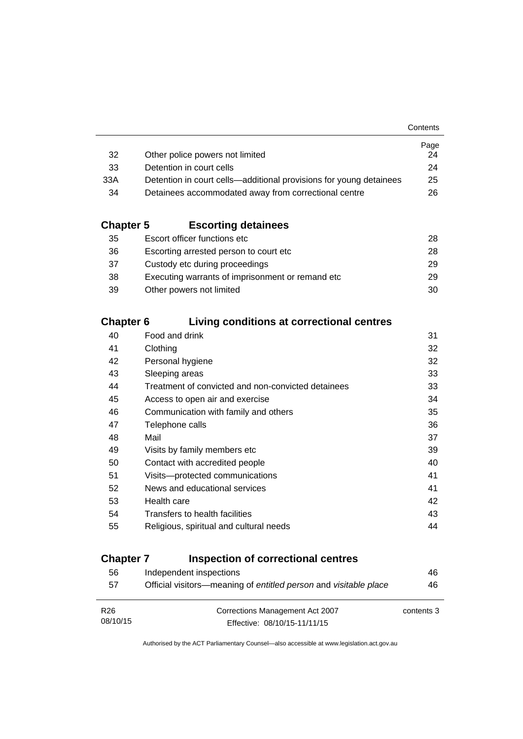|                                                                    | Page |
|--------------------------------------------------------------------|------|
| Other police powers not limited                                    | 24   |
| Detention in court cells                                           | 24   |
| Detention in court cells—additional provisions for young detainees | 25   |
| Detainees accommodated away from correctional centre               | 26.  |
|                                                                    |      |

# **Chapter 5 [Escorting detainees](#page-41-0)**

| 35 | Escort officer functions etc                      | 28. |
|----|---------------------------------------------------|-----|
| 36 | Escorting arrested person to court etc.           | 28. |
| 37 | Custody etc during proceedings                    | 29. |
| 38 | Executing warrants of imprisonment or remand etc. | 29  |
| 39 | Other powers not limited                          | 30  |

# **Chapter 6 [Living conditions at correctional centres](#page-44-0)**

| 40 | Food and drink                                     | 31 |
|----|----------------------------------------------------|----|
| 41 | Clothing                                           | 32 |
| 42 | Personal hygiene                                   | 32 |
| 43 | Sleeping areas                                     | 33 |
| 44 | Treatment of convicted and non-convicted detainees | 33 |
| 45 | Access to open air and exercise                    | 34 |
| 46 | Communication with family and others               | 35 |
| 47 | Telephone calls                                    | 36 |
| 48 | Mail                                               | 37 |
| 49 | Visits by family members etc                       | 39 |
| 50 | Contact with accredited people                     | 40 |
| 51 | Visits-protected communications                    | 41 |
| 52 | News and educational services                      | 41 |
| 53 | Health care                                        | 42 |
| 54 | Transfers to health facilities                     | 43 |
| 55 | Religious, spiritual and cultural needs            | 44 |
|    |                                                    |    |

# **Chapter 7 [Inspection of correctional centres](#page-59-0)**

| 56              | Independent inspections                                          | 46         |
|-----------------|------------------------------------------------------------------|------------|
| 57              | Official visitors—meaning of entitled person and visitable place | 46         |
|                 |                                                                  |            |
| R <sub>26</sub> | Corrections Management Act 2007                                  | contents 3 |
| 08/10/15        | Effective: 08/10/15-11/11/15                                     |            |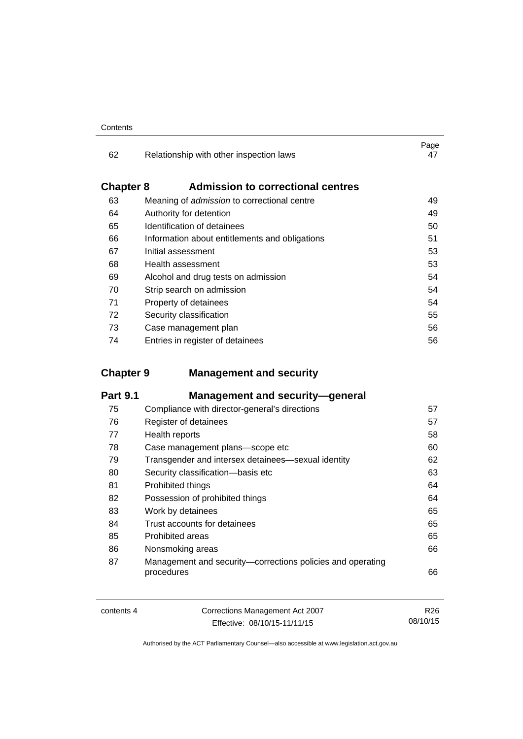| Contents |
|----------|
|----------|

| 62               | Relationship with other inspection laws            | Page<br>47 |
|------------------|----------------------------------------------------|------------|
| <b>Chapter 8</b> | <b>Admission to correctional centres</b>           |            |
| 63               | Meaning of <i>admission</i> to correctional centre | 49         |
| 64               | Authority for detention                            | 49         |
| 65               | Identification of detainees                        | 50         |
| 66               | Information about entitlements and obligations     | 51         |
| 67               | Initial assessment                                 | 53         |
| 68               | Health assessment                                  | 53         |
| 69               | Alcohol and drug tests on admission                | 54         |
| 70               | Strip search on admission                          | 54         |
| 71               | Property of detainees                              | 54         |
| 72               | Security classification                            | 55         |
| 73               | Case management plan                               | 56         |
| 74               | Entries in register of detainees                   | 56         |

# **Chapter 9 [Management and security](#page-70-0)**

| <b>Part 9.1</b> | <b>Management and security-general</b>                                   |    |
|-----------------|--------------------------------------------------------------------------|----|
| 75              | Compliance with director-general's directions                            | 57 |
| 76              | Register of detainees                                                    | 57 |
| 77              | Health reports                                                           | 58 |
| 78              | Case management plans-scope etc                                          | 60 |
| 79              | Transgender and intersex detainees—sexual identity                       | 62 |
| 80              | Security classification-basis etc                                        | 63 |
| 81              | Prohibited things                                                        | 64 |
| 82              | Possession of prohibited things                                          | 64 |
| 83              | Work by detainees                                                        | 65 |
| 84              | Trust accounts for detainees                                             | 65 |
| 85              | Prohibited areas                                                         | 65 |
| 86              | Nonsmoking areas                                                         | 66 |
| 87              | Management and security-corrections policies and operating<br>procedures | 66 |

| contents 4 | Corrections Management Act 2007 | R26      |
|------------|---------------------------------|----------|
|            | Effective: 08/10/15-11/11/15    | 08/10/15 |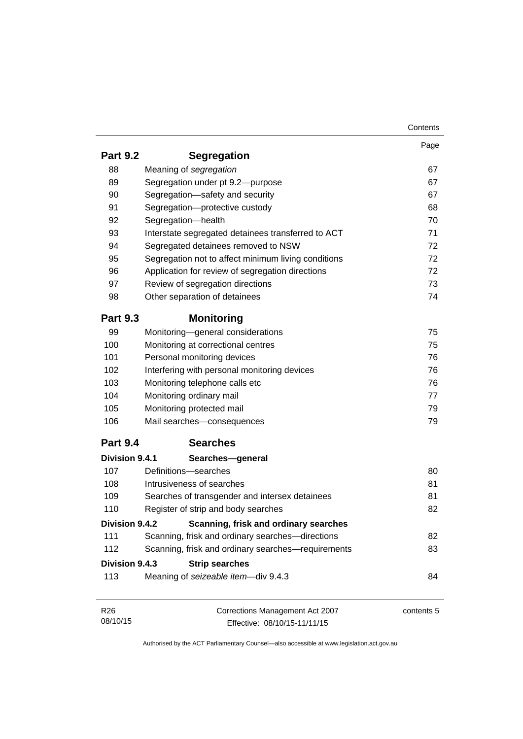| Page<br>67<br>67 |
|------------------|
|                  |
|                  |
|                  |
|                  |
| 67               |
| 68               |
| 70               |
| 71               |
| 72               |
| 72               |
| 72               |
| 73               |
| 74               |
|                  |
| 75               |
| 75               |
| 76               |
| 76               |
| 76               |
| 77               |
| 79               |
| 79               |
|                  |
|                  |
| 80               |
| 81               |
| 81               |
| 82               |
|                  |
| 82               |
| 83               |
|                  |
| 84               |
| contents 5       |
|                  |
|                  |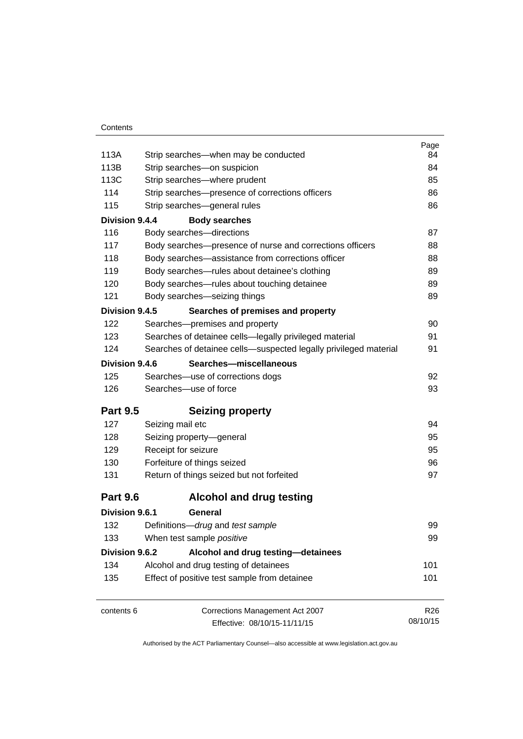|                 |                                                                  | Page            |
|-----------------|------------------------------------------------------------------|-----------------|
| 113A            | Strip searches—when may be conducted                             | 84              |
| 113B            | Strip searches-on suspicion                                      | 84              |
| 113C            | Strip searches-where prudent                                     | 85              |
| 114             | Strip searches-presence of corrections officers                  | 86              |
| 115             | Strip searches-general rules                                     | 86              |
| Division 9.4.4  | <b>Body searches</b>                                             |                 |
| 116             | Body searches-directions                                         | 87              |
| 117             | Body searches-presence of nurse and corrections officers         | 88              |
| 118             | Body searches—assistance from corrections officer                | 88              |
| 119             | Body searches-rules about detainee's clothing                    | 89              |
| 120             | Body searches-rules about touching detainee                      | 89              |
| 121             | Body searches-seizing things                                     | 89              |
| Division 9.4.5  | Searches of premises and property                                |                 |
| 122             | Searches-premises and property                                   | 90              |
| 123             | Searches of detainee cells-legally privileged material           | 91              |
| 124             | Searches of detainee cells-suspected legally privileged material | 91              |
| Division 9.4.6  | Searches-miscellaneous                                           |                 |
| 125             | Searches-use of corrections dogs                                 | 92              |
| 126             | Searches-use of force                                            | 93              |
| <b>Part 9.5</b> | <b>Seizing property</b>                                          |                 |
| 127             | Seizing mail etc                                                 | 94              |
| 128             | Seizing property-general                                         | 95              |
| 129             | Receipt for seizure                                              | 95              |
| 130             | Forfeiture of things seized                                      | 96              |
| 131             | Return of things seized but not forfeited                        | 97              |
| <b>Part 9.6</b> | <b>Alcohol and drug testing</b>                                  |                 |
| Division 9.6.1  | General                                                          |                 |
| 132             | Definitions-drug and test sample                                 | 99              |
| 133             | When test sample positive                                        | 99              |
| Division 9.6.2  | Alcohol and drug testing-detainees                               |                 |
| 134             | Alcohol and drug testing of detainees                            | 101             |
| 135             | Effect of positive test sample from detainee                     | 101             |
| contents 6      | Corrections Management Act 2007                                  | R <sub>26</sub> |
|                 | Effective: 08/10/15-11/11/15                                     | 08/10/15        |
|                 |                                                                  |                 |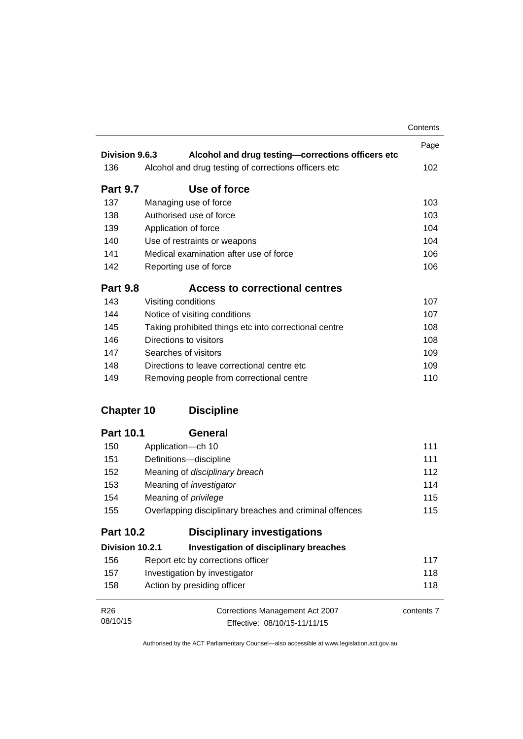|                   |                                                         | Contents   |
|-------------------|---------------------------------------------------------|------------|
| Division 9.6.3    |                                                         | Page       |
|                   | Alcohol and drug testing-corrections officers etc       |            |
| 136               | Alcohol and drug testing of corrections officers etc    | 102        |
| <b>Part 9.7</b>   | Use of force                                            |            |
| 137               | Managing use of force                                   | 103        |
| 138               | Authorised use of force                                 | 103        |
| 139               | Application of force                                    | 104        |
| 140               | Use of restraints or weapons                            | 104        |
| 141               | Medical examination after use of force                  | 106        |
| 142               | Reporting use of force                                  | 106        |
| <b>Part 9.8</b>   | <b>Access to correctional centres</b>                   |            |
| 143               | Visiting conditions                                     | 107        |
| 144               | Notice of visiting conditions                           | 107        |
| 145               | Taking prohibited things etc into correctional centre   | 108        |
| 146               | Directions to visitors                                  | 108        |
| 147               | Searches of visitors                                    | 109        |
| 148               | Directions to leave correctional centre etc             | 109        |
| 149               | Removing people from correctional centre                | 110        |
| <b>Chapter 10</b> | <b>Discipline</b>                                       |            |
| <b>Part 10.1</b>  | <b>General</b>                                          |            |
| 150               | Application-ch 10                                       | 111        |
| 151               | Definitions-discipline                                  | 111        |
| 152               | Meaning of disciplinary breach                          | 112        |
| 153               | Meaning of <i>investigator</i>                          | 114        |
| 154               | Meaning of privilege                                    | 115        |
| 155               | Overlapping disciplinary breaches and criminal offences | 115        |
| <b>Part 10.2</b>  | <b>Disciplinary investigations</b>                      |            |
| Division 10.2.1   | <b>Investigation of disciplinary breaches</b>           |            |
| 156               | Report etc by corrections officer                       | 117        |
| 157               | Investigation by investigator                           | 118        |
| 158               | Action by presiding officer                             | 118        |
| R <sub>26</sub>   | Corrections Management Act 2007                         | contents 7 |
| 08/10/15          | Effective: 08/10/15-11/11/15                            |            |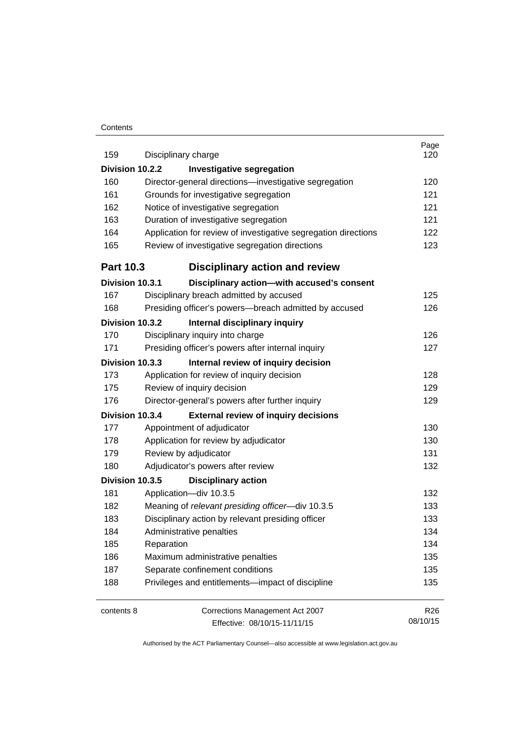#### **Contents**

| 159              | Disciplinary charge                                            | Page<br>120     |
|------------------|----------------------------------------------------------------|-----------------|
| Division 10.2.2  | <b>Investigative segregation</b>                               |                 |
| 160              | Director-general directions-investigative segregation          | 120             |
| 161              | Grounds for investigative segregation                          | 121             |
| 162              | Notice of investigative segregation                            | 121             |
| 163              | Duration of investigative segregation                          | 121             |
| 164              | Application for review of investigative segregation directions | 122             |
| 165              | Review of investigative segregation directions                 | 123             |
| <b>Part 10.3</b> | <b>Disciplinary action and review</b>                          |                 |
| Division 10.3.1  | Disciplinary action-with accused's consent                     |                 |
| 167              | Disciplinary breach admitted by accused                        | 125             |
| 168              | Presiding officer's powers--breach admitted by accused         | 126             |
| Division 10.3.2  | Internal disciplinary inquiry                                  |                 |
| 170              | Disciplinary inquiry into charge                               | 126             |
| 171              | Presiding officer's powers after internal inquiry              | 127             |
| Division 10.3.3  | Internal review of inquiry decision                            |                 |
| 173              | Application for review of inquiry decision                     | 128             |
| 175              | Review of inquiry decision                                     | 129             |
| 176              | Director-general's powers after further inquiry                | 129             |
| Division 10.3.4  | <b>External review of inquiry decisions</b>                    |                 |
| 177              | Appointment of adjudicator                                     | 130             |
| 178              | Application for review by adjudicator                          | 130             |
| 179              | Review by adjudicator                                          | 131             |
| 180              | Adjudicator's powers after review                              | 132             |
| Division 10.3.5  | <b>Disciplinary action</b>                                     |                 |
| 181              | Application-div 10.3.5                                         | 132             |
| 182              | Meaning of relevant presiding officer-div 10.3.5               | 133             |
| 183              | Disciplinary action by relevant presiding officer              | 133             |
| 184              | Administrative penalties                                       | 134             |
| 185              | Reparation                                                     | 134             |
| 186              | Maximum administrative penalties                               | 135             |
| 187              | Separate confinement conditions                                | 135             |
| 188              | Privileges and entitlements-impact of discipline               | 135             |
| contents 8       | Corrections Management Act 2007                                | R <sub>26</sub> |
|                  | Effective: 08/10/15-11/11/15                                   | 08/10/15        |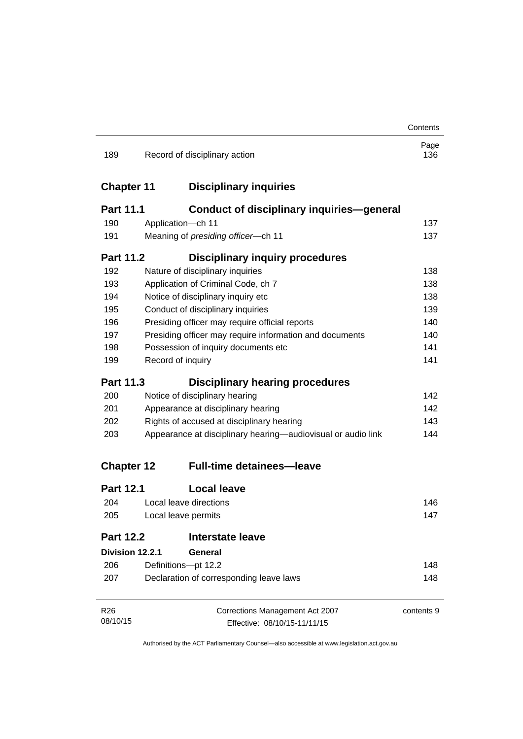|                   |                                           |                                                              | Contents    |
|-------------------|-------------------------------------------|--------------------------------------------------------------|-------------|
| 189               |                                           | Record of disciplinary action                                | Page<br>136 |
| <b>Chapter 11</b> |                                           | <b>Disciplinary inquiries</b>                                |             |
| <b>Part 11.1</b>  |                                           | <b>Conduct of disciplinary inquiries-general</b>             |             |
| 190               |                                           | Application-ch 11                                            | 137         |
| 191               |                                           | Meaning of presiding officer-ch 11                           | 137         |
| <b>Part 11.2</b>  |                                           | <b>Disciplinary inquiry procedures</b>                       |             |
| 192               |                                           | Nature of disciplinary inquiries                             | 138         |
| 193               |                                           | Application of Criminal Code, ch 7                           | 138         |
| 194               |                                           | Notice of disciplinary inquiry etc                           | 138         |
| 195               |                                           | Conduct of disciplinary inquiries                            | 139         |
| 196               |                                           | Presiding officer may require official reports               | 140         |
| 197               |                                           | Presiding officer may require information and documents      | 140         |
| 198               | Possession of inquiry documents etc       |                                                              | 141         |
| 199               |                                           | Record of inquiry                                            | 141         |
| <b>Part 11.3</b>  |                                           | <b>Disciplinary hearing procedures</b>                       |             |
| 200               |                                           | Notice of disciplinary hearing                               | 142         |
| 201               | Appearance at disciplinary hearing        |                                                              | 142         |
| 202               | Rights of accused at disciplinary hearing |                                                              | 143         |
| 203               |                                           | Appearance at disciplinary hearing—audiovisual or audio link | 144         |
| <b>Chapter 12</b> |                                           | <b>Full-time detainees-leave</b>                             |             |
| <b>Part 12.1</b>  |                                           | <b>Local leave</b>                                           |             |
| 204               |                                           | Local leave directions                                       | 146         |
| 205               |                                           | Local leave permits                                          | 147         |
| <b>Part 12.2</b>  |                                           | <b>Interstate leave</b>                                      |             |
| Division 12.2.1   |                                           | General                                                      |             |
| 206               |                                           | Definitions-pt 12.2                                          | 148         |
| 207               |                                           | Declaration of corresponding leave laws                      | 148         |
| R <sub>26</sub>   |                                           | Corrections Management Act 2007                              | contents 9  |
| 08/10/15          |                                           | Effective: 08/10/15-11/11/15                                 |             |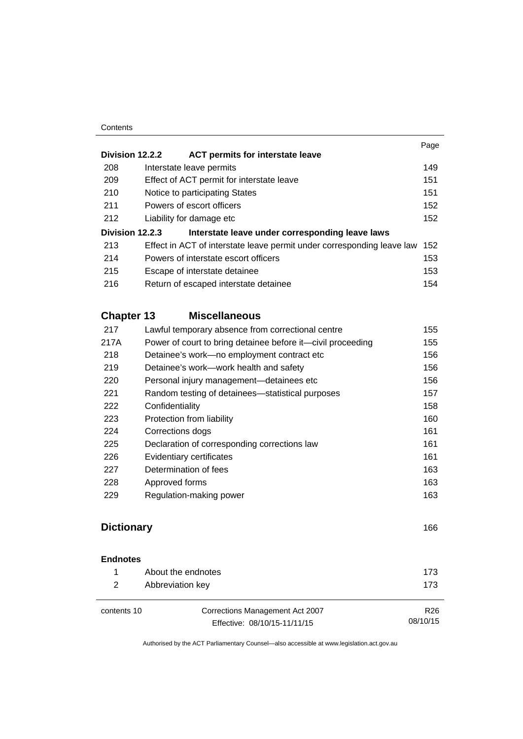#### **Contents**

|                 |                                                                        | Page |
|-----------------|------------------------------------------------------------------------|------|
| Division 12.2.2 | <b>ACT permits for interstate leave</b>                                |      |
| 208             | Interstate leave permits                                               | 149  |
| 209             | Effect of ACT permit for interstate leave                              | 151  |
| 210             | Notice to participating States                                         | 151  |
| 211             | Powers of escort officers                                              | 152  |
| 212             | Liability for damage etc                                               | 152  |
| Division 12.2.3 | Interstate leave under corresponding leave laws                        |      |
| 213             | Effect in ACT of interstate leave permit under corresponding leave law | 152  |
| 214             | Powers of interstate escort officers                                   | 153  |
| 215             | Escape of interstate detainee                                          | 153  |
| 216             | Return of escaped interstate detainee                                  | 154  |
|                 |                                                                        |      |

# **Chapter 13 [Miscellaneous](#page-168-0)**

| 217  | Lawful temporary absence from correctional centre           | 155 |
|------|-------------------------------------------------------------|-----|
| 217A | Power of court to bring detainee before it—civil proceeding | 155 |
| 218  | Detainee's work-no employment contract etc                  | 156 |
| 219  | Detainee's work—work health and safety                      | 156 |
| 220  | Personal injury management-detainees etc                    | 156 |
| 221  | Random testing of detainees—statistical purposes            | 157 |
| 222  | Confidentiality                                             | 158 |
| 223  | Protection from liability                                   | 160 |
| 224  | Corrections dogs                                            | 161 |
| 225  | Declaration of corresponding corrections law                | 161 |
| 226  | Evidentiary certificates                                    | 161 |
| 227  | Determination of fees                                       | 163 |
| 228  | Approved forms                                              | 163 |
| 229  | Regulation-making power                                     | 163 |
|      |                                                             |     |

# **[Dictionary](#page-179-0)** [166](#page-179-0)

R26

#### **[Endnotes](#page-186-0)**

| About the endnotes | 173. |
|--------------------|------|
| Abbreviation key   | 173  |

| contents 10 |  |
|-------------|--|
|-------------|--|

Corrections Management Act 2007 Effective: 08/10/15-11/11/15 08/10/15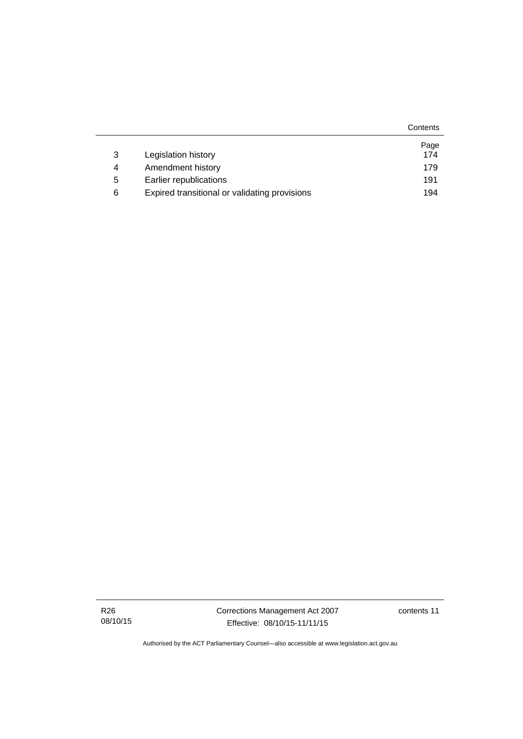|   |                                               | Contents |
|---|-----------------------------------------------|----------|
|   |                                               | Page     |
| 3 | Legislation history                           | 174      |
| 4 | Amendment history                             | 179      |
| 5 | Earlier republications                        | 191      |
| 6 | Expired transitional or validating provisions | 194      |

R26 08/10/15 Corrections Management Act 2007 Effective: 08/10/15-11/11/15

contents 11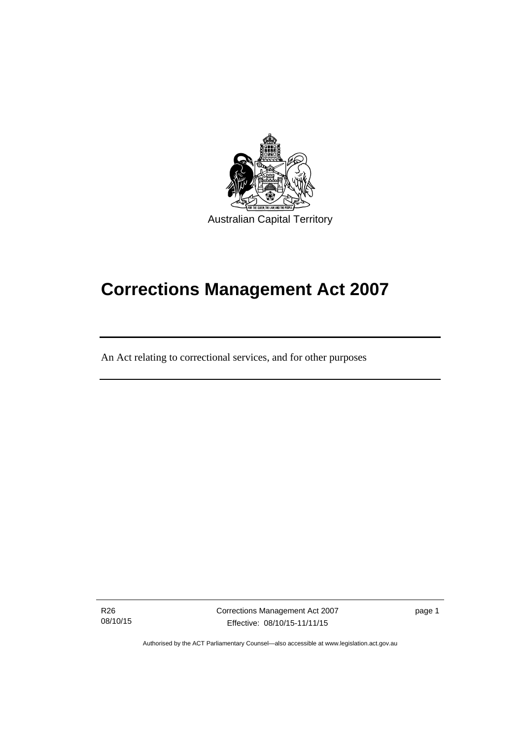

# **Corrections Management Act 2007**

An Act relating to correctional services, and for other purposes

R26 08/10/15

֖֚֚֚֬

Corrections Management Act 2007 Effective: 08/10/15-11/11/15

page 1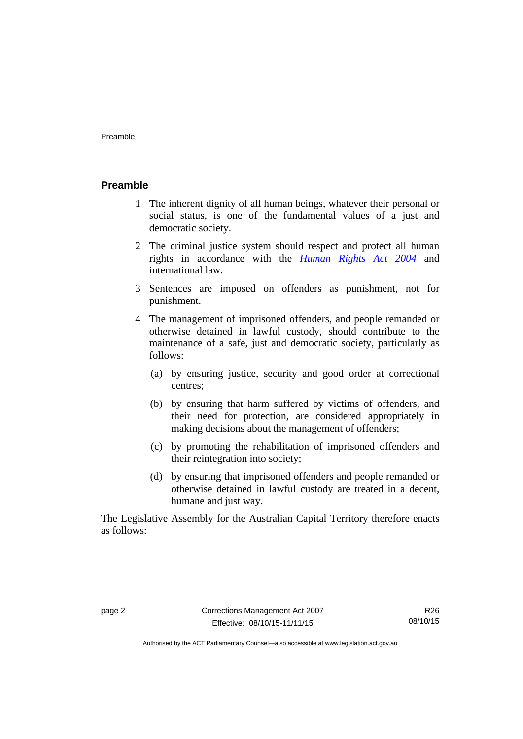#### <span id="page-15-0"></span>**Preamble**

- 1 The inherent dignity of all human beings, whatever their personal or social status, is one of the fundamental values of a just and democratic society.
- 2 The criminal justice system should respect and protect all human rights in accordance with the *[Human Rights Act 2004](http://www.legislation.act.gov.au/a/2004-5)* and international law.
- 3 Sentences are imposed on offenders as punishment, not for punishment.
- 4 The management of imprisoned offenders, and people remanded or otherwise detained in lawful custody, should contribute to the maintenance of a safe, just and democratic society, particularly as follows:
	- (a) by ensuring justice, security and good order at correctional centres;
	- (b) by ensuring that harm suffered by victims of offenders, and their need for protection, are considered appropriately in making decisions about the management of offenders;
	- (c) by promoting the rehabilitation of imprisoned offenders and their reintegration into society;
	- (d) by ensuring that imprisoned offenders and people remanded or otherwise detained in lawful custody are treated in a decent, humane and just way.

The Legislative Assembly for the Australian Capital Territory therefore enacts as follows: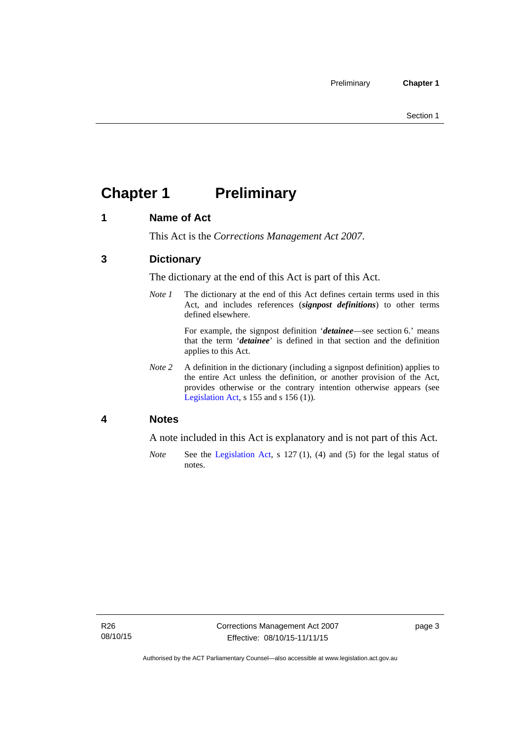# <span id="page-16-0"></span>**Chapter 1 Preliminary**

# <span id="page-16-1"></span>**1 Name of Act**

This Act is the *Corrections Management Act 2007*.

# <span id="page-16-2"></span>**3 Dictionary**

The dictionary at the end of this Act is part of this Act.

*Note 1* The dictionary at the end of this Act defines certain terms used in this Act, and includes references (*signpost definitions*) to other terms defined elsewhere.

> For example, the signpost definition '*detainee*—see section 6.' means that the term '*detainee*' is defined in that section and the definition applies to this Act.

*Note 2* A definition in the dictionary (including a signpost definition) applies to the entire Act unless the definition, or another provision of the Act, provides otherwise or the contrary intention otherwise appears (see [Legislation Act,](http://www.legislation.act.gov.au/a/2001-14) s 155 and s 156 (1)).

### <span id="page-16-3"></span>**4 Notes**

A note included in this Act is explanatory and is not part of this Act.

*Note* See the [Legislation Act,](http://www.legislation.act.gov.au/a/2001-14) s 127 (1), (4) and (5) for the legal status of notes.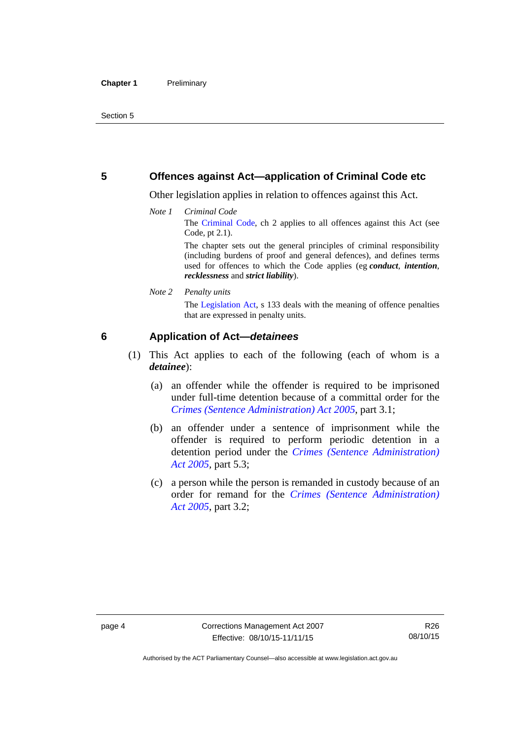### <span id="page-17-0"></span>**5 Offences against Act—application of Criminal Code etc**

Other legislation applies in relation to offences against this Act.

*Note 1 Criminal Code* The [Criminal Code](http://www.legislation.act.gov.au/a/2002-51), ch 2 applies to all offences against this Act (see Code, pt 2.1).

> The chapter sets out the general principles of criminal responsibility (including burdens of proof and general defences), and defines terms used for offences to which the Code applies (eg *conduct*, *intention*, *recklessness* and *strict liability*).

*Note 2 Penalty units* 

The [Legislation Act,](http://www.legislation.act.gov.au/a/2001-14) s 133 deals with the meaning of offence penalties that are expressed in penalty units.

# <span id="page-17-1"></span>**6 Application of Act—***detainees*

- (1) This Act applies to each of the following (each of whom is a *detainee*):
	- (a) an offender while the offender is required to be imprisoned under full-time detention because of a committal order for the *[Crimes \(Sentence Administration\) Act 2005](http://www.legislation.act.gov.au/a/2005-59)*, part 3.1;
	- (b) an offender under a sentence of imprisonment while the offender is required to perform periodic detention in a detention period under the *[Crimes \(Sentence Administration\)](http://www.legislation.act.gov.au/a/2005-59)  [Act 2005](http://www.legislation.act.gov.au/a/2005-59),* part 5.3;
	- (c) a person while the person is remanded in custody because of an order for remand for the *[Crimes \(Sentence Administration\)](http://www.legislation.act.gov.au/a/2005-59)  [Act 2005](http://www.legislation.act.gov.au/a/2005-59)*, part 3.2;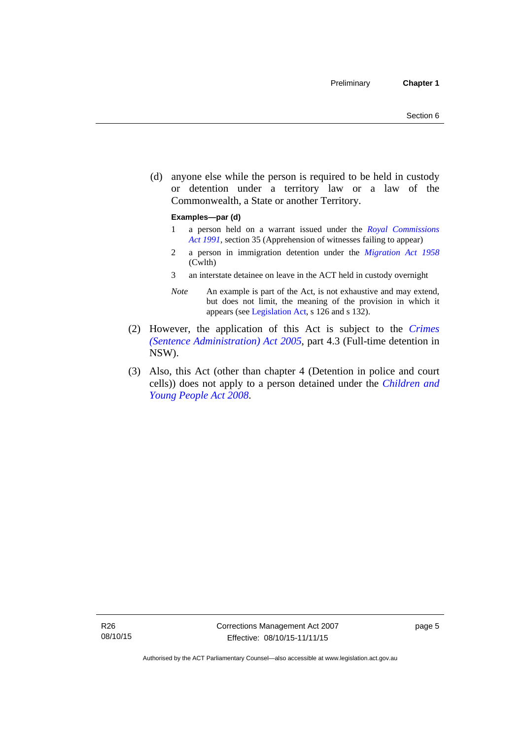(d) anyone else while the person is required to be held in custody or detention under a territory law or a law of the Commonwealth, a State or another Territory.

#### **Examples—par (d)**

- 1 a person held on a warrant issued under the *[Royal Commissions](http://www.legislation.act.gov.au/a/1991-1)  [Act 1991](http://www.legislation.act.gov.au/a/1991-1)*, section 35 (Apprehension of witnesses failing to appear)
- 2 a person in immigration detention under the *[Migration Act 1958](http://www.comlaw.gov.au/Series/C2004A07412)* (Cwlth)
- 3 an interstate detainee on leave in the ACT held in custody overnight
- *Note* An example is part of the Act, is not exhaustive and may extend, but does not limit, the meaning of the provision in which it appears (see [Legislation Act,](http://www.legislation.act.gov.au/a/2001-14) s 126 and s 132).
- (2) However, the application of this Act is subject to the *[Crimes](http://www.legislation.act.gov.au/a/2005-59)  [\(Sentence Administration\) Act 2005](http://www.legislation.act.gov.au/a/2005-59)*, part 4.3 (Full-time detention in NSW).
- (3) Also, this Act (other than chapter 4 (Detention in police and court cells)) does not apply to a person detained under the *[Children and](http://www.legislation.act.gov.au/a/2008-19)  [Young People Act 2008](http://www.legislation.act.gov.au/a/2008-19)*.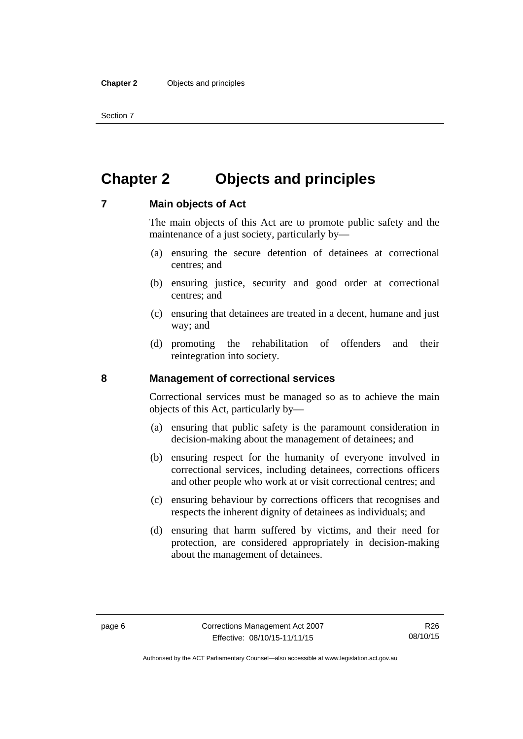Section 7

# <span id="page-19-0"></span>**Chapter 2 Objects and principles**

### <span id="page-19-1"></span>**7 Main objects of Act**

The main objects of this Act are to promote public safety and the maintenance of a just society, particularly by—

- (a) ensuring the secure detention of detainees at correctional centres; and
- (b) ensuring justice, security and good order at correctional centres; and
- (c) ensuring that detainees are treated in a decent, humane and just way; and
- (d) promoting the rehabilitation of offenders and their reintegration into society.

### <span id="page-19-2"></span>**8 Management of correctional services**

Correctional services must be managed so as to achieve the main objects of this Act, particularly by—

- (a) ensuring that public safety is the paramount consideration in decision-making about the management of detainees; and
- (b) ensuring respect for the humanity of everyone involved in correctional services, including detainees, corrections officers and other people who work at or visit correctional centres; and
- (c) ensuring behaviour by corrections officers that recognises and respects the inherent dignity of detainees as individuals; and
- (d) ensuring that harm suffered by victims, and their need for protection, are considered appropriately in decision-making about the management of detainees.

Authorised by the ACT Parliamentary Counsel—also accessible at www.legislation.act.gov.au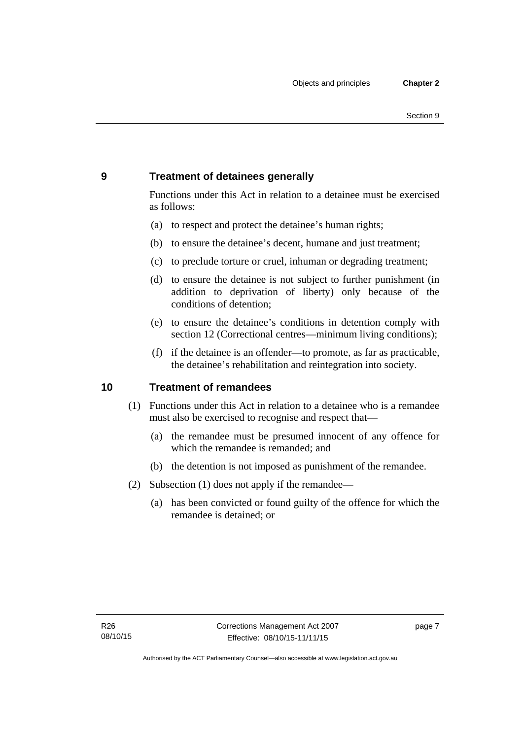# <span id="page-20-0"></span>**9 Treatment of detainees generally**

Functions under this Act in relation to a detainee must be exercised as follows:

- (a) to respect and protect the detainee's human rights;
- (b) to ensure the detainee's decent, humane and just treatment;
- (c) to preclude torture or cruel, inhuman or degrading treatment;
- (d) to ensure the detainee is not subject to further punishment (in addition to deprivation of liberty) only because of the conditions of detention;
- (e) to ensure the detainee's conditions in detention comply with section 12 (Correctional centres—minimum living conditions);
- (f) if the detainee is an offender—to promote, as far as practicable, the detainee's rehabilitation and reintegration into society.

### <span id="page-20-1"></span>**10 Treatment of remandees**

- (1) Functions under this Act in relation to a detainee who is a remandee must also be exercised to recognise and respect that—
	- (a) the remandee must be presumed innocent of any offence for which the remandee is remanded; and
	- (b) the detention is not imposed as punishment of the remandee.
- (2) Subsection (1) does not apply if the remandee—
	- (a) has been convicted or found guilty of the offence for which the remandee is detained; or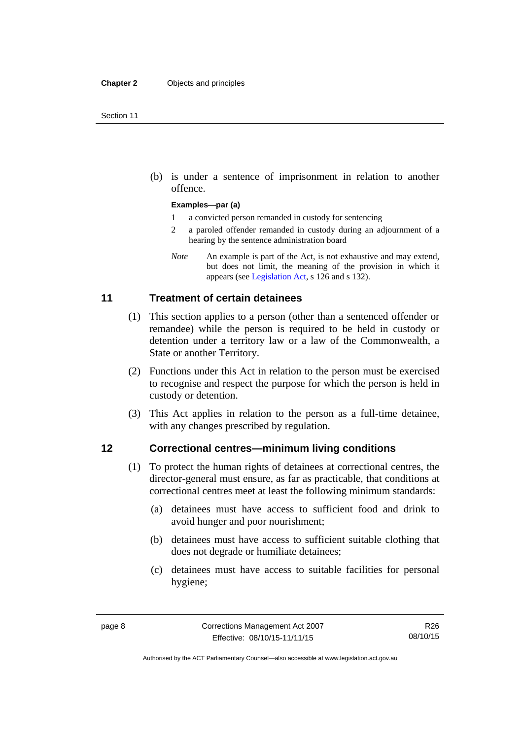(b) is under a sentence of imprisonment in relation to another offence.

#### **Examples—par (a)**

- 1 a convicted person remanded in custody for sentencing
- 2 a paroled offender remanded in custody during an adjournment of a hearing by the sentence administration board
- *Note* An example is part of the Act, is not exhaustive and may extend, but does not limit, the meaning of the provision in which it appears (see [Legislation Act,](http://www.legislation.act.gov.au/a/2001-14) s 126 and s 132).

### <span id="page-21-0"></span>**11 Treatment of certain detainees**

- (1) This section applies to a person (other than a sentenced offender or remandee) while the person is required to be held in custody or detention under a territory law or a law of the Commonwealth, a State or another Territory.
- (2) Functions under this Act in relation to the person must be exercised to recognise and respect the purpose for which the person is held in custody or detention.
- (3) This Act applies in relation to the person as a full-time detainee, with any changes prescribed by regulation.

### <span id="page-21-1"></span>**12 Correctional centres—minimum living conditions**

- (1) To protect the human rights of detainees at correctional centres, the director-general must ensure, as far as practicable, that conditions at correctional centres meet at least the following minimum standards:
	- (a) detainees must have access to sufficient food and drink to avoid hunger and poor nourishment;
	- (b) detainees must have access to sufficient suitable clothing that does not degrade or humiliate detainees;
	- (c) detainees must have access to suitable facilities for personal hygiene;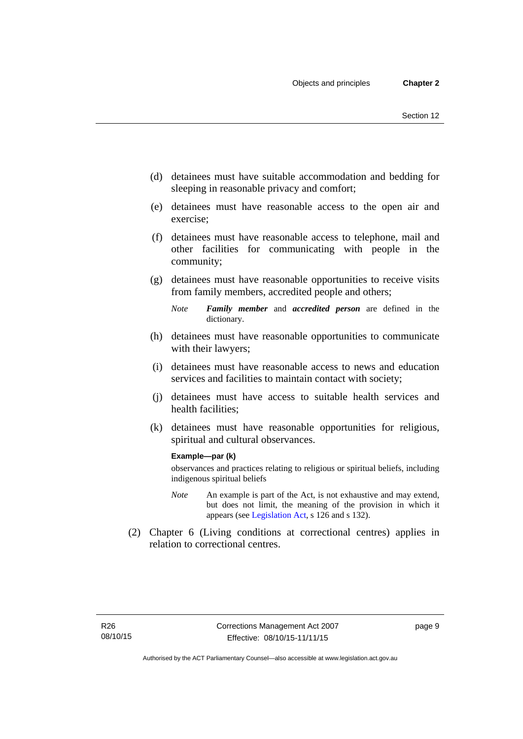- (d) detainees must have suitable accommodation and bedding for sleeping in reasonable privacy and comfort;
- (e) detainees must have reasonable access to the open air and exercise;
- (f) detainees must have reasonable access to telephone, mail and other facilities for communicating with people in the community;
- (g) detainees must have reasonable opportunities to receive visits from family members, accredited people and others;
	- *Note Family member* and *accredited person* are defined in the dictionary.
- (h) detainees must have reasonable opportunities to communicate with their lawyers;
- (i) detainees must have reasonable access to news and education services and facilities to maintain contact with society;
- (j) detainees must have access to suitable health services and health facilities;
- (k) detainees must have reasonable opportunities for religious, spiritual and cultural observances.

#### **Example—par (k)**

observances and practices relating to religious or spiritual beliefs, including indigenous spiritual beliefs

- *Note* An example is part of the Act, is not exhaustive and may extend, but does not limit, the meaning of the provision in which it appears (see [Legislation Act,](http://www.legislation.act.gov.au/a/2001-14) s 126 and s 132).
- (2) Chapter 6 (Living conditions at correctional centres) applies in relation to correctional centres.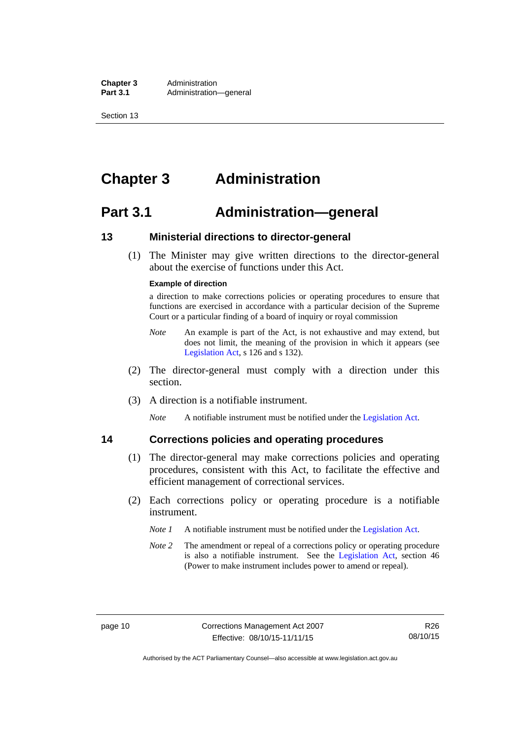**Chapter 3** Administration<br> **Part 3.1** Administration Administration—general

Section 13

# <span id="page-23-0"></span>**Chapter 3 Administration**

# <span id="page-23-1"></span>**Part 3.1 Administration—general**

# <span id="page-23-2"></span>**13 Ministerial directions to director-general**

 (1) The Minister may give written directions to the director-general about the exercise of functions under this Act.

#### **Example of direction**

a direction to make corrections policies or operating procedures to ensure that functions are exercised in accordance with a particular decision of the Supreme Court or a particular finding of a board of inquiry or royal commission

- *Note* An example is part of the Act, is not exhaustive and may extend, but does not limit, the meaning of the provision in which it appears (see [Legislation Act,](http://www.legislation.act.gov.au/a/2001-14) s 126 and s 132).
- (2) The director-general must comply with a direction under this section.
- (3) A direction is a notifiable instrument.

*Note* A notifiable instrument must be notified under the [Legislation Act](http://www.legislation.act.gov.au/a/2001-14).

# <span id="page-23-3"></span>**14 Corrections policies and operating procedures**

- (1) The director-general may make corrections policies and operating procedures, consistent with this Act, to facilitate the effective and efficient management of correctional services.
- (2) Each corrections policy or operating procedure is a notifiable instrument.
	- *Note 1* A notifiable instrument must be notified under the [Legislation Act](http://www.legislation.act.gov.au/a/2001-14).
	- *Note* 2 The amendment or repeal of a corrections policy or operating procedure is also a notifiable instrument. See the [Legislation Act,](http://www.legislation.act.gov.au/a/2001-14) section 46 (Power to make instrument includes power to amend or repeal).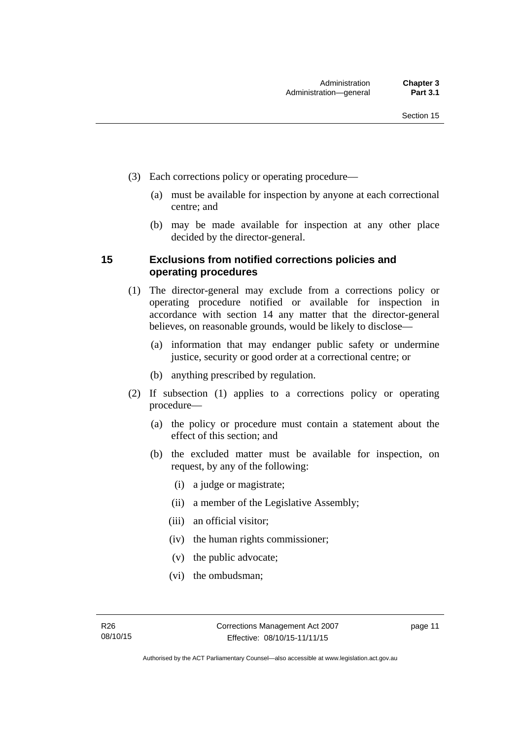- (3) Each corrections policy or operating procedure—
	- (a) must be available for inspection by anyone at each correctional centre; and
	- (b) may be made available for inspection at any other place decided by the director-general.

# <span id="page-24-0"></span>**15 Exclusions from notified corrections policies and operating procedures**

- (1) The director-general may exclude from a corrections policy or operating procedure notified or available for inspection in accordance with section 14 any matter that the director-general believes, on reasonable grounds, would be likely to disclose—
	- (a) information that may endanger public safety or undermine justice, security or good order at a correctional centre; or
	- (b) anything prescribed by regulation.
- (2) If subsection (1) applies to a corrections policy or operating procedure—
	- (a) the policy or procedure must contain a statement about the effect of this section; and
	- (b) the excluded matter must be available for inspection, on request, by any of the following:
		- (i) a judge or magistrate;
		- (ii) a member of the Legislative Assembly;
		- (iii) an official visitor;
		- (iv) the human rights commissioner;
		- (v) the public advocate;
		- (vi) the ombudsman;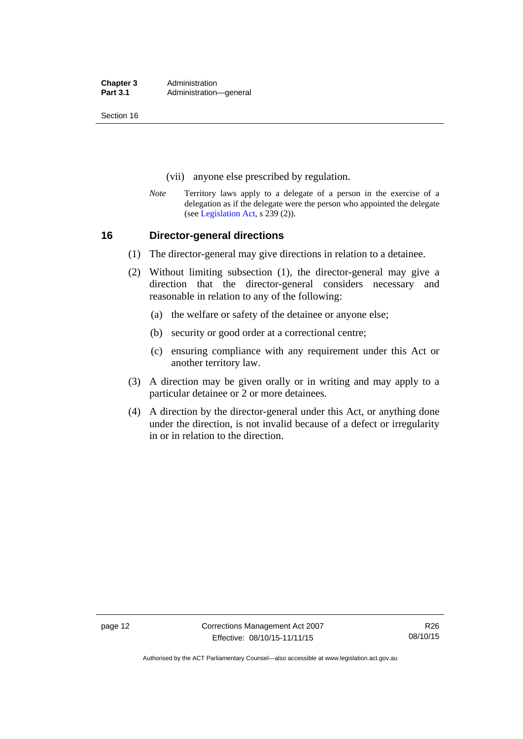**Chapter 3** Administration<br> **Part 3.1** Administration Administration—general

Section 16

- (vii) anyone else prescribed by regulation.
- *Note* Territory laws apply to a delegate of a person in the exercise of a delegation as if the delegate were the person who appointed the delegate (see [Legislation Act,](http://www.legislation.act.gov.au/a/2001-14) s 239 (2)).

### <span id="page-25-0"></span>**16 Director-general directions**

- (1) The director-general may give directions in relation to a detainee.
- (2) Without limiting subsection (1), the director-general may give a direction that the director-general considers necessary and reasonable in relation to any of the following:
	- (a) the welfare or safety of the detainee or anyone else;
	- (b) security or good order at a correctional centre;
	- (c) ensuring compliance with any requirement under this Act or another territory law.
- (3) A direction may be given orally or in writing and may apply to a particular detainee or 2 or more detainees.
- (4) A direction by the director-general under this Act, or anything done under the direction, is not invalid because of a defect or irregularity in or in relation to the direction.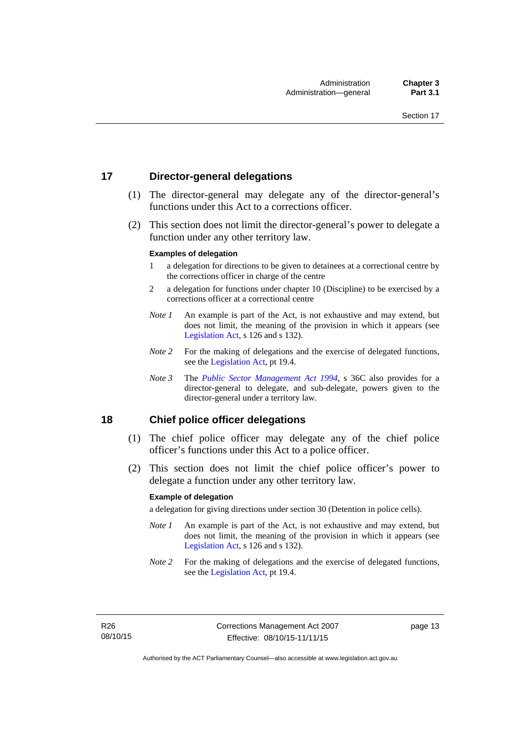# <span id="page-26-0"></span>**17 Director-general delegations**

- (1) The director-general may delegate any of the director-general's functions under this Act to a corrections officer.
- (2) This section does not limit the director-general's power to delegate a function under any other territory law.

#### **Examples of delegation**

- 1 a delegation for directions to be given to detainees at a correctional centre by the corrections officer in charge of the centre
- 2 a delegation for functions under chapter 10 (Discipline) to be exercised by a corrections officer at a correctional centre
- *Note 1* An example is part of the Act, is not exhaustive and may extend, but does not limit, the meaning of the provision in which it appears (see [Legislation Act,](http://www.legislation.act.gov.au/a/2001-14) s 126 and s 132).
- *Note* 2 For the making of delegations and the exercise of delegated functions, see the [Legislation Act,](http://www.legislation.act.gov.au/a/2001-14) pt 19.4.
- *Note 3* The *[Public Sector Management Act 1994](http://www.legislation.act.gov.au/a/1994-37)*, s 36C also provides for a director-general to delegate, and sub-delegate, powers given to the director-general under a territory law.

### <span id="page-26-1"></span>**18 Chief police officer delegations**

- (1) The chief police officer may delegate any of the chief police officer's functions under this Act to a police officer.
- (2) This section does not limit the chief police officer's power to delegate a function under any other territory law.

#### **Example of delegation**

a delegation for giving directions under section 30 (Detention in police cells).

- *Note 1* An example is part of the Act, is not exhaustive and may extend, but does not limit, the meaning of the provision in which it appears (see [Legislation Act,](http://www.legislation.act.gov.au/a/2001-14) s 126 and s 132).
- *Note* 2 For the making of delegations and the exercise of delegated functions, see the [Legislation Act,](http://www.legislation.act.gov.au/a/2001-14) pt 19.4.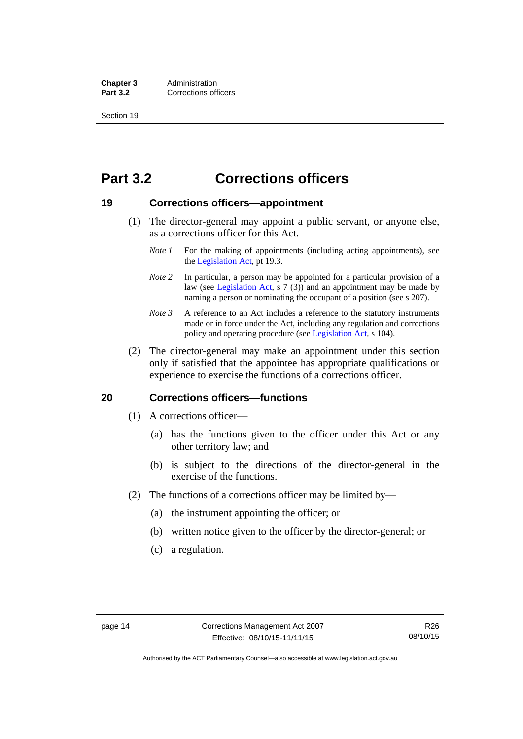**Chapter 3** Administration<br>**Part 3.2** Corrections of **Corrections officers** 

Section 19

# <span id="page-27-0"></span>**Part 3.2 Corrections officers**

### <span id="page-27-1"></span>**19 Corrections officers—appointment**

- (1) The director-general may appoint a public servant, or anyone else, as a corrections officer for this Act.
	- *Note 1* For the making of appointments (including acting appointments), see the [Legislation Act,](http://www.legislation.act.gov.au/a/2001-14) pt 19.3.
	- *Note* 2 In particular, a person may be appointed for a particular provision of a law (see [Legislation Act,](http://www.legislation.act.gov.au/a/2001-14) s 7 (3)) and an appointment may be made by naming a person or nominating the occupant of a position (see s 207).
	- *Note 3* A reference to an Act includes a reference to the statutory instruments made or in force under the Act, including any regulation and corrections policy and operating procedure (see [Legislation Act,](http://www.legislation.act.gov.au/a/2001-14) s 104).
- (2) The director-general may make an appointment under this section only if satisfied that the appointee has appropriate qualifications or experience to exercise the functions of a corrections officer.

### <span id="page-27-2"></span>**20 Corrections officers—functions**

- (1) A corrections officer—
	- (a) has the functions given to the officer under this Act or any other territory law; and
	- (b) is subject to the directions of the director-general in the exercise of the functions.
- (2) The functions of a corrections officer may be limited by—
	- (a) the instrument appointing the officer; or
	- (b) written notice given to the officer by the director-general; or
	- (c) a regulation.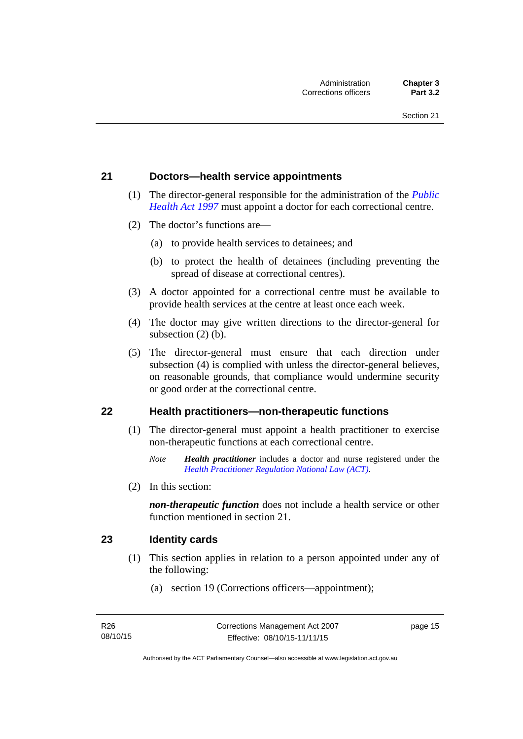### <span id="page-28-0"></span>**21 Doctors—health service appointments**

- (1) The director-general responsible for the administration of the *[Public](http://www.legislation.act.gov.au/a/1997-69)  [Health Act 1997](http://www.legislation.act.gov.au/a/1997-69)* must appoint a doctor for each correctional centre.
- (2) The doctor's functions are—
	- (a) to provide health services to detainees; and
	- (b) to protect the health of detainees (including preventing the spread of disease at correctional centres).
- (3) A doctor appointed for a correctional centre must be available to provide health services at the centre at least once each week.
- (4) The doctor may give written directions to the director-general for subsection (2) (b).
- (5) The director-general must ensure that each direction under subsection (4) is complied with unless the director-general believes, on reasonable grounds, that compliance would undermine security or good order at the correctional centre.

### <span id="page-28-1"></span>**22 Health practitioners—non-therapeutic functions**

- (1) The director-general must appoint a health practitioner to exercise non-therapeutic functions at each correctional centre.
	- *Note Health practitioner* includes a doctor and nurse registered under the *[Health Practitioner Regulation National Law \(ACT\)](http://www.legislation.act.gov.au/a/db_39269/default.asp)*.
- (2) In this section:

*non-therapeutic function* does not include a health service or other function mentioned in section 21.

### <span id="page-28-2"></span>**23 Identity cards**

- (1) This section applies in relation to a person appointed under any of the following:
	- (a) section 19 (Corrections officers—appointment);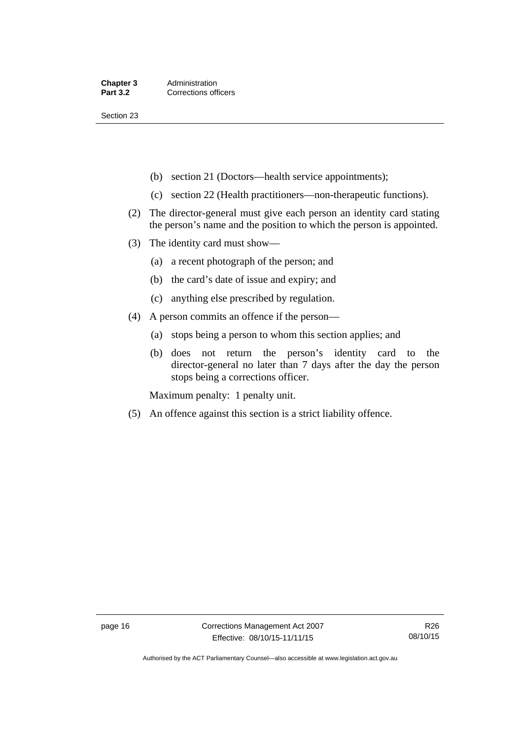Section 23

- (b) section 21 (Doctors—health service appointments);
- (c) section 22 (Health practitioners—non-therapeutic functions).
- (2) The director-general must give each person an identity card stating the person's name and the position to which the person is appointed.
- (3) The identity card must show—
	- (a) a recent photograph of the person; and
	- (b) the card's date of issue and expiry; and
	- (c) anything else prescribed by regulation.
- (4) A person commits an offence if the person—
	- (a) stops being a person to whom this section applies; and
	- (b) does not return the person's identity card to the director-general no later than 7 days after the day the person stops being a corrections officer.

Maximum penalty: 1 penalty unit.

(5) An offence against this section is a strict liability offence.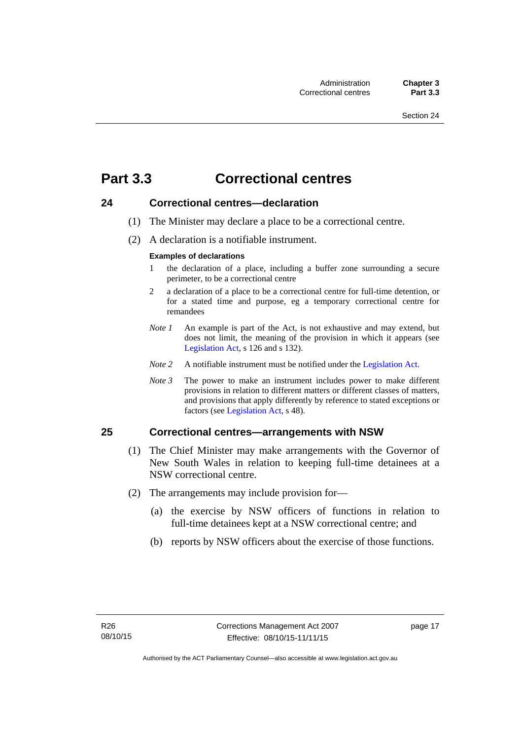# <span id="page-30-0"></span>**Part 3.3 Correctional centres**

# <span id="page-30-1"></span>**24 Correctional centres—declaration**

- (1) The Minister may declare a place to be a correctional centre.
- (2) A declaration is a notifiable instrument.

#### **Examples of declarations**

- 1 the declaration of a place, including a buffer zone surrounding a secure perimeter, to be a correctional centre
- 2 a declaration of a place to be a correctional centre for full-time detention, or for a stated time and purpose, eg a temporary correctional centre for remandees
- *Note 1* An example is part of the Act, is not exhaustive and may extend, but does not limit, the meaning of the provision in which it appears (see [Legislation Act,](http://www.legislation.act.gov.au/a/2001-14) s 126 and s 132).
- *Note 2* A notifiable instrument must be notified under the [Legislation Act](http://www.legislation.act.gov.au/a/2001-14).
- *Note 3* The power to make an instrument includes power to make different provisions in relation to different matters or different classes of matters, and provisions that apply differently by reference to stated exceptions or factors (see [Legislation Act](http://www.legislation.act.gov.au/a/2001-14), s 48).

# <span id="page-30-2"></span>**25 Correctional centres—arrangements with NSW**

- (1) The Chief Minister may make arrangements with the Governor of New South Wales in relation to keeping full-time detainees at a NSW correctional centre.
- (2) The arrangements may include provision for—
	- (a) the exercise by NSW officers of functions in relation to full-time detainees kept at a NSW correctional centre; and
	- (b) reports by NSW officers about the exercise of those functions.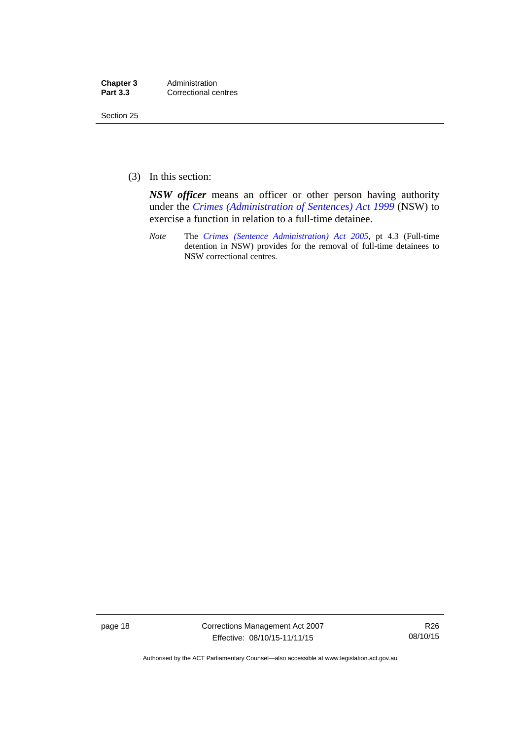| Chapter 3       | Administration       |
|-----------------|----------------------|
| <b>Part 3.3</b> | Correctional centres |

Section 25

(3) In this section:

*NSW officer* means an officer or other person having authority under the *[Crimes \(Administration of Sentences\) Act 1999](http://www.legislation.nsw.gov.au/maintop/view/inforce/act+93+1999+cd+0+N)* (NSW) to exercise a function in relation to a full-time detainee.

*Note* The *[Crimes \(Sentence Administration\) Act 2005](http://www.legislation.act.gov.au/a/2005-59)*, pt 4.3 (Full-time detention in NSW) provides for the removal of full-time detainees to NSW correctional centres.

page 18 Corrections Management Act 2007 Effective: 08/10/15-11/11/15

R26 08/10/15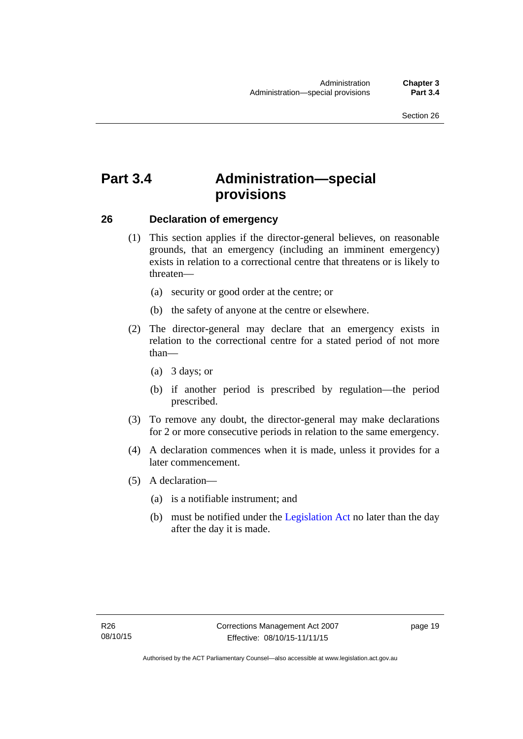# <span id="page-32-0"></span>**Part 3.4 Administration—special provisions**

### <span id="page-32-1"></span>**26 Declaration of emergency**

- (1) This section applies if the director-general believes, on reasonable grounds, that an emergency (including an imminent emergency) exists in relation to a correctional centre that threatens or is likely to threaten—
	- (a) security or good order at the centre; or
	- (b) the safety of anyone at the centre or elsewhere.
- (2) The director-general may declare that an emergency exists in relation to the correctional centre for a stated period of not more than—
	- (a) 3 days; or
	- (b) if another period is prescribed by regulation—the period prescribed.
- (3) To remove any doubt, the director-general may make declarations for 2 or more consecutive periods in relation to the same emergency.
- (4) A declaration commences when it is made, unless it provides for a later commencement.
- (5) A declaration—
	- (a) is a notifiable instrument; and
	- (b) must be notified under the [Legislation Act](http://www.legislation.act.gov.au/a/2001-14) no later than the day after the day it is made.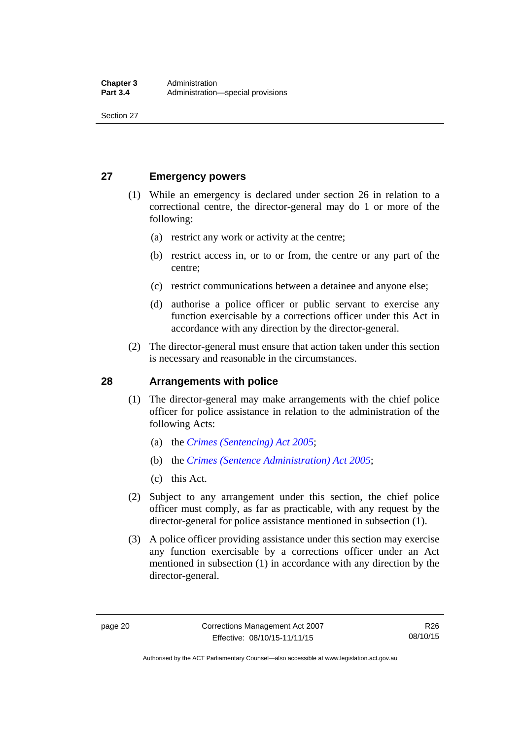Section 27

# <span id="page-33-0"></span>**27 Emergency powers**

- (1) While an emergency is declared under section 26 in relation to a correctional centre, the director-general may do 1 or more of the following:
	- (a) restrict any work or activity at the centre;
	- (b) restrict access in, or to or from, the centre or any part of the centre;
	- (c) restrict communications between a detainee and anyone else;
	- (d) authorise a police officer or public servant to exercise any function exercisable by a corrections officer under this Act in accordance with any direction by the director-general.
- (2) The director-general must ensure that action taken under this section is necessary and reasonable in the circumstances.

### <span id="page-33-1"></span>**28 Arrangements with police**

- (1) The director-general may make arrangements with the chief police officer for police assistance in relation to the administration of the following Acts:
	- (a) the *[Crimes \(Sentencing\) Act 2005](http://www.legislation.act.gov.au/a/2005-58)*;
	- (b) the *[Crimes \(Sentence Administration\) Act 2005](http://www.legislation.act.gov.au/a/2005-59)*;
	- (c) this Act.
- (2) Subject to any arrangement under this section, the chief police officer must comply, as far as practicable, with any request by the director-general for police assistance mentioned in subsection (1).
- (3) A police officer providing assistance under this section may exercise any function exercisable by a corrections officer under an Act mentioned in subsection (1) in accordance with any direction by the director-general.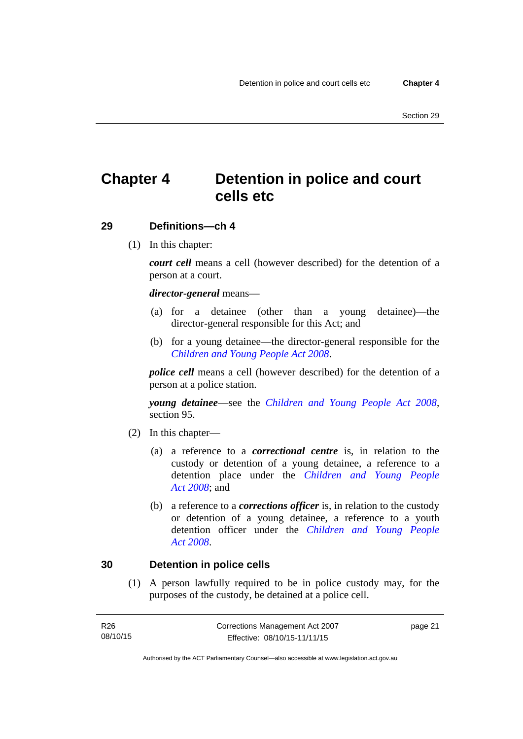# <span id="page-34-0"></span>**Chapter 4 Detention in police and court cells etc**

## <span id="page-34-1"></span>**29 Definitions—ch 4**

(1) In this chapter:

*court cell* means a cell (however described) for the detention of a person at a court.

### *director-general* means—

- (a) for a detainee (other than a young detainee)—the director-general responsible for this Act; and
- (b) for a young detainee—the director-general responsible for the *[Children and Young People Act 2008](http://www.legislation.act.gov.au/a/2008-19)*.

*police cell* means a cell (however described) for the detention of a person at a police station.

*young detainee*—see the *[Children and Young People Act 2008](http://www.legislation.act.gov.au/a/2008-19)*, section 95.

- (2) In this chapter—
	- (a) a reference to a *correctional centre* is, in relation to the custody or detention of a young detainee, a reference to a detention place under the *[Children and Young People](http://www.legislation.act.gov.au/a/2008-19)  [Act 2008](http://www.legislation.act.gov.au/a/2008-19)*; and
	- (b) a reference to a *corrections officer* is, in relation to the custody or detention of a young detainee, a reference to a youth detention officer under the *[Children and Young People](http://www.legislation.act.gov.au/a/2008-19)  [Act 2008](http://www.legislation.act.gov.au/a/2008-19)*.

### <span id="page-34-2"></span>**30 Detention in police cells**

(1) A person lawfully required to be in police custody may, for the purposes of the custody, be detained at a police cell.

| R26      | Corrections Management Act 2007 | page 21 |
|----------|---------------------------------|---------|
| 08/10/15 | Effective: 08/10/15-11/11/15    |         |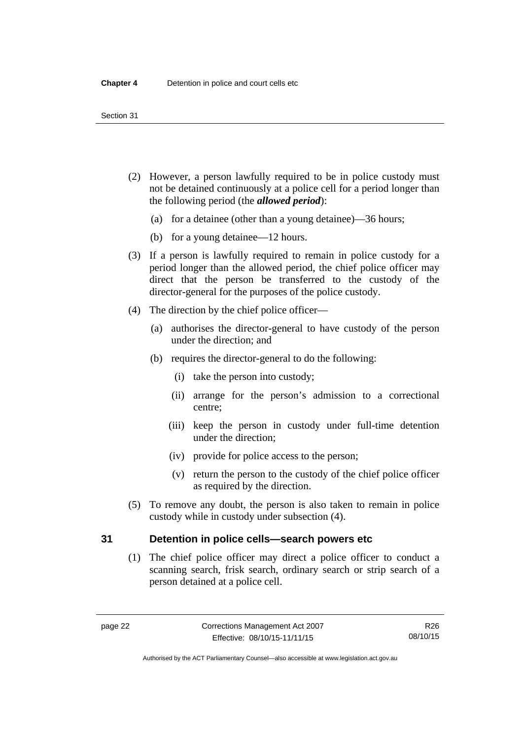- (2) However, a person lawfully required to be in police custody must not be detained continuously at a police cell for a period longer than the following period (the *allowed period*):
	- (a) for a detainee (other than a young detainee)—36 hours;
	- (b) for a young detainee—12 hours.
- (3) If a person is lawfully required to remain in police custody for a period longer than the allowed period, the chief police officer may direct that the person be transferred to the custody of the director-general for the purposes of the police custody.
- (4) The direction by the chief police officer—
	- (a) authorises the director-general to have custody of the person under the direction; and
	- (b) requires the director-general to do the following:
		- (i) take the person into custody;
		- (ii) arrange for the person's admission to a correctional centre;
		- (iii) keep the person in custody under full-time detention under the direction;
		- (iv) provide for police access to the person;
		- (v) return the person to the custody of the chief police officer as required by the direction.
- (5) To remove any doubt, the person is also taken to remain in police custody while in custody under subsection (4).

### <span id="page-35-0"></span>**31 Detention in police cells—search powers etc**

(1) The chief police officer may direct a police officer to conduct a scanning search, frisk search, ordinary search or strip search of a person detained at a police cell.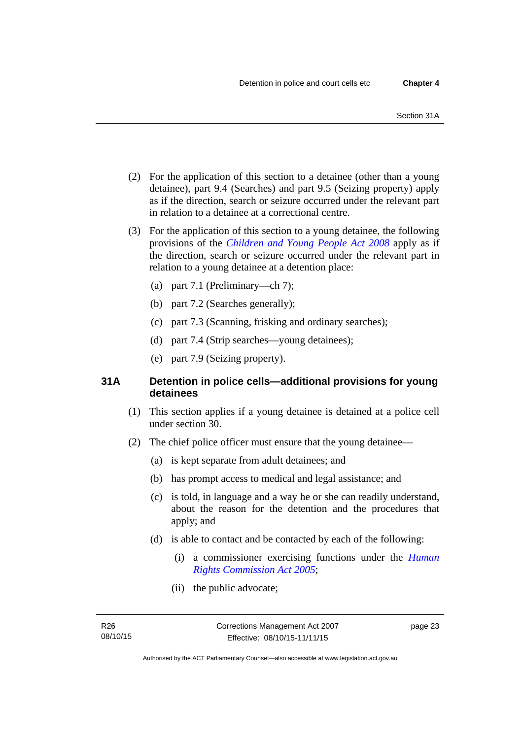- (2) For the application of this section to a detainee (other than a young detainee), part 9.4 (Searches) and part 9.5 (Seizing property) apply as if the direction, search or seizure occurred under the relevant part in relation to a detainee at a correctional centre.
- (3) For the application of this section to a young detainee, the following provisions of the *[Children and Young People Act 2008](http://www.legislation.act.gov.au/a/2008-19)* apply as if the direction, search or seizure occurred under the relevant part in relation to a young detainee at a detention place:
	- (a) part 7.1 (Preliminary—ch 7);
	- (b) part 7.2 (Searches generally);
	- (c) part 7.3 (Scanning, frisking and ordinary searches);
	- (d) part 7.4 (Strip searches—young detainees);
	- (e) part 7.9 (Seizing property).

# **31A Detention in police cells—additional provisions for young detainees**

- (1) This section applies if a young detainee is detained at a police cell under section 30.
- (2) The chief police officer must ensure that the young detainee—
	- (a) is kept separate from adult detainees; and
	- (b) has prompt access to medical and legal assistance; and
	- (c) is told, in language and a way he or she can readily understand, about the reason for the detention and the procedures that apply; and
	- (d) is able to contact and be contacted by each of the following:
		- (i) a commissioner exercising functions under the *[Human](http://www.legislation.act.gov.au/a/2005-40)  [Rights Commission Act 2005](http://www.legislation.act.gov.au/a/2005-40)*;
		- (ii) the public advocate;

page 23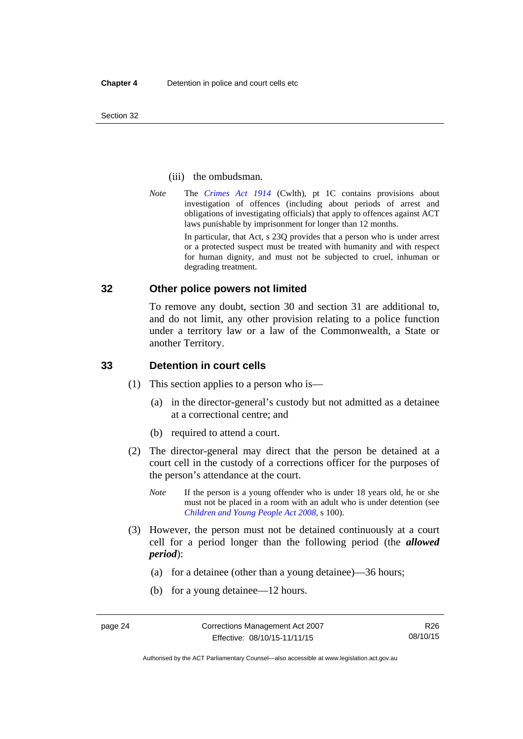Section 32

### (iii) the ombudsman.

*Note* The *[Crimes Act 1914](http://www.comlaw.gov.au/Series/C2004A07391)* (Cwlth), pt 1C contains provisions about investigation of offences (including about periods of arrest and obligations of investigating officials) that apply to offences against ACT laws punishable by imprisonment for longer than 12 months.

In particular, that Act, s 23Q provides that a person who is under arrest or a protected suspect must be treated with humanity and with respect for human dignity, and must not be subjected to cruel, inhuman or degrading treatment.

# **32 Other police powers not limited**

To remove any doubt, section 30 and section 31 are additional to, and do not limit, any other provision relating to a police function under a territory law or a law of the Commonwealth, a State or another Territory.

### **33 Detention in court cells**

- (1) This section applies to a person who is—
	- (a) in the director-general's custody but not admitted as a detainee at a correctional centre; and
	- (b) required to attend a court.
- (2) The director-general may direct that the person be detained at a court cell in the custody of a corrections officer for the purposes of the person's attendance at the court.
	- *Note* If the person is a young offender who is under 18 years old, he or she must not be placed in a room with an adult who is under detention (see *[Children and Young People Act 2008](http://www.legislation.act.gov.au/a/2008-19)*, s 100).
- (3) However, the person must not be detained continuously at a court cell for a period longer than the following period (the *allowed period*):
	- (a) for a detainee (other than a young detainee)—36 hours;
	- (b) for a young detainee—12 hours.

R26 08/10/15

Authorised by the ACT Parliamentary Counsel—also accessible at www.legislation.act.gov.au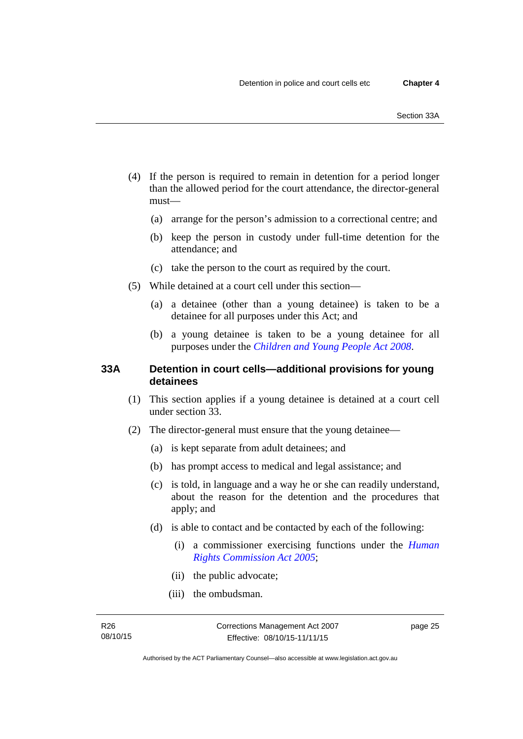- (4) If the person is required to remain in detention for a period longer than the allowed period for the court attendance, the director-general must—
	- (a) arrange for the person's admission to a correctional centre; and
	- (b) keep the person in custody under full-time detention for the attendance; and
	- (c) take the person to the court as required by the court.
- (5) While detained at a court cell under this section—
	- (a) a detainee (other than a young detainee) is taken to be a detainee for all purposes under this Act; and
	- (b) a young detainee is taken to be a young detainee for all purposes under the *[Children and Young People Act 2008](http://www.legislation.act.gov.au/a/2008-19)*.

# **33A Detention in court cells—additional provisions for young detainees**

- (1) This section applies if a young detainee is detained at a court cell under section 33.
- (2) The director-general must ensure that the young detainee—
	- (a) is kept separate from adult detainees; and
	- (b) has prompt access to medical and legal assistance; and
	- (c) is told, in language and a way he or she can readily understand, about the reason for the detention and the procedures that apply; and
	- (d) is able to contact and be contacted by each of the following:
		- (i) a commissioner exercising functions under the *[Human](http://www.legislation.act.gov.au/a/2005-40)  [Rights Commission Act 2005](http://www.legislation.act.gov.au/a/2005-40)*;
		- (ii) the public advocate;
		- (iii) the ombudsman.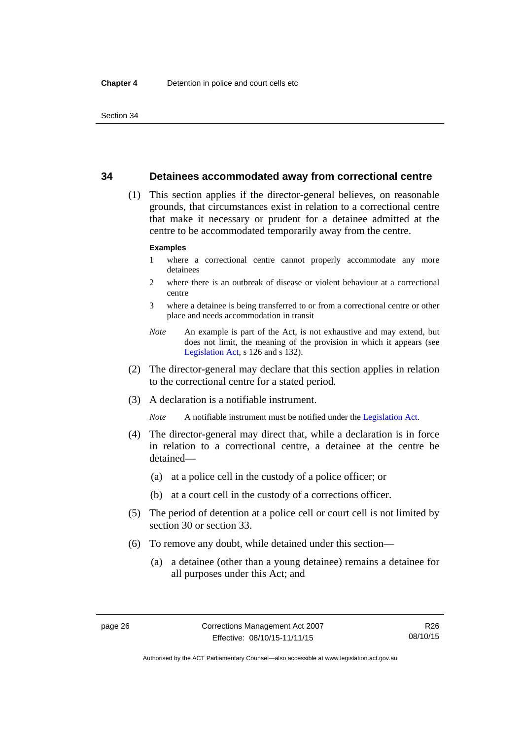# **34 Detainees accommodated away from correctional centre**

 (1) This section applies if the director-general believes, on reasonable grounds, that circumstances exist in relation to a correctional centre that make it necessary or prudent for a detainee admitted at the centre to be accommodated temporarily away from the centre.

#### **Examples**

- 1 where a correctional centre cannot properly accommodate any more detainees
- 2 where there is an outbreak of disease or violent behaviour at a correctional centre
- 3 where a detainee is being transferred to or from a correctional centre or other place and needs accommodation in transit
- *Note* An example is part of the Act, is not exhaustive and may extend, but does not limit, the meaning of the provision in which it appears (see [Legislation Act,](http://www.legislation.act.gov.au/a/2001-14) s 126 and s 132).
- (2) The director-general may declare that this section applies in relation to the correctional centre for a stated period.
- (3) A declaration is a notifiable instrument.

*Note* A notifiable instrument must be notified under the [Legislation Act](http://www.legislation.act.gov.au/a/2001-14).

- (4) The director-general may direct that, while a declaration is in force in relation to a correctional centre, a detainee at the centre be detained—
	- (a) at a police cell in the custody of a police officer; or
	- (b) at a court cell in the custody of a corrections officer.
- (5) The period of detention at a police cell or court cell is not limited by section 30 or section 33.
- (6) To remove any doubt, while detained under this section—
	- (a) a detainee (other than a young detainee) remains a detainee for all purposes under this Act; and

Authorised by the ACT Parliamentary Counsel—also accessible at www.legislation.act.gov.au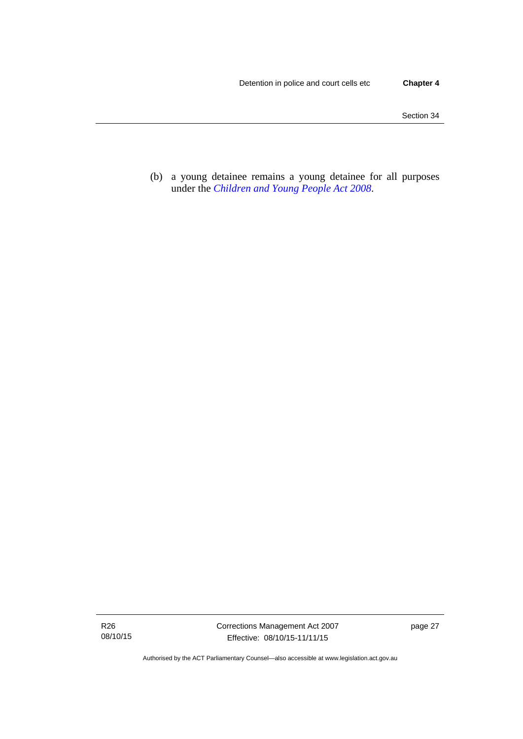(b) a young detainee remains a young detainee for all purposes under the *[Children and Young People Act 2008](http://www.legislation.act.gov.au/a/2008-19)*.

R26 08/10/15

Authorised by the ACT Parliamentary Counsel—also accessible at www.legislation.act.gov.au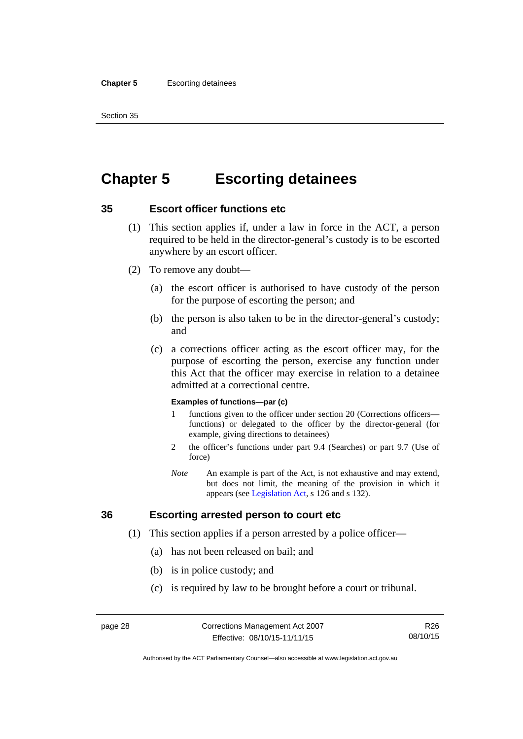#### **Chapter 5** Escorting detainees

Section 35

# **Chapter 5 Escorting detainees**

# **35 Escort officer functions etc**

- (1) This section applies if, under a law in force in the ACT, a person required to be held in the director-general's custody is to be escorted anywhere by an escort officer.
- (2) To remove any doubt—
	- (a) the escort officer is authorised to have custody of the person for the purpose of escorting the person; and
	- (b) the person is also taken to be in the director-general's custody; and
	- (c) a corrections officer acting as the escort officer may, for the purpose of escorting the person, exercise any function under this Act that the officer may exercise in relation to a detainee admitted at a correctional centre.

#### **Examples of functions—par (c)**

- 1 functions given to the officer under section 20 (Corrections officers functions) or delegated to the officer by the director-general (for example, giving directions to detainees)
- 2 the officer's functions under part 9.4 (Searches) or part 9.7 (Use of force)
- *Note* An example is part of the Act, is not exhaustive and may extend, but does not limit, the meaning of the provision in which it appears (see [Legislation Act,](http://www.legislation.act.gov.au/a/2001-14) s 126 and s 132).

# **36 Escorting arrested person to court etc**

- (1) This section applies if a person arrested by a police officer—
	- (a) has not been released on bail; and
	- (b) is in police custody; and
	- (c) is required by law to be brought before a court or tribunal.

R26 08/10/15

Authorised by the ACT Parliamentary Counsel—also accessible at www.legislation.act.gov.au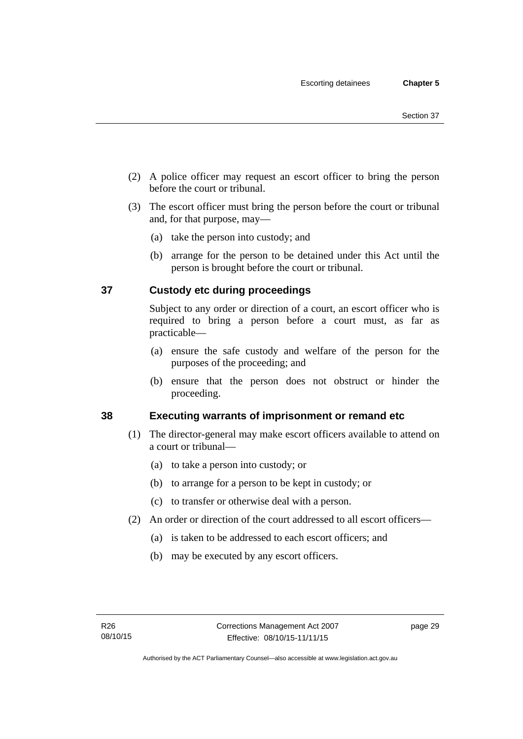- (2) A police officer may request an escort officer to bring the person before the court or tribunal.
- (3) The escort officer must bring the person before the court or tribunal and, for that purpose, may—
	- (a) take the person into custody; and
	- (b) arrange for the person to be detained under this Act until the person is brought before the court or tribunal.

# **37 Custody etc during proceedings**

Subject to any order or direction of a court, an escort officer who is required to bring a person before a court must, as far as practicable—

- (a) ensure the safe custody and welfare of the person for the purposes of the proceeding; and
- (b) ensure that the person does not obstruct or hinder the proceeding.

# **38 Executing warrants of imprisonment or remand etc**

- (1) The director-general may make escort officers available to attend on a court or tribunal—
	- (a) to take a person into custody; or
	- (b) to arrange for a person to be kept in custody; or
	- (c) to transfer or otherwise deal with a person.
- (2) An order or direction of the court addressed to all escort officers—
	- (a) is taken to be addressed to each escort officers; and
	- (b) may be executed by any escort officers.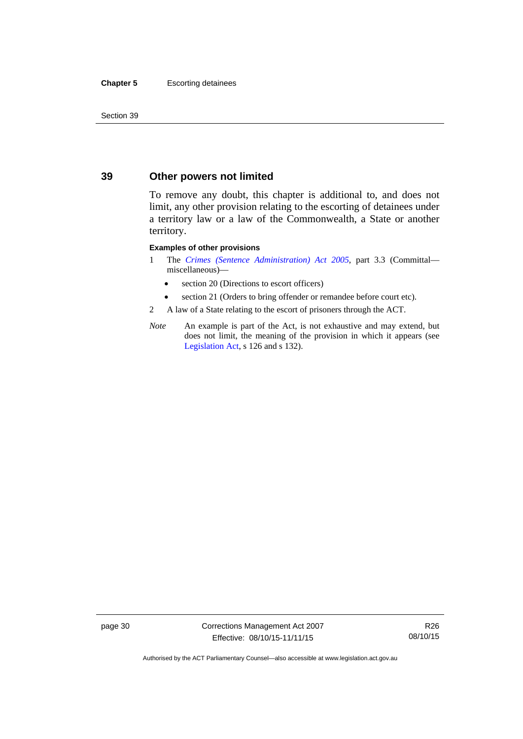#### **Chapter 5** Escorting detainees

Section 39

# **39 Other powers not limited**

To remove any doubt, this chapter is additional to, and does not limit, any other provision relating to the escorting of detainees under a territory law or a law of the Commonwealth, a State or another territory.

#### **Examples of other provisions**

- 1 The *[Crimes \(Sentence Administration\) Act 2005](http://www.legislation.act.gov.au/a/2005-59)*, part 3.3 (Committal miscellaneous)—
	- section 20 (Directions to escort officers)
	- section 21 (Orders to bring offender or remandee before court etc).
- 2 A law of a State relating to the escort of prisoners through the ACT.
- *Note* An example is part of the Act, is not exhaustive and may extend, but does not limit, the meaning of the provision in which it appears (see [Legislation Act,](http://www.legislation.act.gov.au/a/2001-14) s 126 and s 132).

page 30 Corrections Management Act 2007 Effective: 08/10/15-11/11/15

R26 08/10/15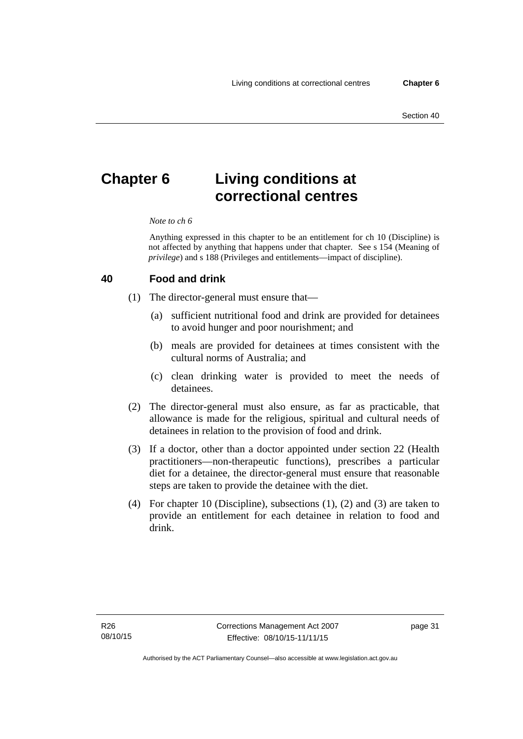# **Chapter 6 Living conditions at correctional centres**

#### *Note to ch 6*

Anything expressed in this chapter to be an entitlement for ch 10 (Discipline) is not affected by anything that happens under that chapter. See s 154 (Meaning of *privilege*) and s 188 (Privileges and entitlements—impact of discipline).

### **40 Food and drink**

- (1) The director-general must ensure that—
	- (a) sufficient nutritional food and drink are provided for detainees to avoid hunger and poor nourishment; and
	- (b) meals are provided for detainees at times consistent with the cultural norms of Australia; and
	- (c) clean drinking water is provided to meet the needs of detainees.
- (2) The director-general must also ensure, as far as practicable, that allowance is made for the religious, spiritual and cultural needs of detainees in relation to the provision of food and drink.
- (3) If a doctor, other than a doctor appointed under section 22 (Health practitioners—non-therapeutic functions), prescribes a particular diet for a detainee, the director-general must ensure that reasonable steps are taken to provide the detainee with the diet.
- (4) For chapter 10 (Discipline), subsections (1), (2) and (3) are taken to provide an entitlement for each detainee in relation to food and drink.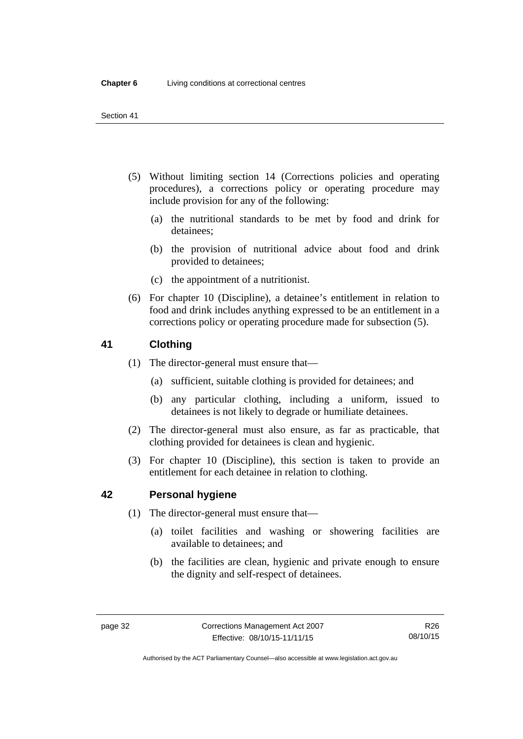- (5) Without limiting section 14 (Corrections policies and operating procedures), a corrections policy or operating procedure may include provision for any of the following:
	- (a) the nutritional standards to be met by food and drink for detainees;
	- (b) the provision of nutritional advice about food and drink provided to detainees;
	- (c) the appointment of a nutritionist.
- (6) For chapter 10 (Discipline), a detainee's entitlement in relation to food and drink includes anything expressed to be an entitlement in a corrections policy or operating procedure made for subsection (5).

# **41 Clothing**

- (1) The director-general must ensure that—
	- (a) sufficient, suitable clothing is provided for detainees; and
	- (b) any particular clothing, including a uniform, issued to detainees is not likely to degrade or humiliate detainees.
- (2) The director-general must also ensure, as far as practicable, that clothing provided for detainees is clean and hygienic.
- (3) For chapter 10 (Discipline), this section is taken to provide an entitlement for each detainee in relation to clothing.

# <span id="page-45-0"></span>**42 Personal hygiene**

- (1) The director-general must ensure that—
	- (a) toilet facilities and washing or showering facilities are available to detainees; and
	- (b) the facilities are clean, hygienic and private enough to ensure the dignity and self-respect of detainees.

Authorised by the ACT Parliamentary Counsel—also accessible at www.legislation.act.gov.au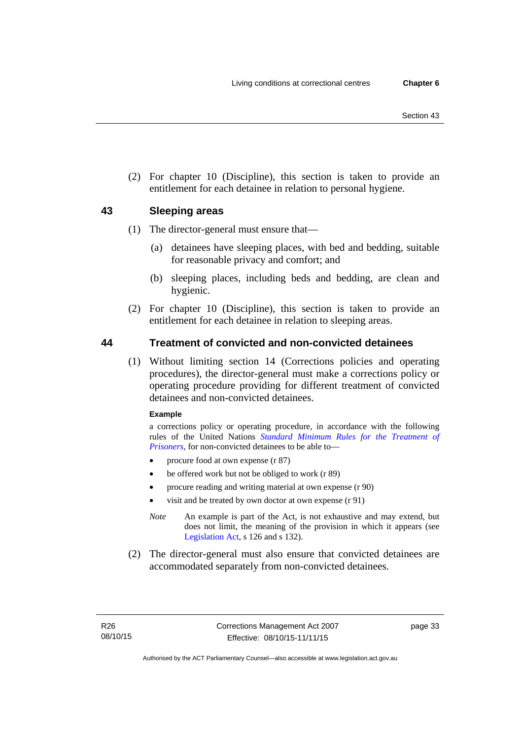(2) For chapter 10 (Discipline), this section is taken to provide an entitlement for each detainee in relation to personal hygiene.

# **43 Sleeping areas**

- (1) The director-general must ensure that—
	- (a) detainees have sleeping places, with bed and bedding, suitable for reasonable privacy and comfort; and
	- (b) sleeping places, including beds and bedding, are clean and hygienic.
- (2) For chapter 10 (Discipline), this section is taken to provide an entitlement for each detainee in relation to sleeping areas.

# <span id="page-46-0"></span>**44 Treatment of convicted and non-convicted detainees**

(1) Without limiting section 14 (Corrections policies and operating procedures), the director-general must make a corrections policy or operating procedure providing for different treatment of convicted detainees and non-convicted detainees.

### **Example**

a corrections policy or operating procedure, in accordance with the following rules of the United Nations *[Standard Minimum Rules for the Treatment of](http://www2.ohchr.org/english/law/treatmentprisoners.htm)  [Prisoners](http://www2.ohchr.org/english/law/treatmentprisoners.htm)*, for non-convicted detainees to be able to—

- procure food at own expense (r 87)
- be offered work but not be obliged to work (r 89)
- procure reading and writing material at own expense (r 90)
- visit and be treated by own doctor at own expense (r 91)
- *Note* An example is part of the Act, is not exhaustive and may extend, but does not limit, the meaning of the provision in which it appears (see [Legislation Act,](http://www.legislation.act.gov.au/a/2001-14) s 126 and s 132).
- (2) The director-general must also ensure that convicted detainees are accommodated separately from non-convicted detainees.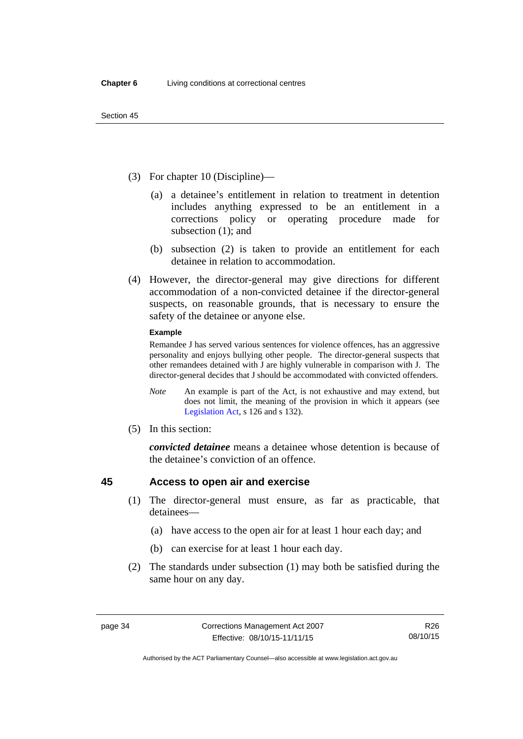- (3) For chapter 10 (Discipline)—
	- (a) a detainee's entitlement in relation to treatment in detention includes anything expressed to be an entitlement in a corrections policy or operating procedure made for subsection (1); and
	- (b) subsection (2) is taken to provide an entitlement for each detainee in relation to accommodation.
- (4) However, the director-general may give directions for different accommodation of a non-convicted detainee if the director-general suspects, on reasonable grounds, that is necessary to ensure the safety of the detainee or anyone else.

#### **Example**

Remandee J has served various sentences for violence offences, has an aggressive personality and enjoys bullying other people. The director-general suspects that other remandees detained with J are highly vulnerable in comparison with J. The director-general decides that J should be accommodated with convicted offenders.

- *Note* An example is part of the Act, is not exhaustive and may extend, but does not limit, the meaning of the provision in which it appears (see [Legislation Act,](http://www.legislation.act.gov.au/a/2001-14) s 126 and s 132).
- (5) In this section:

*convicted detainee* means a detainee whose detention is because of the detainee's conviction of an offence.

# **45 Access to open air and exercise**

- (1) The director-general must ensure, as far as practicable, that detainees—
	- (a) have access to the open air for at least 1 hour each day; and
	- (b) can exercise for at least 1 hour each day.
- (2) The standards under subsection (1) may both be satisfied during the same hour on any day.

Authorised by the ACT Parliamentary Counsel—also accessible at www.legislation.act.gov.au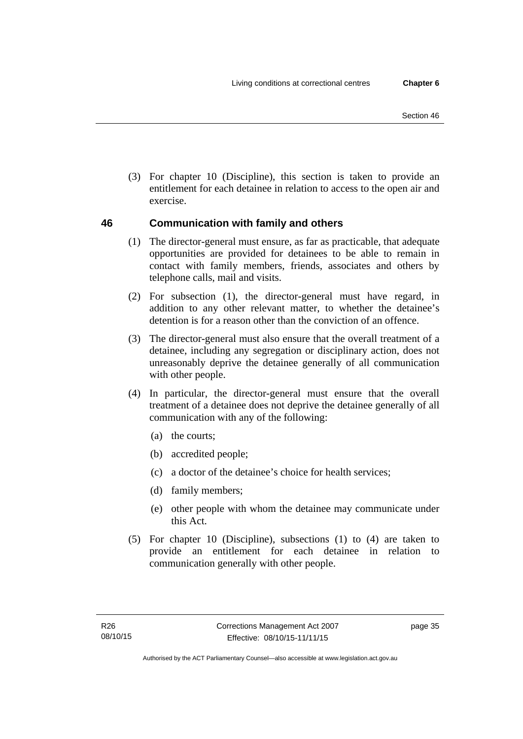(3) For chapter 10 (Discipline), this section is taken to provide an entitlement for each detainee in relation to access to the open air and exercise.

# **46 Communication with family and others**

- (1) The director-general must ensure, as far as practicable, that adequate opportunities are provided for detainees to be able to remain in contact with family members, friends, associates and others by telephone calls, mail and visits.
- (2) For subsection (1), the director-general must have regard, in addition to any other relevant matter, to whether the detainee's detention is for a reason other than the conviction of an offence.
- (3) The director-general must also ensure that the overall treatment of a detainee, including any segregation or disciplinary action, does not unreasonably deprive the detainee generally of all communication with other people.
- (4) In particular, the director-general must ensure that the overall treatment of a detainee does not deprive the detainee generally of all communication with any of the following:
	- (a) the courts;
	- (b) accredited people;
	- (c) a doctor of the detainee's choice for health services;
	- (d) family members;
	- (e) other people with whom the detainee may communicate under this Act.
- (5) For chapter 10 (Discipline), subsections (1) to (4) are taken to provide an entitlement for each detainee in relation to communication generally with other people.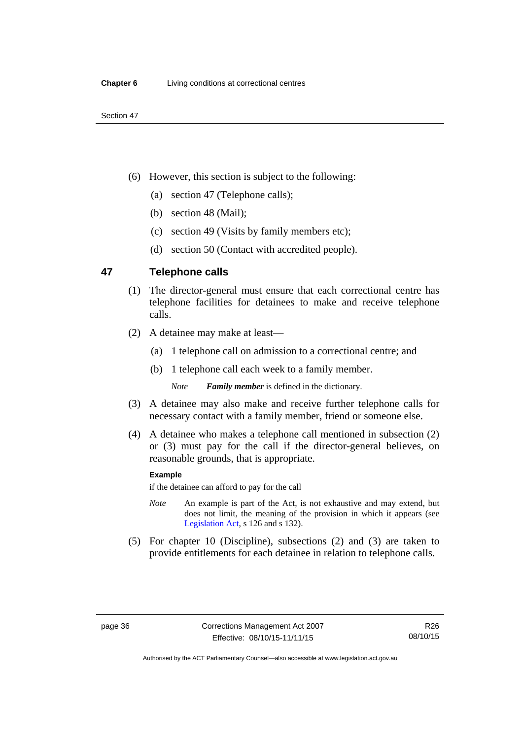- (6) However, this section is subject to the following:
	- (a) section 47 (Telephone calls);
	- (b) section 48 (Mail);
	- (c) section 49 (Visits by family members etc);
	- (d) section 50 (Contact with accredited people).

# **47 Telephone calls**

- (1) The director-general must ensure that each correctional centre has telephone facilities for detainees to make and receive telephone calls.
- (2) A detainee may make at least—
	- (a) 1 telephone call on admission to a correctional centre; and
	- (b) 1 telephone call each week to a family member.

*Note Family member* is defined in the dictionary.

- (3) A detainee may also make and receive further telephone calls for necessary contact with a family member, friend or someone else.
- (4) A detainee who makes a telephone call mentioned in subsection (2) or (3) must pay for the call if the director-general believes, on reasonable grounds, that is appropriate.

#### **Example**

if the detainee can afford to pay for the call

- *Note* An example is part of the Act, is not exhaustive and may extend, but does not limit, the meaning of the provision in which it appears (see [Legislation Act,](http://www.legislation.act.gov.au/a/2001-14) s 126 and s 132).
- (5) For chapter 10 (Discipline), subsections (2) and (3) are taken to provide entitlements for each detainee in relation to telephone calls.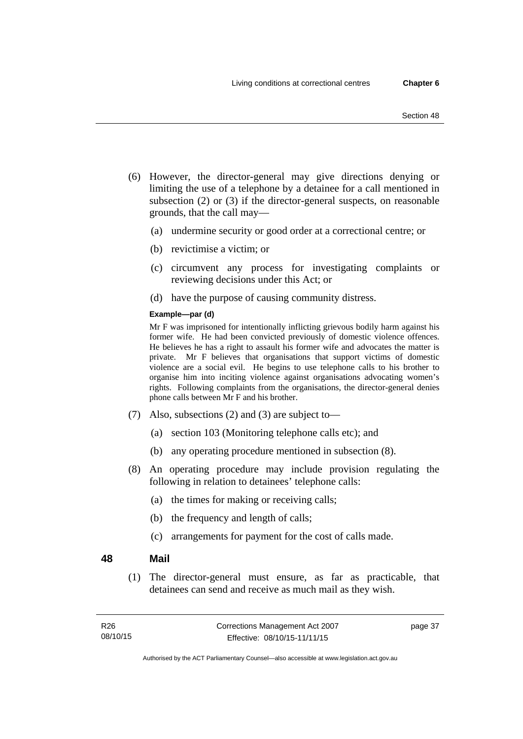- (6) However, the director-general may give directions denying or limiting the use of a telephone by a detainee for a call mentioned in subsection (2) or (3) if the director-general suspects, on reasonable grounds, that the call may—
	- (a) undermine security or good order at a correctional centre; or
	- (b) revictimise a victim; or
	- (c) circumvent any process for investigating complaints or reviewing decisions under this Act; or
	- (d) have the purpose of causing community distress.

### **Example—par (d)**

Mr F was imprisoned for intentionally inflicting grievous bodily harm against his former wife. He had been convicted previously of domestic violence offences. He believes he has a right to assault his former wife and advocates the matter is private. Mr F believes that organisations that support victims of domestic violence are a social evil. He begins to use telephone calls to his brother to organise him into inciting violence against organisations advocating women's rights. Following complaints from the organisations, the director-general denies phone calls between Mr F and his brother.

- (7) Also, subsections (2) and (3) are subject to—
	- (a) section 103 (Monitoring telephone calls etc); and
	- (b) any operating procedure mentioned in subsection (8).
- (8) An operating procedure may include provision regulating the following in relation to detainees' telephone calls:
	- (a) the times for making or receiving calls;
	- (b) the frequency and length of calls;
	- (c) arrangements for payment for the cost of calls made.

### **48 Mail**

(1) The director-general must ensure, as far as practicable, that detainees can send and receive as much mail as they wish.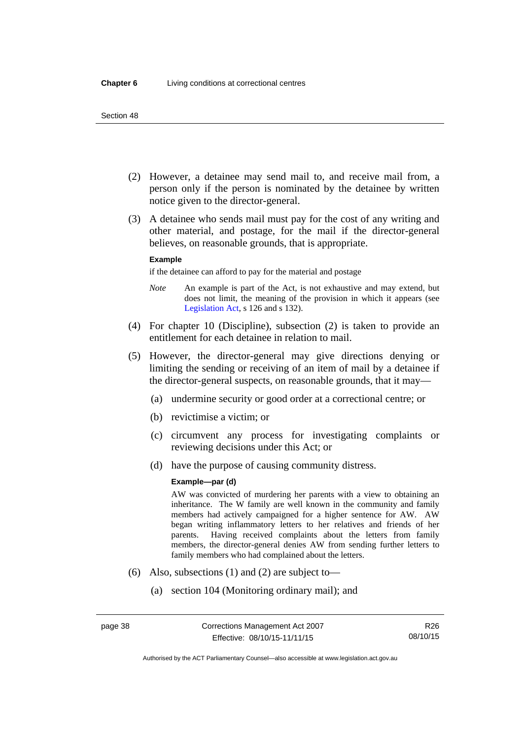- (2) However, a detainee may send mail to, and receive mail from, a person only if the person is nominated by the detainee by written notice given to the director-general.
- (3) A detainee who sends mail must pay for the cost of any writing and other material, and postage, for the mail if the director-general believes, on reasonable grounds, that is appropriate.

#### **Example**

if the detainee can afford to pay for the material and postage

- *Note* An example is part of the Act, is not exhaustive and may extend, but does not limit, the meaning of the provision in which it appears (see [Legislation Act,](http://www.legislation.act.gov.au/a/2001-14) s 126 and s 132).
- (4) For chapter 10 (Discipline), subsection (2) is taken to provide an entitlement for each detainee in relation to mail.
- (5) However, the director-general may give directions denying or limiting the sending or receiving of an item of mail by a detainee if the director-general suspects, on reasonable grounds, that it may—
	- (a) undermine security or good order at a correctional centre; or
	- (b) revictimise a victim; or
	- (c) circumvent any process for investigating complaints or reviewing decisions under this Act; or
	- (d) have the purpose of causing community distress.

#### **Example—par (d)**

AW was convicted of murdering her parents with a view to obtaining an inheritance. The W family are well known in the community and family members had actively campaigned for a higher sentence for AW. AW began writing inflammatory letters to her relatives and friends of her parents. Having received complaints about the letters from family members, the director-general denies AW from sending further letters to family members who had complained about the letters.

- (6) Also, subsections (1) and (2) are subject to—
	- (a) section 104 (Monitoring ordinary mail); and

R26 08/10/15

Authorised by the ACT Parliamentary Counsel—also accessible at www.legislation.act.gov.au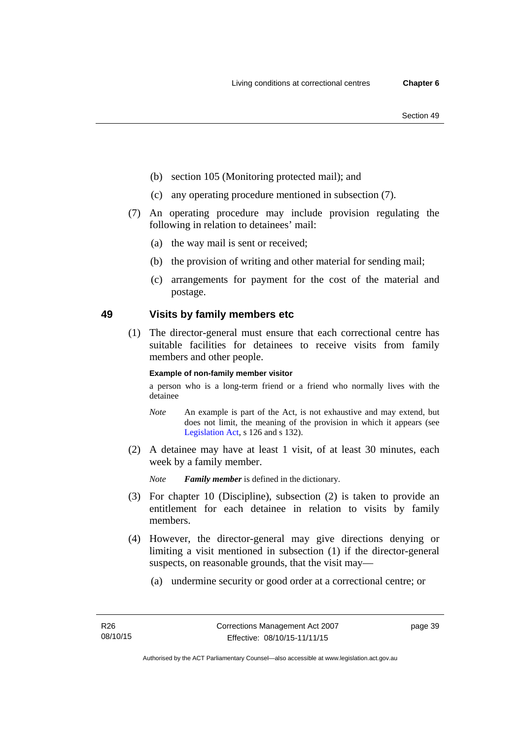- (b) section 105 (Monitoring protected mail); and
- (c) any operating procedure mentioned in subsection (7).
- (7) An operating procedure may include provision regulating the following in relation to detainees' mail:
	- (a) the way mail is sent or received;
	- (b) the provision of writing and other material for sending mail;
	- (c) arrangements for payment for the cost of the material and postage.

# **49 Visits by family members etc**

(1) The director-general must ensure that each correctional centre has suitable facilities for detainees to receive visits from family members and other people.

#### **Example of non-family member visitor**

a person who is a long-term friend or a friend who normally lives with the detainee

- *Note* An example is part of the Act, is not exhaustive and may extend, but does not limit, the meaning of the provision in which it appears (see [Legislation Act,](http://www.legislation.act.gov.au/a/2001-14) s 126 and s 132).
- (2) A detainee may have at least 1 visit, of at least 30 minutes, each week by a family member.

*Note Family member* is defined in the dictionary.

- (3) For chapter 10 (Discipline), subsection (2) is taken to provide an entitlement for each detainee in relation to visits by family members.
- (4) However, the director-general may give directions denying or limiting a visit mentioned in subsection (1) if the director-general suspects, on reasonable grounds, that the visit may—
	- (a) undermine security or good order at a correctional centre; or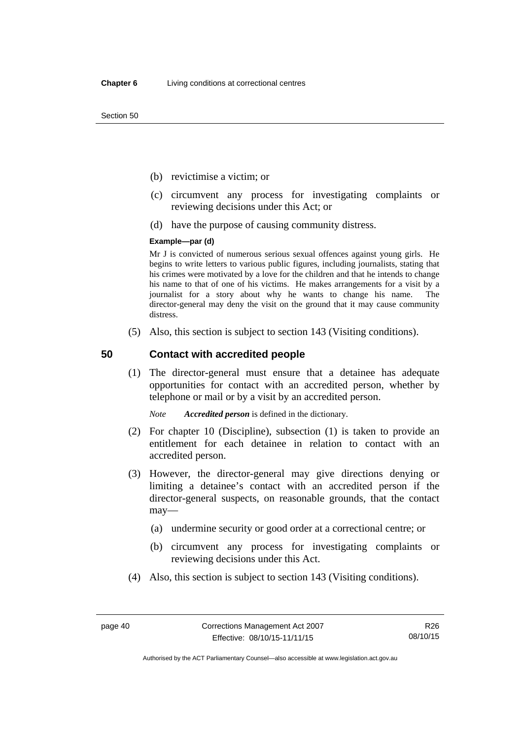- (b) revictimise a victim; or
- (c) circumvent any process for investigating complaints or reviewing decisions under this Act; or
- (d) have the purpose of causing community distress.

#### **Example—par (d)**

Mr J is convicted of numerous serious sexual offences against young girls. He begins to write letters to various public figures, including journalists, stating that his crimes were motivated by a love for the children and that he intends to change his name to that of one of his victims. He makes arrangements for a visit by a journalist for a story about why he wants to change his name. The director-general may deny the visit on the ground that it may cause community distress.

(5) Also, this section is subject to section 143 (Visiting conditions).

# **50 Contact with accredited people**

(1) The director-general must ensure that a detainee has adequate opportunities for contact with an accredited person, whether by telephone or mail or by a visit by an accredited person.

*Note Accredited person* is defined in the dictionary.

- (2) For chapter 10 (Discipline), subsection (1) is taken to provide an entitlement for each detainee in relation to contact with an accredited person.
- (3) However, the director-general may give directions denying or limiting a detainee's contact with an accredited person if the director-general suspects, on reasonable grounds, that the contact may—
	- (a) undermine security or good order at a correctional centre; or
	- (b) circumvent any process for investigating complaints or reviewing decisions under this Act.
- (4) Also, this section is subject to section 143 (Visiting conditions).

R26 08/10/15

Authorised by the ACT Parliamentary Counsel—also accessible at www.legislation.act.gov.au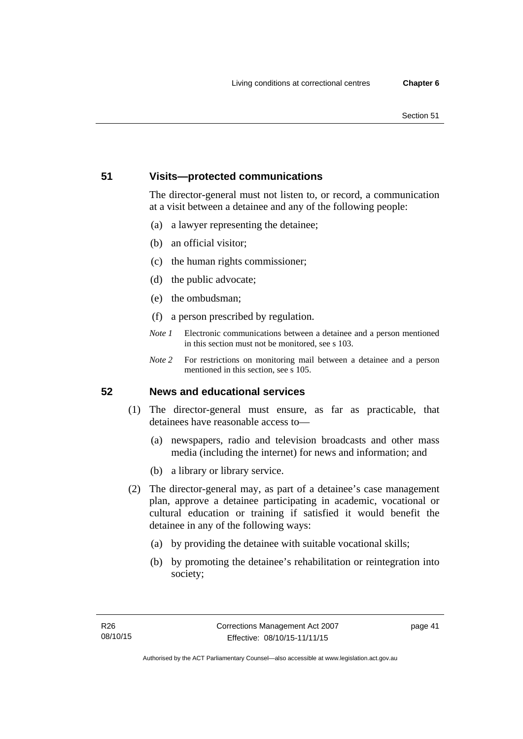# **51 Visits—protected communications**

The director-general must not listen to, or record, a communication at a visit between a detainee and any of the following people:

- (a) a lawyer representing the detainee;
- (b) an official visitor;
- (c) the human rights commissioner;
- (d) the public advocate;
- (e) the ombudsman;
- (f) a person prescribed by regulation.
- *Note 1* Electronic communications between a detainee and a person mentioned in this section must not be monitored, see s 103.
- *Note 2* For restrictions on monitoring mail between a detainee and a person mentioned in this section, see s 105.

# **52 News and educational services**

- (1) The director-general must ensure, as far as practicable, that detainees have reasonable access to—
	- (a) newspapers, radio and television broadcasts and other mass media (including the internet) for news and information; and
	- (b) a library or library service.
- (2) The director-general may, as part of a detainee's case management plan, approve a detainee participating in academic, vocational or cultural education or training if satisfied it would benefit the detainee in any of the following ways:
	- (a) by providing the detainee with suitable vocational skills;
	- (b) by promoting the detainee's rehabilitation or reintegration into society;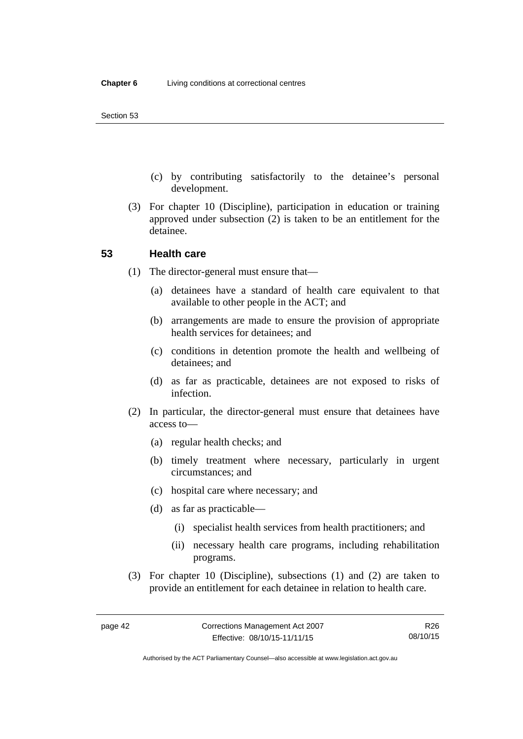- (c) by contributing satisfactorily to the detainee's personal development.
- (3) For chapter 10 (Discipline), participation in education or training approved under subsection (2) is taken to be an entitlement for the detainee.

### **53 Health care**

- (1) The director-general must ensure that—
	- (a) detainees have a standard of health care equivalent to that available to other people in the ACT; and
	- (b) arrangements are made to ensure the provision of appropriate health services for detainees; and
	- (c) conditions in detention promote the health and wellbeing of detainees; and
	- (d) as far as practicable, detainees are not exposed to risks of infection.
- (2) In particular, the director-general must ensure that detainees have access to—
	- (a) regular health checks; and
	- (b) timely treatment where necessary, particularly in urgent circumstances; and
	- (c) hospital care where necessary; and
	- (d) as far as practicable—
		- (i) specialist health services from health practitioners; and
		- (ii) necessary health care programs, including rehabilitation programs.
- (3) For chapter 10 (Discipline), subsections (1) and (2) are taken to provide an entitlement for each detainee in relation to health care.

Authorised by the ACT Parliamentary Counsel—also accessible at www.legislation.act.gov.au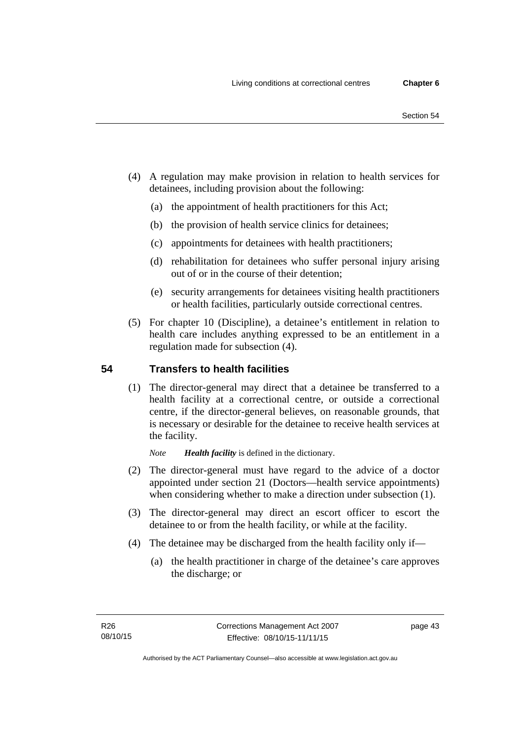- (4) A regulation may make provision in relation to health services for detainees, including provision about the following:
	- (a) the appointment of health practitioners for this Act;
	- (b) the provision of health service clinics for detainees;
	- (c) appointments for detainees with health practitioners;
	- (d) rehabilitation for detainees who suffer personal injury arising out of or in the course of their detention;
	- (e) security arrangements for detainees visiting health practitioners or health facilities, particularly outside correctional centres.
- (5) For chapter 10 (Discipline), a detainee's entitlement in relation to health care includes anything expressed to be an entitlement in a regulation made for subsection (4).

# **54 Transfers to health facilities**

(1) The director-general may direct that a detainee be transferred to a health facility at a correctional centre, or outside a correctional centre, if the director-general believes, on reasonable grounds, that is necessary or desirable for the detainee to receive health services at the facility.

*Note Health facility* is defined in the dictionary.

- (2) The director-general must have regard to the advice of a doctor appointed under section 21 (Doctors—health service appointments) when considering whether to make a direction under subsection  $(1)$ .
- (3) The director-general may direct an escort officer to escort the detainee to or from the health facility, or while at the facility.
- (4) The detainee may be discharged from the health facility only if—
	- (a) the health practitioner in charge of the detainee's care approves the discharge; or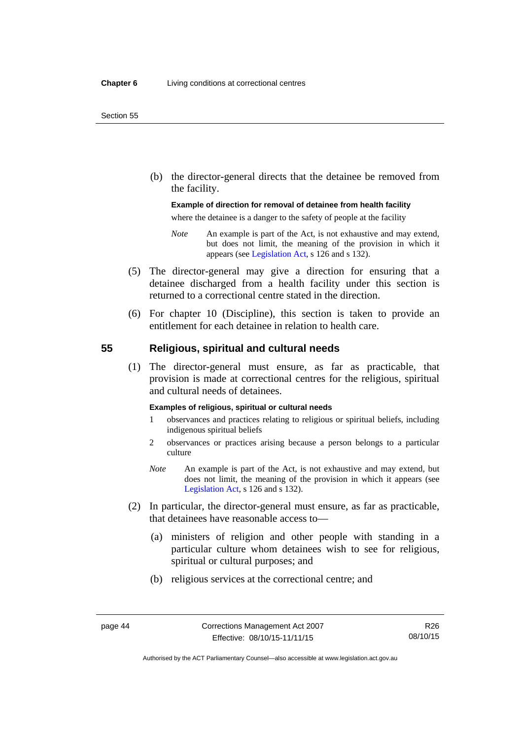(b) the director-general directs that the detainee be removed from the facility.

#### **Example of direction for removal of detainee from health facility**

where the detainee is a danger to the safety of people at the facility

- *Note* An example is part of the Act, is not exhaustive and may extend, but does not limit, the meaning of the provision in which it appears (see [Legislation Act,](http://www.legislation.act.gov.au/a/2001-14) s 126 and s 132).
- (5) The director-general may give a direction for ensuring that a detainee discharged from a health facility under this section is returned to a correctional centre stated in the direction.
- (6) For chapter 10 (Discipline), this section is taken to provide an entitlement for each detainee in relation to health care.

# **55 Religious, spiritual and cultural needs**

(1) The director-general must ensure, as far as practicable, that provision is made at correctional centres for the religious, spiritual and cultural needs of detainees.

#### **Examples of religious, spiritual or cultural needs**

- 1 observances and practices relating to religious or spiritual beliefs, including indigenous spiritual beliefs
- 2 observances or practices arising because a person belongs to a particular culture
- *Note* An example is part of the Act, is not exhaustive and may extend, but does not limit, the meaning of the provision in which it appears (see [Legislation Act,](http://www.legislation.act.gov.au/a/2001-14) s 126 and s 132).
- (2) In particular, the director-general must ensure, as far as practicable, that detainees have reasonable access to—
	- (a) ministers of religion and other people with standing in a particular culture whom detainees wish to see for religious, spiritual or cultural purposes; and
	- (b) religious services at the correctional centre; and

Authorised by the ACT Parliamentary Counsel—also accessible at www.legislation.act.gov.au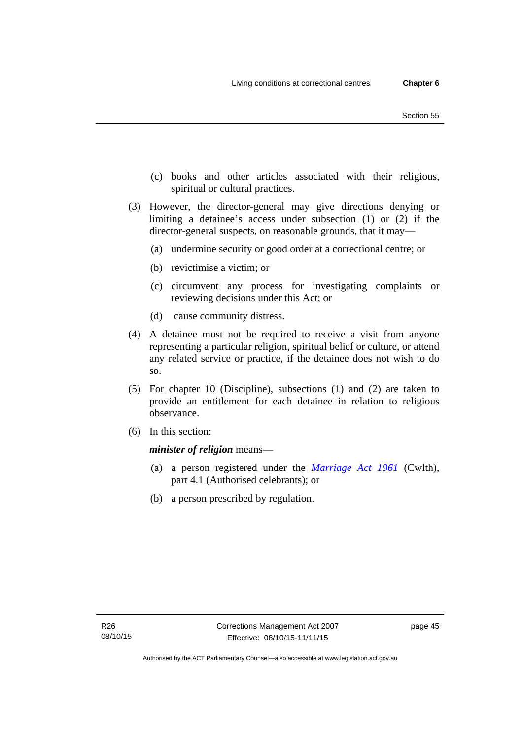- (c) books and other articles associated with their religious, spiritual or cultural practices.
- (3) However, the director-general may give directions denying or limiting a detainee's access under subsection (1) or (2) if the director-general suspects, on reasonable grounds, that it may—
	- (a) undermine security or good order at a correctional centre; or
	- (b) revictimise a victim; or
	- (c) circumvent any process for investigating complaints or reviewing decisions under this Act; or
	- (d) cause community distress.
- (4) A detainee must not be required to receive a visit from anyone representing a particular religion, spiritual belief or culture, or attend any related service or practice, if the detainee does not wish to do so.
- (5) For chapter 10 (Discipline), subsections (1) and (2) are taken to provide an entitlement for each detainee in relation to religious observance.
- (6) In this section:

*minister of religion* means—

- (a) a person registered under the *[Marriage Act 1961](http://www.comlaw.gov.au/Series/C2004A07402)* (Cwlth), part 4.1 (Authorised celebrants); or
- (b) a person prescribed by regulation.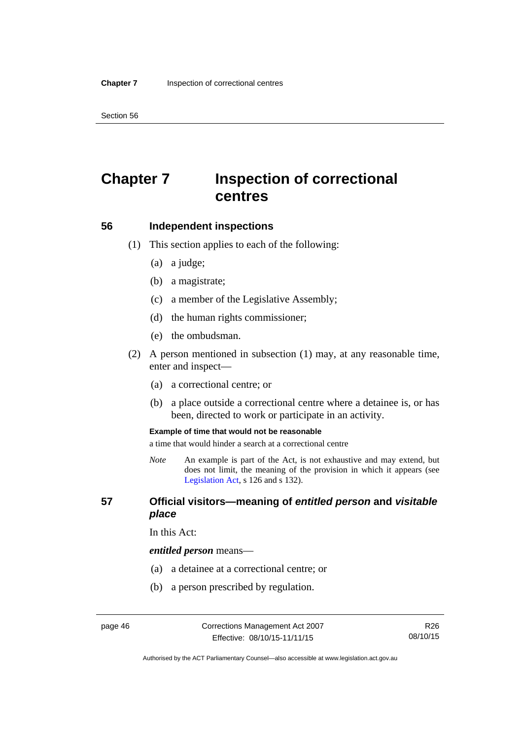Section 56

# **Chapter 7 Inspection of correctional centres**

### **56 Independent inspections**

- (1) This section applies to each of the following:
	- (a) a judge;
	- (b) a magistrate;
	- (c) a member of the Legislative Assembly;
	- (d) the human rights commissioner;
	- (e) the ombudsman.
- (2) A person mentioned in subsection (1) may, at any reasonable time, enter and inspect—
	- (a) a correctional centre; or
	- (b) a place outside a correctional centre where a detainee is, or has been, directed to work or participate in an activity.

#### **Example of time that would not be reasonable**

a time that would hinder a search at a correctional centre

*Note* An example is part of the Act, is not exhaustive and may extend, but does not limit, the meaning of the provision in which it appears (see [Legislation Act,](http://www.legislation.act.gov.au/a/2001-14) s 126 and s 132).

# **57 Official visitors—meaning of** *entitled person* **and** *visitable place*

In this Act:

#### *entitled person* means—

- (a) a detainee at a correctional centre; or
- (b) a person prescribed by regulation.

Authorised by the ACT Parliamentary Counsel—also accessible at www.legislation.act.gov.au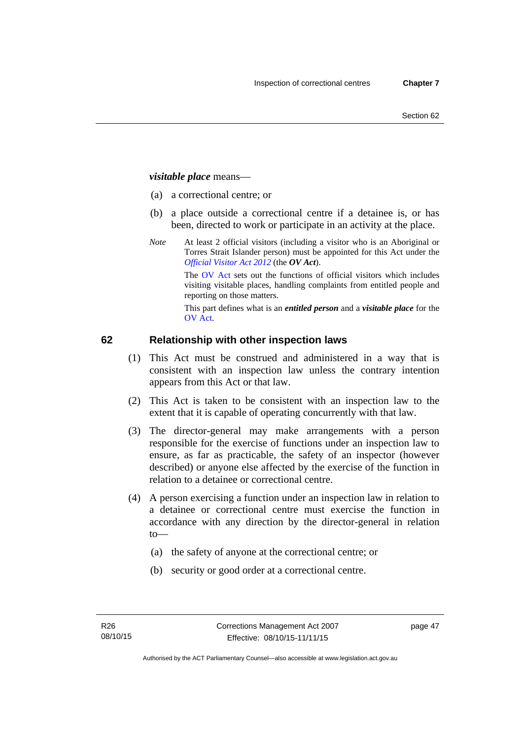# *visitable place* means—

- (a) a correctional centre; or
- (b) a place outside a correctional centre if a detainee is, or has been, directed to work or participate in an activity at the place.
- *Note* At least 2 official visitors (including a visitor who is an Aboriginal or Torres Strait Islander person) must be appointed for this Act under the *[Official Visitor Act 2012](http://www.legislation.act.gov.au/a/2012-33/default.asp)* (the *OV Act*).

The [OV Act sets out the fun](#page-45-0)ctions of official visitors which includes visiting visitable places, handling complaints from entitled people and reporting on those matters.

This part defines what is an *entitled person* and a *visitable place* for the OV Act.

# **[62 Relationship with other inspection laws](#page-46-0)**

- [\(1](#page-46-0)) This Act must be construed and administered in a way that is consistent with an inspection law unless the contrary intention appears from this Act or that law.
- (2) This Act is taken to be consistent with an inspection law to the extent that it is capable of operating concurrently with that law.
- (3) The director-general may make arrangements with a person responsible for the exercise of functions under an inspection law to ensure, as far as practicable, the safety of an inspector (however described) or anyone else affected by the exercise of the function in relation to a detainee or correctional centre.
- (4) A person exercising a function under an inspection law in relation to a detainee or correctional centre must exercise the function in accordance with any direction by the director-general in relation to—
	- (a) the safety of anyone at the correctional centre; or
	- (b) security or good order at a correctional centre.

page 47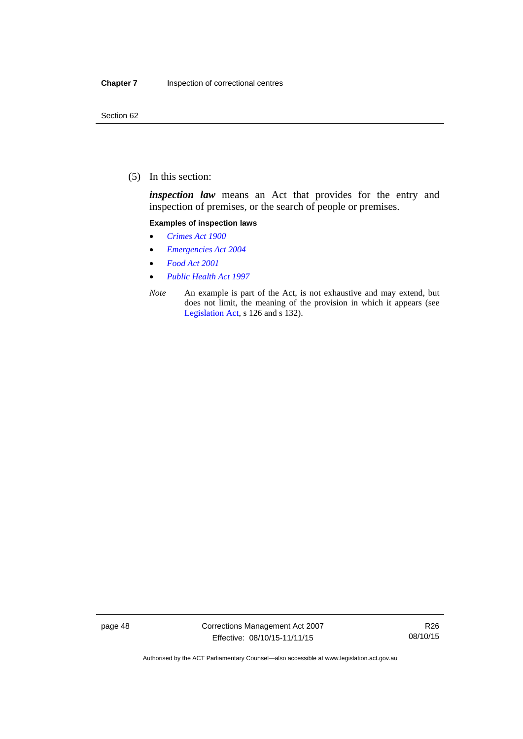(5) In this section:

*inspection law* means an Act that provides for the entry and inspection of premises, or the search of people or premises.

#### **Examples of inspection laws**

- *[Crimes Act 1900](http://www.legislation.act.gov.au/a/1900-40)*
- *[Emergencies Act 2004](http://www.legislation.act.gov.au/a/2004-28)*
- *[Food Act 2001](http://www.legislation.act.gov.au/a/2001-66)*
- *[Public Health Act 1997](http://www.legislation.act.gov.au/a/1997-69)*
- *Note* An example is part of the Act, is not exhaustive and may extend, but does not limit, the meaning of the provision in which it appears (see [Legislation Act,](http://www.legislation.act.gov.au/a/2001-14) s 126 and s 132).

page 48 Corrections Management Act 2007 Effective: 08/10/15-11/11/15

R26 08/10/15

Authorised by the ACT Parliamentary Counsel—also accessible at www.legislation.act.gov.au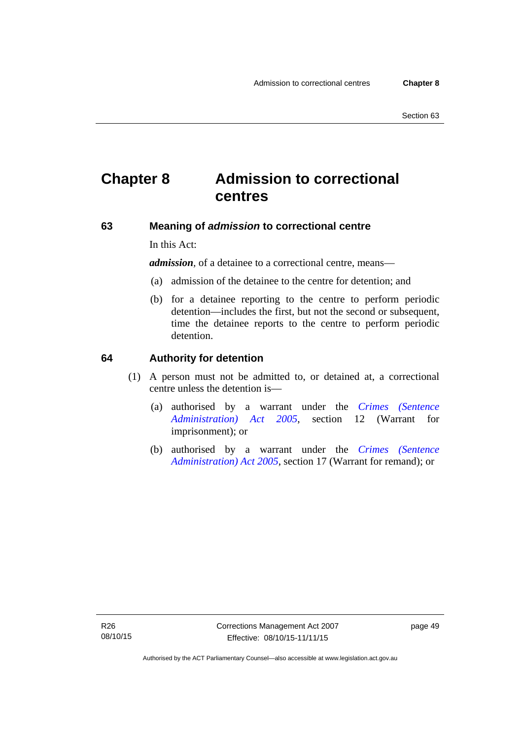# **Chapter 8 Admission to correctional centres**

# **63 Meaning of** *admission* **to correctional centre**

In this Act:

*admission,* of a detainee to a correctional centre, means—

- (a) admission of the detainee to the centre for detention; and
- (b) for a detainee reporting to the centre to perform periodic detention—includes the first, but not the second or subsequent, time the detainee reports to the centre to perform periodic detention.

#### **64 Authority for detention**

- (1) A person must not be admitted to, or detained at, a correctional centre unless the detention is—
	- (a) authorised by a warrant under the *[Crimes \(Sentence](http://www.legislation.act.gov.au/a/2005-59)  [Administration\) Act 2005](http://www.legislation.act.gov.au/a/2005-59)*, section 12 (Warrant for imprisonment); or
	- (b) authorised by a warrant under the *[Crimes \(Sentence](http://www.legislation.act.gov.au/a/2005-59)  [Administration\) Act 2005](http://www.legislation.act.gov.au/a/2005-59)*, section 17 (Warrant for remand); or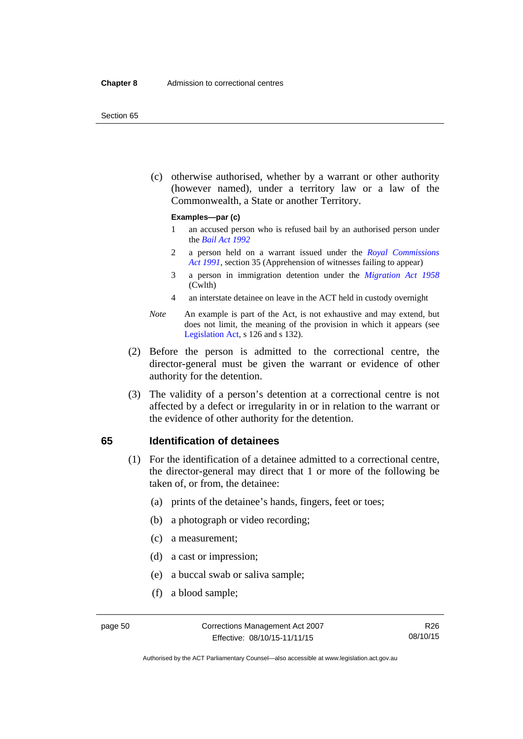#### Section 65

 (c) otherwise authorised, whether by a warrant or other authority (however named), under a territory law or a law of the Commonwealth, a State or another Territory.

#### **Examples—par (c)**

- 1 an accused person who is refused bail by an authorised person under the *[Bail Act 1992](http://www.legislation.act.gov.au/a/1992-8)*
- 2 a person held on a warrant issued under the *[Royal Commissions](http://www.legislation.act.gov.au/a/1991-1)  [Act 1991](http://www.legislation.act.gov.au/a/1991-1)*, section 35 (Apprehension of witnesses failing to appear)
- 3 a person in immigration detention under the *[Migration Act 1958](http://www.comlaw.gov.au/Series/C2004A07412)* (Cwlth)
- 4 an interstate detainee on leave in the ACT held in custody overnight
- *Note* An example is part of the Act, is not exhaustive and may extend, but does not limit, the meaning of the provision in which it appears (see [Legislation Act,](http://www.legislation.act.gov.au/a/2001-14) s 126 and s 132).
- (2) Before the person is admitted to the correctional centre, the director-general must be given the warrant or evidence of other authority for the detention.
- (3) The validity of a person's detention at a correctional centre is not affected by a defect or irregularity in or in relation to the warrant or the evidence of other authority for the detention.

### **65 Identification of detainees**

- (1) For the identification of a detainee admitted to a correctional centre, the director-general may direct that 1 or more of the following be taken of, or from, the detainee:
	- (a) prints of the detainee's hands, fingers, feet or toes;
	- (b) a photograph or video recording;
	- (c) a measurement;
	- (d) a cast or impression;
	- (e) a buccal swab or saliva sample;
	- (f) a blood sample;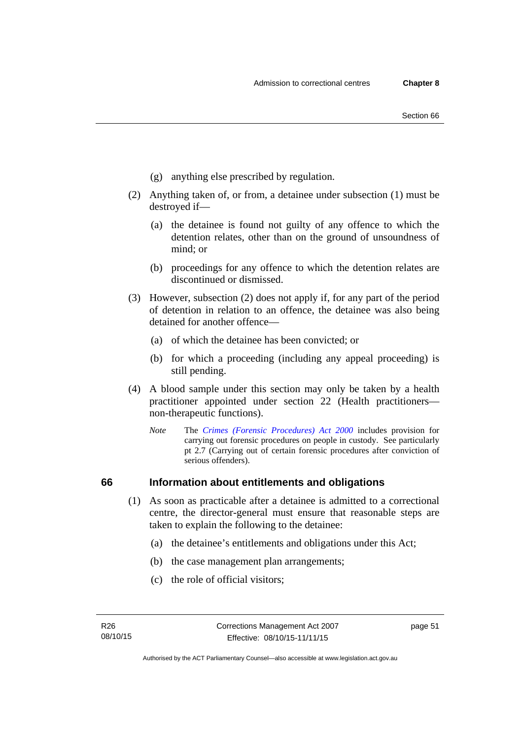- (g) anything else prescribed by regulation.
- (2) Anything taken of, or from, a detainee under subsection (1) must be destroyed if—
	- (a) the detainee is found not guilty of any offence to which the detention relates, other than on the ground of unsoundness of mind; or
	- (b) proceedings for any offence to which the detention relates are discontinued or dismissed.
- (3) However, subsection (2) does not apply if, for any part of the period of detention in relation to an offence, the detainee was also being detained for another offence—
	- (a) of which the detainee has been convicted; or
	- (b) for which a proceeding (including any appeal proceeding) is still pending.
- (4) A blood sample under this section may only be taken by a health practitioner appointed under section 22 (Health practitioners non-therapeutic functions).
	- *Note* The *[Crimes \(Forensic Procedures\) Act 2000](http://www.legislation.act.gov.au/a/2000-61)* includes provision for carrying out forensic procedures on people in custody. See particularly pt 2.7 (Carrying out of certain forensic procedures after conviction of serious offenders).

# **66 Information about entitlements and obligations**

- (1) As soon as practicable after a detainee is admitted to a correctional centre, the director-general must ensure that reasonable steps are taken to explain the following to the detainee:
	- (a) the detainee's entitlements and obligations under this Act;
	- (b) the case management plan arrangements;
	- (c) the role of official visitors;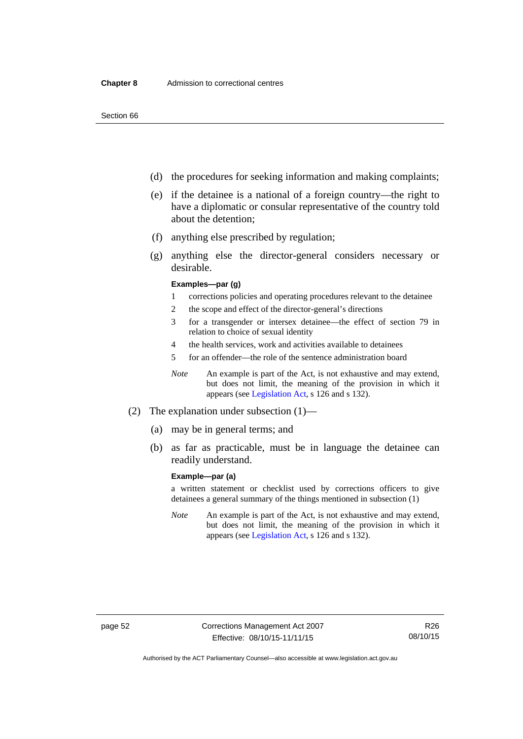- (d) the procedures for seeking information and making complaints;
- (e) if the detainee is a national of a foreign country—the right to have a diplomatic or consular representative of the country told about the detention;
- (f) anything else prescribed by regulation;
- (g) anything else the director-general considers necessary or desirable.

#### **Examples—par (g)**

- 1 corrections policies and operating procedures relevant to the detainee
- 2 the scope and effect of the director-general's directions
- 3 for a transgender or intersex detainee—the effect of section 79 in relation to choice of sexual identity
- 4 the health services, work and activities available to detainees
- 5 for an offender—the role of the sentence administration board
- *Note* An example is part of the Act, is not exhaustive and may extend, but does not limit, the meaning of the provision in which it appears (see [Legislation Act,](http://www.legislation.act.gov.au/a/2001-14) s 126 and s 132).
- (2) The explanation under subsection (1)—
	- (a) may be in general terms; and
	- (b) as far as practicable, must be in language the detainee can readily understand.

#### **Example—par (a)**

a written statement or checklist used by corrections officers to give detainees a general summary of the things mentioned in subsection (1)

*Note* An example is part of the Act, is not exhaustive and may extend, but does not limit, the meaning of the provision in which it appears (see [Legislation Act,](http://www.legislation.act.gov.au/a/2001-14) s 126 and s 132).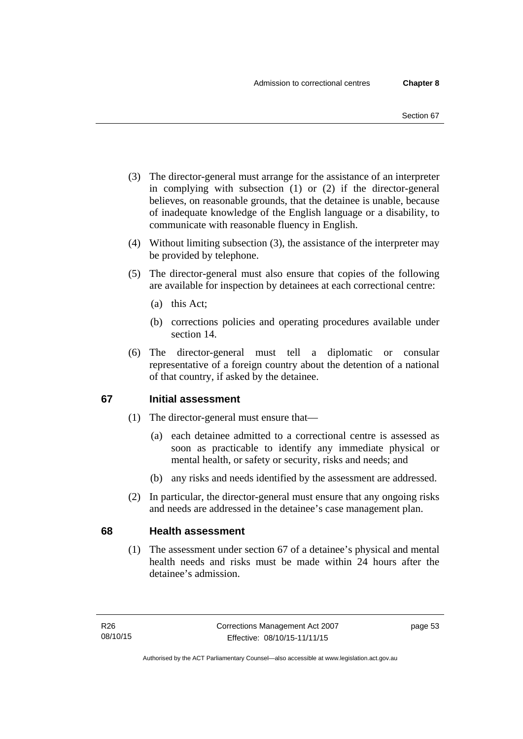- (3) The director-general must arrange for the assistance of an interpreter in complying with subsection (1) or (2) if the director-general believes, on reasonable grounds, that the detainee is unable, because of inadequate knowledge of the English language or a disability, to communicate with reasonable fluency in English.
- (4) Without limiting subsection (3), the assistance of the interpreter may be provided by telephone.
- (5) The director-general must also ensure that copies of the following are available for inspection by detainees at each correctional centre:
	- (a) this Act;
	- (b) corrections policies and operating procedures available under section 14.
- (6) The director-general must tell a diplomatic or consular representative of a foreign country about the detention of a national of that country, if asked by the detainee.

# **67 Initial assessment**

- (1) The director-general must ensure that—
	- (a) each detainee admitted to a correctional centre is assessed as soon as practicable to identify any immediate physical or mental health, or safety or security, risks and needs; and
	- (b) any risks and needs identified by the assessment are addressed.
- (2) In particular, the director-general must ensure that any ongoing risks and needs are addressed in the detainee's case management plan.

# **68 Health assessment**

(1) The assessment under section 67 of a detainee's physical and mental health needs and risks must be made within 24 hours after the detainee's admission.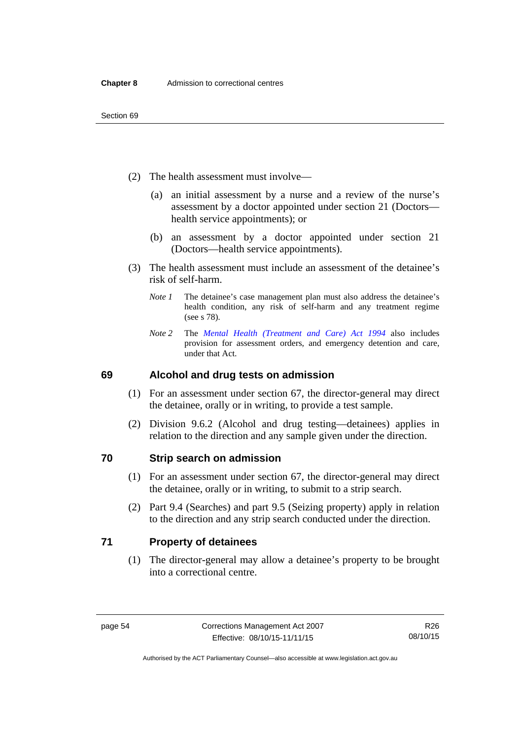- (2) The health assessment must involve—
	- (a) an initial assessment by a nurse and a review of the nurse's assessment by a doctor appointed under section 21 (Doctors health service appointments); or
	- (b) an assessment by a doctor appointed under section 21 (Doctors—health service appointments).
- (3) The health assessment must include an assessment of the detainee's risk of self-harm.
	- *Note 1* The detainee's case management plan must also address the detainee's health condition, any risk of self-harm and any treatment regime (see s 78).
	- *Note 2* The *[Mental Health \(Treatment and Care\) Act 1994](http://www.legislation.act.gov.au/a/1994-44)* also includes provision for assessment orders, and emergency detention and care, under that Act.

# **69 Alcohol and drug tests on admission**

- (1) For an assessment under section 67, the director-general may direct the detainee, orally or in writing, to provide a test sample.
- (2) Division 9.6.2 (Alcohol and drug testing—detainees) applies in relation to the direction and any sample given under the direction.

# **70 Strip search on admission**

- (1) For an assessment under section 67, the director-general may direct the detainee, orally or in writing, to submit to a strip search.
- (2) Part 9.4 (Searches) and part 9.5 (Seizing property) apply in relation to the direction and any strip search conducted under the direction.

# **71 Property of detainees**

(1) The director-general may allow a detainee's property to be brought into a correctional centre.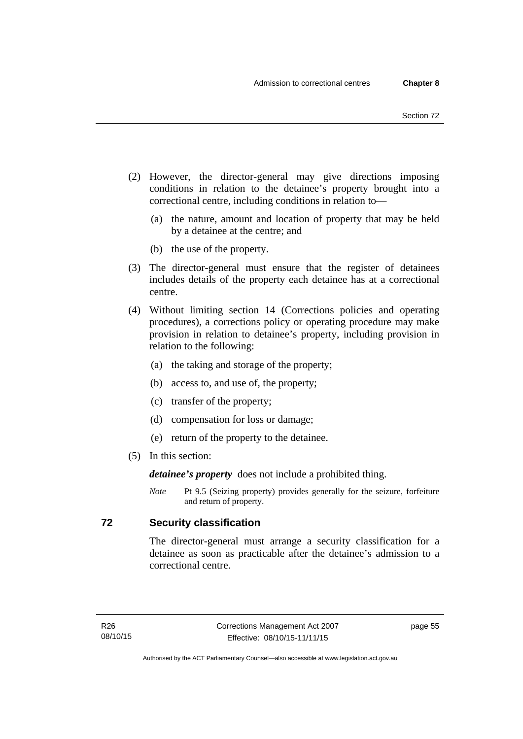- (2) However, the director-general may give directions imposing conditions in relation to the detainee's property brought into a correctional centre, including conditions in relation to—
	- (a) the nature, amount and location of property that may be held by a detainee at the centre; and
	- (b) the use of the property.
- (3) The director-general must ensure that the register of detainees includes details of the property each detainee has at a correctional centre.
- (4) Without limiting section 14 (Corrections policies and operating procedures), a corrections policy or operating procedure may make provision in relation to detainee's property, including provision in relation to the following:
	- (a) the taking and storage of the property;
	- (b) access to, and use of, the property;
	- (c) transfer of the property;
	- (d) compensation for loss or damage;
	- (e) return of the property to the detainee.
- (5) In this section:

*detainee's property* does not include a prohibited thing.

*Note* Pt 9.5 (Seizing property) provides generally for the seizure, forfeiture and return of property.

# **72 Security classification**

The director-general must arrange a security classification for a detainee as soon as practicable after the detainee's admission to a correctional centre.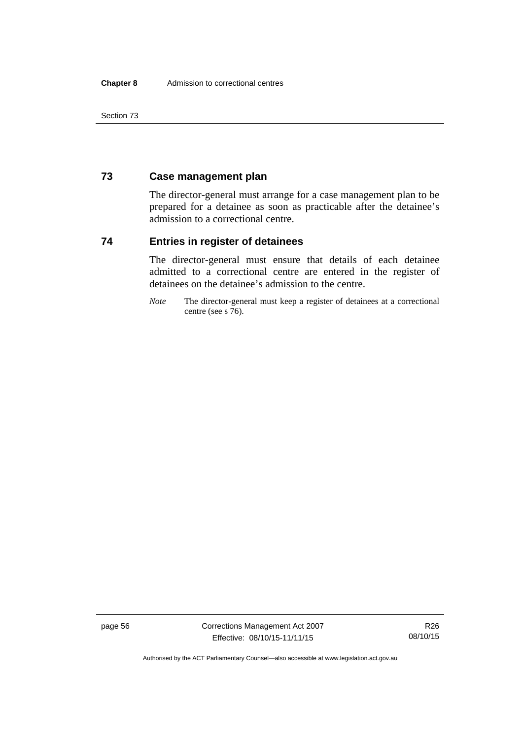Section 73

# **73 Case management plan**

The director-general must arrange for a case management plan to be prepared for a detainee as soon as practicable after the detainee's admission to a correctional centre.

# **74 Entries in register of detainees**

The director-general must ensure that details of each detainee admitted to a correctional centre are entered in the register of detainees on the detainee's admission to the centre.

*Note* The director-general must keep a register of detainees at a correctional centre (see s 76).

page 56 Corrections Management Act 2007 Effective: 08/10/15-11/11/15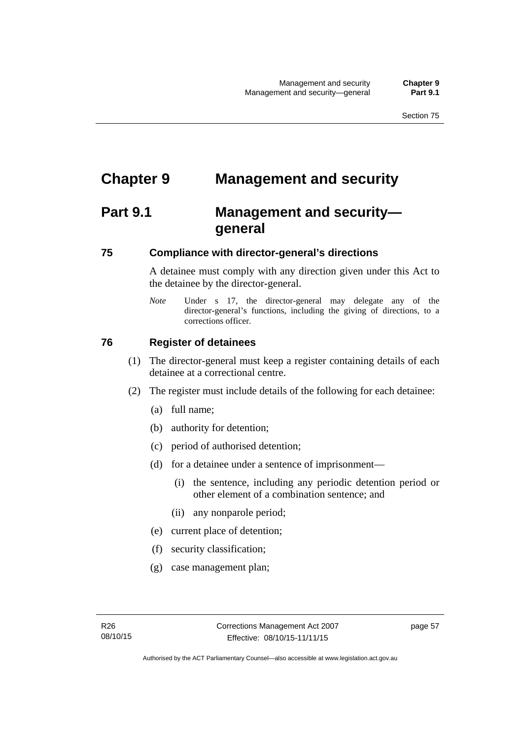# **Chapter 9 Management and security**

# **Part 9.1 Management and security general**

# **75 Compliance with director-general's directions**

A detainee must comply with any direction given under this Act to the detainee by the director-general.

*Note* Under s 17, the director-general may delegate any of the director-general's functions, including the giving of directions, to a corrections officer.

# **76 Register of detainees**

- (1) The director-general must keep a register containing details of each detainee at a correctional centre.
- (2) The register must include details of the following for each detainee:
	- (a) full name;
	- (b) authority for detention;
	- (c) period of authorised detention;
	- (d) for a detainee under a sentence of imprisonment—
		- (i) the sentence, including any periodic detention period or other element of a combination sentence; and
		- (ii) any nonparole period;
	- (e) current place of detention;
	- (f) security classification;
	- (g) case management plan;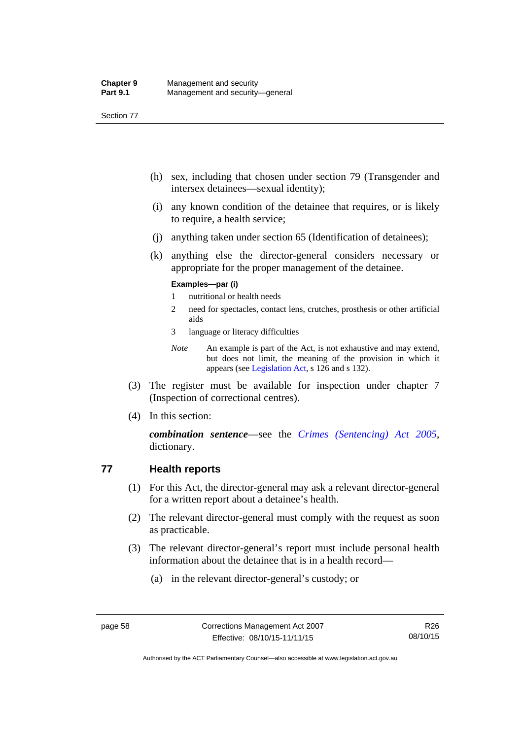Section 77

- (h) sex, including that chosen under section 79 (Transgender and intersex detainees—sexual identity);
- (i) any known condition of the detainee that requires, or is likely to require, a health service;
- (j) anything taken under section 65 (Identification of detainees);
- (k) anything else the director-general considers necessary or appropriate for the proper management of the detainee.

#### **Examples—par (i)**

- 1 nutritional or health needs
- 2 need for spectacles, contact lens, crutches, prosthesis or other artificial aids
- 3 language or literacy difficulties
- *Note* An example is part of the Act, is not exhaustive and may extend, but does not limit, the meaning of the provision in which it appears (see [Legislation Act,](http://www.legislation.act.gov.au/a/2001-14) s 126 and s 132).
- (3) The register must be available for inspection under chapter 7 (Inspection of correctional centres).
- (4) In this section:

*combination sentence*—see the *[Crimes \(Sentencing\) Act 2005](http://www.legislation.act.gov.au/a/2005-58)*, dictionary.

# **77 Health reports**

- (1) For this Act, the director-general may ask a relevant director-general for a written report about a detainee's health.
- (2) The relevant director-general must comply with the request as soon as practicable.
- (3) The relevant director-general's report must include personal health information about the detainee that is in a health record—
	- (a) in the relevant director-general's custody; or

Authorised by the ACT Parliamentary Counsel—also accessible at www.legislation.act.gov.au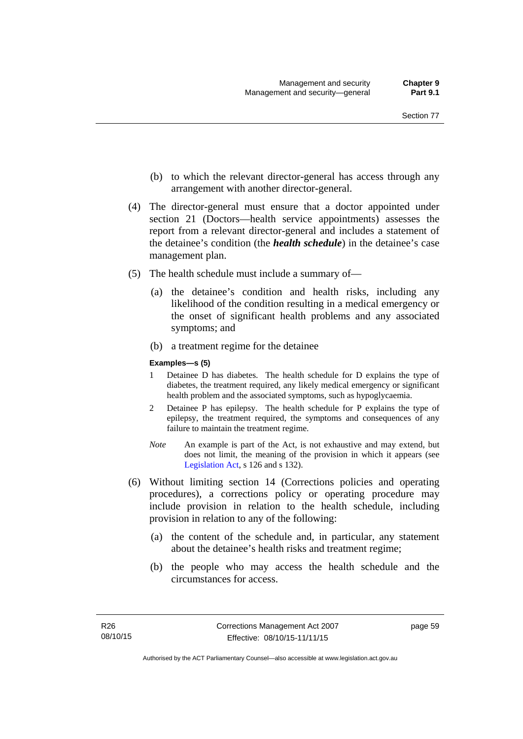- (b) to which the relevant director-general has access through any arrangement with another director-general.
- (4) The director-general must ensure that a doctor appointed under section 21 (Doctors—health service appointments) assesses the report from a relevant director-general and includes a statement of the detainee's condition (the *health schedule*) in the detainee's case management plan.
- (5) The health schedule must include a summary of—
	- (a) the detainee's condition and health risks, including any likelihood of the condition resulting in a medical emergency or the onset of significant health problems and any associated symptoms; and
	- (b) a treatment regime for the detainee

#### **Examples—s (5)**

- 1 Detainee D has diabetes. The health schedule for D explains the type of diabetes, the treatment required, any likely medical emergency or significant health problem and the associated symptoms, such as hypoglycaemia.
- 2 Detainee P has epilepsy. The health schedule for P explains the type of epilepsy, the treatment required, the symptoms and consequences of any failure to maintain the treatment regime.
- *Note* An example is part of the Act, is not exhaustive and may extend, but does not limit, the meaning of the provision in which it appears (see [Legislation Act,](http://www.legislation.act.gov.au/a/2001-14) s 126 and s 132).
- (6) Without limiting section 14 (Corrections policies and operating procedures), a corrections policy or operating procedure may include provision in relation to the health schedule, including provision in relation to any of the following:
	- (a) the content of the schedule and, in particular, any statement about the detainee's health risks and treatment regime;
	- (b) the people who may access the health schedule and the circumstances for access.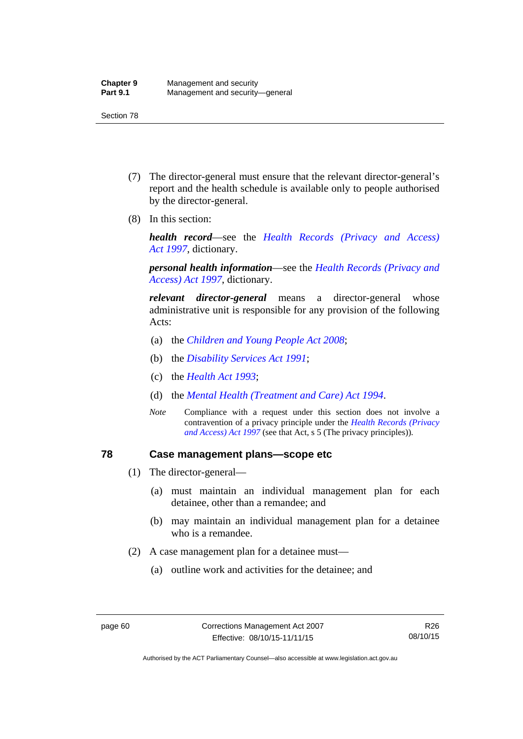- (7) The director-general must ensure that the relevant director-general's report and the health schedule is available only to people authorised by the director-general.
- (8) In this section:

*health record*—see the *[Health Records \(Privacy and Access\)](http://www.legislation.act.gov.au/a/1997-125)  [Act 1997](http://www.legislation.act.gov.au/a/1997-125)*, dictionary.

*personal health information*—see the *[Health Records \(Privacy and](http://www.legislation.act.gov.au/a/1997-125)  [Access\) Act 1997](http://www.legislation.act.gov.au/a/1997-125)*, dictionary.

*relevant director-general* means a director-general whose administrative unit is responsible for any provision of the following Acts:

- (a) the *[Children and Young People Act 2008](http://www.legislation.act.gov.au/a/2008-19)*;
- (b) the *[Disability Services Act 1991](http://www.legislation.act.gov.au/a/1991-98)*;
- (c) the *[Health Act 1993](http://www.legislation.act.gov.au/a/1993-13)*;
- (d) the *[Mental Health \(Treatment and Care\) Act 1994](http://www.legislation.act.gov.au/a/1994-44)*.
- *Note* Compliance with a request under this section does not involve a contravention of a privacy principle under the *[Health Records \(Privacy](http://www.legislation.act.gov.au/a/1997-125)  [and Access\) Act 1997](http://www.legislation.act.gov.au/a/1997-125)* (see that Act, s 5 (The privacy principles))*.*

### **78 Case management plans—scope etc**

- (1) The director-general—
	- (a) must maintain an individual management plan for each detainee, other than a remandee; and
	- (b) may maintain an individual management plan for a detainee who is a remandee.
- (2) A case management plan for a detainee must—
	- (a) outline work and activities for the detainee; and

Authorised by the ACT Parliamentary Counsel—also accessible at www.legislation.act.gov.au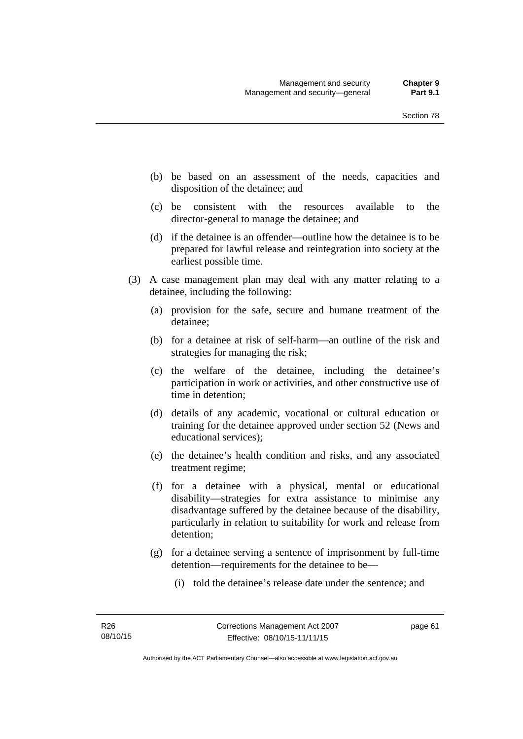- (b) be based on an assessment of the needs, capacities and disposition of the detainee; and
- (c) be consistent with the resources available to the director-general to manage the detainee; and
- (d) if the detainee is an offender—outline how the detainee is to be prepared for lawful release and reintegration into society at the earliest possible time.
- (3) A case management plan may deal with any matter relating to a detainee, including the following:
	- (a) provision for the safe, secure and humane treatment of the detainee;
	- (b) for a detainee at risk of self-harm—an outline of the risk and strategies for managing the risk;
	- (c) the welfare of the detainee, including the detainee's participation in work or activities, and other constructive use of time in detention;
	- (d) details of any academic, vocational or cultural education or training for the detainee approved under section 52 (News and educational services);
	- (e) the detainee's health condition and risks, and any associated treatment regime;
	- (f) for a detainee with a physical, mental or educational disability—strategies for extra assistance to minimise any disadvantage suffered by the detainee because of the disability, particularly in relation to suitability for work and release from detention;
	- (g) for a detainee serving a sentence of imprisonment by full-time detention—requirements for the detainee to be—
		- (i) told the detainee's release date under the sentence; and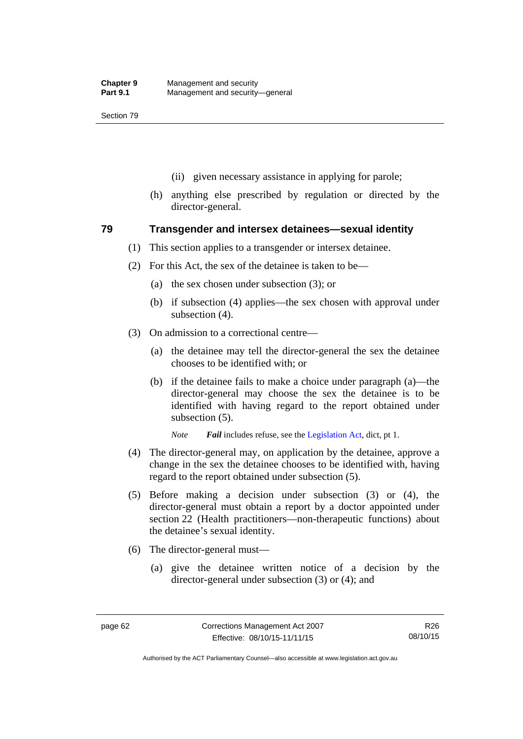- (ii) given necessary assistance in applying for parole;
- (h) anything else prescribed by regulation or directed by the director-general.

### **79 Transgender and intersex detainees—sexual identity**

- (1) This section applies to a transgender or intersex detainee.
- (2) For this Act, the sex of the detainee is taken to be—
	- (a) the sex chosen under subsection (3); or
	- (b) if subsection (4) applies—the sex chosen with approval under subsection (4).
- (3) On admission to a correctional centre—
	- (a) the detainee may tell the director-general the sex the detainee chooses to be identified with; or
	- (b) if the detainee fails to make a choice under paragraph (a)—the director-general may choose the sex the detainee is to be identified with having regard to the report obtained under subsection (5).

*Note Fail* includes refuse, see the [Legislation Act,](http://www.legislation.act.gov.au/a/2001-14) dict, pt 1.

- (4) The director-general may, on application by the detainee, approve a change in the sex the detainee chooses to be identified with, having regard to the report obtained under subsection (5).
- (5) Before making a decision under subsection (3) or (4), the director-general must obtain a report by a doctor appointed under section 22 (Health practitioners—non-therapeutic functions) about the detainee's sexual identity.
- (6) The director-general must—
	- (a) give the detainee written notice of a decision by the director-general under subsection (3) or (4); and

Authorised by the ACT Parliamentary Counsel—also accessible at www.legislation.act.gov.au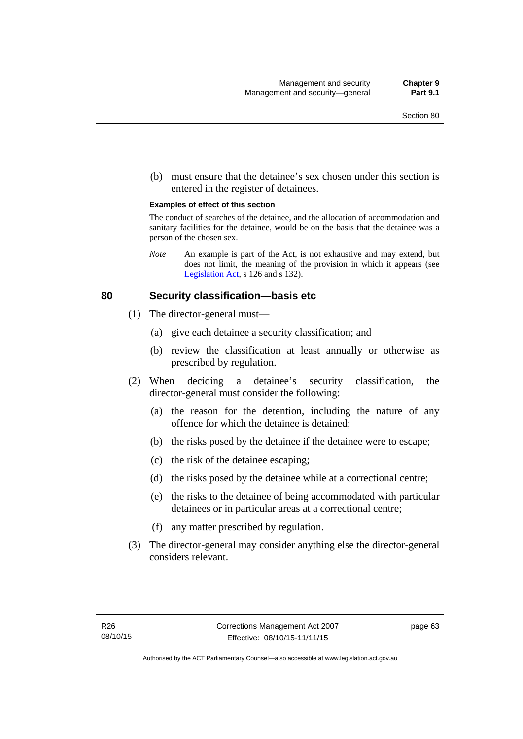(b) must ensure that the detainee's sex chosen under this section is entered in the register of detainees.

#### **Examples of effect of this section**

The conduct of searches of the detainee, and the allocation of accommodation and sanitary facilities for the detainee, would be on the basis that the detainee was a person of the chosen sex.

*Note* An example is part of the Act, is not exhaustive and may extend, but does not limit, the meaning of the provision in which it appears (see [Legislation Act,](http://www.legislation.act.gov.au/a/2001-14) s 126 and s 132).

### **80 Security classification—basis etc**

- (1) The director-general must—
	- (a) give each detainee a security classification; and
	- (b) review the classification at least annually or otherwise as prescribed by regulation.
- (2) When deciding a detainee's security classification, the director-general must consider the following:
	- (a) the reason for the detention, including the nature of any offence for which the detainee is detained;
	- (b) the risks posed by the detainee if the detainee were to escape;
	- (c) the risk of the detainee escaping;
	- (d) the risks posed by the detainee while at a correctional centre;
	- (e) the risks to the detainee of being accommodated with particular detainees or in particular areas at a correctional centre;
	- (f) any matter prescribed by regulation.
- (3) The director-general may consider anything else the director-general considers relevant.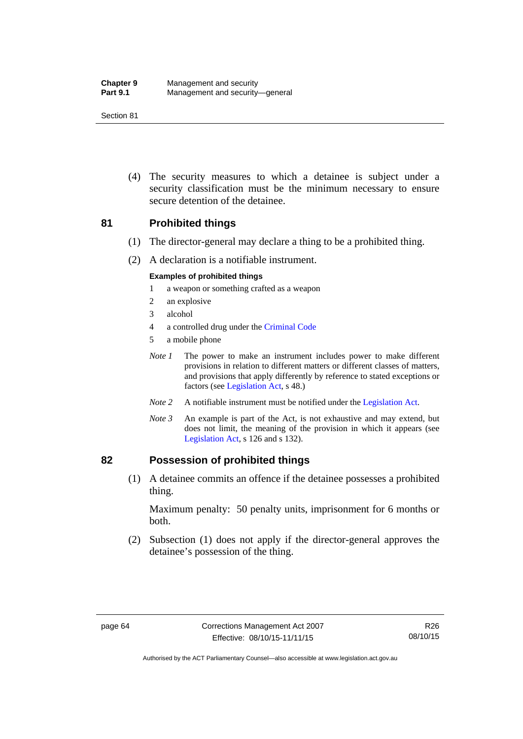| <b>Chapter 9</b> | Management and security         |
|------------------|---------------------------------|
| <b>Part 9.1</b>  | Management and security-general |

 (4) The security measures to which a detainee is subject under a security classification must be the minimum necessary to ensure secure detention of the detainee.

### **81 Prohibited things**

- (1) The director-general may declare a thing to be a prohibited thing.
- (2) A declaration is a notifiable instrument.

#### **Examples of prohibited things**

- 1 a weapon or something crafted as a weapon
- 2 an explosive
- 3 alcohol
- 4 a controlled drug under the [Criminal Code](http://www.legislation.act.gov.au/a/2002-51)
- 5 a mobile phone
- *Note 1* The power to make an instrument includes power to make different provisions in relation to different matters or different classes of matters, and provisions that apply differently by reference to stated exceptions or factors (see [Legislation Act](http://www.legislation.act.gov.au/a/2001-14), s 48.)
- *Note 2* A notifiable instrument must be notified under the [Legislation Act](http://www.legislation.act.gov.au/a/2001-14).
- *Note 3* An example is part of the Act, is not exhaustive and may extend, but does not limit, the meaning of the provision in which it appears (see [Legislation Act,](http://www.legislation.act.gov.au/a/2001-14) s 126 and s 132).

### **82 Possession of prohibited things**

 (1) A detainee commits an offence if the detainee possesses a prohibited thing.

Maximum penalty: 50 penalty units, imprisonment for 6 months or both.

 (2) Subsection (1) does not apply if the director-general approves the detainee's possession of the thing.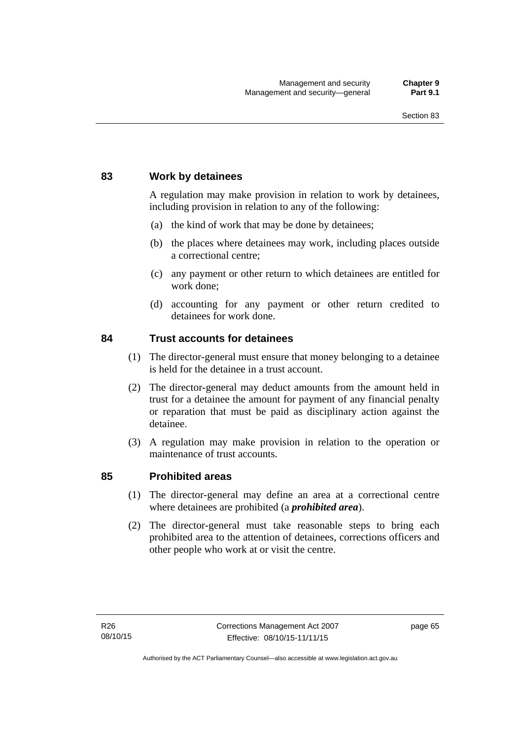### **83 Work by detainees**

A regulation may make provision in relation to work by detainees, including provision in relation to any of the following:

- (a) the kind of work that may be done by detainees;
- (b) the places where detainees may work, including places outside a correctional centre;
- (c) any payment or other return to which detainees are entitled for work done;
- (d) accounting for any payment or other return credited to detainees for work done.

### **84 Trust accounts for detainees**

- (1) The director-general must ensure that money belonging to a detainee is held for the detainee in a trust account.
- (2) The director-general may deduct amounts from the amount held in trust for a detainee the amount for payment of any financial penalty or reparation that must be paid as disciplinary action against the detainee.
- (3) A regulation may make provision in relation to the operation or maintenance of trust accounts.

### **85 Prohibited areas**

- (1) The director-general may define an area at a correctional centre where detainees are prohibited (a *prohibited area*).
- (2) The director-general must take reasonable steps to bring each prohibited area to the attention of detainees, corrections officers and other people who work at or visit the centre.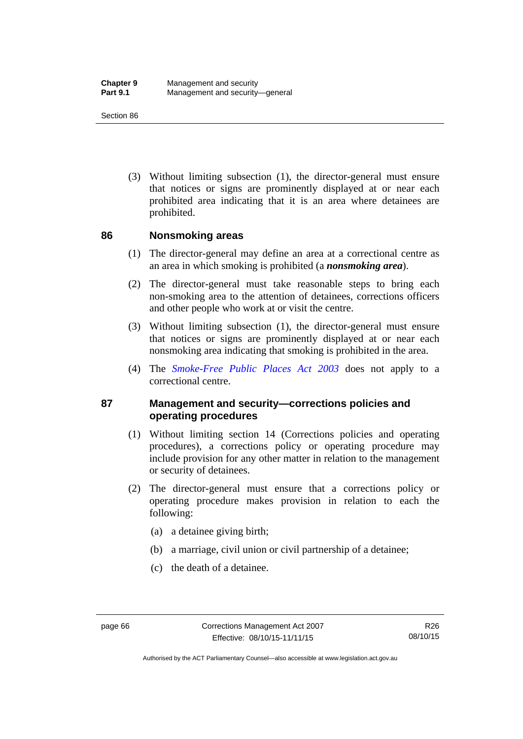(3) Without limiting subsection (1), the director-general must ensure that notices or signs are prominently displayed at or near each prohibited area indicating that it is an area where detainees are prohibited.

### **86 Nonsmoking areas**

- (1) The director-general may define an area at a correctional centre as an area in which smoking is prohibited (a *nonsmoking area*).
- (2) The director-general must take reasonable steps to bring each non-smoking area to the attention of detainees, corrections officers and other people who work at or visit the centre.
- (3) Without limiting subsection (1), the director-general must ensure that notices or signs are prominently displayed at or near each nonsmoking area indicating that smoking is prohibited in the area.
- (4) The *[Smoke-Free Public Places Act 2003](http://www.legislation.act.gov.au/a/2003-51)* does not apply to a correctional centre.

### **87 Management and security—corrections policies and operating procedures**

- (1) Without limiting section 14 (Corrections policies and operating procedures), a corrections policy or operating procedure may include provision for any other matter in relation to the management or security of detainees.
- (2) The director-general must ensure that a corrections policy or operating procedure makes provision in relation to each the following:
	- (a) a detainee giving birth;
	- (b) a marriage, civil union or civil partnership of a detainee;
	- (c) the death of a detainee.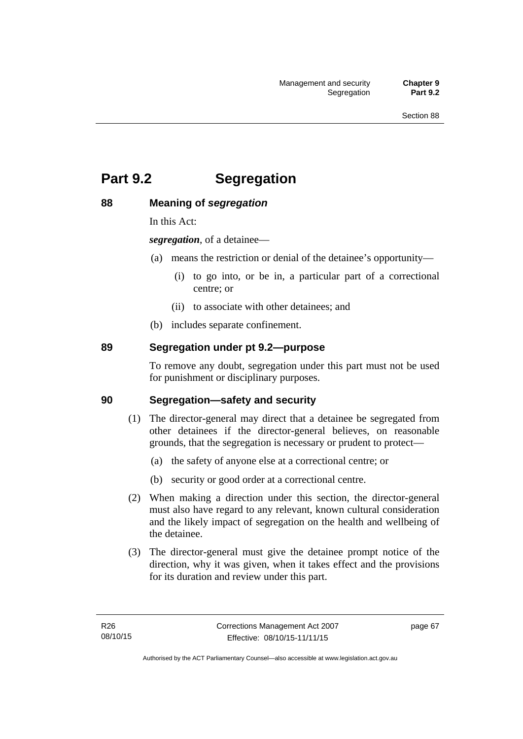# **Part 9.2 Segregation**

### **88 Meaning of** *segregation*

In this Act:

*segregation*, of a detainee—

- (a) means the restriction or denial of the detainee's opportunity—
	- (i) to go into, or be in, a particular part of a correctional centre; or
	- (ii) to associate with other detainees; and
- (b) includes separate confinement.

### **89 Segregation under pt 9.2—purpose**

To remove any doubt, segregation under this part must not be used for punishment or disciplinary purposes.

### **90 Segregation—safety and security**

- (1) The director-general may direct that a detainee be segregated from other detainees if the director-general believes, on reasonable grounds, that the segregation is necessary or prudent to protect—
	- (a) the safety of anyone else at a correctional centre; or
	- (b) security or good order at a correctional centre.
- (2) When making a direction under this section, the director-general must also have regard to any relevant, known cultural consideration and the likely impact of segregation on the health and wellbeing of the detainee.
- (3) The director-general must give the detainee prompt notice of the direction, why it was given, when it takes effect and the provisions for its duration and review under this part.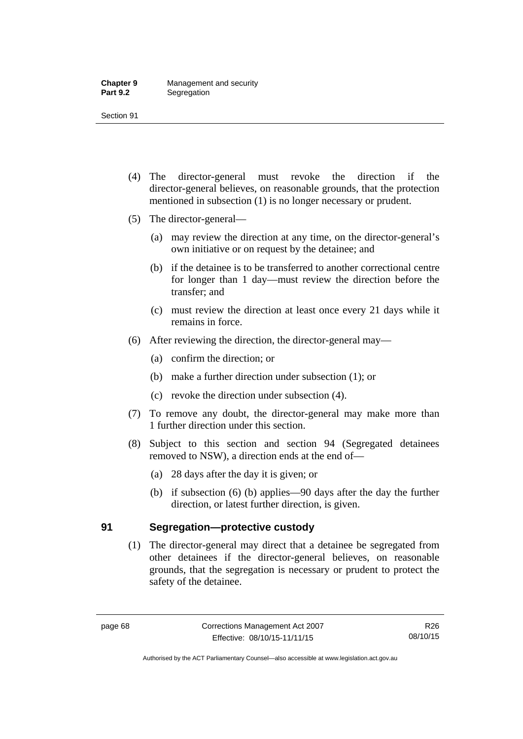- (4) The director-general must revoke the direction if the director-general believes, on reasonable grounds, that the protection mentioned in subsection (1) is no longer necessary or prudent.
- (5) The director-general—
	- (a) may review the direction at any time, on the director-general's own initiative or on request by the detainee; and
	- (b) if the detainee is to be transferred to another correctional centre for longer than 1 day—must review the direction before the transfer; and
	- (c) must review the direction at least once every 21 days while it remains in force.
- (6) After reviewing the direction, the director-general may—
	- (a) confirm the direction; or
	- (b) make a further direction under subsection (1); or
	- (c) revoke the direction under subsection (4).
- (7) To remove any doubt, the director-general may make more than 1 further direction under this section.
- (8) Subject to this section and section 94 (Segregated detainees removed to NSW), a direction ends at the end of—
	- (a) 28 days after the day it is given; or
	- (b) if subsection (6) (b) applies—90 days after the day the further direction, or latest further direction, is given.

### **91 Segregation—protective custody**

(1) The director-general may direct that a detainee be segregated from other detainees if the director-general believes, on reasonable grounds, that the segregation is necessary or prudent to protect the safety of the detainee.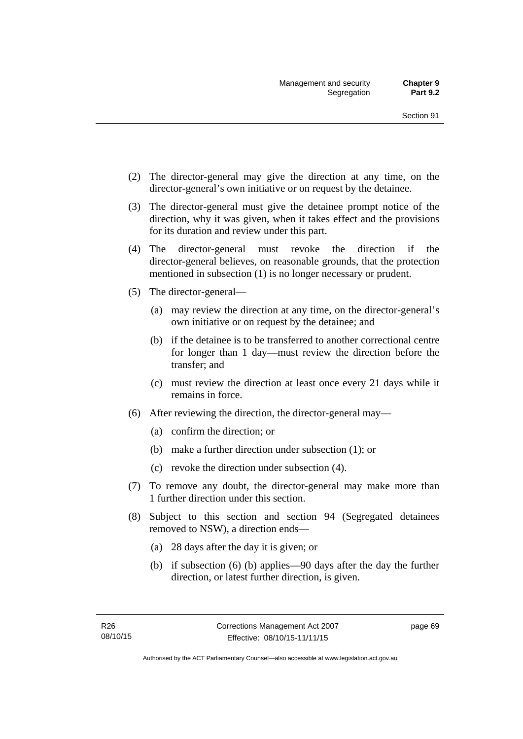- (2) The director-general may give the direction at any time, on the director-general's own initiative or on request by the detainee.
- (3) The director-general must give the detainee prompt notice of the direction, why it was given, when it takes effect and the provisions for its duration and review under this part.
- (4) The director-general must revoke the direction if the director-general believes, on reasonable grounds, that the protection mentioned in subsection (1) is no longer necessary or prudent.
- (5) The director-general—
	- (a) may review the direction at any time, on the director-general's own initiative or on request by the detainee; and
	- (b) if the detainee is to be transferred to another correctional centre for longer than 1 day—must review the direction before the transfer; and
	- (c) must review the direction at least once every 21 days while it remains in force.
- (6) After reviewing the direction, the director-general may—
	- (a) confirm the direction; or
	- (b) make a further direction under subsection (1); or
	- (c) revoke the direction under subsection (4).
- (7) To remove any doubt, the director-general may make more than 1 further direction under this section.
- (8) Subject to this section and section 94 (Segregated detainees removed to NSW), a direction ends—
	- (a) 28 days after the day it is given; or
	- (b) if subsection (6) (b) applies—90 days after the day the further direction, or latest further direction, is given.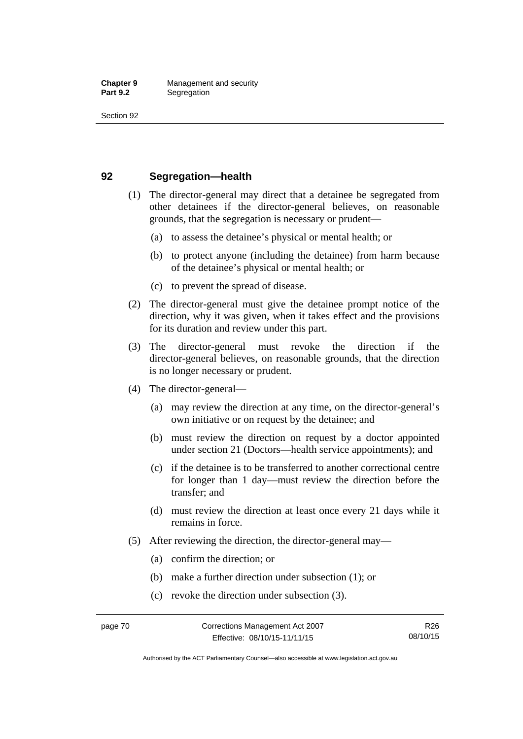### **92 Segregation—health**

- (1) The director-general may direct that a detainee be segregated from other detainees if the director-general believes, on reasonable grounds, that the segregation is necessary or prudent—
	- (a) to assess the detainee's physical or mental health; or
	- (b) to protect anyone (including the detainee) from harm because of the detainee's physical or mental health; or
	- (c) to prevent the spread of disease.
- (2) The director-general must give the detainee prompt notice of the direction, why it was given, when it takes effect and the provisions for its duration and review under this part.
- (3) The director-general must revoke the direction if the director-general believes, on reasonable grounds, that the direction is no longer necessary or prudent.
- (4) The director-general—
	- (a) may review the direction at any time, on the director-general's own initiative or on request by the detainee; and
	- (b) must review the direction on request by a doctor appointed under section 21 (Doctors—health service appointments); and
	- (c) if the detainee is to be transferred to another correctional centre for longer than 1 day—must review the direction before the transfer; and
	- (d) must review the direction at least once every 21 days while it remains in force.
- (5) After reviewing the direction, the director-general may—
	- (a) confirm the direction; or
	- (b) make a further direction under subsection (1); or
	- (c) revoke the direction under subsection (3).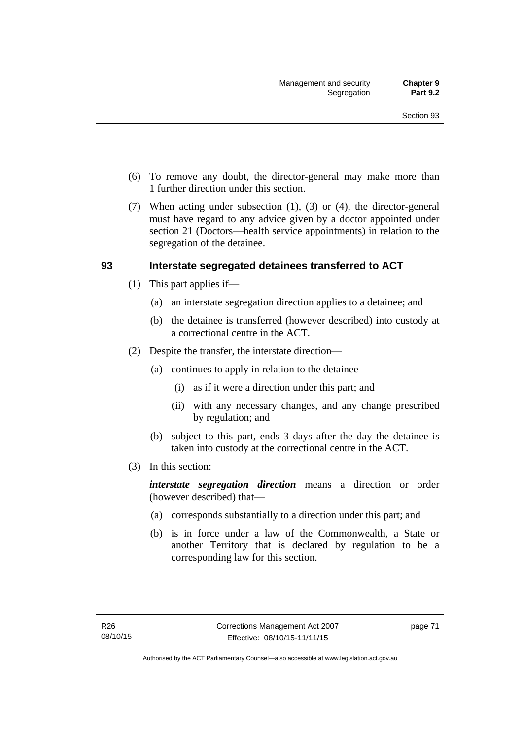- (6) To remove any doubt, the director-general may make more than 1 further direction under this section.
- (7) When acting under subsection (1), (3) or (4), the director-general must have regard to any advice given by a doctor appointed under section 21 (Doctors—health service appointments) in relation to the segregation of the detainee.

### **93 Interstate segregated detainees transferred to ACT**

- (1) This part applies if—
	- (a) an interstate segregation direction applies to a detainee; and
	- (b) the detainee is transferred (however described) into custody at a correctional centre in the ACT.
- (2) Despite the transfer, the interstate direction—
	- (a) continues to apply in relation to the detainee—
		- (i) as if it were a direction under this part; and
		- (ii) with any necessary changes, and any change prescribed by regulation; and
	- (b) subject to this part, ends 3 days after the day the detainee is taken into custody at the correctional centre in the ACT.
- (3) In this section:

*interstate segregation direction* means a direction or order (however described) that—

- (a) corresponds substantially to a direction under this part; and
- (b) is in force under a law of the Commonwealth, a State or another Territory that is declared by regulation to be a corresponding law for this section.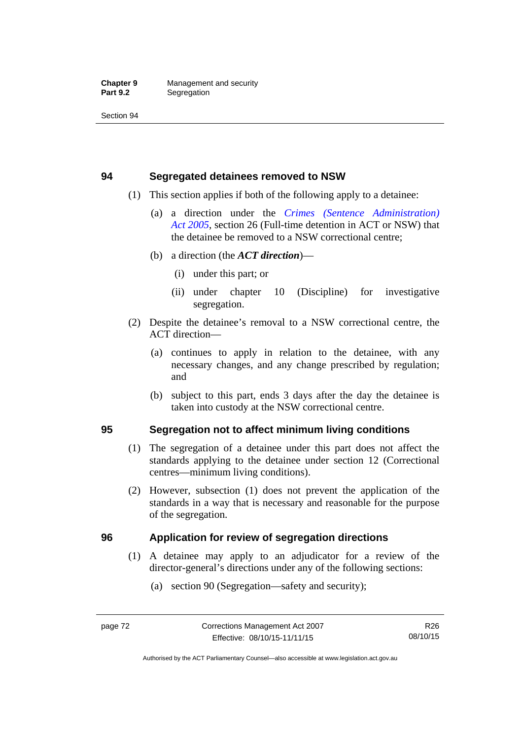### **94 Segregated detainees removed to NSW**

- (1) This section applies if both of the following apply to a detainee:
	- (a) a direction under the *[Crimes \(Sentence Administration\)](http://www.legislation.act.gov.au/a/2005-59)  [Act 2005](http://www.legislation.act.gov.au/a/2005-59)*, section 26 (Full-time detention in ACT or NSW) that the detainee be removed to a NSW correctional centre;
	- (b) a direction (the *ACT direction*)—
		- (i) under this part; or
		- (ii) under chapter 10 (Discipline) for investigative segregation.
- (2) Despite the detainee's removal to a NSW correctional centre, the ACT direction—
	- (a) continues to apply in relation to the detainee, with any necessary changes, and any change prescribed by regulation; and
	- (b) subject to this part, ends 3 days after the day the detainee is taken into custody at the NSW correctional centre.

### **95 Segregation not to affect minimum living conditions**

- (1) The segregation of a detainee under this part does not affect the standards applying to the detainee under section 12 (Correctional centres—minimum living conditions).
- (2) However, subsection (1) does not prevent the application of the standards in a way that is necessary and reasonable for the purpose of the segregation.

### **96 Application for review of segregation directions**

- (1) A detainee may apply to an adjudicator for a review of the director-general's directions under any of the following sections:
	- (a) section 90 (Segregation—safety and security);

Authorised by the ACT Parliamentary Counsel—also accessible at www.legislation.act.gov.au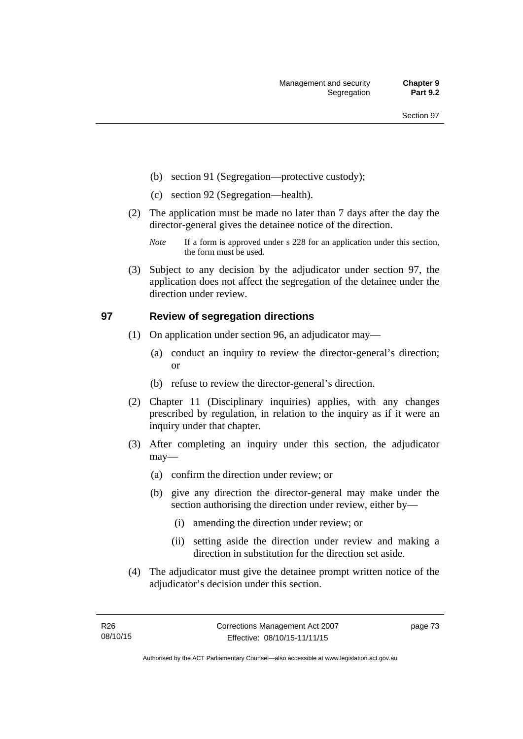- (b) section 91 (Segregation—protective custody);
- (c) section 92 (Segregation—health).
- (2) The application must be made no later than 7 days after the day the director-general gives the detainee notice of the direction.
	- *Note* If a form is approved under s 228 for an application under this section, the form must be used.
- (3) Subject to any decision by the adjudicator under section 97, the application does not affect the segregation of the detainee under the direction under review.

### **97 Review of segregation directions**

- (1) On application under section 96, an adjudicator may—
	- (a) conduct an inquiry to review the director-general's direction; or
	- (b) refuse to review the director-general's direction.
- (2) Chapter 11 (Disciplinary inquiries) applies, with any changes prescribed by regulation, in relation to the inquiry as if it were an inquiry under that chapter.
- (3) After completing an inquiry under this section, the adjudicator may—
	- (a) confirm the direction under review; or
	- (b) give any direction the director-general may make under the section authorising the direction under review, either by—
		- (i) amending the direction under review; or
		- (ii) setting aside the direction under review and making a direction in substitution for the direction set aside.
- (4) The adjudicator must give the detainee prompt written notice of the adjudicator's decision under this section.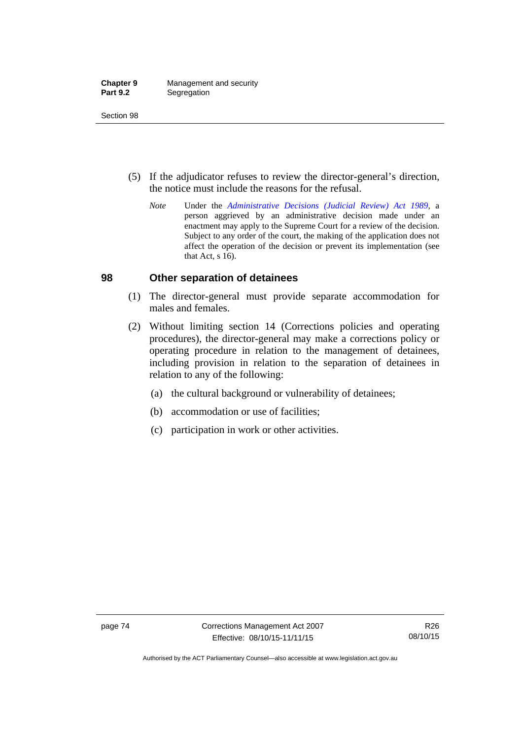| <b>Chapter 9</b> | Management and security |
|------------------|-------------------------|
| <b>Part 9.2</b>  | Segregation             |

- (5) If the adjudicator refuses to review the director-general's direction, the notice must include the reasons for the refusal.
	- *Note* Under the *[Administrative Decisions \(Judicial Review\) Act 1989](http://www.legislation.act.gov.au/a/alt_a1989-33co)*, a person aggrieved by an administrative decision made under an enactment may apply to the Supreme Court for a review of the decision. Subject to any order of the court, the making of the application does not affect the operation of the decision or prevent its implementation (see that Act, s 16).

### **98 Other separation of detainees**

- (1) The director-general must provide separate accommodation for males and females.
- (2) Without limiting section 14 (Corrections policies and operating procedures), the director-general may make a corrections policy or operating procedure in relation to the management of detainees, including provision in relation to the separation of detainees in relation to any of the following:
	- (a) the cultural background or vulnerability of detainees;
	- (b) accommodation or use of facilities;
	- (c) participation in work or other activities.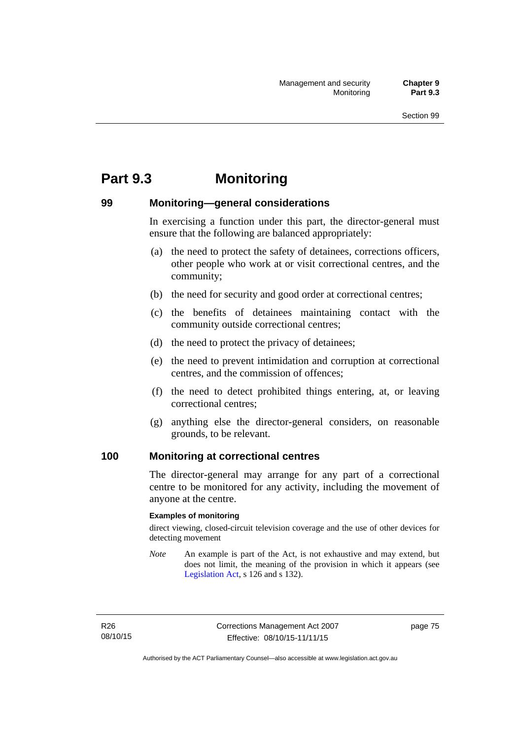# **Part 9.3 Monitoring**

### **99 Monitoring—general considerations**

In exercising a function under this part, the director-general must ensure that the following are balanced appropriately:

- (a) the need to protect the safety of detainees, corrections officers, other people who work at or visit correctional centres, and the community;
- (b) the need for security and good order at correctional centres;
- (c) the benefits of detainees maintaining contact with the community outside correctional centres;
- (d) the need to protect the privacy of detainees;
- (e) the need to prevent intimidation and corruption at correctional centres, and the commission of offences;
- (f) the need to detect prohibited things entering, at, or leaving correctional centres;
- (g) anything else the director-general considers, on reasonable grounds, to be relevant.

### **100 Monitoring at correctional centres**

The director-general may arrange for any part of a correctional centre to be monitored for any activity, including the movement of anyone at the centre.

#### **Examples of monitoring**

direct viewing, closed-circuit television coverage and the use of other devices for detecting movement

*Note* An example is part of the Act, is not exhaustive and may extend, but does not limit, the meaning of the provision in which it appears (see [Legislation Act,](http://www.legislation.act.gov.au/a/2001-14) s 126 and s 132).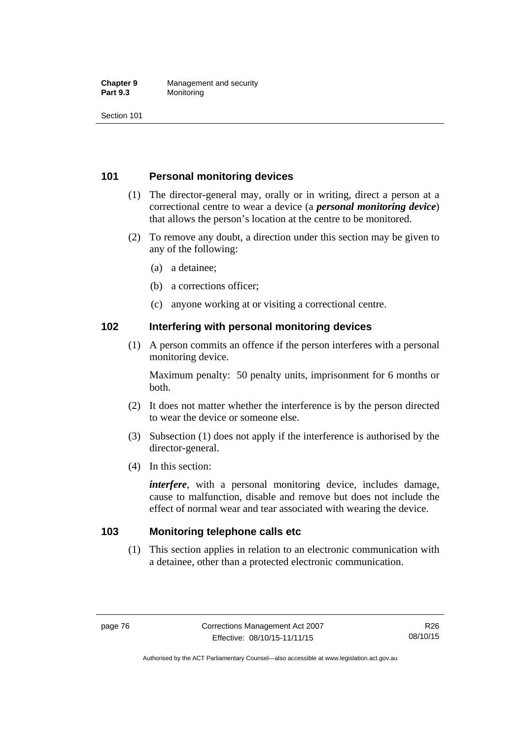#### **Chapter 9** Management and security<br>**Part 9.3** Monitoring **Monitoring**

Section 101

### **101 Personal monitoring devices**

- (1) The director-general may, orally or in writing, direct a person at a correctional centre to wear a device (a *personal monitoring device*) that allows the person's location at the centre to be monitored.
- (2) To remove any doubt, a direction under this section may be given to any of the following:
	- (a) a detainee;
	- (b) a corrections officer;
	- (c) anyone working at or visiting a correctional centre.

### **102 Interfering with personal monitoring devices**

 (1) A person commits an offence if the person interferes with a personal monitoring device.

Maximum penalty: 50 penalty units, imprisonment for 6 months or both.

- (2) It does not matter whether the interference is by the person directed to wear the device or someone else.
- (3) Subsection (1) does not apply if the interference is authorised by the director-general.
- (4) In this section:

*interfere*, with a personal monitoring device, includes damage, cause to malfunction, disable and remove but does not include the effect of normal wear and tear associated with wearing the device.

### **103 Monitoring telephone calls etc**

(1) This section applies in relation to an electronic communication with a detainee, other than a protected electronic communication.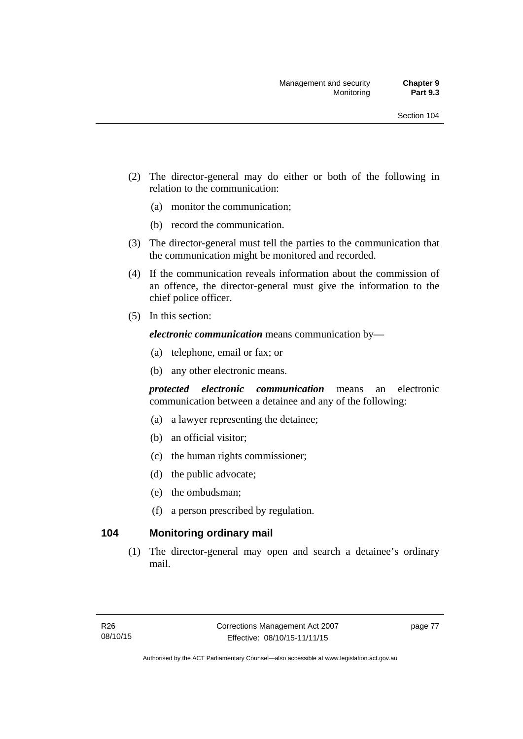- (2) The director-general may do either or both of the following in relation to the communication:
	- (a) monitor the communication;
	- (b) record the communication.
- (3) The director-general must tell the parties to the communication that the communication might be monitored and recorded.
- (4) If the communication reveals information about the commission of an offence, the director-general must give the information to the chief police officer.
- (5) In this section:

*electronic communication* means communication by—

- (a) telephone, email or fax; or
- (b) any other electronic means.

*protected electronic communication* means an electronic communication between a detainee and any of the following:

- (a) a lawyer representing the detainee;
- (b) an official visitor;
- (c) the human rights commissioner;
- (d) the public advocate;
- (e) the ombudsman;
- (f) a person prescribed by regulation.

### **104 Monitoring ordinary mail**

(1) The director-general may open and search a detainee's ordinary mail.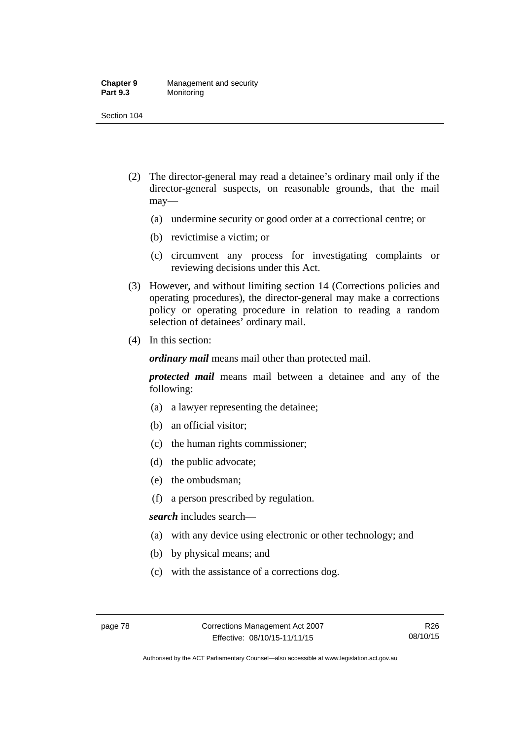#### **Chapter 9** Management and security<br>**Part 9.3** Monitoring **Monitoring**

Section 104

- (2) The director-general may read a detainee's ordinary mail only if the director-general suspects, on reasonable grounds, that the mail may—
	- (a) undermine security or good order at a correctional centre; or
	- (b) revictimise a victim; or
	- (c) circumvent any process for investigating complaints or reviewing decisions under this Act.
- (3) However, and without limiting section 14 (Corrections policies and operating procedures), the director-general may make a corrections policy or operating procedure in relation to reading a random selection of detainees' ordinary mail.
- (4) In this section:

*ordinary mail* means mail other than protected mail.

*protected mail* means mail between a detainee and any of the following:

- (a) a lawyer representing the detainee;
- (b) an official visitor;
- (c) the human rights commissioner;
- (d) the public advocate;
- (e) the ombudsman;
- (f) a person prescribed by regulation.

*search* includes search—

- (a) with any device using electronic or other technology; and
- (b) by physical means; and
- (c) with the assistance of a corrections dog.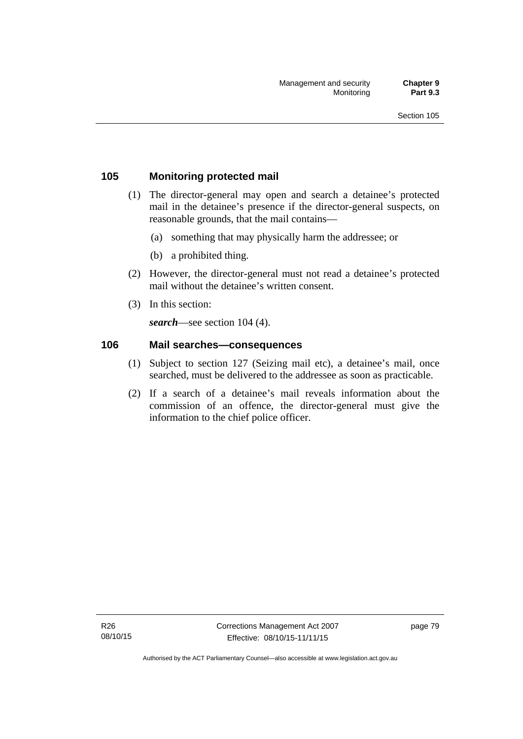### **105 Monitoring protected mail**

- (1) The director-general may open and search a detainee's protected mail in the detainee's presence if the director-general suspects, on reasonable grounds, that the mail contains—
	- (a) something that may physically harm the addressee; or
	- (b) a prohibited thing.
- (2) However, the director-general must not read a detainee's protected mail without the detainee's written consent.
- (3) In this section:

*search*—see section 104 (4).

### **106 Mail searches—consequences**

- (1) Subject to section 127 (Seizing mail etc), a detainee's mail, once searched, must be delivered to the addressee as soon as practicable.
- (2) If a search of a detainee's mail reveals information about the commission of an offence, the director-general must give the information to the chief police officer.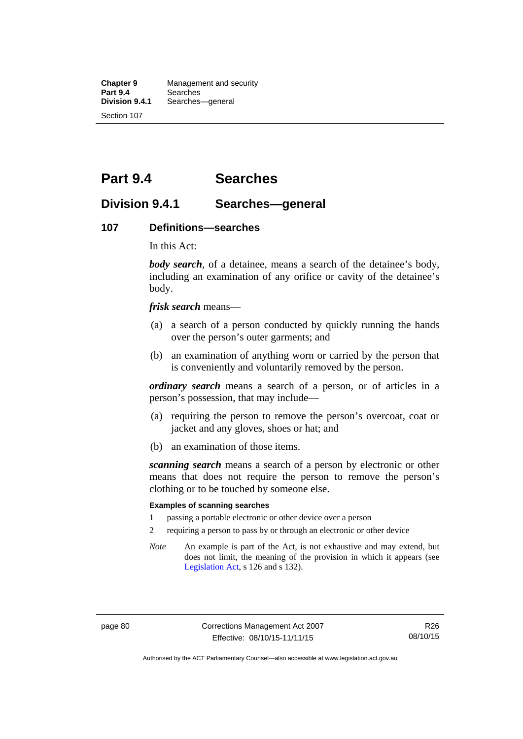**Chapter 9** Management and security<br>**Part 9.4** Searches **Part 9.4 Searches**<br>**Division 9.4.1** Searches Searches—general Section 107

# **Part 9.4 Searches**

### **Division 9.4.1 Searches—general**

#### **107 Definitions—searches**

In this Act:

*body search*, of a detainee, means a search of the detainee's body, including an examination of any orifice or cavity of the detainee's body.

*frisk search* means—

- (a) a search of a person conducted by quickly running the hands over the person's outer garments; and
- (b) an examination of anything worn or carried by the person that is conveniently and voluntarily removed by the person.

*ordinary search* means a search of a person, or of articles in a person's possession, that may include—

- (a) requiring the person to remove the person's overcoat, coat or jacket and any gloves, shoes or hat; and
- (b) an examination of those items.

*scanning search* means a search of a person by electronic or other means that does not require the person to remove the person's clothing or to be touched by someone else.

#### **Examples of scanning searches**

- 1 passing a portable electronic or other device over a person
- 2 requiring a person to pass by or through an electronic or other device
- *Note* An example is part of the Act, is not exhaustive and may extend, but does not limit, the meaning of the provision in which it appears (see [Legislation Act,](http://www.legislation.act.gov.au/a/2001-14) s 126 and s 132).

Authorised by the ACT Parliamentary Counsel—also accessible at www.legislation.act.gov.au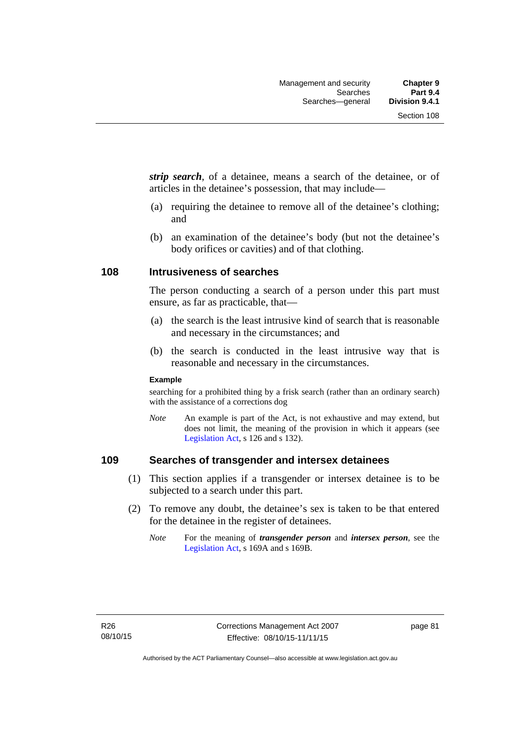*strip search*, of a detainee, means a search of the detainee, or of articles in the detainee's possession, that may include—

- (a) requiring the detainee to remove all of the detainee's clothing; and
- (b) an examination of the detainee's body (but not the detainee's body orifices or cavities) and of that clothing.

### **108 Intrusiveness of searches**

The person conducting a search of a person under this part must ensure, as far as practicable, that—

- (a) the search is the least intrusive kind of search that is reasonable and necessary in the circumstances; and
- (b) the search is conducted in the least intrusive way that is reasonable and necessary in the circumstances.

#### **Example**

searching for a prohibited thing by a frisk search (rather than an ordinary search) with the assistance of a corrections dog

*Note* An example is part of the Act, is not exhaustive and may extend, but does not limit, the meaning of the provision in which it appears (see [Legislation Act,](http://www.legislation.act.gov.au/a/2001-14) s 126 and s 132).

### **109 Searches of transgender and intersex detainees**

- (1) This section applies if a transgender or intersex detainee is to be subjected to a search under this part.
- (2) To remove any doubt, the detainee's sex is taken to be that entered for the detainee in the register of detainees.
	- *Note* For the meaning of *transgender person* and *intersex person*, see the [Legislation Act,](http://www.legislation.act.gov.au/a/2001-14) s 169A and s 169B.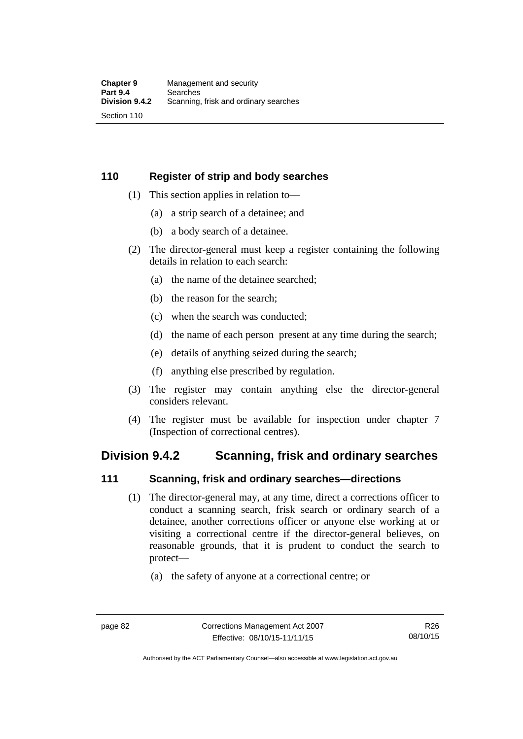### **110 Register of strip and body searches**

- (1) This section applies in relation to—
	- (a) a strip search of a detainee; and
	- (b) a body search of a detainee.
- (2) The director-general must keep a register containing the following details in relation to each search:
	- (a) the name of the detainee searched;
	- (b) the reason for the search;
	- (c) when the search was conducted;
	- (d) the name of each person present at any time during the search;
	- (e) details of anything seized during the search;
	- (f) anything else prescribed by regulation.
- (3) The register may contain anything else the director-general considers relevant.
- (4) The register must be available for inspection under chapter 7 (Inspection of correctional centres).

## **Division 9.4.2 Scanning, frisk and ordinary searches**

### **111 Scanning, frisk and ordinary searches—directions**

- (1) The director-general may, at any time, direct a corrections officer to conduct a scanning search, frisk search or ordinary search of a detainee, another corrections officer or anyone else working at or visiting a correctional centre if the director-general believes, on reasonable grounds, that it is prudent to conduct the search to protect—
	- (a) the safety of anyone at a correctional centre; or

Authorised by the ACT Parliamentary Counsel—also accessible at www.legislation.act.gov.au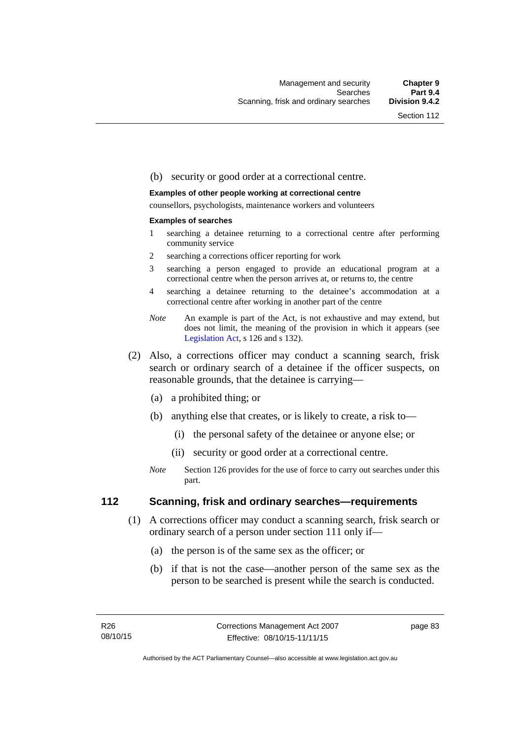#### (b) security or good order at a correctional centre.

#### **Examples of other people working at correctional centre**

counsellors, psychologists, maintenance workers and volunteers

#### **Examples of searches**

- 1 searching a detainee returning to a correctional centre after performing community service
- 2 searching a corrections officer reporting for work
- 3 searching a person engaged to provide an educational program at a correctional centre when the person arrives at, or returns to, the centre
- 4 searching a detainee returning to the detainee's accommodation at a correctional centre after working in another part of the centre
- *Note* An example is part of the Act, is not exhaustive and may extend, but does not limit, the meaning of the provision in which it appears (see [Legislation Act,](http://www.legislation.act.gov.au/a/2001-14) s 126 and s 132).
- (2) Also, a corrections officer may conduct a scanning search, frisk search or ordinary search of a detainee if the officer suspects, on reasonable grounds, that the detainee is carrying—
	- (a) a prohibited thing; or
	- (b) anything else that creates, or is likely to create, a risk to—
		- (i) the personal safety of the detainee or anyone else; or
		- (ii) security or good order at a correctional centre.
	- *Note* Section 126 provides for the use of force to carry out searches under this part.

### **112 Scanning, frisk and ordinary searches—requirements**

- (1) A corrections officer may conduct a scanning search, frisk search or ordinary search of a person under section 111 only if—
	- (a) the person is of the same sex as the officer; or
	- (b) if that is not the case—another person of the same sex as the person to be searched is present while the search is conducted.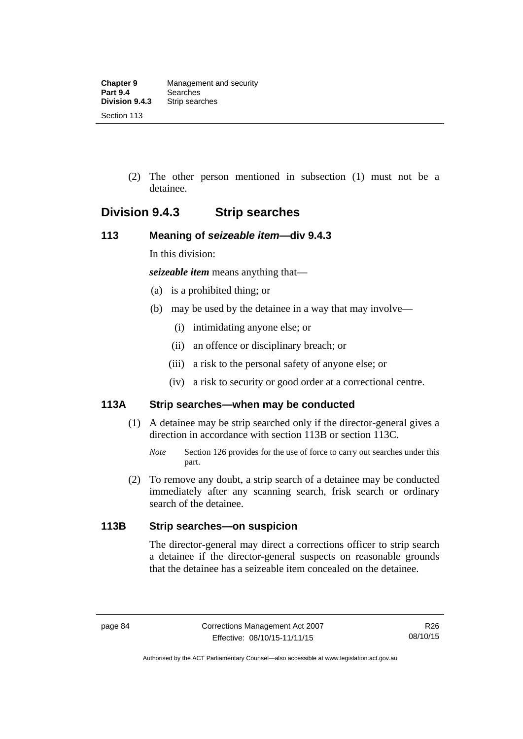(2) The other person mentioned in subsection (1) must not be a detainee.

# **Division 9.4.3 Strip searches**

### **113 Meaning of** *seizeable item***—div 9.4.3**

In this division:

*seizeable item* means anything that—

- (a) is a prohibited thing; or
- (b) may be used by the detainee in a way that may involve—
	- (i) intimidating anyone else; or
	- (ii) an offence or disciplinary breach; or
	- (iii) a risk to the personal safety of anyone else; or
	- (iv) a risk to security or good order at a correctional centre.

### **113A Strip searches—when may be conducted**

- (1) A detainee may be strip searched only if the director-general gives a direction in accordance with section 113B or section 113C.
	- *Note* Section 126 provides for the use of force to carry out searches under this part.
- (2) To remove any doubt, a strip search of a detainee may be conducted immediately after any scanning search, frisk search or ordinary search of the detainee.

### **113B Strip searches—on suspicion**

The director-general may direct a corrections officer to strip search a detainee if the director-general suspects on reasonable grounds that the detainee has a seizeable item concealed on the detainee.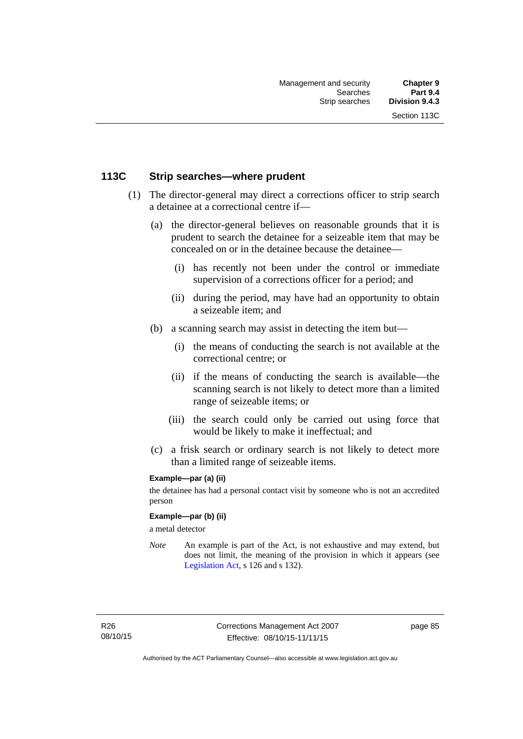### **113C Strip searches—where prudent**

- (1) The director-general may direct a corrections officer to strip search a detainee at a correctional centre if—
	- (a) the director-general believes on reasonable grounds that it is prudent to search the detainee for a seizeable item that may be concealed on or in the detainee because the detainee—
		- (i) has recently not been under the control or immediate supervision of a corrections officer for a period; and
		- (ii) during the period, may have had an opportunity to obtain a seizeable item; and
	- (b) a scanning search may assist in detecting the item but—
		- (i) the means of conducting the search is not available at the correctional centre; or
		- (ii) if the means of conducting the search is available—the scanning search is not likely to detect more than a limited range of seizeable items; or
		- (iii) the search could only be carried out using force that would be likely to make it ineffectual; and
	- (c) a frisk search or ordinary search is not likely to detect more than a limited range of seizeable items.

### **Example—par (a) (ii)**

the detainee has had a personal contact visit by someone who is not an accredited person

#### **Example—par (b) (ii)**

a metal detector

*Note* An example is part of the Act, is not exhaustive and may extend, but does not limit, the meaning of the provision in which it appears (see [Legislation Act,](http://www.legislation.act.gov.au/a/2001-14) s 126 and s 132).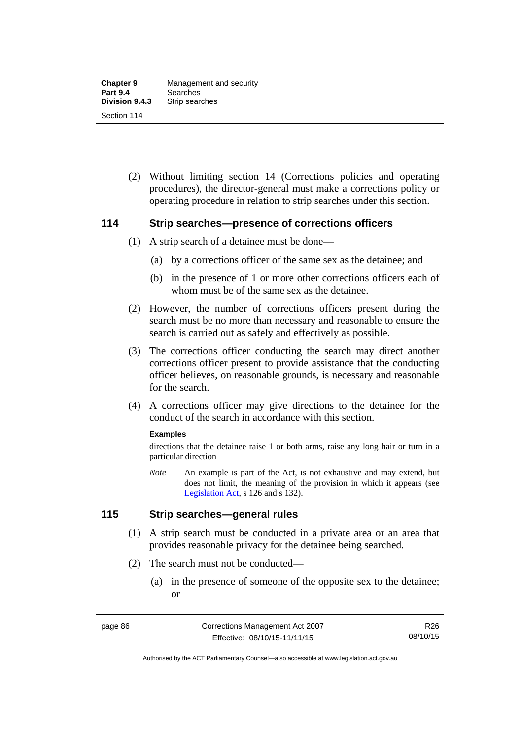(2) Without limiting section 14 (Corrections policies and operating procedures), the director-general must make a corrections policy or operating procedure in relation to strip searches under this section.

### **114 Strip searches—presence of corrections officers**

- (1) A strip search of a detainee must be done—
	- (a) by a corrections officer of the same sex as the detainee; and
	- (b) in the presence of 1 or more other corrections officers each of whom must be of the same sex as the detainee.
- (2) However, the number of corrections officers present during the search must be no more than necessary and reasonable to ensure the search is carried out as safely and effectively as possible.
- (3) The corrections officer conducting the search may direct another corrections officer present to provide assistance that the conducting officer believes, on reasonable grounds, is necessary and reasonable for the search.
- (4) A corrections officer may give directions to the detainee for the conduct of the search in accordance with this section.

#### **Examples**

directions that the detainee raise 1 or both arms, raise any long hair or turn in a particular direction

*Note* An example is part of the Act, is not exhaustive and may extend, but does not limit, the meaning of the provision in which it appears (see [Legislation Act,](http://www.legislation.act.gov.au/a/2001-14) s 126 and s 132).

### **115 Strip searches—general rules**

- (1) A strip search must be conducted in a private area or an area that provides reasonable privacy for the detainee being searched.
- (2) The search must not be conducted—
	- (a) in the presence of someone of the opposite sex to the detainee; or

Authorised by the ACT Parliamentary Counsel—also accessible at www.legislation.act.gov.au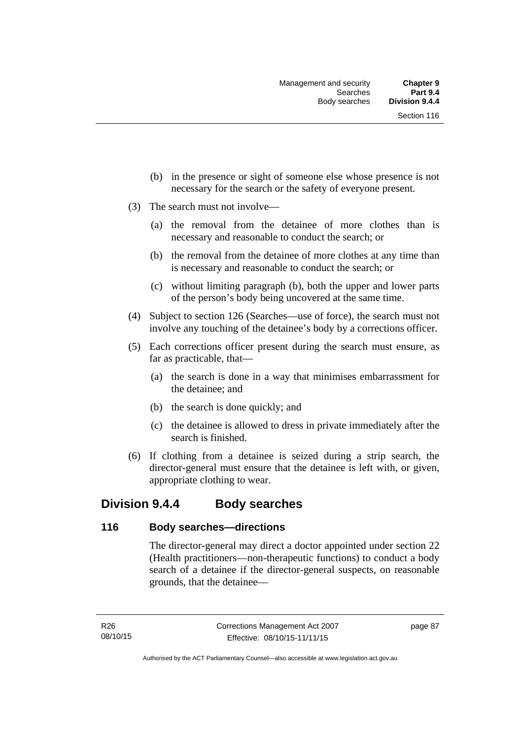- (b) in the presence or sight of someone else whose presence is not necessary for the search or the safety of everyone present.
- (3) The search must not involve—
	- (a) the removal from the detainee of more clothes than is necessary and reasonable to conduct the search; or
	- (b) the removal from the detainee of more clothes at any time than is necessary and reasonable to conduct the search; or
	- (c) without limiting paragraph (b), both the upper and lower parts of the person's body being uncovered at the same time.
- (4) Subject to section 126 (Searches—use of force), the search must not involve any touching of the detainee's body by a corrections officer.
- (5) Each corrections officer present during the search must ensure, as far as practicable, that—
	- (a) the search is done in a way that minimises embarrassment for the detainee; and
	- (b) the search is done quickly; and
	- (c) the detainee is allowed to dress in private immediately after the search is finished.
- (6) If clothing from a detainee is seized during a strip search, the director-general must ensure that the detainee is left with, or given, appropriate clothing to wear.

## **Division 9.4.4 Body searches**

### **116 Body searches—directions**

The director-general may direct a doctor appointed under section 22 (Health practitioners—non-therapeutic functions) to conduct a body search of a detainee if the director-general suspects, on reasonable grounds, that the detainee—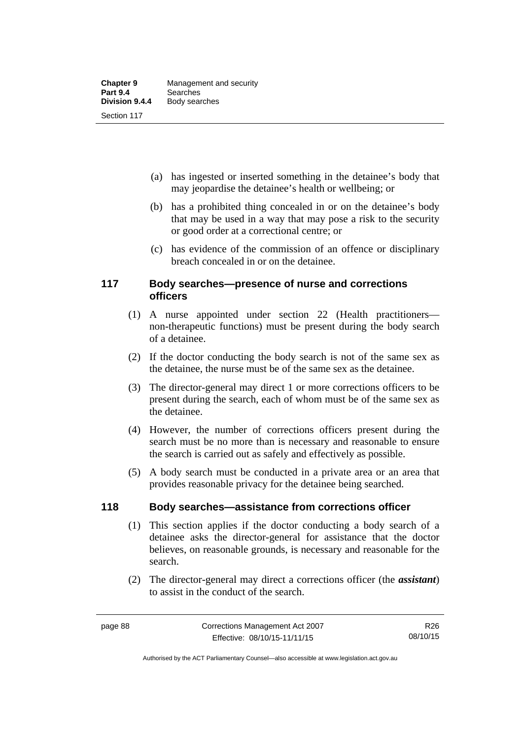- (a) has ingested or inserted something in the detainee's body that may jeopardise the detainee's health or wellbeing; or
- (b) has a prohibited thing concealed in or on the detainee's body that may be used in a way that may pose a risk to the security or good order at a correctional centre; or
- (c) has evidence of the commission of an offence or disciplinary breach concealed in or on the detainee.

### **117 Body searches—presence of nurse and corrections officers**

- (1) A nurse appointed under section 22 (Health practitioners non-therapeutic functions) must be present during the body search of a detainee.
- (2) If the doctor conducting the body search is not of the same sex as the detainee, the nurse must be of the same sex as the detainee.
- (3) The director-general may direct 1 or more corrections officers to be present during the search, each of whom must be of the same sex as the detainee.
- (4) However, the number of corrections officers present during the search must be no more than is necessary and reasonable to ensure the search is carried out as safely and effectively as possible.
- (5) A body search must be conducted in a private area or an area that provides reasonable privacy for the detainee being searched.

### **118 Body searches—assistance from corrections officer**

- (1) This section applies if the doctor conducting a body search of a detainee asks the director-general for assistance that the doctor believes, on reasonable grounds, is necessary and reasonable for the search.
- (2) The director-general may direct a corrections officer (the *assistant*) to assist in the conduct of the search.

Authorised by the ACT Parliamentary Counsel—also accessible at www.legislation.act.gov.au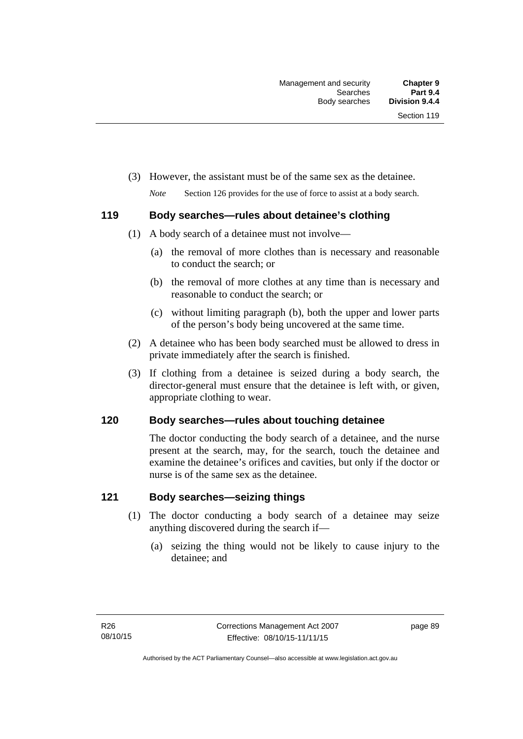(3) However, the assistant must be of the same sex as the detainee.

*Note* Section 126 provides for the use of force to assist at a body search.

### **119 Body searches—rules about detainee's clothing**

- (1) A body search of a detainee must not involve—
	- (a) the removal of more clothes than is necessary and reasonable to conduct the search; or
	- (b) the removal of more clothes at any time than is necessary and reasonable to conduct the search; or
	- (c) without limiting paragraph (b), both the upper and lower parts of the person's body being uncovered at the same time.
- (2) A detainee who has been body searched must be allowed to dress in private immediately after the search is finished.
- (3) If clothing from a detainee is seized during a body search, the director-general must ensure that the detainee is left with, or given, appropriate clothing to wear.

### **120 Body searches—rules about touching detainee**

The doctor conducting the body search of a detainee, and the nurse present at the search, may, for the search, touch the detainee and examine the detainee's orifices and cavities, but only if the doctor or nurse is of the same sex as the detainee.

### **121 Body searches—seizing things**

- (1) The doctor conducting a body search of a detainee may seize anything discovered during the search if—
	- (a) seizing the thing would not be likely to cause injury to the detainee; and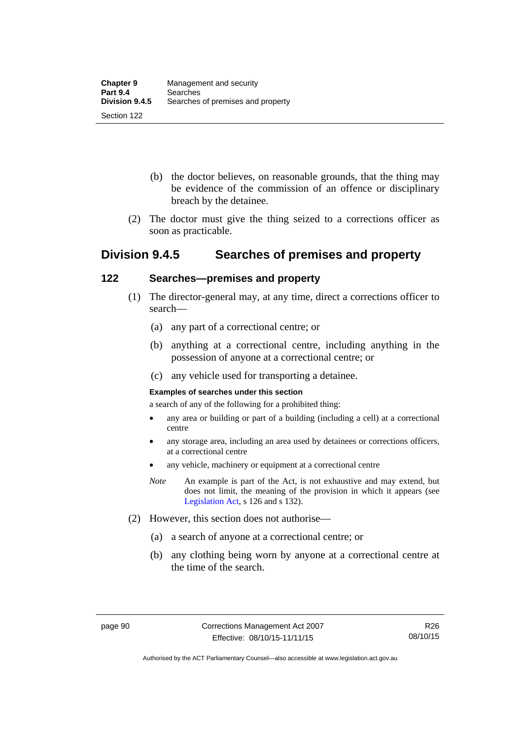- (b) the doctor believes, on reasonable grounds, that the thing may be evidence of the commission of an offence or disciplinary breach by the detainee.
- (2) The doctor must give the thing seized to a corrections officer as soon as practicable.

# **Division 9.4.5 Searches of premises and property**

### **122 Searches—premises and property**

- (1) The director-general may, at any time, direct a corrections officer to search—
	- (a) any part of a correctional centre; or
	- (b) anything at a correctional centre, including anything in the possession of anyone at a correctional centre; or
	- (c) any vehicle used for transporting a detainee.

### **Examples of searches under this section**

a search of any of the following for a prohibited thing:

- any area or building or part of a building (including a cell) at a correctional centre
- any storage area, including an area used by detainees or corrections officers, at a correctional centre
- any vehicle, machinery or equipment at a correctional centre
- *Note* An example is part of the Act, is not exhaustive and may extend, but does not limit, the meaning of the provision in which it appears (see [Legislation Act,](http://www.legislation.act.gov.au/a/2001-14) s 126 and s 132).
- (2) However, this section does not authorise—
	- (a) a search of anyone at a correctional centre; or
	- (b) any clothing being worn by anyone at a correctional centre at the time of the search.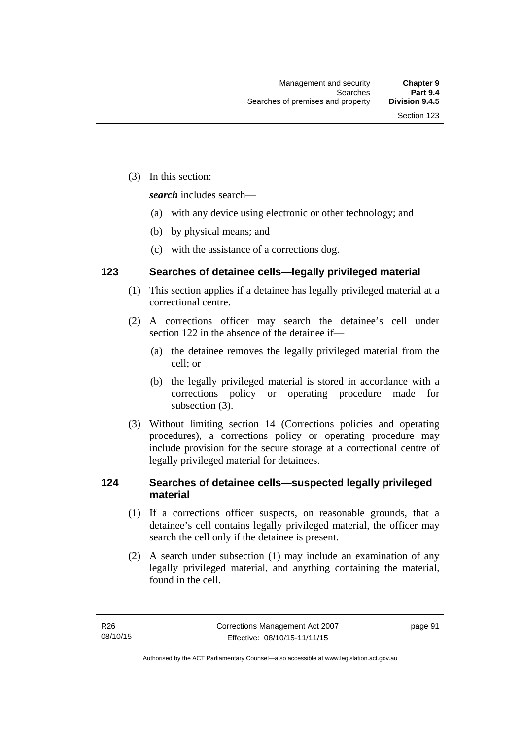(3) In this section:

*search* includes search—

- (a) with any device using electronic or other technology; and
- (b) by physical means; and
- (c) with the assistance of a corrections dog.

### **123 Searches of detainee cells—legally privileged material**

- (1) This section applies if a detainee has legally privileged material at a correctional centre.
- (2) A corrections officer may search the detainee's cell under section 122 in the absence of the detainee if—
	- (a) the detainee removes the legally privileged material from the cell; or
	- (b) the legally privileged material is stored in accordance with a corrections policy or operating procedure made for subsection (3).
- (3) Without limiting section 14 (Corrections policies and operating procedures), a corrections policy or operating procedure may include provision for the secure storage at a correctional centre of legally privileged material for detainees.

### **124 Searches of detainee cells—suspected legally privileged material**

- (1) If a corrections officer suspects, on reasonable grounds, that a detainee's cell contains legally privileged material, the officer may search the cell only if the detainee is present.
- (2) A search under subsection (1) may include an examination of any legally privileged material, and anything containing the material, found in the cell.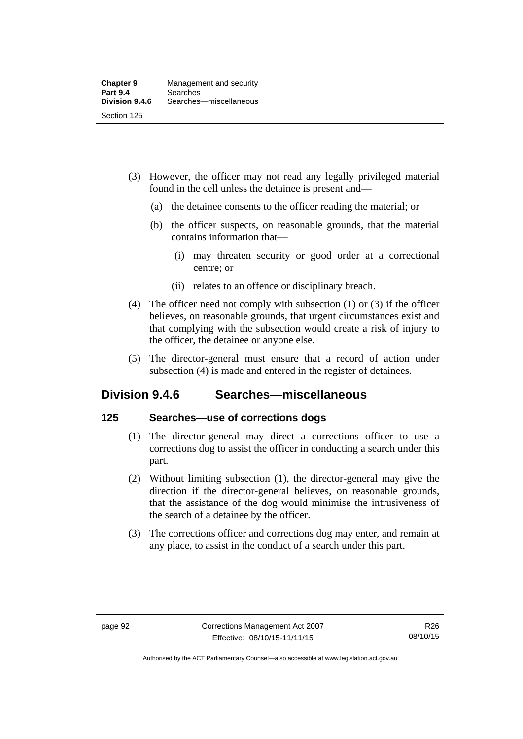- (3) However, the officer may not read any legally privileged material found in the cell unless the detainee is present and—
	- (a) the detainee consents to the officer reading the material; or
	- (b) the officer suspects, on reasonable grounds, that the material contains information that—
		- (i) may threaten security or good order at a correctional centre; or
		- (ii) relates to an offence or disciplinary breach.
- (4) The officer need not comply with subsection (1) or (3) if the officer believes, on reasonable grounds, that urgent circumstances exist and that complying with the subsection would create a risk of injury to the officer, the detainee or anyone else.
- (5) The director-general must ensure that a record of action under subsection (4) is made and entered in the register of detainees.

# **Division 9.4.6 Searches—miscellaneous**

### **125 Searches—use of corrections dogs**

- (1) The director-general may direct a corrections officer to use a corrections dog to assist the officer in conducting a search under this part.
- (2) Without limiting subsection (1), the director-general may give the direction if the director-general believes, on reasonable grounds, that the assistance of the dog would minimise the intrusiveness of the search of a detainee by the officer.
- (3) The corrections officer and corrections dog may enter, and remain at any place, to assist in the conduct of a search under this part.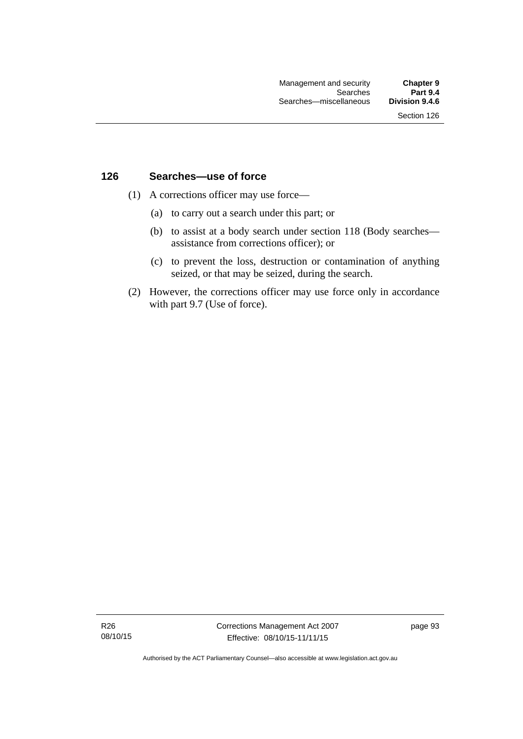### **126 Searches—use of force**

- (1) A corrections officer may use force—
	- (a) to carry out a search under this part; or
	- (b) to assist at a body search under section 118 (Body searches assistance from corrections officer); or
	- (c) to prevent the loss, destruction or contamination of anything seized, or that may be seized, during the search.
- (2) However, the corrections officer may use force only in accordance with part 9.7 (Use of force).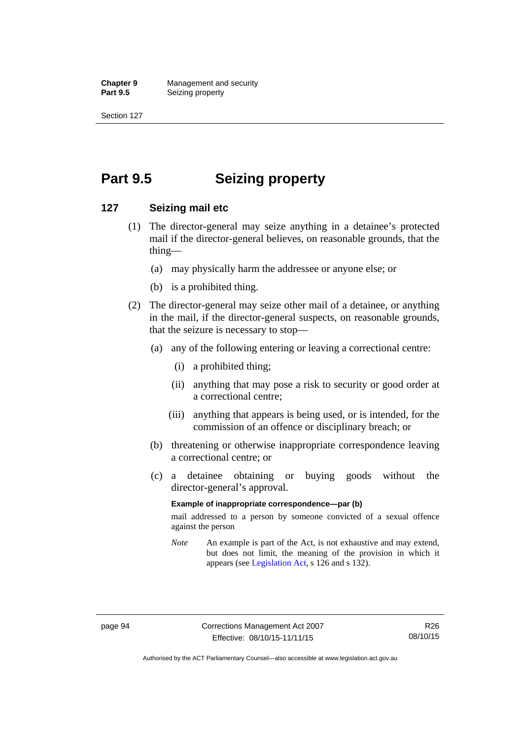**Chapter 9 Management and security**<br>**Part 9.5 Conserved Seizing property Seizing property** 

Section 127

# **Part 9.5 Seizing property**

### **127 Seizing mail etc**

- (1) The director-general may seize anything in a detainee's protected mail if the director-general believes, on reasonable grounds, that the thing—
	- (a) may physically harm the addressee or anyone else; or
	- (b) is a prohibited thing.
- (2) The director-general may seize other mail of a detainee, or anything in the mail, if the director-general suspects, on reasonable grounds, that the seizure is necessary to stop—
	- (a) any of the following entering or leaving a correctional centre:
		- (i) a prohibited thing;
		- (ii) anything that may pose a risk to security or good order at a correctional centre;
		- (iii) anything that appears is being used, or is intended, for the commission of an offence or disciplinary breach; or
	- (b) threatening or otherwise inappropriate correspondence leaving a correctional centre; or
	- (c) a detainee obtaining or buying goods without the director-general's approval.

#### **Example of inappropriate correspondence—par (b)**

mail addressed to a person by someone convicted of a sexual offence against the person

*Note* An example is part of the Act, is not exhaustive and may extend, but does not limit, the meaning of the provision in which it appears (see [Legislation Act,](http://www.legislation.act.gov.au/a/2001-14) s 126 and s 132).

Authorised by the ACT Parliamentary Counsel—also accessible at www.legislation.act.gov.au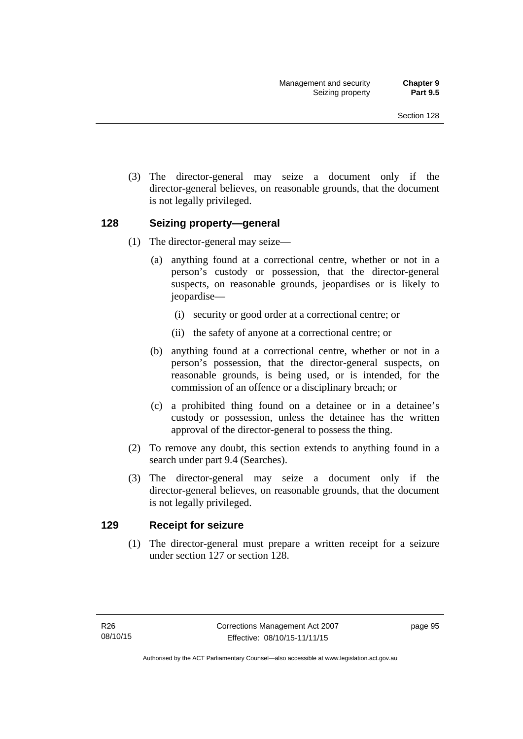(3) The director-general may seize a document only if the director-general believes, on reasonable grounds, that the document is not legally privileged.

## **128 Seizing property—general**

- (1) The director-general may seize—
	- (a) anything found at a correctional centre, whether or not in a person's custody or possession, that the director-general suspects, on reasonable grounds, jeopardises or is likely to jeopardise—
		- (i) security or good order at a correctional centre; or
		- (ii) the safety of anyone at a correctional centre; or
	- (b) anything found at a correctional centre, whether or not in a person's possession, that the director-general suspects, on reasonable grounds, is being used, or is intended, for the commission of an offence or a disciplinary breach; or
	- (c) a prohibited thing found on a detainee or in a detainee's custody or possession, unless the detainee has the written approval of the director-general to possess the thing.
- (2) To remove any doubt, this section extends to anything found in a search under part 9.4 (Searches).
- (3) The director-general may seize a document only if the director-general believes, on reasonable grounds, that the document is not legally privileged.

## **129 Receipt for seizure**

(1) The director-general must prepare a written receipt for a seizure under section 127 or section 128.

page 95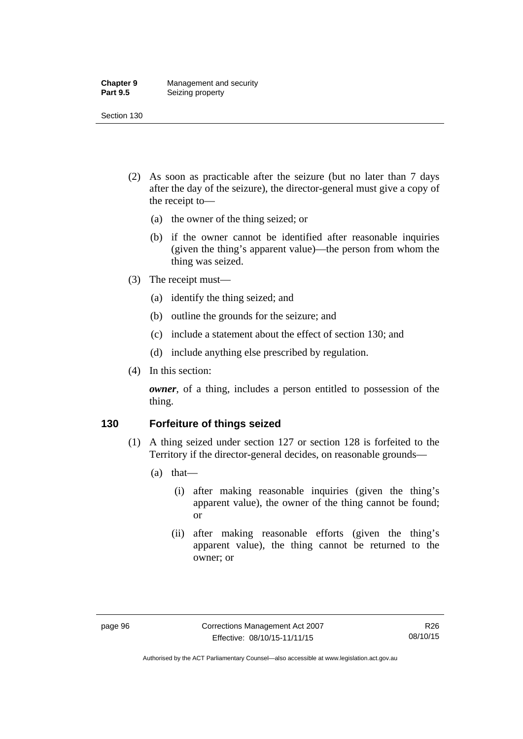#### **Chapter 9** Management and security<br>**Part 9.5** Seizing property **Seizing property**

Section 130

- (2) As soon as practicable after the seizure (but no later than 7 days after the day of the seizure), the director-general must give a copy of the receipt to—
	- (a) the owner of the thing seized; or
	- (b) if the owner cannot be identified after reasonable inquiries (given the thing's apparent value)—the person from whom the thing was seized.
- (3) The receipt must—
	- (a) identify the thing seized; and
	- (b) outline the grounds for the seizure; and
	- (c) include a statement about the effect of section 130; and
	- (d) include anything else prescribed by regulation.
- (4) In this section:

*owner*, of a thing, includes a person entitled to possession of the thing.

## **130 Forfeiture of things seized**

- (1) A thing seized under section 127 or section 128 is forfeited to the Territory if the director-general decides, on reasonable grounds—
	- (a) that—
		- (i) after making reasonable inquiries (given the thing's apparent value), the owner of the thing cannot be found; or
		- (ii) after making reasonable efforts (given the thing's apparent value), the thing cannot be returned to the owner; or

Authorised by the ACT Parliamentary Counsel—also accessible at www.legislation.act.gov.au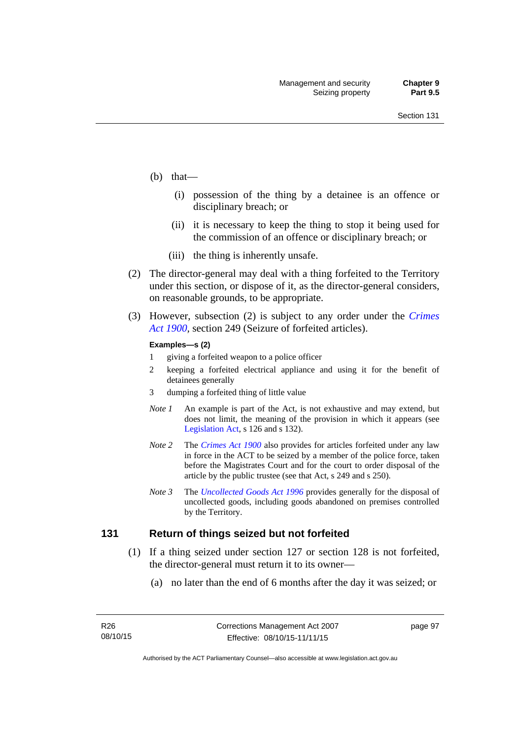- (b) that—
	- (i) possession of the thing by a detainee is an offence or disciplinary breach; or
	- (ii) it is necessary to keep the thing to stop it being used for the commission of an offence or disciplinary breach; or
	- (iii) the thing is inherently unsafe.
- (2) The director-general may deal with a thing forfeited to the Territory under this section, or dispose of it, as the director-general considers, on reasonable grounds, to be appropriate.
- (3) However, subsection (2) is subject to any order under the *[Crimes](http://www.legislation.act.gov.au/a/1900-40)  [Act 1900](http://www.legislation.act.gov.au/a/1900-40),* section 249 (Seizure of forfeited articles).

#### **Examples—s (2)**

- 1 giving a forfeited weapon to a police officer
- 2 keeping a forfeited electrical appliance and using it for the benefit of detainees generally
- 3 dumping a forfeited thing of little value
- *Note 1* An example is part of the Act, is not exhaustive and may extend, but does not limit, the meaning of the provision in which it appears (see [Legislation Act,](http://www.legislation.act.gov.au/a/2001-14) s 126 and s 132).
- *Note 2* The *[Crimes Act 1900](http://www.legislation.act.gov.au/a/1900-40)* also provides for articles forfeited under any law in force in the ACT to be seized by a member of the police force, taken before the Magistrates Court and for the court to order disposal of the article by the public trustee (see that Act, s 249 and s 250).
- *Note 3* The *[Uncollected Goods Act 1996](http://www.legislation.act.gov.au/a/1996-86)* provides generally for the disposal of uncollected goods, including goods abandoned on premises controlled by the Territory.

### **131 Return of things seized but not forfeited**

- (1) If a thing seized under section 127 or section 128 is not forfeited, the director-general must return it to its owner—
	- (a) no later than the end of 6 months after the day it was seized; or

page 97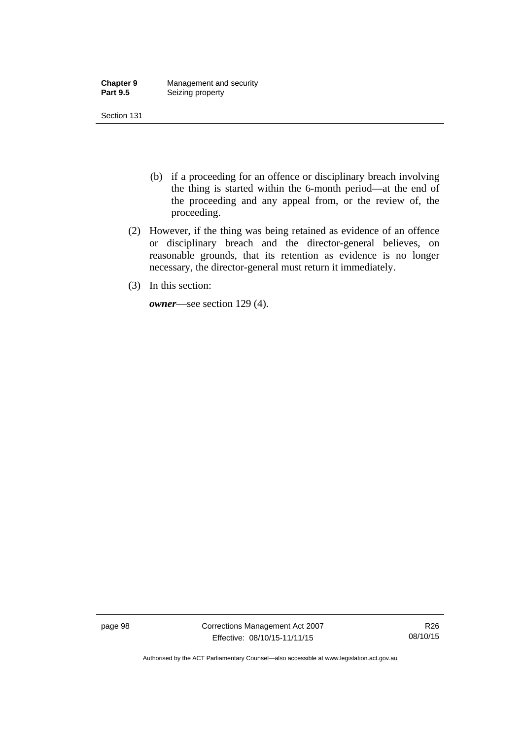| <b>Chapter 9</b> | Management and security |
|------------------|-------------------------|
| <b>Part 9.5</b>  | Seizing property        |

- (b) if a proceeding for an offence or disciplinary breach involving the thing is started within the 6-month period—at the end of the proceeding and any appeal from, or the review of, the proceeding.
- (2) However, if the thing was being retained as evidence of an offence or disciplinary breach and the director-general believes, on reasonable grounds, that its retention as evidence is no longer necessary, the director-general must return it immediately.
- (3) In this section:

*owner*—see section 129 (4).

page 98 Corrections Management Act 2007 Effective: 08/10/15-11/11/15

R26 08/10/15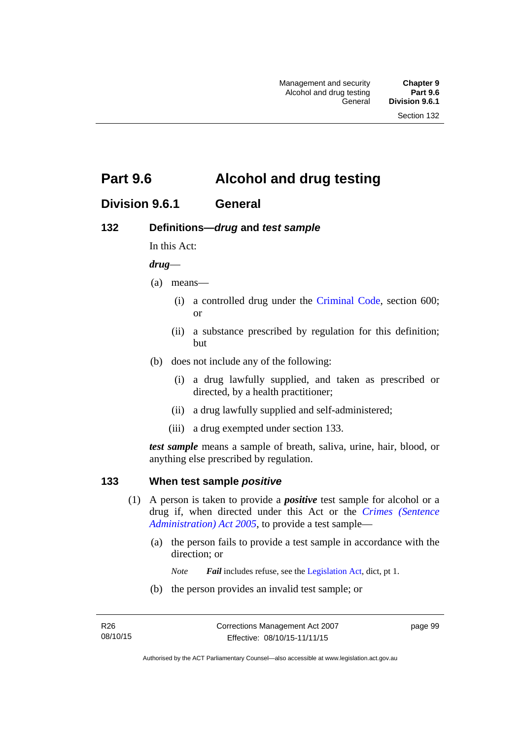# **Part 9.6 Alcohol and drug testing**

# **Division 9.6.1 General**

## **132 Definitions—***drug* **and** *test sample*

In this Act:

### *drug*—

- (a) means—
	- (i) a controlled drug under the [Criminal Code](http://www.legislation.act.gov.au/a/2002-51), section 600; or
	- (ii) a substance prescribed by regulation for this definition; but
- (b) does not include any of the following:
	- (i) a drug lawfully supplied, and taken as prescribed or directed, by a health practitioner;
	- (ii) a drug lawfully supplied and self-administered;
	- (iii) a drug exempted under section 133.

*test sample* means a sample of breath, saliva, urine, hair, blood, or anything else prescribed by regulation.

## **133 When test sample** *positive*

- (1) A person is taken to provide a *positive* test sample for alcohol or a drug if, when directed under this Act or the *[Crimes \(Sentence](http://www.legislation.act.gov.au/a/2005-59)  [Administration\) Act 2005](http://www.legislation.act.gov.au/a/2005-59)*, to provide a test sample—
	- (a) the person fails to provide a test sample in accordance with the direction; or
		- *Note Fail* includes refuse, see the [Legislation Act,](http://www.legislation.act.gov.au/a/2001-14) dict, pt 1.
	- (b) the person provides an invalid test sample; or

page 99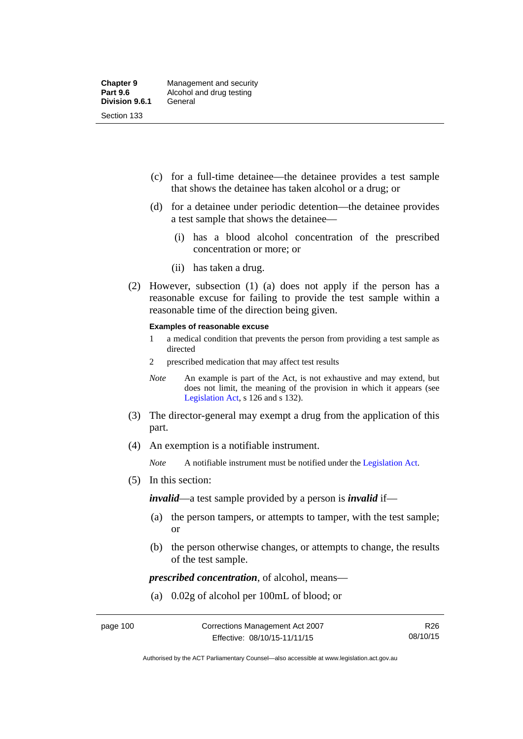- (c) for a full-time detainee—the detainee provides a test sample that shows the detainee has taken alcohol or a drug; or
- (d) for a detainee under periodic detention—the detainee provides a test sample that shows the detainee—
	- (i) has a blood alcohol concentration of the prescribed concentration or more; or
	- (ii) has taken a drug.
- (2) However, subsection (1) (a) does not apply if the person has a reasonable excuse for failing to provide the test sample within a reasonable time of the direction being given.

#### **Examples of reasonable excuse**

- 1 a medical condition that prevents the person from providing a test sample as directed
- 2 prescribed medication that may affect test results
- *Note* An example is part of the Act, is not exhaustive and may extend, but does not limit, the meaning of the provision in which it appears (see [Legislation Act,](http://www.legislation.act.gov.au/a/2001-14) s 126 and s 132).
- (3) The director-general may exempt a drug from the application of this part.
- (4) An exemption is a notifiable instrument.

*Note* A notifiable instrument must be notified under the [Legislation Act](http://www.legislation.act.gov.au/a/2001-14).

(5) In this section:

*invalid*—a test sample provided by a person is *invalid* if—

- (a) the person tampers, or attempts to tamper, with the test sample; or
- (b) the person otherwise changes, or attempts to change, the results of the test sample.

*prescribed concentration*, of alcohol, means—

(a) 0.02g of alcohol per 100mL of blood; or

Authorised by the ACT Parliamentary Counsel—also accessible at www.legislation.act.gov.au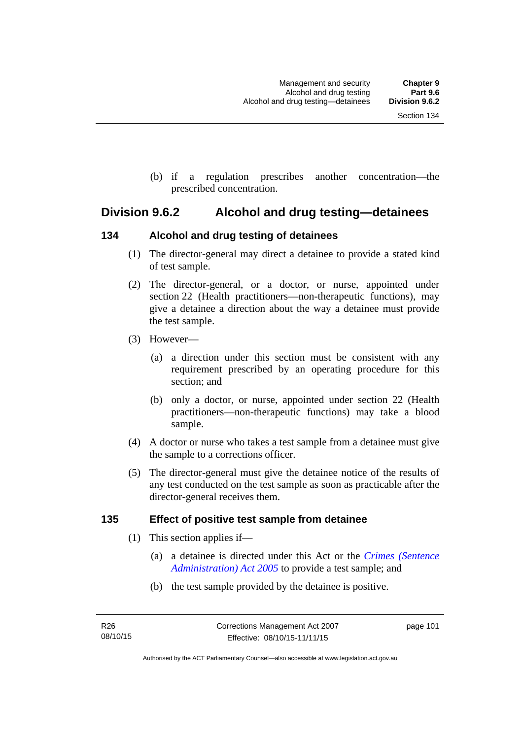(b) if a regulation prescribes another concentration—the prescribed concentration.

# **Division 9.6.2 Alcohol and drug testing—detainees**

## **134 Alcohol and drug testing of detainees**

- (1) The director-general may direct a detainee to provide a stated kind of test sample.
- (2) The director-general, or a doctor, or nurse, appointed under section 22 (Health practitioners—non-therapeutic functions), may give a detainee a direction about the way a detainee must provide the test sample.
- (3) However—
	- (a) a direction under this section must be consistent with any requirement prescribed by an operating procedure for this section; and
	- (b) only a doctor, or nurse, appointed under section 22 (Health practitioners—non-therapeutic functions) may take a blood sample.
- (4) A doctor or nurse who takes a test sample from a detainee must give the sample to a corrections officer.
- (5) The director-general must give the detainee notice of the results of any test conducted on the test sample as soon as practicable after the director-general receives them.

## **135 Effect of positive test sample from detainee**

- (1) This section applies if—
	- (a) a detainee is directed under this Act or the *[Crimes \(Sentence](http://www.legislation.act.gov.au/a/2005-59)  [Administration\) Act 2005](http://www.legislation.act.gov.au/a/2005-59)* to provide a test sample; and
	- (b) the test sample provided by the detainee is positive.

page 101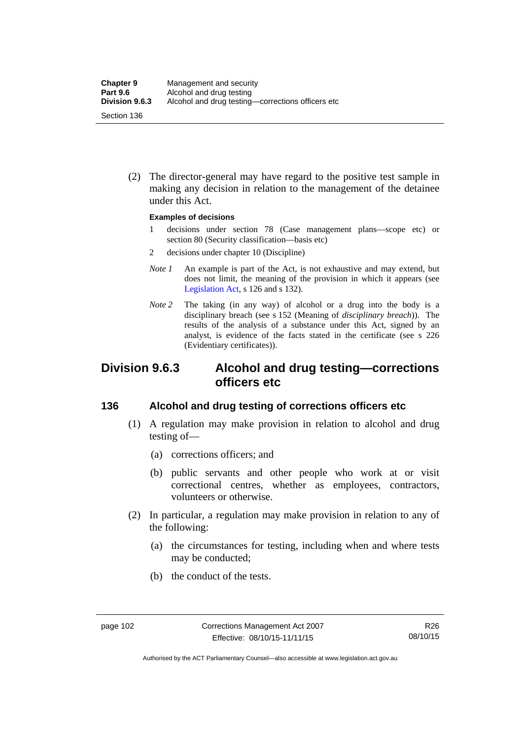(2) The director-general may have regard to the positive test sample in making any decision in relation to the management of the detainee under this Act.

#### **Examples of decisions**

- 1 decisions under section 78 (Case management plans—scope etc) or section 80 (Security classification—basis etc)
- 2 decisions under chapter 10 (Discipline)
- *Note 1* An example is part of the Act, is not exhaustive and may extend, but does not limit, the meaning of the provision in which it appears (see [Legislation Act,](http://www.legislation.act.gov.au/a/2001-14) s 126 and s 132).
- *Note* 2 The taking (in any way) of alcohol or a drug into the body is a disciplinary breach (see s 152 (Meaning of *disciplinary breach*)). The results of the analysis of a substance under this Act, signed by an analyst, is evidence of the facts stated in the certificate (see s 226 (Evidentiary certificates)).

# **Division 9.6.3 Alcohol and drug testing—corrections officers etc**

## **136 Alcohol and drug testing of corrections officers etc**

- (1) A regulation may make provision in relation to alcohol and drug testing of—
	- (a) corrections officers; and
	- (b) public servants and other people who work at or visit correctional centres, whether as employees, contractors, volunteers or otherwise.
- (2) In particular, a regulation may make provision in relation to any of the following:
	- (a) the circumstances for testing, including when and where tests may be conducted;
	- (b) the conduct of the tests.

Authorised by the ACT Parliamentary Counsel—also accessible at www.legislation.act.gov.au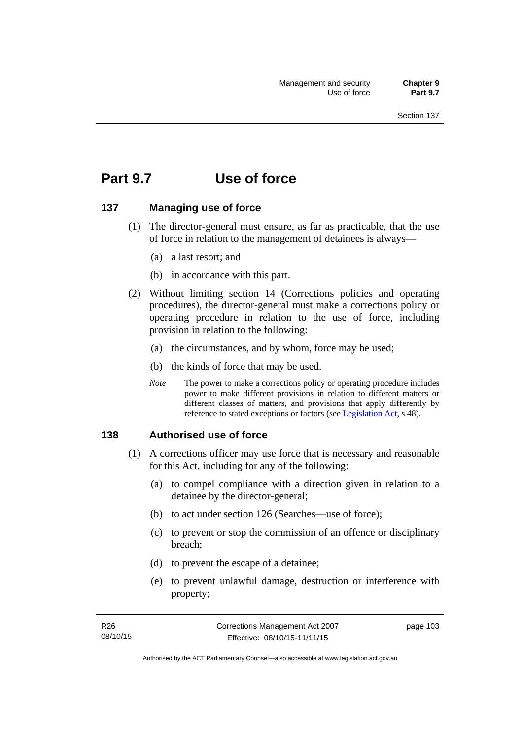# **Part 9.7 Use of force**

## **137 Managing use of force**

- (1) The director-general must ensure, as far as practicable, that the use of force in relation to the management of detainees is always—
	- (a) a last resort; and
	- (b) in accordance with this part.
- (2) Without limiting section 14 (Corrections policies and operating procedures), the director-general must make a corrections policy or operating procedure in relation to the use of force, including provision in relation to the following:
	- (a) the circumstances, and by whom, force may be used;
	- (b) the kinds of force that may be used.
	- *Note* The power to make a corrections policy or operating procedure includes power to make different provisions in relation to different matters or different classes of matters, and provisions that apply differently by reference to stated exceptions or factors (see [Legislation Act](http://www.legislation.act.gov.au/a/2001-14), s 48).

### **138 Authorised use of force**

- (1) A corrections officer may use force that is necessary and reasonable for this Act, including for any of the following:
	- (a) to compel compliance with a direction given in relation to a detainee by the director-general;
	- (b) to act under section 126 (Searches—use of force);
	- (c) to prevent or stop the commission of an offence or disciplinary breach;
	- (d) to prevent the escape of a detainee;
	- (e) to prevent unlawful damage, destruction or interference with property;

page 103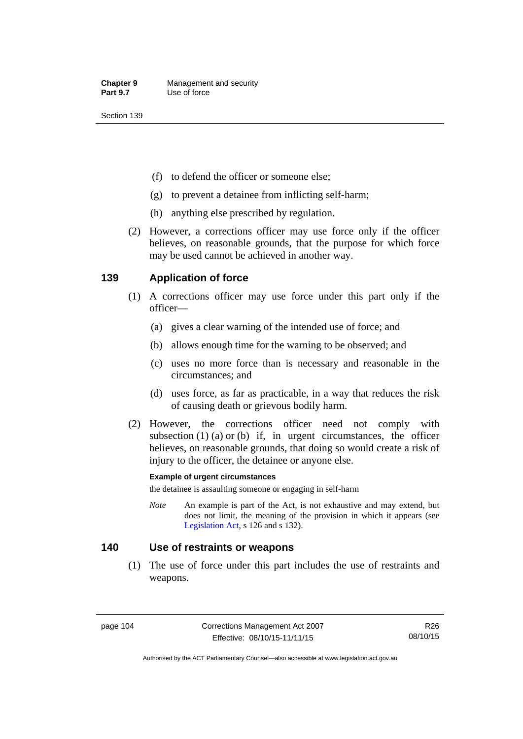- (f) to defend the officer or someone else;
- (g) to prevent a detainee from inflicting self-harm;
- (h) anything else prescribed by regulation.
- (2) However, a corrections officer may use force only if the officer believes, on reasonable grounds, that the purpose for which force may be used cannot be achieved in another way.

## **139 Application of force**

- (1) A corrections officer may use force under this part only if the officer—
	- (a) gives a clear warning of the intended use of force; and
	- (b) allows enough time for the warning to be observed; and
	- (c) uses no more force than is necessary and reasonable in the circumstances; and
	- (d) uses force, as far as practicable, in a way that reduces the risk of causing death or grievous bodily harm.
- (2) However, the corrections officer need not comply with subsection  $(1)$   $(a)$  or  $(b)$  if, in urgent circumstances, the officer believes, on reasonable grounds, that doing so would create a risk of injury to the officer, the detainee or anyone else.

#### **Example of urgent circumstances**

the detainee is assaulting someone or engaging in self-harm

*Note* An example is part of the Act, is not exhaustive and may extend, but does not limit, the meaning of the provision in which it appears (see [Legislation Act,](http://www.legislation.act.gov.au/a/2001-14) s 126 and s 132).

### **140 Use of restraints or weapons**

 (1) The use of force under this part includes the use of restraints and weapons.

page 104 Corrections Management Act 2007 Effective: 08/10/15-11/11/15

R26 08/10/15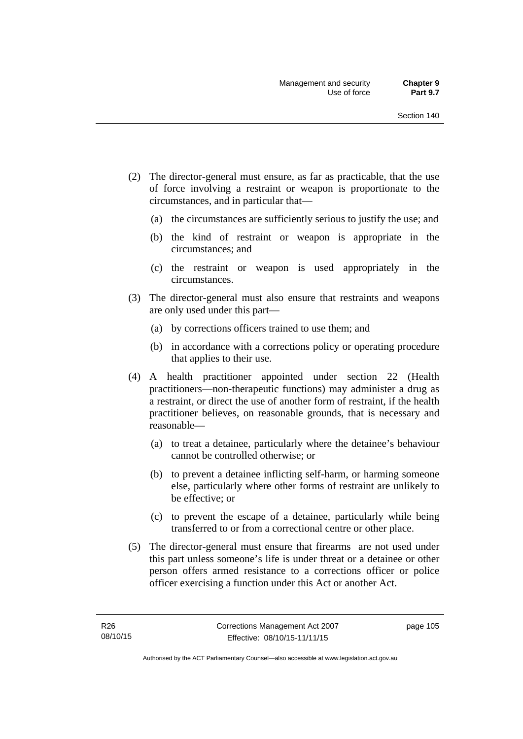- (2) The director-general must ensure, as far as practicable, that the use of force involving a restraint or weapon is proportionate to the circumstances, and in particular that—
	- (a) the circumstances are sufficiently serious to justify the use; and
	- (b) the kind of restraint or weapon is appropriate in the circumstances; and
	- (c) the restraint or weapon is used appropriately in the circumstances.
- (3) The director-general must also ensure that restraints and weapons are only used under this part—
	- (a) by corrections officers trained to use them; and
	- (b) in accordance with a corrections policy or operating procedure that applies to their use.
- (4) A health practitioner appointed under section 22 (Health practitioners—non-therapeutic functions) may administer a drug as a restraint, or direct the use of another form of restraint, if the health practitioner believes, on reasonable grounds, that is necessary and reasonable—
	- (a) to treat a detainee, particularly where the detainee's behaviour cannot be controlled otherwise; or
	- (b) to prevent a detainee inflicting self-harm, or harming someone else, particularly where other forms of restraint are unlikely to be effective; or
	- (c) to prevent the escape of a detainee, particularly while being transferred to or from a correctional centre or other place.
- (5) The director-general must ensure that firearms are not used under this part unless someone's life is under threat or a detainee or other person offers armed resistance to a corrections officer or police officer exercising a function under this Act or another Act.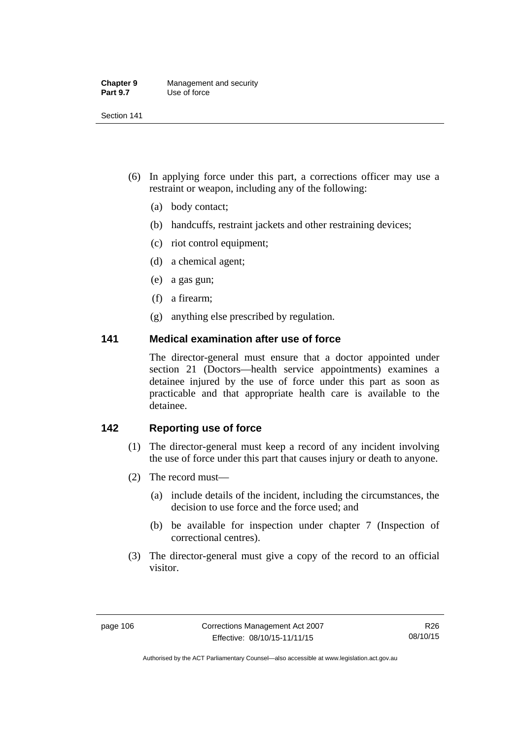| <b>Chapter 9</b> | Management and security |
|------------------|-------------------------|
| <b>Part 9.7</b>  | Use of force            |

- (6) In applying force under this part, a corrections officer may use a restraint or weapon, including any of the following:
	- (a) body contact;
	- (b) handcuffs, restraint jackets and other restraining devices;
	- (c) riot control equipment;
	- (d) a chemical agent;
	- (e) a gas gun;
	- (f) a firearm;
	- (g) anything else prescribed by regulation.

## **141 Medical examination after use of force**

The director-general must ensure that a doctor appointed under section 21 (Doctors—health service appointments) examines a detainee injured by the use of force under this part as soon as practicable and that appropriate health care is available to the detainee.

## **142 Reporting use of force**

- (1) The director-general must keep a record of any incident involving the use of force under this part that causes injury or death to anyone.
- (2) The record must—
	- (a) include details of the incident, including the circumstances, the decision to use force and the force used; and
	- (b) be available for inspection under chapter 7 (Inspection of correctional centres).
- (3) The director-general must give a copy of the record to an official visitor.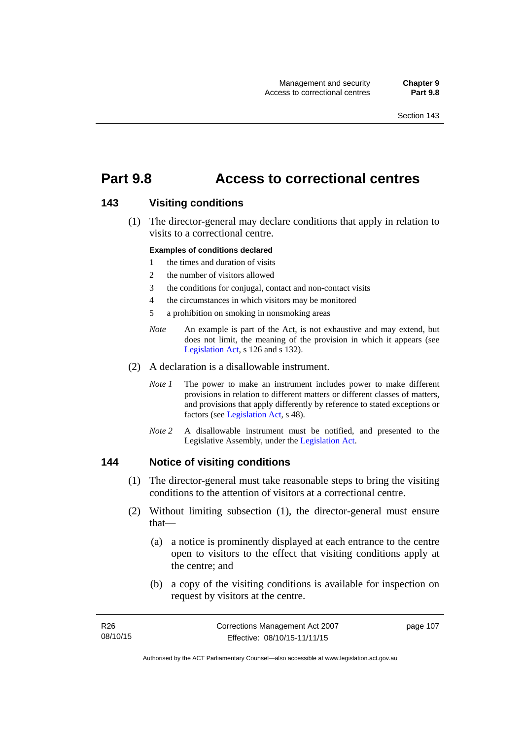# **Part 9.8 Access to correctional centres**

## **143 Visiting conditions**

 (1) The director-general may declare conditions that apply in relation to visits to a correctional centre.

#### **Examples of conditions declared**

- 1 the times and duration of visits
- 2 the number of visitors allowed
- 3 the conditions for conjugal, contact and non-contact visits
- 4 the circumstances in which visitors may be monitored
- 5 a prohibition on smoking in nonsmoking areas
- *Note* An example is part of the Act, is not exhaustive and may extend, but does not limit, the meaning of the provision in which it appears (see [Legislation Act,](http://www.legislation.act.gov.au/a/2001-14) s 126 and s 132).
- (2) A declaration is a disallowable instrument.
	- *Note I* The power to make an instrument includes power to make different provisions in relation to different matters or different classes of matters, and provisions that apply differently by reference to stated exceptions or factors (see [Legislation Act](http://www.legislation.act.gov.au/a/2001-14), s 48).
	- *Note 2* A disallowable instrument must be notified, and presented to the Legislative Assembly, under the [Legislation Act.](http://www.legislation.act.gov.au/a/2001-14)

### **144 Notice of visiting conditions**

- (1) The director-general must take reasonable steps to bring the visiting conditions to the attention of visitors at a correctional centre.
- (2) Without limiting subsection (1), the director-general must ensure that—
	- (a) a notice is prominently displayed at each entrance to the centre open to visitors to the effect that visiting conditions apply at the centre; and
	- (b) a copy of the visiting conditions is available for inspection on request by visitors at the centre.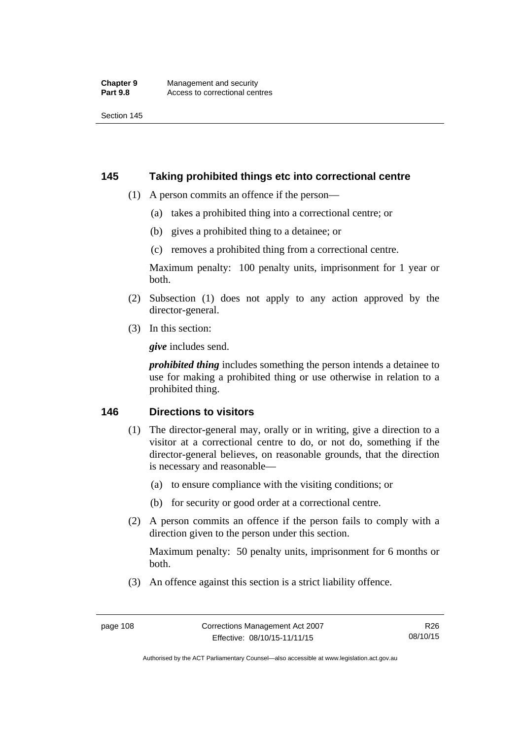## **145 Taking prohibited things etc into correctional centre**

- (1) A person commits an offence if the person—
	- (a) takes a prohibited thing into a correctional centre; or
	- (b) gives a prohibited thing to a detainee; or
	- (c) removes a prohibited thing from a correctional centre.

Maximum penalty: 100 penalty units, imprisonment for 1 year or both.

- (2) Subsection (1) does not apply to any action approved by the director-general.
- (3) In this section:

*give* includes send.

*prohibited thing* includes something the person intends a detainee to use for making a prohibited thing or use otherwise in relation to a prohibited thing.

## **146 Directions to visitors**

- (1) The director-general may, orally or in writing, give a direction to a visitor at a correctional centre to do, or not do, something if the director-general believes, on reasonable grounds, that the direction is necessary and reasonable—
	- (a) to ensure compliance with the visiting conditions; or
	- (b) for security or good order at a correctional centre.
- (2) A person commits an offence if the person fails to comply with a direction given to the person under this section.

Maximum penalty: 50 penalty units, imprisonment for 6 months or both.

(3) An offence against this section is a strict liability offence.

R26 08/10/15

Authorised by the ACT Parliamentary Counsel—also accessible at www.legislation.act.gov.au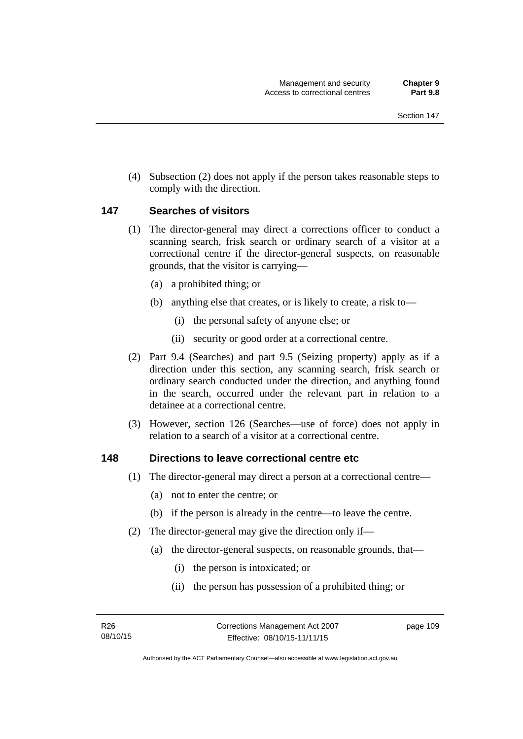(4) Subsection (2) does not apply if the person takes reasonable steps to comply with the direction.

### **147 Searches of visitors**

- (1) The director-general may direct a corrections officer to conduct a scanning search, frisk search or ordinary search of a visitor at a correctional centre if the director-general suspects, on reasonable grounds, that the visitor is carrying—
	- (a) a prohibited thing; or
	- (b) anything else that creates, or is likely to create, a risk to—
		- (i) the personal safety of anyone else; or
		- (ii) security or good order at a correctional centre.
- (2) Part 9.4 (Searches) and part 9.5 (Seizing property) apply as if a direction under this section, any scanning search, frisk search or ordinary search conducted under the direction, and anything found in the search, occurred under the relevant part in relation to a detainee at a correctional centre.
- (3) However, section 126 (Searches—use of force) does not apply in relation to a search of a visitor at a correctional centre.

### **148 Directions to leave correctional centre etc**

- (1) The director-general may direct a person at a correctional centre—
	- (a) not to enter the centre; or
	- (b) if the person is already in the centre—to leave the centre.
- (2) The director-general may give the direction only if—
	- (a) the director-general suspects, on reasonable grounds, that—
		- (i) the person is intoxicated; or
		- (ii) the person has possession of a prohibited thing; or

page 109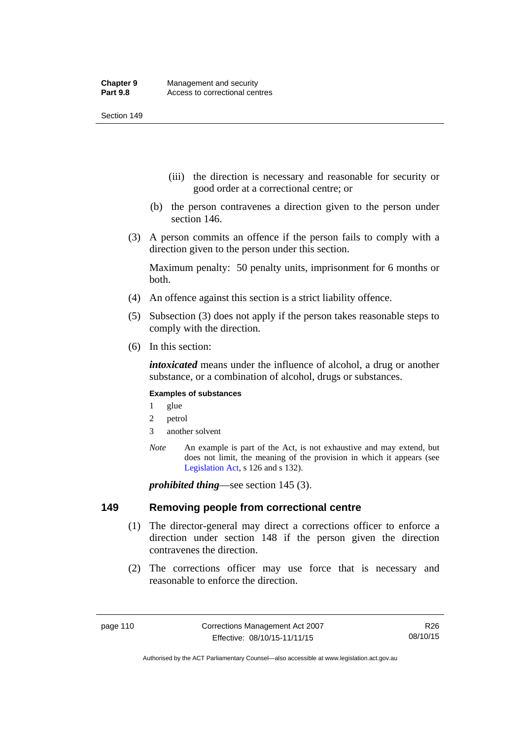- (iii) the direction is necessary and reasonable for security or good order at a correctional centre; or
- (b) the person contravenes a direction given to the person under section 146.
- (3) A person commits an offence if the person fails to comply with a direction given to the person under this section.

Maximum penalty: 50 penalty units, imprisonment for 6 months or both.

- (4) An offence against this section is a strict liability offence.
- (5) Subsection (3) does not apply if the person takes reasonable steps to comply with the direction.
- (6) In this section:

*intoxicated* means under the influence of alcohol, a drug or another substance, or a combination of alcohol, drugs or substances.

#### **Examples of substances**

- 1 glue
- 2 petrol
- 3 another solvent
- *Note* An example is part of the Act, is not exhaustive and may extend, but does not limit, the meaning of the provision in which it appears (see [Legislation Act,](http://www.legislation.act.gov.au/a/2001-14) s 126 and s 132).

*prohibited thing*—see section 145 (3).

### **149 Removing people from correctional centre**

- (1) The director-general may direct a corrections officer to enforce a direction under section 148 if the person given the direction contravenes the direction.
- (2) The corrections officer may use force that is necessary and reasonable to enforce the direction.

R26 08/10/15

Authorised by the ACT Parliamentary Counsel—also accessible at www.legislation.act.gov.au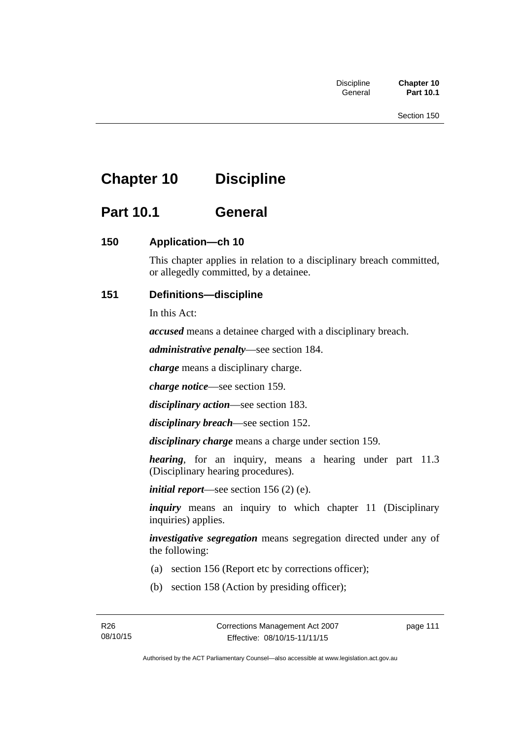# **Chapter 10 Discipline**

# **Part 10.1 General**

# **150 Application—ch 10**

This chapter applies in relation to a disciplinary breach committed, or allegedly committed, by a detainee.

# **151 Definitions—discipline**

In this Act:

*accused* means a detainee charged with a disciplinary breach.

*administrative penalty*—see section 184.

*charge* means a disciplinary charge.

*charge notice*—see section 159.

*disciplinary action*—see section 183.

*disciplinary breach*—see section 152.

*disciplinary charge* means a charge under section 159.

*hearing*, for an inquiry, means a hearing under part 11.3 (Disciplinary hearing procedures).

*initial report*—see section 156 (2) (e).

*inquiry* means an inquiry to which chapter 11 (Disciplinary inquiries) applies.

*investigative segregation* means segregation directed under any of the following:

- (a) section 156 (Report etc by corrections officer);
- (b) section 158 (Action by presiding officer);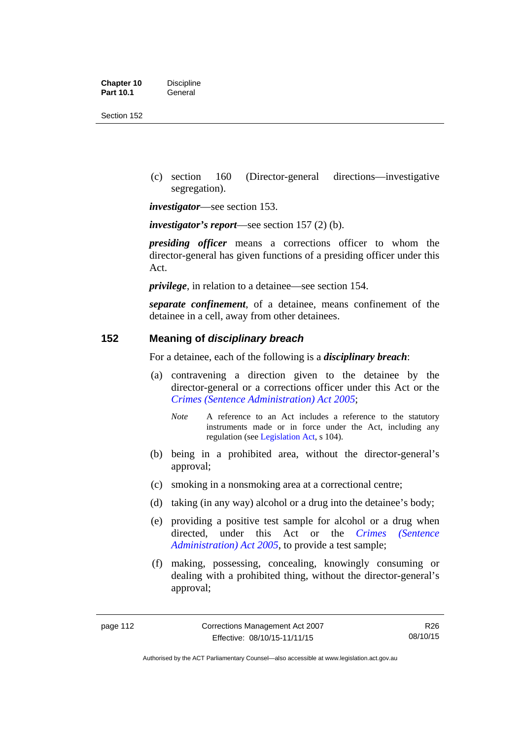| <b>Chapter 10</b> | <b>Discipline</b> |
|-------------------|-------------------|
| <b>Part 10.1</b>  | General           |

 (c) section 160 (Director-general directions—investigative segregation).

*investigator*—see section 153.

*investigator's report*—see section 157 (2) (b).

*presiding officer* means a corrections officer to whom the director-general has given functions of a presiding officer under this Act.

*privilege*, in relation to a detainee—see section 154.

*separate confinement*, of a detainee, means confinement of the detainee in a cell, away from other detainees.

## **152 Meaning of** *disciplinary breach*

For a detainee, each of the following is a *disciplinary breach*:

- (a) contravening a direction given to the detainee by the director-general or a corrections officer under this Act or the *[Crimes \(Sentence Administration\) Act 2005](http://www.legislation.act.gov.au/a/2005-59)*;
	- *Note* A reference to an Act includes a reference to the statutory instruments made or in force under the Act, including any regulation (see [Legislation Act,](http://www.legislation.act.gov.au/a/2001-14) s 104).
- (b) being in a prohibited area, without the director-general's approval;
- (c) smoking in a nonsmoking area at a correctional centre;
- (d) taking (in any way) alcohol or a drug into the detainee's body;
- (e) providing a positive test sample for alcohol or a drug when directed, under this Act or the *[Crimes \(Sentence](http://www.legislation.act.gov.au/a/2005-59)  [Administration\) Act 2005](http://www.legislation.act.gov.au/a/2005-59)*, to provide a test sample;
- (f) making, possessing, concealing, knowingly consuming or dealing with a prohibited thing, without the director-general's approval;

Authorised by the ACT Parliamentary Counsel—also accessible at www.legislation.act.gov.au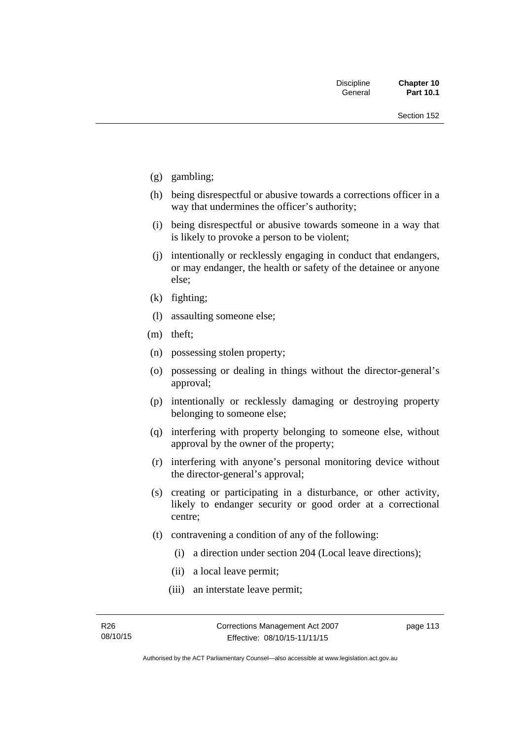- (g) gambling;
- (h) being disrespectful or abusive towards a corrections officer in a way that undermines the officer's authority;
- (i) being disrespectful or abusive towards someone in a way that is likely to provoke a person to be violent;
- (j) intentionally or recklessly engaging in conduct that endangers, or may endanger, the health or safety of the detainee or anyone else;
- (k) fighting;
- (l) assaulting someone else;
- (m) theft;
- (n) possessing stolen property;
- (o) possessing or dealing in things without the director-general's approval;
- (p) intentionally or recklessly damaging or destroying property belonging to someone else;
- (q) interfering with property belonging to someone else, without approval by the owner of the property;
- (r) interfering with anyone's personal monitoring device without the director-general's approval;
- (s) creating or participating in a disturbance, or other activity, likely to endanger security or good order at a correctional centre;
- (t) contravening a condition of any of the following:
	- (i) a direction under section 204 (Local leave directions);
	- (ii) a local leave permit;
	- (iii) an interstate leave permit;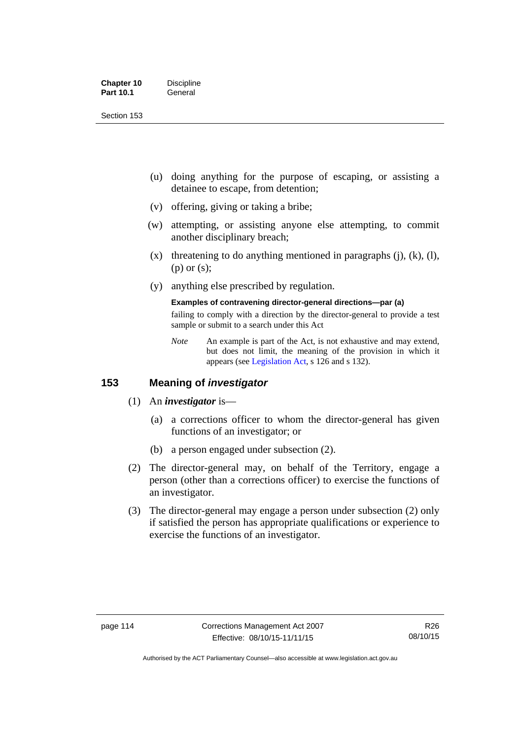| <b>Chapter 10</b> | <b>Discipline</b> |
|-------------------|-------------------|
| <b>Part 10.1</b>  | General           |

- (u) doing anything for the purpose of escaping, or assisting a detainee to escape, from detention;
- (v) offering, giving or taking a bribe;
- (w) attempting, or assisting anyone else attempting, to commit another disciplinary breach;
- $(x)$  threatening to do anything mentioned in paragraphs (j), (k), (l), (p) or (s);
- (y) anything else prescribed by regulation.

## **Examples of contravening director-general directions—par (a)**

failing to comply with a direction by the director-general to provide a test sample or submit to a search under this Act

*Note* An example is part of the Act, is not exhaustive and may extend, but does not limit, the meaning of the provision in which it appears (see [Legislation Act,](http://www.legislation.act.gov.au/a/2001-14) s 126 and s 132).

## **153 Meaning of** *investigator*

- (1) An *investigator* is—
	- (a) a corrections officer to whom the director-general has given functions of an investigator; or
	- (b) a person engaged under subsection (2).
- (2) The director-general may, on behalf of the Territory, engage a person (other than a corrections officer) to exercise the functions of an investigator.
- (3) The director-general may engage a person under subsection (2) only if satisfied the person has appropriate qualifications or experience to exercise the functions of an investigator.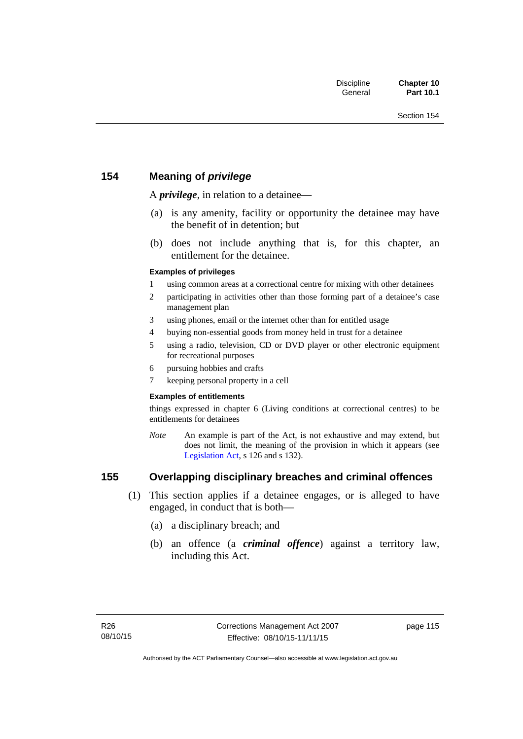## **154 Meaning of** *privilege*

A *privilege*, in relation to a detainee*—*

- (a) is any amenity, facility or opportunity the detainee may have the benefit of in detention; but
- (b) does not include anything that is, for this chapter, an entitlement for the detainee.

#### **Examples of privileges**

- 1 using common areas at a correctional centre for mixing with other detainees
- 2 participating in activities other than those forming part of a detainee's case management plan
- 3 using phones, email or the internet other than for entitled usage
- 4 buying non-essential goods from money held in trust for a detainee
- 5 using a radio, television, CD or DVD player or other electronic equipment for recreational purposes
- 6 pursuing hobbies and crafts
- 7 keeping personal property in a cell

#### **Examples of entitlements**

things expressed in chapter 6 (Living conditions at correctional centres) to be entitlements for detainees

*Note* An example is part of the Act, is not exhaustive and may extend, but does not limit, the meaning of the provision in which it appears (see [Legislation Act,](http://www.legislation.act.gov.au/a/2001-14) s 126 and s 132).

# **155 Overlapping disciplinary breaches and criminal offences**

- (1) This section applies if a detainee engages, or is alleged to have engaged, in conduct that is both—
	- (a) a disciplinary breach; and
	- (b) an offence (a *criminal offence*) against a territory law, including this Act.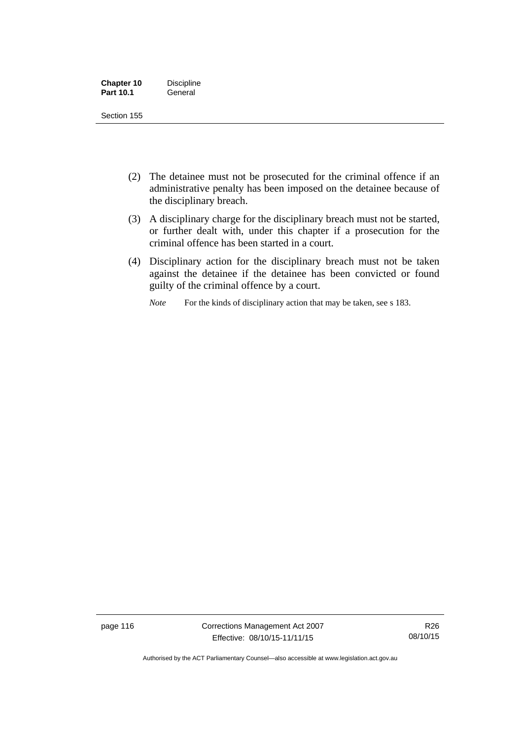| <b>Chapter 10</b> | <b>Discipline</b> |
|-------------------|-------------------|
| <b>Part 10.1</b>  | General           |

- (2) The detainee must not be prosecuted for the criminal offence if an administrative penalty has been imposed on the detainee because of the disciplinary breach.
- (3) A disciplinary charge for the disciplinary breach must not be started, or further dealt with, under this chapter if a prosecution for the criminal offence has been started in a court.
- (4) Disciplinary action for the disciplinary breach must not be taken against the detainee if the detainee has been convicted or found guilty of the criminal offence by a court.

*Note* For the kinds of disciplinary action that may be taken, see s 183.

page 116 Corrections Management Act 2007 Effective: 08/10/15-11/11/15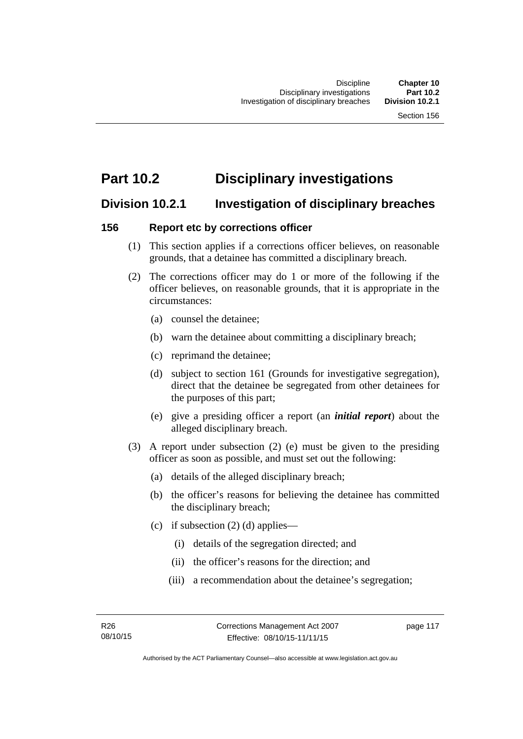# **Part 10.2 Disciplinary investigations**

# **Division 10.2.1 Investigation of disciplinary breaches**

## **156 Report etc by corrections officer**

- (1) This section applies if a corrections officer believes, on reasonable grounds, that a detainee has committed a disciplinary breach.
- (2) The corrections officer may do 1 or more of the following if the officer believes, on reasonable grounds, that it is appropriate in the circumstances:
	- (a) counsel the detainee;
	- (b) warn the detainee about committing a disciplinary breach;
	- (c) reprimand the detainee;
	- (d) subject to section 161 (Grounds for investigative segregation), direct that the detainee be segregated from other detainees for the purposes of this part;
	- (e) give a presiding officer a report (an *initial report*) about the alleged disciplinary breach.
- (3) A report under subsection (2) (e) must be given to the presiding officer as soon as possible, and must set out the following:
	- (a) details of the alleged disciplinary breach;
	- (b) the officer's reasons for believing the detainee has committed the disciplinary breach;
	- (c) if subsection  $(2)$  (d) applies—
		- (i) details of the segregation directed; and
		- (ii) the officer's reasons for the direction; and
		- (iii) a recommendation about the detainee's segregation;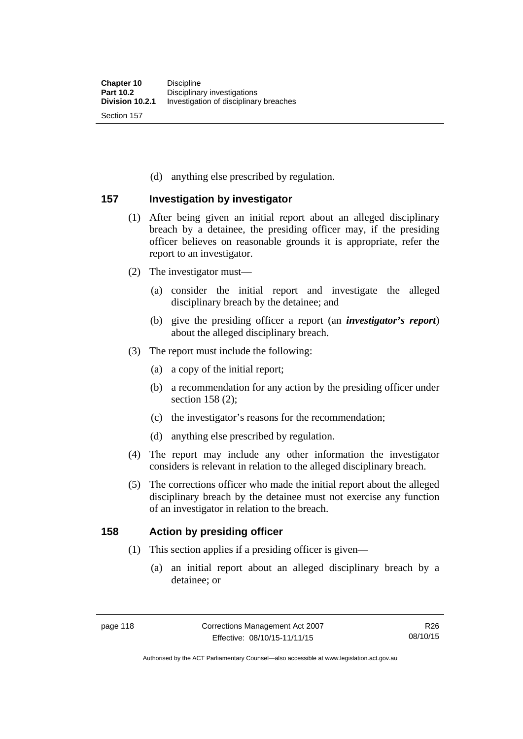(d) anything else prescribed by regulation.

## **157 Investigation by investigator**

- (1) After being given an initial report about an alleged disciplinary breach by a detainee, the presiding officer may, if the presiding officer believes on reasonable grounds it is appropriate, refer the report to an investigator.
- (2) The investigator must—
	- (a) consider the initial report and investigate the alleged disciplinary breach by the detainee; and
	- (b) give the presiding officer a report (an *investigator's report*) about the alleged disciplinary breach.
- (3) The report must include the following:
	- (a) a copy of the initial report;
	- (b) a recommendation for any action by the presiding officer under section 158 (2):
	- (c) the investigator's reasons for the recommendation;
	- (d) anything else prescribed by regulation.
- (4) The report may include any other information the investigator considers is relevant in relation to the alleged disciplinary breach.
- (5) The corrections officer who made the initial report about the alleged disciplinary breach by the detainee must not exercise any function of an investigator in relation to the breach.

## **158 Action by presiding officer**

- (1) This section applies if a presiding officer is given—
	- (a) an initial report about an alleged disciplinary breach by a detainee; or

Authorised by the ACT Parliamentary Counsel—also accessible at www.legislation.act.gov.au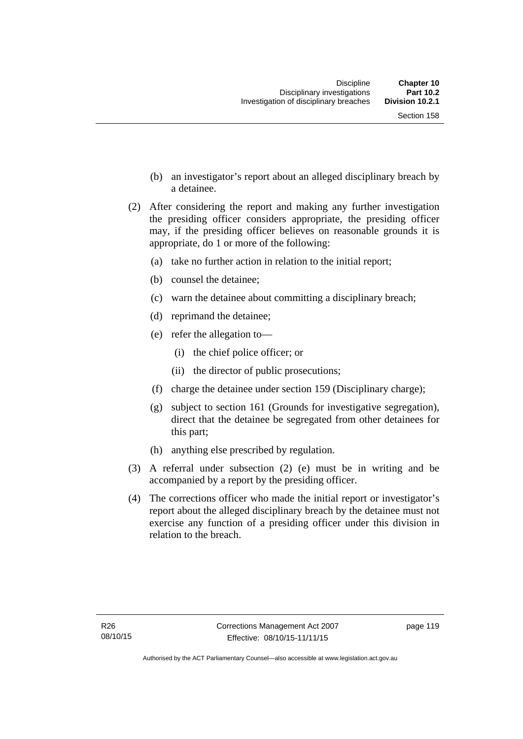- (b) an investigator's report about an alleged disciplinary breach by a detainee.
- (2) After considering the report and making any further investigation the presiding officer considers appropriate, the presiding officer may, if the presiding officer believes on reasonable grounds it is appropriate, do 1 or more of the following:
	- (a) take no further action in relation to the initial report;
	- (b) counsel the detainee;
	- (c) warn the detainee about committing a disciplinary breach;
	- (d) reprimand the detainee;
	- (e) refer the allegation to—
		- (i) the chief police officer; or
		- (ii) the director of public prosecutions;
	- (f) charge the detainee under section 159 (Disciplinary charge);
	- (g) subject to section 161 (Grounds for investigative segregation), direct that the detainee be segregated from other detainees for this part;
	- (h) anything else prescribed by regulation.
- (3) A referral under subsection (2) (e) must be in writing and be accompanied by a report by the presiding officer.
- (4) The corrections officer who made the initial report or investigator's report about the alleged disciplinary breach by the detainee must not exercise any function of a presiding officer under this division in relation to the breach.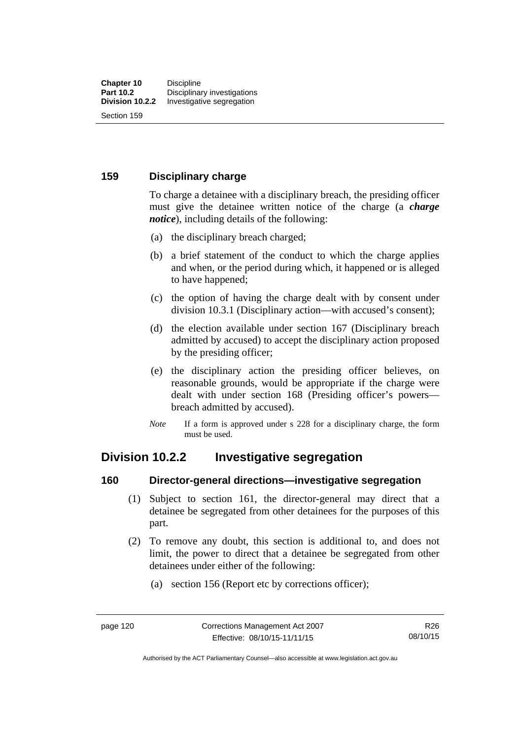## **159 Disciplinary charge**

To charge a detainee with a disciplinary breach, the presiding officer must give the detainee written notice of the charge (a *charge notice*), including details of the following:

- (a) the disciplinary breach charged;
- (b) a brief statement of the conduct to which the charge applies and when, or the period during which, it happened or is alleged to have happened;
- (c) the option of having the charge dealt with by consent under division 10.3.1 (Disciplinary action—with accused's consent);
- (d) the election available under section 167 (Disciplinary breach admitted by accused) to accept the disciplinary action proposed by the presiding officer;
- (e) the disciplinary action the presiding officer believes, on reasonable grounds, would be appropriate if the charge were dealt with under section 168 (Presiding officer's powers breach admitted by accused).
- *Note* If a form is approved under s 228 for a disciplinary charge, the form must be used.

# **Division 10.2.2 Investigative segregation**

## **160 Director-general directions—investigative segregation**

- (1) Subject to section 161, the director-general may direct that a detainee be segregated from other detainees for the purposes of this part.
- (2) To remove any doubt, this section is additional to, and does not limit, the power to direct that a detainee be segregated from other detainees under either of the following:
	- (a) section 156 (Report etc by corrections officer);

Authorised by the ACT Parliamentary Counsel—also accessible at www.legislation.act.gov.au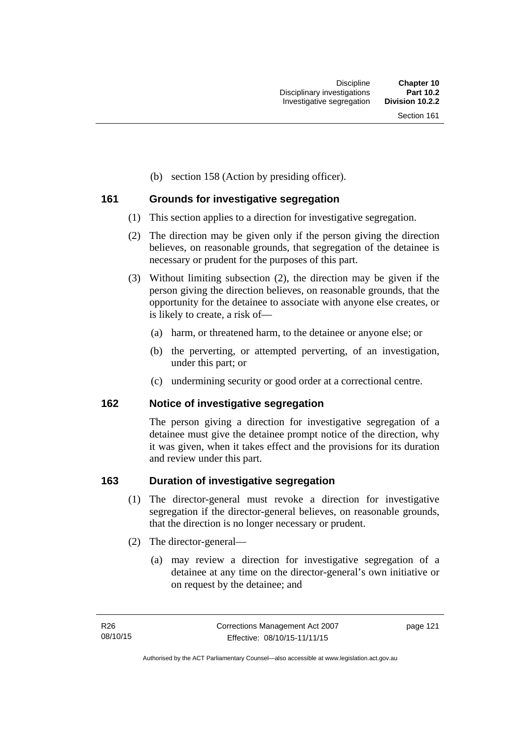(b) section 158 (Action by presiding officer).

## **161 Grounds for investigative segregation**

- (1) This section applies to a direction for investigative segregation.
- (2) The direction may be given only if the person giving the direction believes, on reasonable grounds, that segregation of the detainee is necessary or prudent for the purposes of this part.
- (3) Without limiting subsection (2), the direction may be given if the person giving the direction believes, on reasonable grounds, that the opportunity for the detainee to associate with anyone else creates, or is likely to create, a risk of—
	- (a) harm, or threatened harm, to the detainee or anyone else; or
	- (b) the perverting, or attempted perverting, of an investigation, under this part; or
	- (c) undermining security or good order at a correctional centre.

## **162 Notice of investigative segregation**

The person giving a direction for investigative segregation of a detainee must give the detainee prompt notice of the direction, why it was given, when it takes effect and the provisions for its duration and review under this part.

## **163 Duration of investigative segregation**

- (1) The director-general must revoke a direction for investigative segregation if the director-general believes, on reasonable grounds, that the direction is no longer necessary or prudent.
- (2) The director-general—
	- (a) may review a direction for investigative segregation of a detainee at any time on the director-general's own initiative or on request by the detainee; and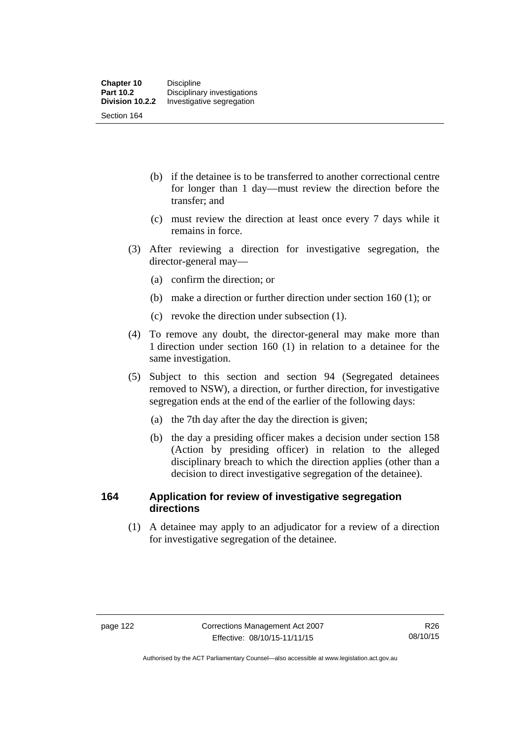- (b) if the detainee is to be transferred to another correctional centre for longer than 1 day—must review the direction before the transfer; and
- (c) must review the direction at least once every 7 days while it remains in force.
- (3) After reviewing a direction for investigative segregation, the director-general may—
	- (a) confirm the direction; or
	- (b) make a direction or further direction under section 160 (1); or
	- (c) revoke the direction under subsection (1).
- (4) To remove any doubt, the director-general may make more than 1 direction under section 160 (1) in relation to a detainee for the same investigation.
- (5) Subject to this section and section 94 (Segregated detainees removed to NSW), a direction, or further direction, for investigative segregation ends at the end of the earlier of the following days:
	- (a) the 7th day after the day the direction is given;
	- (b) the day a presiding officer makes a decision under section 158 (Action by presiding officer) in relation to the alleged disciplinary breach to which the direction applies (other than a decision to direct investigative segregation of the detainee).

## **164 Application for review of investigative segregation directions**

(1) A detainee may apply to an adjudicator for a review of a direction for investigative segregation of the detainee.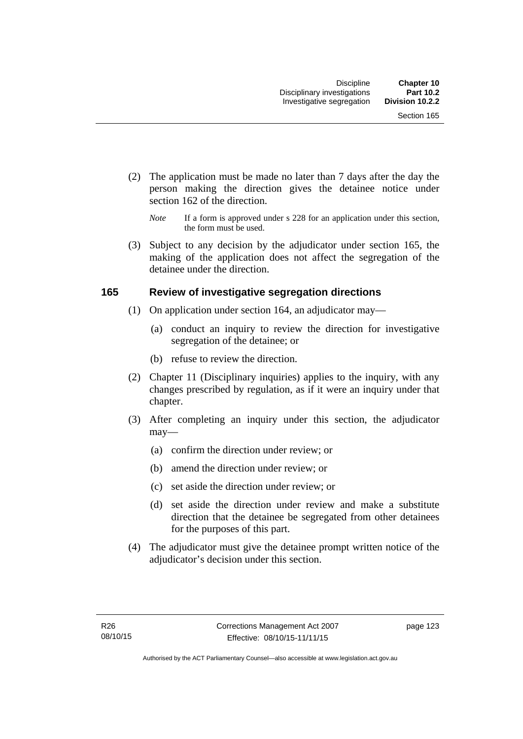- (2) The application must be made no later than 7 days after the day the person making the direction gives the detainee notice under section 162 of the direction.
	- *Note* If a form is approved under s 228 for an application under this section, the form must be used.
- (3) Subject to any decision by the adjudicator under section 165, the making of the application does not affect the segregation of the detainee under the direction.

## **165 Review of investigative segregation directions**

- (1) On application under section 164, an adjudicator may—
	- (a) conduct an inquiry to review the direction for investigative segregation of the detainee; or
	- (b) refuse to review the direction.
- (2) Chapter 11 (Disciplinary inquiries) applies to the inquiry, with any changes prescribed by regulation, as if it were an inquiry under that chapter.
- (3) After completing an inquiry under this section, the adjudicator may—
	- (a) confirm the direction under review; or
	- (b) amend the direction under review; or
	- (c) set aside the direction under review; or
	- (d) set aside the direction under review and make a substitute direction that the detainee be segregated from other detainees for the purposes of this part.
- (4) The adjudicator must give the detainee prompt written notice of the adjudicator's decision under this section.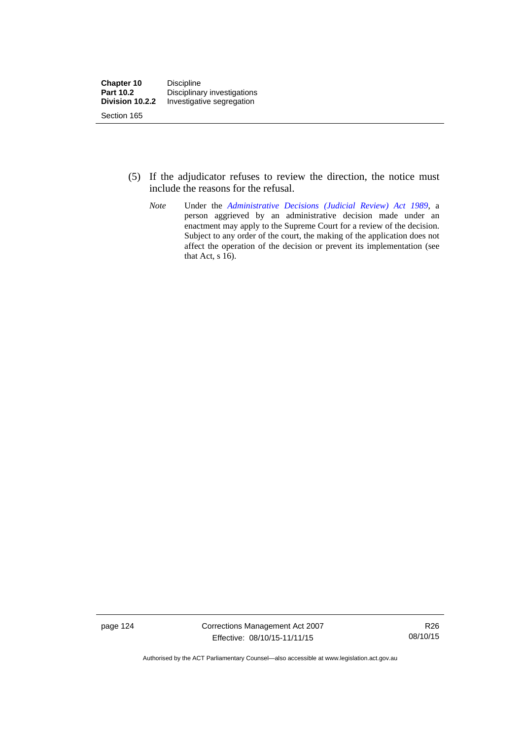- (5) If the adjudicator refuses to review the direction, the notice must include the reasons for the refusal.
	- *Note* Under the *[Administrative Decisions \(Judicial Review\) Act 1989](http://www.legislation.act.gov.au/a/alt_a1989-33co)*, a person aggrieved by an administrative decision made under an enactment may apply to the Supreme Court for a review of the decision. Subject to any order of the court, the making of the application does not affect the operation of the decision or prevent its implementation (see that Act, s 16).

page 124 Corrections Management Act 2007 Effective: 08/10/15-11/11/15

R26 08/10/15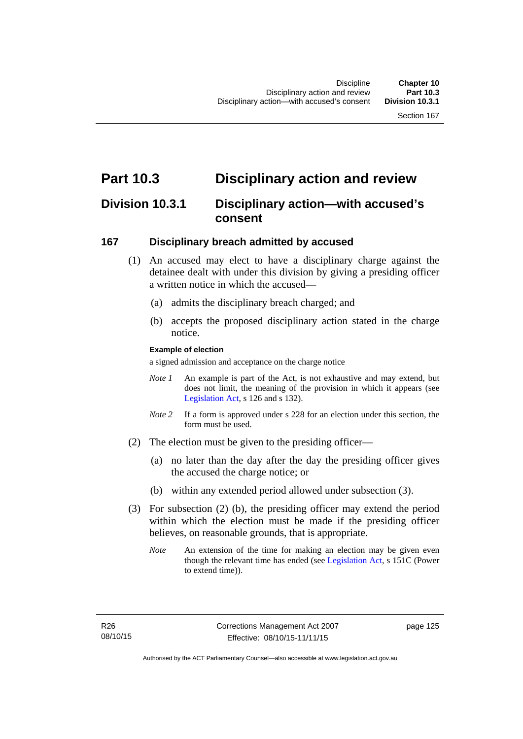# **Part 10.3 Disciplinary action and review**

# **Division 10.3.1 Disciplinary action—with accused's consent**

## **167 Disciplinary breach admitted by accused**

- (1) An accused may elect to have a disciplinary charge against the detainee dealt with under this division by giving a presiding officer a written notice in which the accused-
	- (a) admits the disciplinary breach charged; and
	- (b) accepts the proposed disciplinary action stated in the charge notice.

#### **Example of election**

a signed admission and acceptance on the charge notice

- *Note 1* An example is part of the Act, is not exhaustive and may extend, but does not limit, the meaning of the provision in which it appears (see [Legislation Act,](http://www.legislation.act.gov.au/a/2001-14) s 126 and s 132).
- *Note* 2 If a form is approved under s 228 for an election under this section, the form must be used.
- (2) The election must be given to the presiding officer—
	- (a) no later than the day after the day the presiding officer gives the accused the charge notice; or
	- (b) within any extended period allowed under subsection (3).
- (3) For subsection (2) (b), the presiding officer may extend the period within which the election must be made if the presiding officer believes, on reasonable grounds, that is appropriate.
	- *Note* An extension of the time for making an election may be given even though the relevant time has ended (see [Legislation Act](http://www.legislation.act.gov.au/a/2001-14), s 151C (Power to extend time)).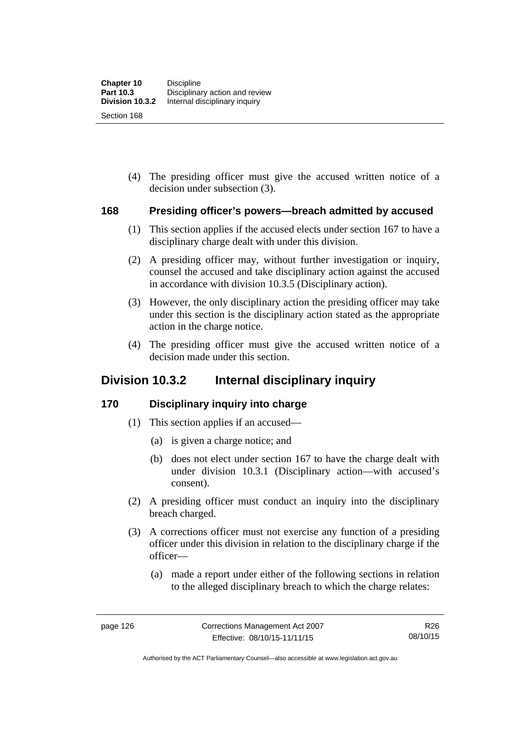(4) The presiding officer must give the accused written notice of a decision under subsection (3).

## **168 Presiding officer's powers—breach admitted by accused**

- (1) This section applies if the accused elects under section 167 to have a disciplinary charge dealt with under this division.
- (2) A presiding officer may, without further investigation or inquiry, counsel the accused and take disciplinary action against the accused in accordance with division 10.3.5 (Disciplinary action).
- (3) However, the only disciplinary action the presiding officer may take under this section is the disciplinary action stated as the appropriate action in the charge notice.
- (4) The presiding officer must give the accused written notice of a decision made under this section.

# **Division 10.3.2 Internal disciplinary inquiry**

## **170 Disciplinary inquiry into charge**

- (1) This section applies if an accused—
	- (a) is given a charge notice; and
	- (b) does not elect under section 167 to have the charge dealt with under division 10.3.1 (Disciplinary action—with accused's consent).
- (2) A presiding officer must conduct an inquiry into the disciplinary breach charged.
- (3) A corrections officer must not exercise any function of a presiding officer under this division in relation to the disciplinary charge if the officer—
	- (a) made a report under either of the following sections in relation to the alleged disciplinary breach to which the charge relates: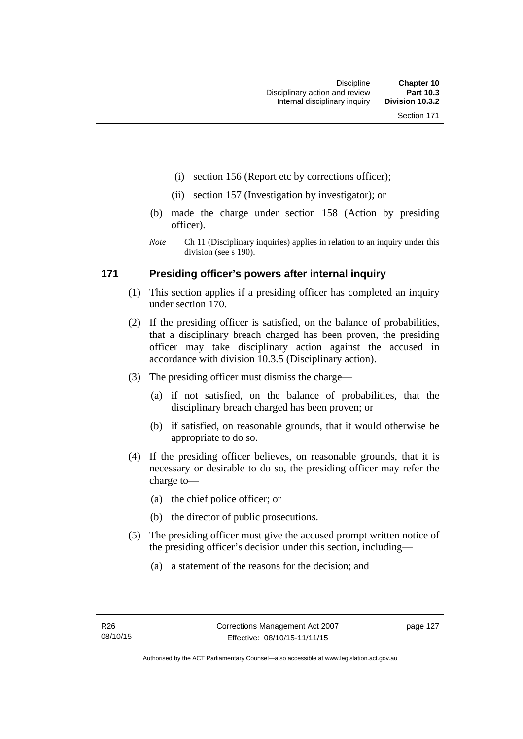- (i) section 156 (Report etc by corrections officer);
- (ii) section 157 (Investigation by investigator); or
- (b) made the charge under section 158 (Action by presiding officer).
- *Note* Ch 11 (Disciplinary inquiries) applies in relation to an inquiry under this division (see s 190).

## **171 Presiding officer's powers after internal inquiry**

- (1) This section applies if a presiding officer has completed an inquiry under section 170.
- (2) If the presiding officer is satisfied, on the balance of probabilities, that a disciplinary breach charged has been proven, the presiding officer may take disciplinary action against the accused in accordance with division 10.3.5 (Disciplinary action).
- (3) The presiding officer must dismiss the charge—
	- (a) if not satisfied, on the balance of probabilities, that the disciplinary breach charged has been proven; or
	- (b) if satisfied, on reasonable grounds, that it would otherwise be appropriate to do so.
- (4) If the presiding officer believes, on reasonable grounds, that it is necessary or desirable to do so, the presiding officer may refer the charge to—
	- (a) the chief police officer; or
	- (b) the director of public prosecutions.
- (5) The presiding officer must give the accused prompt written notice of the presiding officer's decision under this section, including—
	- (a) a statement of the reasons for the decision; and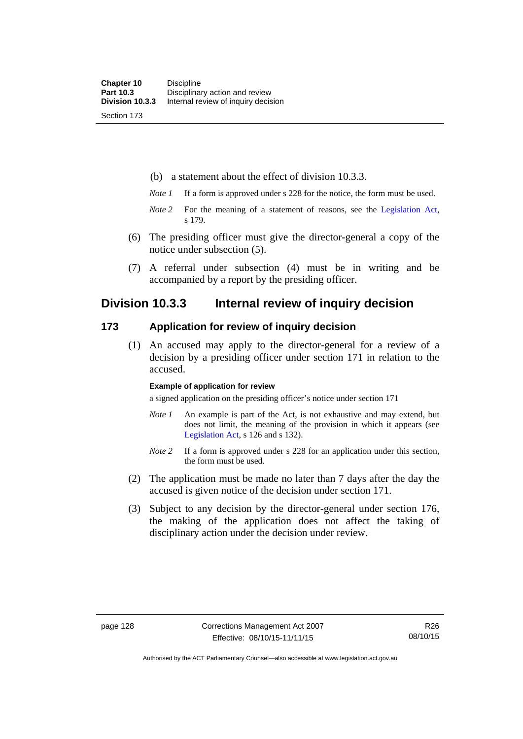(b) a statement about the effect of division 10.3.3.

- *Note 1* If a form is approved under s 228 for the notice, the form must be used.
- *Note 2* For the meaning of a statement of reasons, see the [Legislation Act,](http://www.legislation.act.gov.au/a/2001-14) s 179.
- (6) The presiding officer must give the director-general a copy of the notice under subsection (5).
- (7) A referral under subsection (4) must be in writing and be accompanied by a report by the presiding officer.

# **Division 10.3.3 Internal review of inquiry decision**

## **173 Application for review of inquiry decision**

 (1) An accused may apply to the director-general for a review of a decision by a presiding officer under section 171 in relation to the accused.

#### **Example of application for review**

a signed application on the presiding officer's notice under section 171

- *Note 1* An example is part of the Act, is not exhaustive and may extend, but does not limit, the meaning of the provision in which it appears (see [Legislation Act,](http://www.legislation.act.gov.au/a/2001-14) s 126 and s 132).
- *Note 2* If a form is approved under s 228 for an application under this section, the form must be used.
- (2) The application must be made no later than 7 days after the day the accused is given notice of the decision under section 171.
- (3) Subject to any decision by the director-general under section 176, the making of the application does not affect the taking of disciplinary action under the decision under review.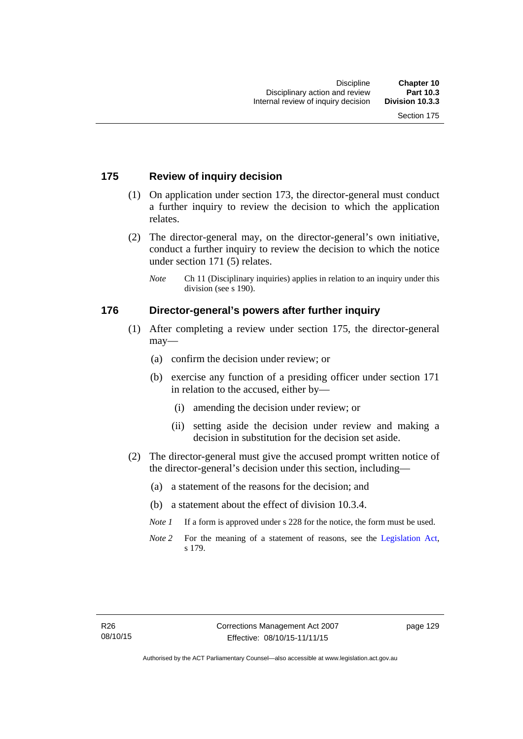## **175 Review of inquiry decision**

- (1) On application under section 173, the director-general must conduct a further inquiry to review the decision to which the application relates.
- (2) The director-general may, on the director-general's own initiative, conduct a further inquiry to review the decision to which the notice under section 171 (5) relates.
	- *Note* Ch 11 (Disciplinary inquiries) applies in relation to an inquiry under this division (see s 190).

## **176 Director-general's powers after further inquiry**

- (1) After completing a review under section 175, the director-general may—
	- (a) confirm the decision under review; or
	- (b) exercise any function of a presiding officer under section 171 in relation to the accused, either by—
		- (i) amending the decision under review; or
		- (ii) setting aside the decision under review and making a decision in substitution for the decision set aside.
- (2) The director-general must give the accused prompt written notice of the director-general's decision under this section, including—
	- (a) a statement of the reasons for the decision; and
	- (b) a statement about the effect of division 10.3.4.
	- *Note 1* If a form is approved under s 228 for the notice, the form must be used.
	- *Note* 2 For the meaning of a statement of reasons, see the [Legislation Act,](http://www.legislation.act.gov.au/a/2001-14) s 179.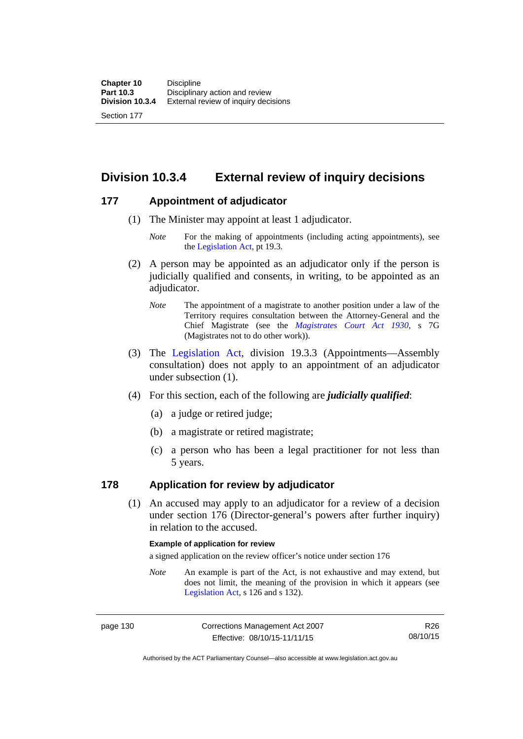**Division 10.3.4 External review of inquiry decisions** 

## **177 Appointment of adjudicator**

- (1) The Minister may appoint at least 1 adjudicator.
	- *Note* For the making of appointments (including acting appointments), see the [Legislation Act,](http://www.legislation.act.gov.au/a/2001-14) pt 19.3.
- (2) A person may be appointed as an adjudicator only if the person is judicially qualified and consents, in writing, to be appointed as an adjudicator.
	- *Note* The appointment of a magistrate to another position under a law of the Territory requires consultation between the Attorney-General and the Chief Magistrate (see the *[Magistrates Court Act 1930](http://www.legislation.act.gov.au/a/1930-21)*, s 7G (Magistrates not to do other work)).
- (3) The [Legislation Act,](http://www.legislation.act.gov.au/a/2001-14) division 19.3.3 (Appointments—Assembly consultation) does not apply to an appointment of an adjudicator under subsection (1).
- (4) For this section, each of the following are *judicially qualified*:
	- (a) a judge or retired judge;
	- (b) a magistrate or retired magistrate;
	- (c) a person who has been a legal practitioner for not less than 5 years.

## **178 Application for review by adjudicator**

 (1) An accused may apply to an adjudicator for a review of a decision under section 176 (Director-general's powers after further inquiry) in relation to the accused.

#### **Example of application for review**

a signed application on the review officer's notice under section 176

*Note* An example is part of the Act, is not exhaustive and may extend, but does not limit, the meaning of the provision in which it appears (see [Legislation Act,](http://www.legislation.act.gov.au/a/2001-14) s 126 and s 132).

page 130 Corrections Management Act 2007 Effective: 08/10/15-11/11/15

R26 08/10/15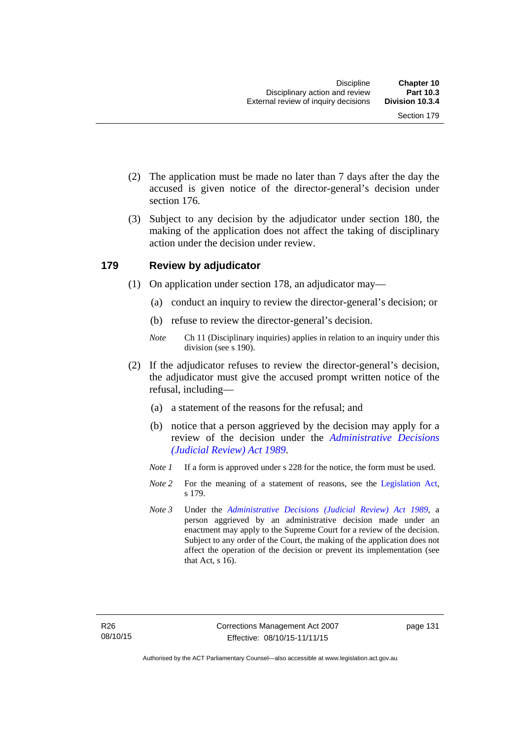- (2) The application must be made no later than 7 days after the day the accused is given notice of the director-general's decision under section 176.
- (3) Subject to any decision by the adjudicator under section 180, the making of the application does not affect the taking of disciplinary action under the decision under review.

# **179 Review by adjudicator**

- (1) On application under section 178, an adjudicator may—
	- (a) conduct an inquiry to review the director-general's decision; or
	- (b) refuse to review the director-general's decision.
	- *Note* Ch 11 (Disciplinary inquiries) applies in relation to an inquiry under this division (see s 190).
- (2) If the adjudicator refuses to review the director-general's decision, the adjudicator must give the accused prompt written notice of the refusal, including—
	- (a) a statement of the reasons for the refusal; and
	- (b) notice that a person aggrieved by the decision may apply for a review of the decision under the *[Administrative Decisions](http://www.legislation.act.gov.au/a/alt_a1989-33co)  [\(Judicial Review\) Act 1989](http://www.legislation.act.gov.au/a/alt_a1989-33co)*.
	- *Note 1* If a form is approved under s 228 for the notice, the form must be used.
	- *Note* 2 For the meaning of a statement of reasons, see the [Legislation Act,](http://www.legislation.act.gov.au/a/2001-14) s 179.
	- *Note 3* Under the *[Administrative Decisions \(Judicial Review\) Act 1989](http://www.legislation.act.gov.au/a/alt_a1989-33co)*, a person aggrieved by an administrative decision made under an enactment may apply to the Supreme Court for a review of the decision. Subject to any order of the Court, the making of the application does not affect the operation of the decision or prevent its implementation (see that Act, s 16).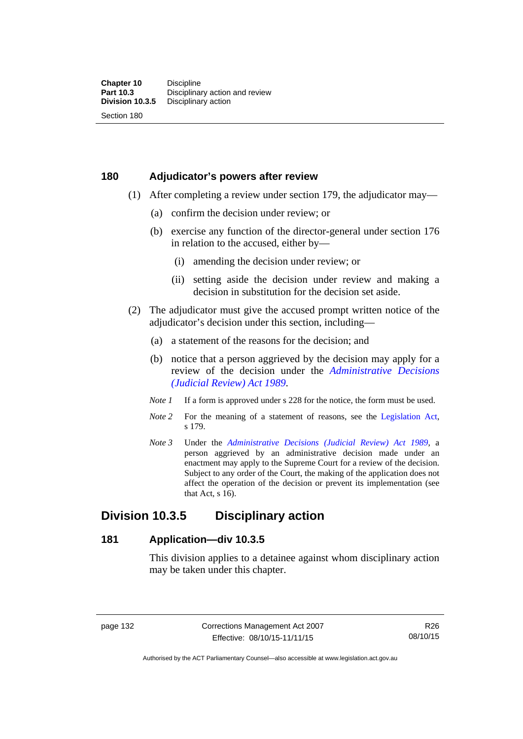# **180 Adjudicator's powers after review**

- (1) After completing a review under section 179, the adjudicator may—
	- (a) confirm the decision under review; or
	- (b) exercise any function of the director-general under section 176 in relation to the accused, either by—
		- (i) amending the decision under review; or
		- (ii) setting aside the decision under review and making a decision in substitution for the decision set aside.
- (2) The adjudicator must give the accused prompt written notice of the adjudicator's decision under this section, including—
	- (a) a statement of the reasons for the decision; and
	- (b) notice that a person aggrieved by the decision may apply for a review of the decision under the *[Administrative Decisions](http://www.legislation.act.gov.au/a/alt_a1989-33co)  [\(Judicial Review\) Act 1989](http://www.legislation.act.gov.au/a/alt_a1989-33co)*.
	- *Note 1* If a form is approved under s 228 for the notice, the form must be used.
	- *Note* 2 For the meaning of a statement of reasons, see the [Legislation Act,](http://www.legislation.act.gov.au/a/2001-14) s 179.
	- *Note 3* Under the *[Administrative Decisions \(Judicial Review\) Act 1989](http://www.legislation.act.gov.au/a/alt_a1989-33co)*, a person aggrieved by an administrative decision made under an enactment may apply to the Supreme Court for a review of the decision. Subject to any order of the Court, the making of the application does not affect the operation of the decision or prevent its implementation (see that Act, s 16).

# **Division 10.3.5 Disciplinary action**

### **181 Application—div 10.3.5**

This division applies to a detainee against whom disciplinary action may be taken under this chapter.

page 132 Corrections Management Act 2007 Effective: 08/10/15-11/11/15

R26 08/10/15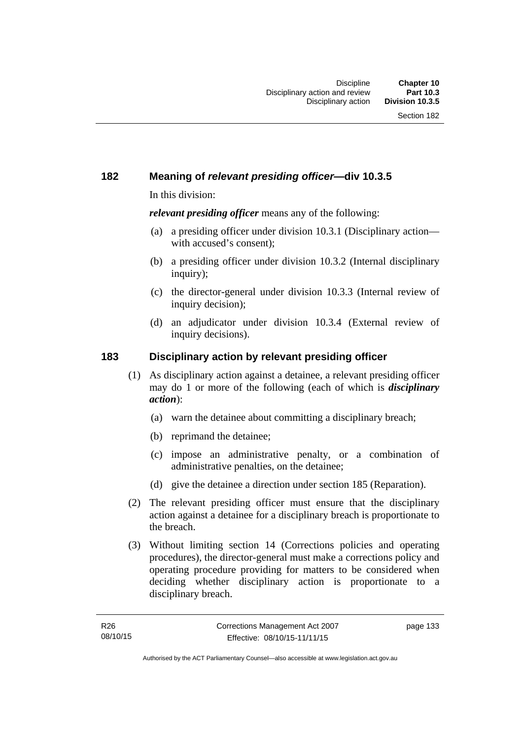# **182 Meaning of** *relevant presiding officer***—div 10.3.5**

In this division:

*relevant presiding officer* means any of the following:

- (a) a presiding officer under division 10.3.1 (Disciplinary action with accused's consent);
- (b) a presiding officer under division 10.3.2 (Internal disciplinary inquiry);
- (c) the director-general under division 10.3.3 (Internal review of inquiry decision):
- (d) an adjudicator under division 10.3.4 (External review of inquiry decisions).

# **183 Disciplinary action by relevant presiding officer**

- (1) As disciplinary action against a detainee, a relevant presiding officer may do 1 or more of the following (each of which is *disciplinary action*):
	- (a) warn the detainee about committing a disciplinary breach;
	- (b) reprimand the detainee;
	- (c) impose an administrative penalty, or a combination of administrative penalties, on the detainee;
	- (d) give the detainee a direction under section 185 (Reparation).
- (2) The relevant presiding officer must ensure that the disciplinary action against a detainee for a disciplinary breach is proportionate to the breach.
- (3) Without limiting section 14 (Corrections policies and operating procedures), the director-general must make a corrections policy and operating procedure providing for matters to be considered when deciding whether disciplinary action is proportionate to a disciplinary breach.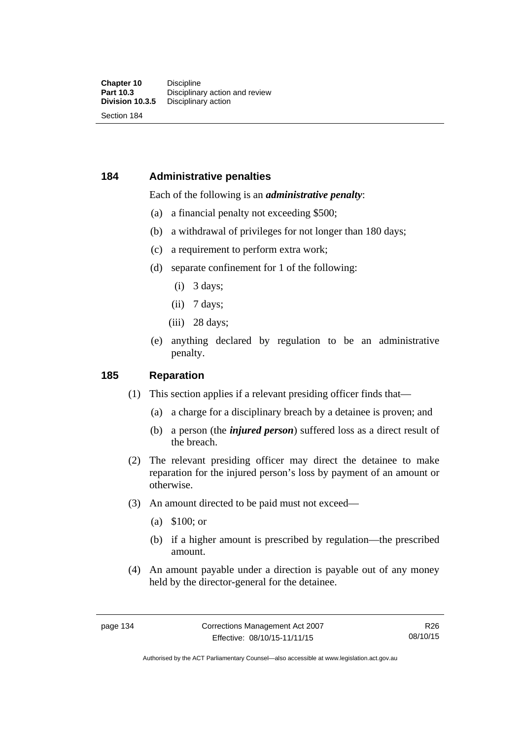# **184 Administrative penalties**

### Each of the following is an *administrative penalty*:

- (a) a financial penalty not exceeding \$500;
- (b) a withdrawal of privileges for not longer than 180 days;
- (c) a requirement to perform extra work;
- (d) separate confinement for 1 of the following:
	- (i) 3 days;
	- $(ii)$  7 days;
	- (iii) 28 days:
- (e) anything declared by regulation to be an administrative penalty.

### **185 Reparation**

- (1) This section applies if a relevant presiding officer finds that—
	- (a) a charge for a disciplinary breach by a detainee is proven; and
	- (b) a person (the *injured person*) suffered loss as a direct result of the breach.
- (2) The relevant presiding officer may direct the detainee to make reparation for the injured person's loss by payment of an amount or otherwise.
- (3) An amount directed to be paid must not exceed—
	- (a) \$100; or
	- (b) if a higher amount is prescribed by regulation—the prescribed amount.
- (4) An amount payable under a direction is payable out of any money held by the director-general for the detainee.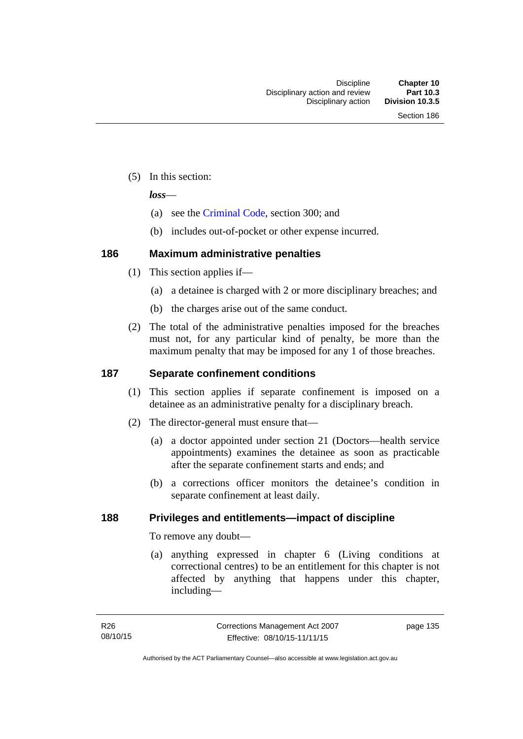(5) In this section:

*loss*—

- (a) see the [Criminal Code](http://www.legislation.act.gov.au/a/2002-51), section 300; and
- (b) includes out-of-pocket or other expense incurred.

# **186 Maximum administrative penalties**

- (1) This section applies if—
	- (a) a detainee is charged with 2 or more disciplinary breaches; and
	- (b) the charges arise out of the same conduct.
- (2) The total of the administrative penalties imposed for the breaches must not, for any particular kind of penalty, be more than the maximum penalty that may be imposed for any 1 of those breaches.

# **187 Separate confinement conditions**

- (1) This section applies if separate confinement is imposed on a detainee as an administrative penalty for a disciplinary breach.
- (2) The director-general must ensure that—
	- (a) a doctor appointed under section 21 (Doctors—health service appointments) examines the detainee as soon as practicable after the separate confinement starts and ends; and
	- (b) a corrections officer monitors the detainee's condition in separate confinement at least daily.

# **188 Privileges and entitlements—impact of discipline**

To remove any doubt—

 (a) anything expressed in chapter 6 (Living conditions at correctional centres) to be an entitlement for this chapter is not affected by anything that happens under this chapter, including—

page 135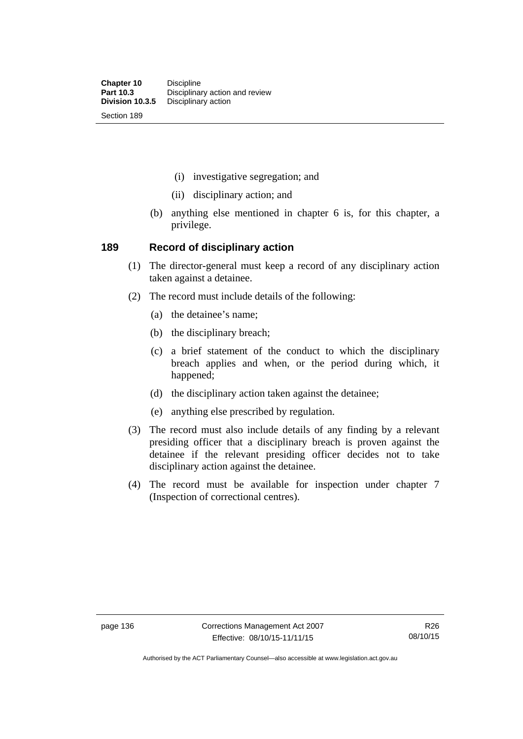- (i) investigative segregation; and
- (ii) disciplinary action; and
- (b) anything else mentioned in chapter 6 is, for this chapter, a privilege.

### **189 Record of disciplinary action**

- (1) The director-general must keep a record of any disciplinary action taken against a detainee.
- (2) The record must include details of the following:
	- (a) the detainee's name;
	- (b) the disciplinary breach;
	- (c) a brief statement of the conduct to which the disciplinary breach applies and when, or the period during which, it happened;
	- (d) the disciplinary action taken against the detainee;
	- (e) anything else prescribed by regulation.
- (3) The record must also include details of any finding by a relevant presiding officer that a disciplinary breach is proven against the detainee if the relevant presiding officer decides not to take disciplinary action against the detainee.
- (4) The record must be available for inspection under chapter 7 (Inspection of correctional centres).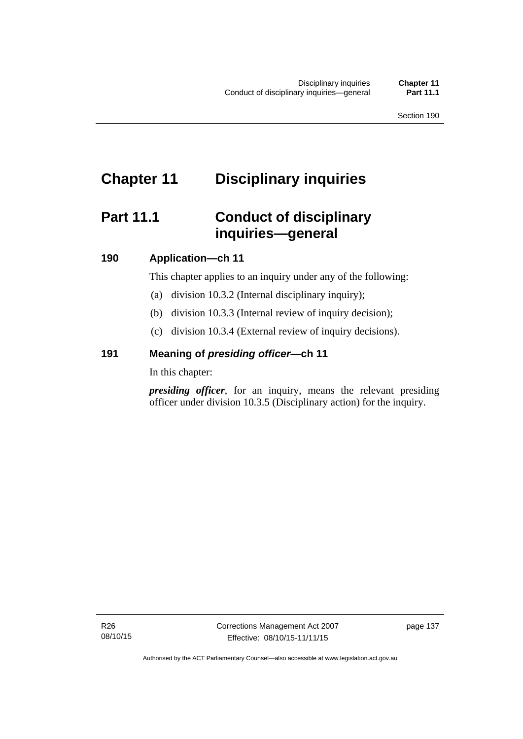# **Chapter 11 Disciplinary inquiries**

# **Part 11.1 Conduct of disciplinary inquiries—general**

# **190 Application—ch 11**

This chapter applies to an inquiry under any of the following:

- (a) division 10.3.2 (Internal disciplinary inquiry);
- (b) division 10.3.3 (Internal review of inquiry decision);
- (c) division 10.3.4 (External review of inquiry decisions).

# **191 Meaning of** *presiding officer—***ch 11**

In this chapter:

*presiding officer*, for an inquiry, means the relevant presiding officer under division 10.3.5 (Disciplinary action) for the inquiry.

Authorised by the ACT Parliamentary Counsel—also accessible at www.legislation.act.gov.au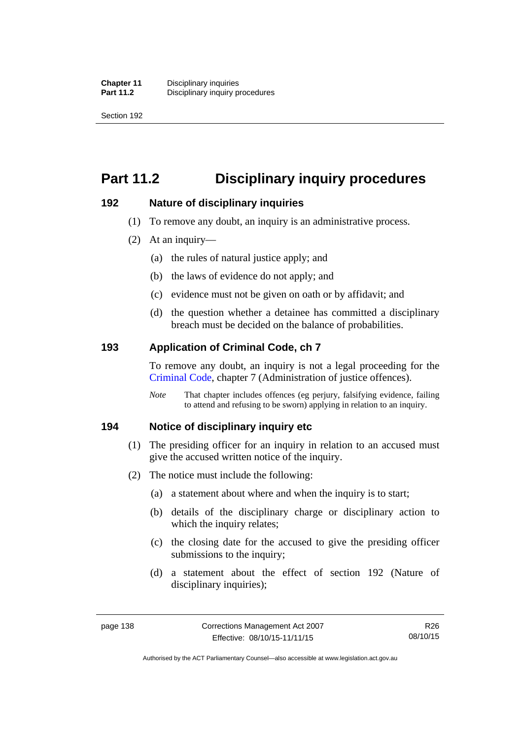Section 192

# **Part 11.2 Disciplinary inquiry procedures**

# **192 Nature of disciplinary inquiries**

- (1) To remove any doubt, an inquiry is an administrative process.
- (2) At an inquiry—
	- (a) the rules of natural justice apply; and
	- (b) the laws of evidence do not apply; and
	- (c) evidence must not be given on oath or by affidavit; and
	- (d) the question whether a detainee has committed a disciplinary breach must be decided on the balance of probabilities.

# **193 Application of Criminal Code, ch 7**

To remove any doubt, an inquiry is not a legal proceeding for the [Criminal Code](http://www.legislation.act.gov.au/a/2002-51), chapter 7 (Administration of justice offences).

*Note* That chapter includes offences (eg perjury, falsifying evidence, failing to attend and refusing to be sworn) applying in relation to an inquiry.

# **194 Notice of disciplinary inquiry etc**

- (1) The presiding officer for an inquiry in relation to an accused must give the accused written notice of the inquiry.
- (2) The notice must include the following:
	- (a) a statement about where and when the inquiry is to start;
	- (b) details of the disciplinary charge or disciplinary action to which the inquiry relates:
	- (c) the closing date for the accused to give the presiding officer submissions to the inquiry;
	- (d) a statement about the effect of section 192 (Nature of disciplinary inquiries);

R26 08/10/15

Authorised by the ACT Parliamentary Counsel—also accessible at www.legislation.act.gov.au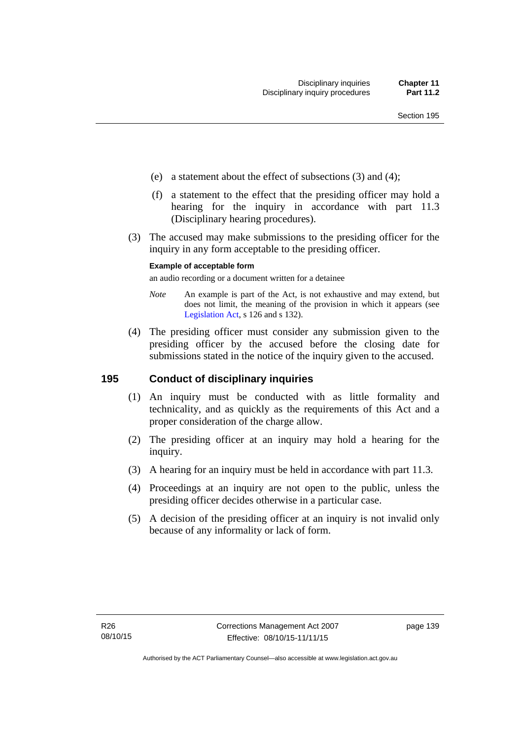- (e) a statement about the effect of subsections (3) and (4);
- (f) a statement to the effect that the presiding officer may hold a hearing for the inquiry in accordance with part 11.3 (Disciplinary hearing procedures).
- (3) The accused may make submissions to the presiding officer for the inquiry in any form acceptable to the presiding officer.

### **Example of acceptable form**

an audio recording or a document written for a detainee

- *Note* An example is part of the Act, is not exhaustive and may extend, but does not limit, the meaning of the provision in which it appears (see [Legislation Act,](http://www.legislation.act.gov.au/a/2001-14) s 126 and s 132).
- (4) The presiding officer must consider any submission given to the presiding officer by the accused before the closing date for submissions stated in the notice of the inquiry given to the accused.

# **195 Conduct of disciplinary inquiries**

- (1) An inquiry must be conducted with as little formality and technicality, and as quickly as the requirements of this Act and a proper consideration of the charge allow.
- (2) The presiding officer at an inquiry may hold a hearing for the inquiry.
- (3) A hearing for an inquiry must be held in accordance with part 11.3.
- (4) Proceedings at an inquiry are not open to the public, unless the presiding officer decides otherwise in a particular case.
- (5) A decision of the presiding officer at an inquiry is not invalid only because of any informality or lack of form.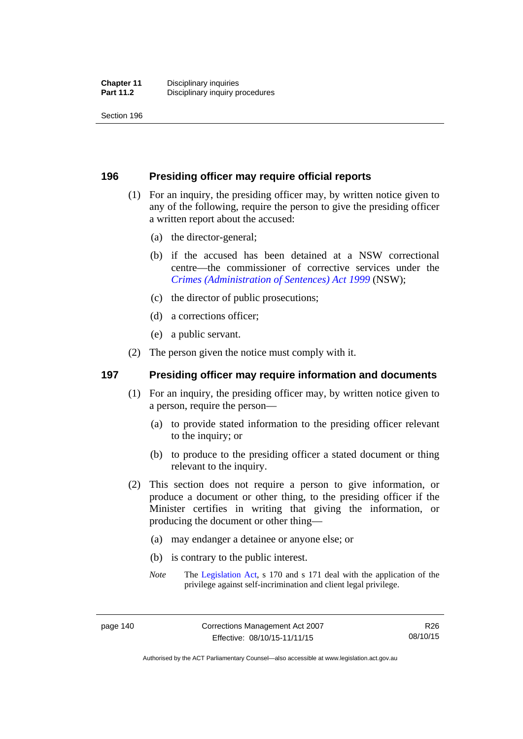Section 196

# **196 Presiding officer may require official reports**

- (1) For an inquiry, the presiding officer may, by written notice given to any of the following, require the person to give the presiding officer a written report about the accused:
	- (a) the director-general;
	- (b) if the accused has been detained at a NSW correctional centre—the commissioner of corrective services under the *[Crimes \(Administration of Sentences\) Act 1999](http://www.legislation.nsw.gov.au/maintop/view/inforce/act+93+1999+cd+0+N)* (NSW);
	- (c) the director of public prosecutions;
	- (d) a corrections officer;
	- (e) a public servant.
- (2) The person given the notice must comply with it.

# **197 Presiding officer may require information and documents**

- (1) For an inquiry, the presiding officer may, by written notice given to a person, require the person—
	- (a) to provide stated information to the presiding officer relevant to the inquiry; or
	- (b) to produce to the presiding officer a stated document or thing relevant to the inquiry.
- (2) This section does not require a person to give information, or produce a document or other thing, to the presiding officer if the Minister certifies in writing that giving the information, or producing the document or other thing—
	- (a) may endanger a detainee or anyone else; or
	- (b) is contrary to the public interest.
	- *Note* The [Legislation Act,](http://www.legislation.act.gov.au/a/2001-14) s 170 and s 171 deal with the application of the privilege against self-incrimination and client legal privilege.

Authorised by the ACT Parliamentary Counsel—also accessible at www.legislation.act.gov.au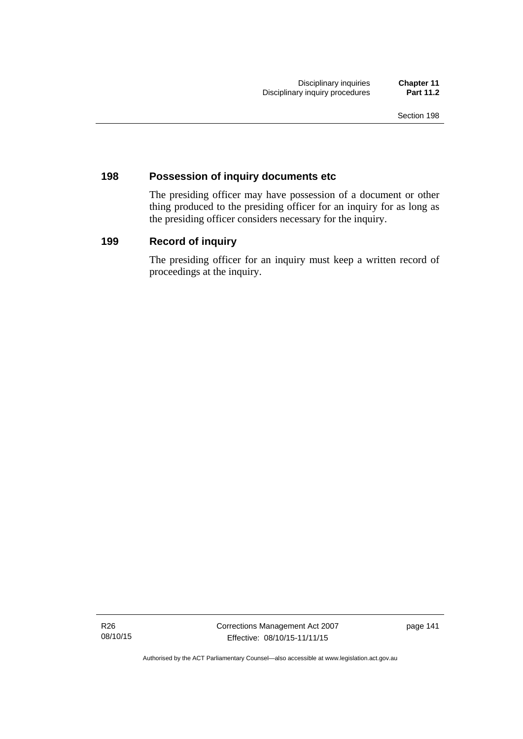# **198 Possession of inquiry documents etc**

The presiding officer may have possession of a document or other thing produced to the presiding officer for an inquiry for as long as the presiding officer considers necessary for the inquiry.

# **199 Record of inquiry**

The presiding officer for an inquiry must keep a written record of proceedings at the inquiry.

R26 08/10/15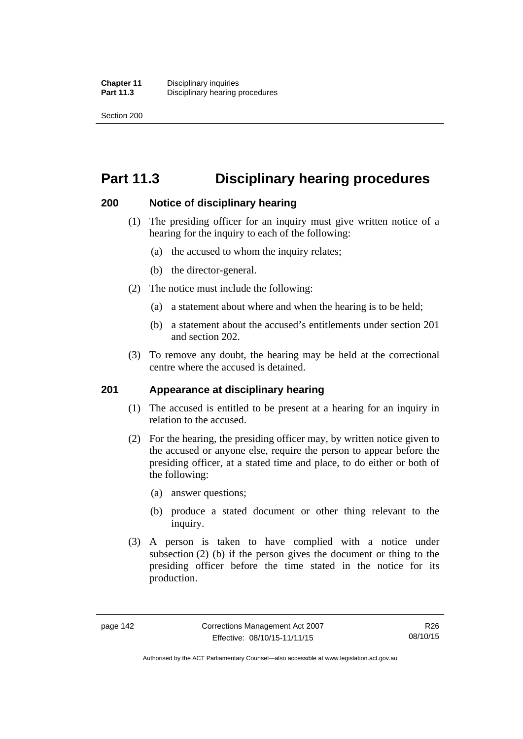Section 200

# **Part 11.3 Disciplinary hearing procedures**

# **200 Notice of disciplinary hearing**

- (1) The presiding officer for an inquiry must give written notice of a hearing for the inquiry to each of the following:
	- (a) the accused to whom the inquiry relates;
	- (b) the director-general.
- (2) The notice must include the following:
	- (a) a statement about where and when the hearing is to be held;
	- (b) a statement about the accused's entitlements under section 201 and section 202.
- (3) To remove any doubt, the hearing may be held at the correctional centre where the accused is detained.

# **201 Appearance at disciplinary hearing**

- (1) The accused is entitled to be present at a hearing for an inquiry in relation to the accused.
- (2) For the hearing, the presiding officer may, by written notice given to the accused or anyone else, require the person to appear before the presiding officer, at a stated time and place, to do either or both of the following:
	- (a) answer questions;
	- (b) produce a stated document or other thing relevant to the inquiry.
- (3) A person is taken to have complied with a notice under subsection (2) (b) if the person gives the document or thing to the presiding officer before the time stated in the notice for its production.

Authorised by the ACT Parliamentary Counsel—also accessible at www.legislation.act.gov.au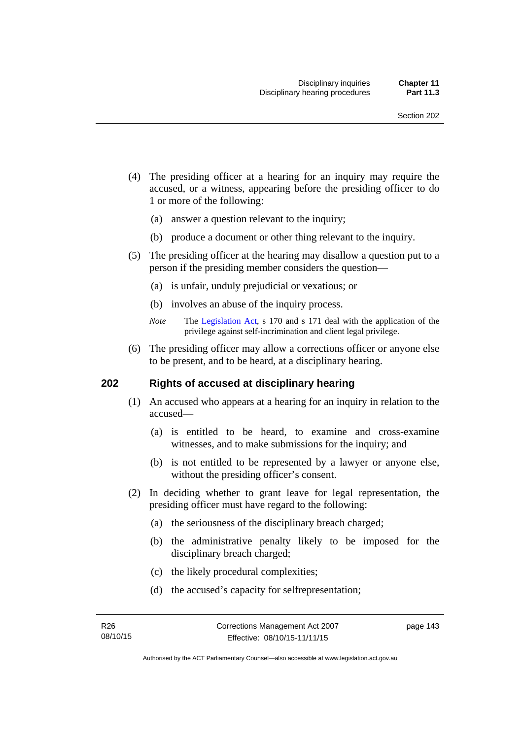- (4) The presiding officer at a hearing for an inquiry may require the accused, or a witness, appearing before the presiding officer to do 1 or more of the following:
	- (a) answer a question relevant to the inquiry;
	- (b) produce a document or other thing relevant to the inquiry.
- (5) The presiding officer at the hearing may disallow a question put to a person if the presiding member considers the question—
	- (a) is unfair, unduly prejudicial or vexatious; or
	- (b) involves an abuse of the inquiry process.
	- *Note* The [Legislation Act,](http://www.legislation.act.gov.au/a/2001-14) s 170 and s 171 deal with the application of the privilege against self-incrimination and client legal privilege.
- (6) The presiding officer may allow a corrections officer or anyone else to be present, and to be heard, at a disciplinary hearing.

### **202 Rights of accused at disciplinary hearing**

- (1) An accused who appears at a hearing for an inquiry in relation to the accused—
	- (a) is entitled to be heard, to examine and cross-examine witnesses, and to make submissions for the inquiry; and
	- (b) is not entitled to be represented by a lawyer or anyone else, without the presiding officer's consent.
- (2) In deciding whether to grant leave for legal representation, the presiding officer must have regard to the following:
	- (a) the seriousness of the disciplinary breach charged;
	- (b) the administrative penalty likely to be imposed for the disciplinary breach charged;
	- (c) the likely procedural complexities;
	- (d) the accused's capacity for selfrepresentation;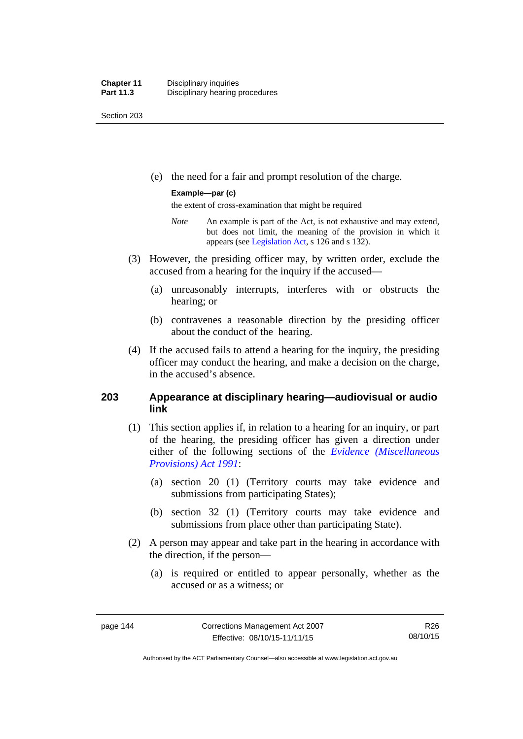Section 203

(e) the need for a fair and prompt resolution of the charge.

### **Example—par (c)**

the extent of cross-examination that might be required

- *Note* An example is part of the Act, is not exhaustive and may extend, but does not limit, the meaning of the provision in which it appears (see [Legislation Act,](http://www.legislation.act.gov.au/a/2001-14) s 126 and s 132).
- (3) However, the presiding officer may, by written order, exclude the accused from a hearing for the inquiry if the accused—
	- (a) unreasonably interrupts, interferes with or obstructs the hearing; or
	- (b) contravenes a reasonable direction by the presiding officer about the conduct of the hearing.
- (4) If the accused fails to attend a hearing for the inquiry, the presiding officer may conduct the hearing, and make a decision on the charge, in the accused's absence.

# **203 Appearance at disciplinary hearing—audiovisual or audio link**

- (1) This section applies if, in relation to a hearing for an inquiry, or part of the hearing, the presiding officer has given a direction under either of the following sections of the *[Evidence \(Miscellaneous](http://www.legislation.act.gov.au/a/1991-34)  [Provisions\) Act 1991](http://www.legislation.act.gov.au/a/1991-34)*:
	- (a) section 20 (1) (Territory courts may take evidence and submissions from participating States);
	- (b) section 32 (1) (Territory courts may take evidence and submissions from place other than participating State).
- (2) A person may appear and take part in the hearing in accordance with the direction, if the person—
	- (a) is required or entitled to appear personally, whether as the accused or as a witness; or

Authorised by the ACT Parliamentary Counsel—also accessible at www.legislation.act.gov.au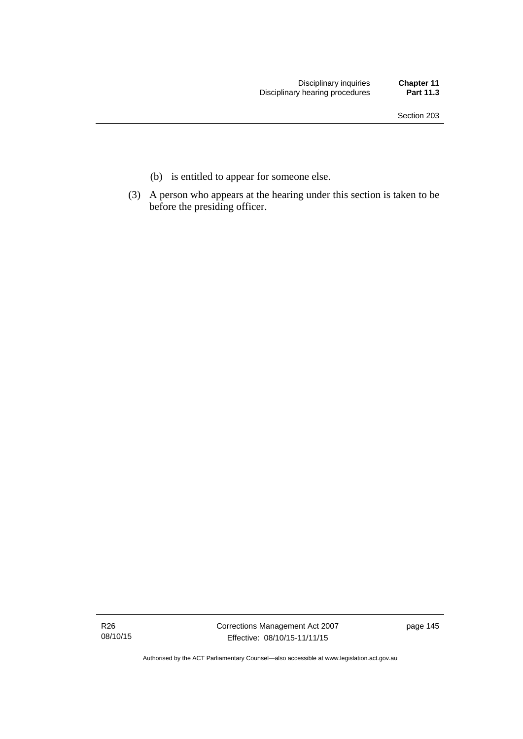- (b) is entitled to appear for someone else.
- (3) A person who appears at the hearing under this section is taken to be before the presiding officer.

R26 08/10/15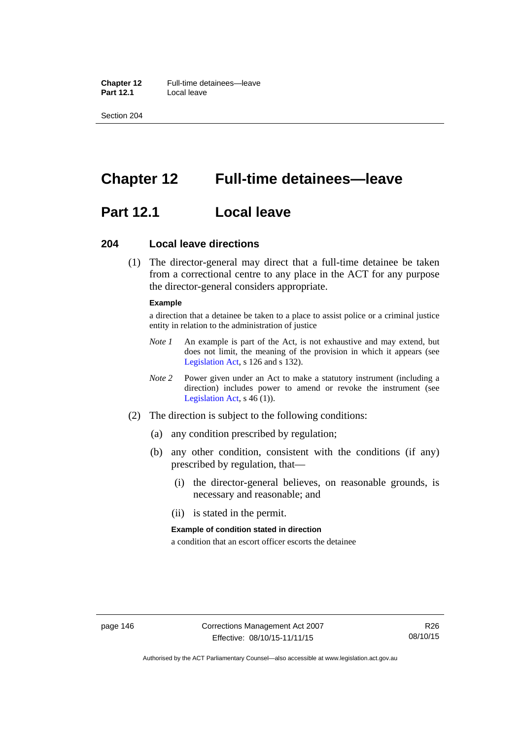**Chapter 12** Full-time detainees—leave **Part 12.1** Local leave

Section 204

# **Chapter 12 Full-time detainees—leave**

# **Part 12.1 Local leave**

### **204 Local leave directions**

 (1) The director-general may direct that a full-time detainee be taken from a correctional centre to any place in the ACT for any purpose the director-general considers appropriate.

#### **Example**

a direction that a detainee be taken to a place to assist police or a criminal justice entity in relation to the administration of justice

- *Note 1* An example is part of the Act, is not exhaustive and may extend, but does not limit, the meaning of the provision in which it appears (see [Legislation Act,](http://www.legislation.act.gov.au/a/2001-14) s 126 and s 132).
- *Note 2* Power given under an Act to make a statutory instrument (including a direction) includes power to amend or revoke the instrument (see [Legislation Act,](http://www.legislation.act.gov.au/a/2001-14) s 46 (1)).
- (2) The direction is subject to the following conditions:
	- (a) any condition prescribed by regulation;
	- (b) any other condition, consistent with the conditions (if any) prescribed by regulation, that—
		- (i) the director-general believes, on reasonable grounds, is necessary and reasonable; and
		- (ii) is stated in the permit.

#### **Example of condition stated in direction**

a condition that an escort officer escorts the detainee

Authorised by the ACT Parliamentary Counsel—also accessible at www.legislation.act.gov.au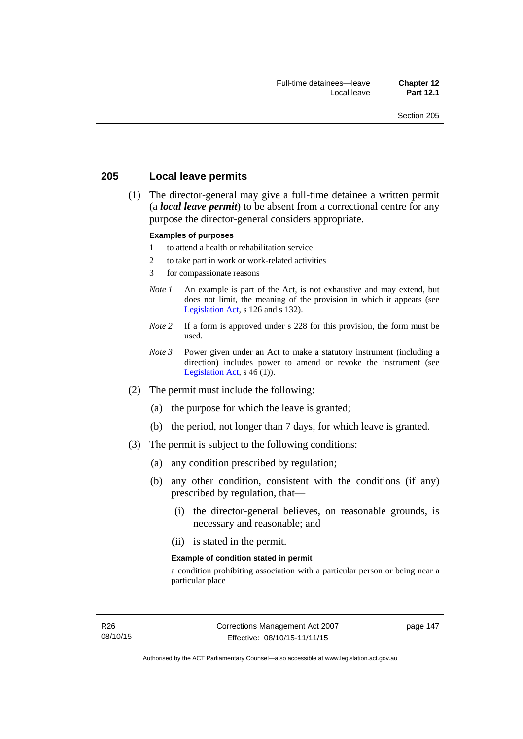# **205 Local leave permits**

 (1) The director-general may give a full-time detainee a written permit (a *local leave permit*) to be absent from a correctional centre for any purpose the director-general considers appropriate.

#### **Examples of purposes**

- 1 to attend a health or rehabilitation service
- 2 to take part in work or work-related activities
- 3 for compassionate reasons
- *Note 1* An example is part of the Act, is not exhaustive and may extend, but does not limit, the meaning of the provision in which it appears (see [Legislation Act,](http://www.legislation.act.gov.au/a/2001-14) s 126 and s 132).
- *Note* 2 If a form is approved under s 228 for this provision, the form must be used.
- *Note 3* Power given under an Act to make a statutory instrument (including a direction) includes power to amend or revoke the instrument (see [Legislation Act,](http://www.legislation.act.gov.au/a/2001-14)  $s$  46 (1)).
- (2) The permit must include the following:
	- (a) the purpose for which the leave is granted;
	- (b) the period, not longer than 7 days, for which leave is granted.
- (3) The permit is subject to the following conditions:
	- (a) any condition prescribed by regulation;
	- (b) any other condition, consistent with the conditions (if any) prescribed by regulation, that—
		- (i) the director-general believes, on reasonable grounds, is necessary and reasonable; and
		- (ii) is stated in the permit.

#### **Example of condition stated in permit**

a condition prohibiting association with a particular person or being near a particular place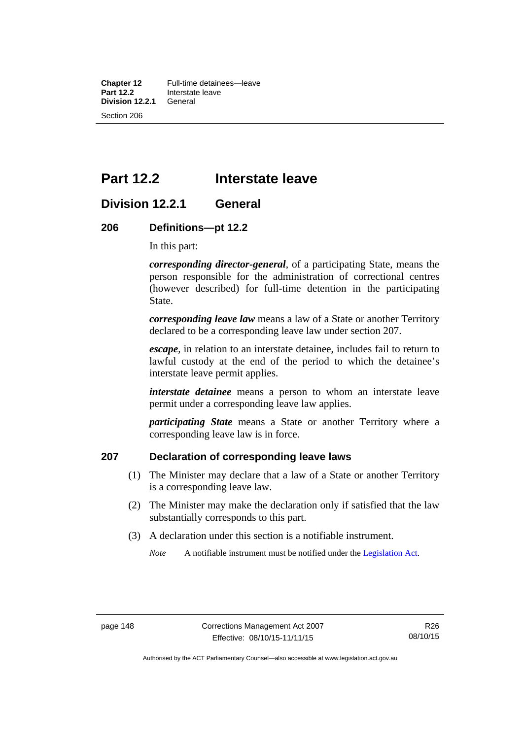**Chapter 12** Full-time detainees—leave<br>**Part 12.2** Interstate leave **Interstate leave**<br>General **Division 12.2.1** Section 206

# **Part 12.2 Interstate leave**

# **Division 12.2.1 General**

### **206 Definitions—pt 12.2**

In this part:

*corresponding director-general*, of a participating State, means the person responsible for the administration of correctional centres (however described) for full-time detention in the participating State.

*corresponding leave law* means a law of a State or another Territory declared to be a corresponding leave law under section 207.

*escape*, in relation to an interstate detainee, includes fail to return to lawful custody at the end of the period to which the detainee's interstate leave permit applies.

*interstate detainee* means a person to whom an interstate leave permit under a corresponding leave law applies.

*participating State* means a State or another Territory where a corresponding leave law is in force.

# **207 Declaration of corresponding leave laws**

- (1) The Minister may declare that a law of a State or another Territory is a corresponding leave law.
- (2) The Minister may make the declaration only if satisfied that the law substantially corresponds to this part.
- (3) A declaration under this section is a notifiable instrument.

*Note* A notifiable instrument must be notified under the [Legislation Act](http://www.legislation.act.gov.au/a/2001-14).

Authorised by the ACT Parliamentary Counsel—also accessible at www.legislation.act.gov.au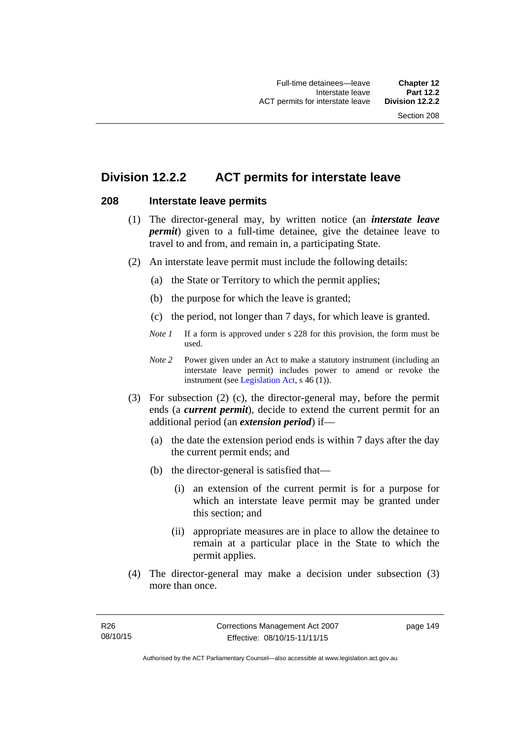# **Division 12.2.2 ACT permits for interstate leave**

# **208 Interstate leave permits**

- (1) The director-general may, by written notice (an *interstate leave permit*) given to a full-time detainee, give the detainee leave to travel to and from, and remain in, a participating State.
- (2) An interstate leave permit must include the following details:
	- (a) the State or Territory to which the permit applies;
	- (b) the purpose for which the leave is granted;
	- (c) the period, not longer than 7 days, for which leave is granted.
	- *Note 1* If a form is approved under s 228 for this provision, the form must be used.
	- *Note 2* Power given under an Act to make a statutory instrument (including an interstate leave permit) includes power to amend or revoke the instrument (see [Legislation Act,](http://www.legislation.act.gov.au/a/2001-14) s 46 (1)).
- (3) For subsection (2) (c), the director-general may, before the permit ends (a *current permit*), decide to extend the current permit for an additional period (an *extension period*) if—
	- (a) the date the extension period ends is within 7 days after the day the current permit ends; and
	- (b) the director-general is satisfied that—
		- (i) an extension of the current permit is for a purpose for which an interstate leave permit may be granted under this section; and
		- (ii) appropriate measures are in place to allow the detainee to remain at a particular place in the State to which the permit applies.
- (4) The director-general may make a decision under subsection (3) more than once.

page 149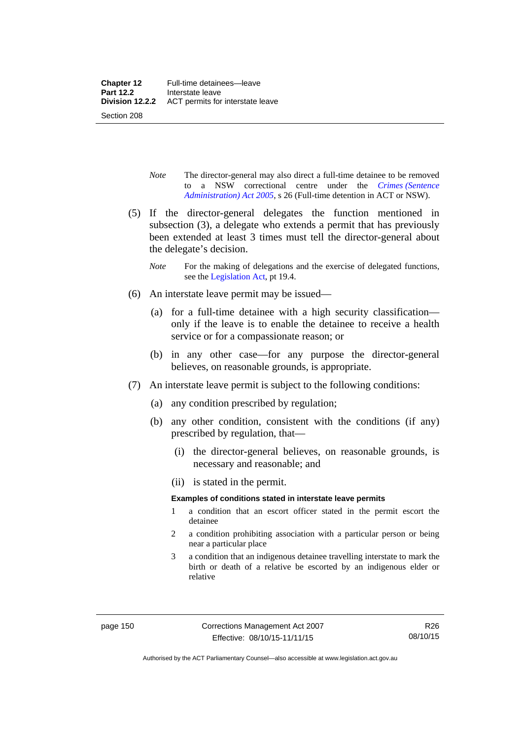- *Note* The director-general may also direct a full-time detainee to be removed to a NSW correctional centre under the *[Crimes \(Sentence](http://www.legislation.act.gov.au/a/2005-59)  [Administration\) Act 2005](http://www.legislation.act.gov.au/a/2005-59)*, s 26 (Full-time detention in ACT or NSW).
- (5) If the director-general delegates the function mentioned in subsection (3), a delegate who extends a permit that has previously been extended at least 3 times must tell the director-general about the delegate's decision.
	- *Note* For the making of delegations and the exercise of delegated functions, see the [Legislation Act,](http://www.legislation.act.gov.au/a/2001-14) pt 19.4.
- (6) An interstate leave permit may be issued—
	- (a) for a full-time detainee with a high security classification only if the leave is to enable the detainee to receive a health service or for a compassionate reason; or
	- (b) in any other case—for any purpose the director-general believes, on reasonable grounds, is appropriate.
- (7) An interstate leave permit is subject to the following conditions:
	- (a) any condition prescribed by regulation;
	- (b) any other condition, consistent with the conditions (if any) prescribed by regulation, that—
		- (i) the director-general believes, on reasonable grounds, is necessary and reasonable; and
		- (ii) is stated in the permit.

### **Examples of conditions stated in interstate leave permits**

- 1 a condition that an escort officer stated in the permit escort the detainee
- 2 a condition prohibiting association with a particular person or being near a particular place
- 3 a condition that an indigenous detainee travelling interstate to mark the birth or death of a relative be escorted by an indigenous elder or relative

Authorised by the ACT Parliamentary Counsel—also accessible at www.legislation.act.gov.au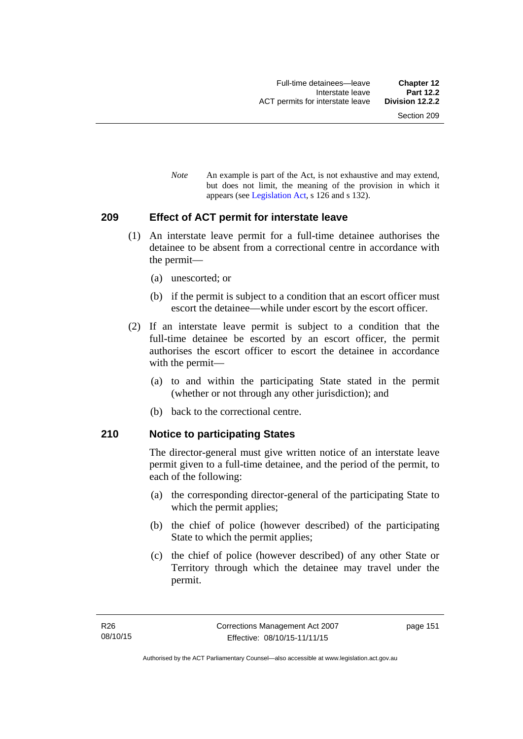*Note* An example is part of the Act, is not exhaustive and may extend, but does not limit, the meaning of the provision in which it appears (see [Legislation Act,](http://www.legislation.act.gov.au/a/2001-14) s 126 and s 132).

### **209 Effect of ACT permit for interstate leave**

- (1) An interstate leave permit for a full-time detainee authorises the detainee to be absent from a correctional centre in accordance with the permit—
	- (a) unescorted; or
	- (b) if the permit is subject to a condition that an escort officer must escort the detainee—while under escort by the escort officer.
- (2) If an interstate leave permit is subject to a condition that the full-time detainee be escorted by an escort officer, the permit authorises the escort officer to escort the detainee in accordance with the permit—
	- (a) to and within the participating State stated in the permit (whether or not through any other jurisdiction); and
	- (b) back to the correctional centre.

### **210 Notice to participating States**

The director-general must give written notice of an interstate leave permit given to a full-time detainee, and the period of the permit, to each of the following:

- (a) the corresponding director-general of the participating State to which the permit applies;
- (b) the chief of police (however described) of the participating State to which the permit applies;
- (c) the chief of police (however described) of any other State or Territory through which the detainee may travel under the permit.

page 151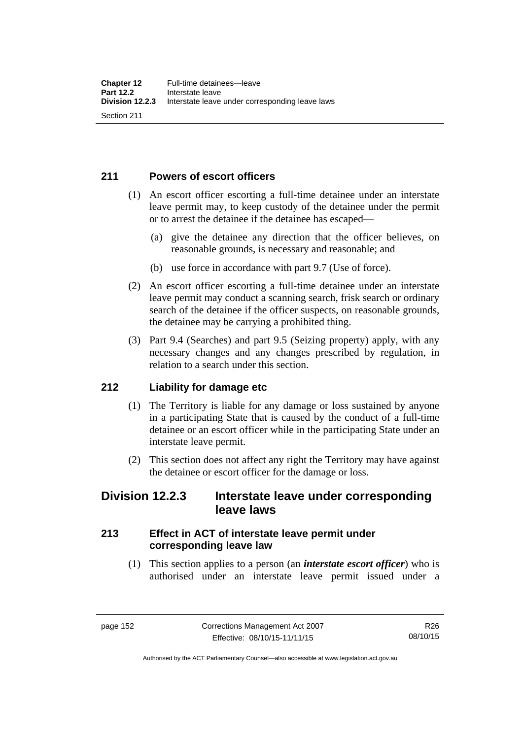# **211 Powers of escort officers**

- (1) An escort officer escorting a full-time detainee under an interstate leave permit may, to keep custody of the detainee under the permit or to arrest the detainee if the detainee has escaped—
	- (a) give the detainee any direction that the officer believes, on reasonable grounds, is necessary and reasonable; and
	- (b) use force in accordance with part 9.7 (Use of force).
- (2) An escort officer escorting a full-time detainee under an interstate leave permit may conduct a scanning search, frisk search or ordinary search of the detainee if the officer suspects, on reasonable grounds, the detainee may be carrying a prohibited thing.
- (3) Part 9.4 (Searches) and part 9.5 (Seizing property) apply, with any necessary changes and any changes prescribed by regulation, in relation to a search under this section.

# **212 Liability for damage etc**

- (1) The Territory is liable for any damage or loss sustained by anyone in a participating State that is caused by the conduct of a full-time detainee or an escort officer while in the participating State under an interstate leave permit.
- (2) This section does not affect any right the Territory may have against the detainee or escort officer for the damage or loss.

# **Division 12.2.3 Interstate leave under corresponding leave laws**

# **213 Effect in ACT of interstate leave permit under corresponding leave law**

 (1) This section applies to a person (an *interstate escort officer*) who is authorised under an interstate leave permit issued under a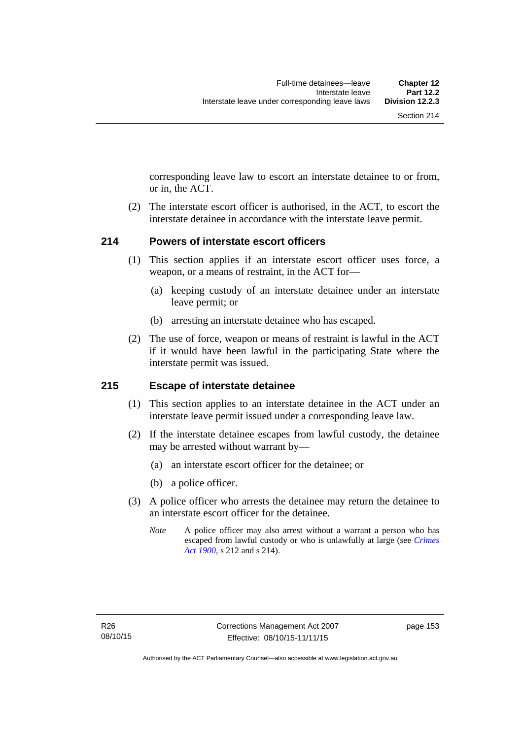corresponding leave law to escort an interstate detainee to or from, or in, the ACT.

 (2) The interstate escort officer is authorised, in the ACT, to escort the interstate detainee in accordance with the interstate leave permit.

# **214 Powers of interstate escort officers**

- (1) This section applies if an interstate escort officer uses force, a weapon, or a means of restraint, in the ACT for—
	- (a) keeping custody of an interstate detainee under an interstate leave permit; or
	- (b) arresting an interstate detainee who has escaped.
- (2) The use of force, weapon or means of restraint is lawful in the ACT if it would have been lawful in the participating State where the interstate permit was issued.

### **215 Escape of interstate detainee**

- (1) This section applies to an interstate detainee in the ACT under an interstate leave permit issued under a corresponding leave law.
- (2) If the interstate detainee escapes from lawful custody, the detainee may be arrested without warrant by—
	- (a) an interstate escort officer for the detainee; or
	- (b) a police officer.
- (3) A police officer who arrests the detainee may return the detainee to an interstate escort officer for the detainee.
	- *Note* A police officer may also arrest without a warrant a person who has escaped from lawful custody or who is unlawfully at large (see *[Crimes](http://www.legislation.act.gov.au/a/1900-40)  [Act 1900](http://www.legislation.act.gov.au/a/1900-40)*, s 212 and s 214).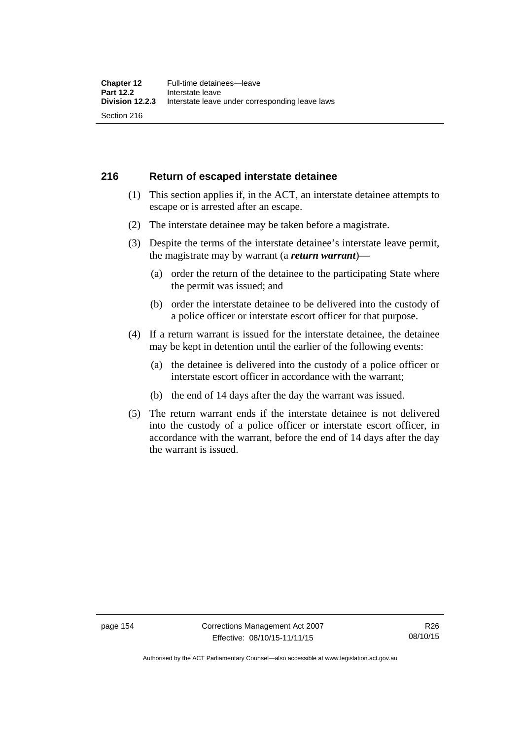# **216 Return of escaped interstate detainee**

- (1) This section applies if, in the ACT, an interstate detainee attempts to escape or is arrested after an escape.
- (2) The interstate detainee may be taken before a magistrate.
- (3) Despite the terms of the interstate detainee's interstate leave permit, the magistrate may by warrant (a *return warrant*)—
	- (a) order the return of the detainee to the participating State where the permit was issued; and
	- (b) order the interstate detainee to be delivered into the custody of a police officer or interstate escort officer for that purpose.
- (4) If a return warrant is issued for the interstate detainee, the detainee may be kept in detention until the earlier of the following events:
	- (a) the detainee is delivered into the custody of a police officer or interstate escort officer in accordance with the warrant;
	- (b) the end of 14 days after the day the warrant was issued.
- (5) The return warrant ends if the interstate detainee is not delivered into the custody of a police officer or interstate escort officer, in accordance with the warrant, before the end of 14 days after the day the warrant is issued.

Authorised by the ACT Parliamentary Counsel—also accessible at www.legislation.act.gov.au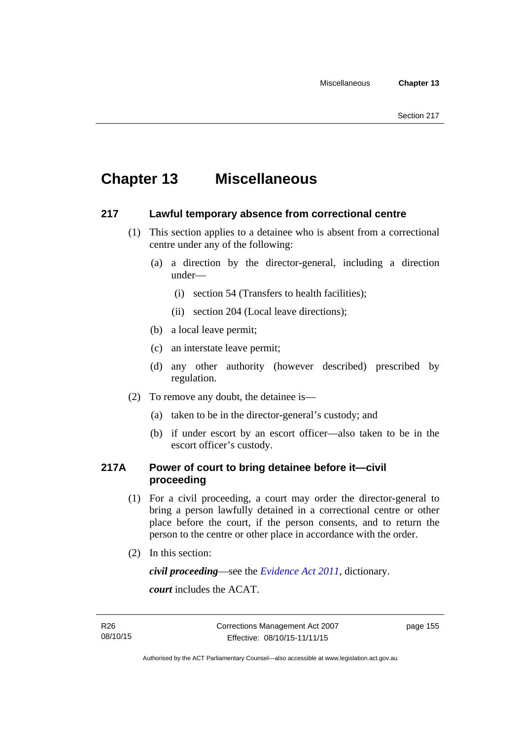# **Chapter 13 Miscellaneous**

# **217 Lawful temporary absence from correctional centre**

- (1) This section applies to a detainee who is absent from a correctional centre under any of the following:
	- (a) a direction by the director-general, including a direction under—
		- (i) section 54 (Transfers to health facilities);
		- (ii) section 204 (Local leave directions);
	- (b) a local leave permit;
	- (c) an interstate leave permit;
	- (d) any other authority (however described) prescribed by regulation.
- (2) To remove any doubt, the detainee is—
	- (a) taken to be in the director-general's custody; and
	- (b) if under escort by an escort officer—also taken to be in the escort officer's custody.

# **217A Power of court to bring detainee before it—civil proceeding**

- (1) For a civil proceeding, a court may order the director-general to bring a person lawfully detained in a correctional centre or other place before the court, if the person consents, and to return the person to the centre or other place in accordance with the order.
- (2) In this section:

*civil proceeding*—see the *[Evidence Act 2011](http://www.legislation.act.gov.au/a/2011-12)*, dictionary.

*court* includes the ACAT.

page 155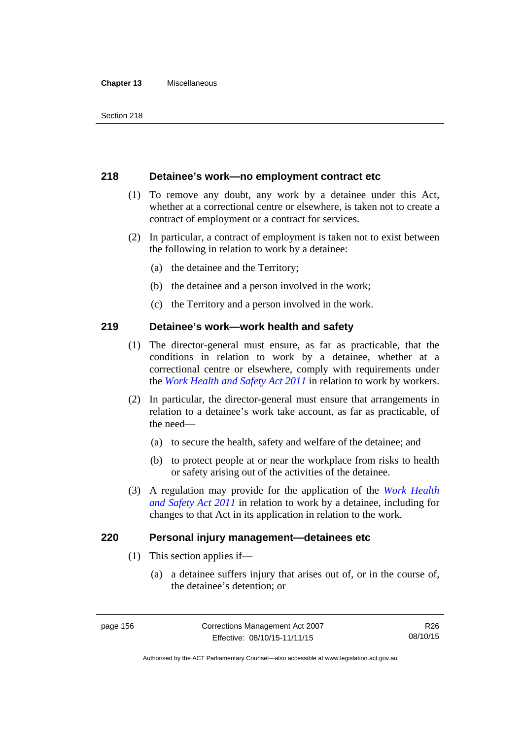#### **Chapter 13** Miscellaneous

# **218 Detainee's work—no employment contract etc**

- (1) To remove any doubt, any work by a detainee under this Act, whether at a correctional centre or elsewhere, is taken not to create a contract of employment or a contract for services.
- (2) In particular, a contract of employment is taken not to exist between the following in relation to work by a detainee:
	- (a) the detainee and the Territory;
	- (b) the detainee and a person involved in the work;
	- (c) the Territory and a person involved in the work.

# **219 Detainee's work—work health and safety**

- (1) The director-general must ensure, as far as practicable, that the conditions in relation to work by a detainee, whether at a correctional centre or elsewhere, comply with requirements under the *[Work Health and Safety Act 2011](http://www.legislation.act.gov.au/a/2011-35)* in relation to work by workers.
- (2) In particular, the director-general must ensure that arrangements in relation to a detainee's work take account, as far as practicable, of the need—
	- (a) to secure the health, safety and welfare of the detainee; and
	- (b) to protect people at or near the workplace from risks to health or safety arising out of the activities of the detainee.
- (3) A regulation may provide for the application of the *[Work Health](http://www.legislation.act.gov.au/a/2011-35)  [and Safety Act 2011](http://www.legislation.act.gov.au/a/2011-35)* in relation to work by a detainee, including for changes to that Act in its application in relation to the work.

### **220 Personal injury management—detainees etc**

- (1) This section applies if—
	- (a) a detainee suffers injury that arises out of, or in the course of, the detainee's detention; or

Authorised by the ACT Parliamentary Counsel—also accessible at www.legislation.act.gov.au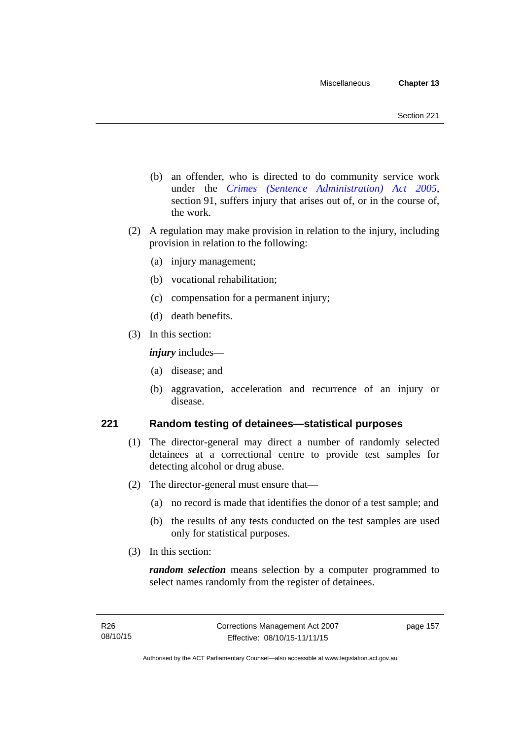- (b) an offender, who is directed to do community service work under the *[Crimes \(Sentence Administration\) Act 2005](http://www.legislation.act.gov.au/a/2005-59)*, section 91, suffers injury that arises out of, or in the course of, the work.
- (2) A regulation may make provision in relation to the injury, including provision in relation to the following:
	- (a) injury management;
	- (b) vocational rehabilitation;
	- (c) compensation for a permanent injury;
	- (d) death benefits.
- (3) In this section:

*injury* includes—

- (a) disease; and
- (b) aggravation, acceleration and recurrence of an injury or disease.

# **221 Random testing of detainees—statistical purposes**

- (1) The director-general may direct a number of randomly selected detainees at a correctional centre to provide test samples for detecting alcohol or drug abuse.
- (2) The director-general must ensure that—
	- (a) no record is made that identifies the donor of a test sample; and
	- (b) the results of any tests conducted on the test samples are used only for statistical purposes.
- (3) In this section:

*random selection* means selection by a computer programmed to select names randomly from the register of detainees.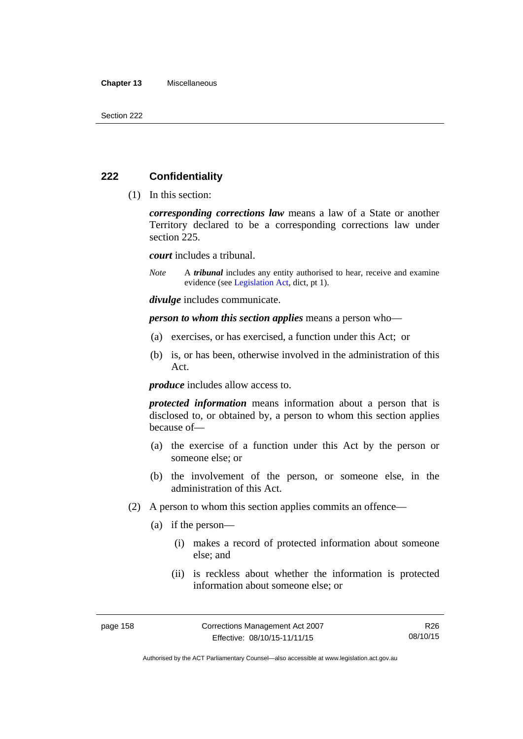#### **Chapter 13** Miscellaneous

# **222 Confidentiality**

(1) In this section:

*corresponding corrections law* means a law of a State or another Territory declared to be a corresponding corrections law under section 225.

*court* includes a tribunal.

*Note* A *tribunal* includes any entity authorised to hear, receive and examine evidence (see [Legislation Act,](http://www.legislation.act.gov.au/a/2001-14) dict, pt 1).

*divulge* includes communicate.

*person to whom this section applies* means a person who—

- (a) exercises, or has exercised, a function under this Act; or
- (b) is, or has been, otherwise involved in the administration of this Act.

*produce* includes allow access to.

*protected information* means information about a person that is disclosed to, or obtained by, a person to whom this section applies because of—

- (a) the exercise of a function under this Act by the person or someone else; or
- (b) the involvement of the person, or someone else, in the administration of this Act.
- (2) A person to whom this section applies commits an offence—
	- (a) if the person—
		- (i) makes a record of protected information about someone else; and
		- (ii) is reckless about whether the information is protected information about someone else; or

Authorised by the ACT Parliamentary Counsel—also accessible at www.legislation.act.gov.au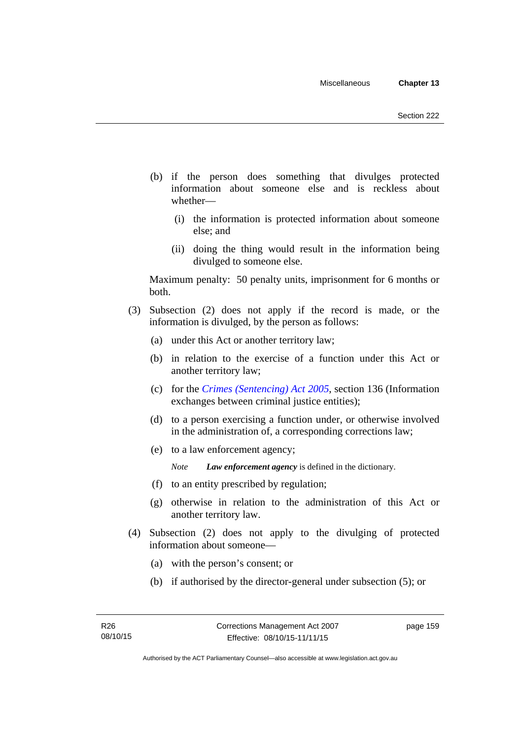- (b) if the person does something that divulges protected information about someone else and is reckless about whether—
	- (i) the information is protected information about someone else; and
	- (ii) doing the thing would result in the information being divulged to someone else.

Maximum penalty: 50 penalty units, imprisonment for 6 months or both.

- (3) Subsection (2) does not apply if the record is made, or the information is divulged, by the person as follows:
	- (a) under this Act or another territory law;
	- (b) in relation to the exercise of a function under this Act or another territory law;
	- (c) for the *[Crimes \(Sentencing\) Act 2005](http://www.legislation.act.gov.au/a/2005-58)*, section 136 (Information exchanges between criminal justice entities);
	- (d) to a person exercising a function under, or otherwise involved in the administration of, a corresponding corrections law;
	- (e) to a law enforcement agency;

*Note Law enforcement agency* is defined in the dictionary.

- (f) to an entity prescribed by regulation;
- (g) otherwise in relation to the administration of this Act or another territory law.
- (4) Subsection (2) does not apply to the divulging of protected information about someone—
	- (a) with the person's consent; or
	- (b) if authorised by the director-general under subsection (5); or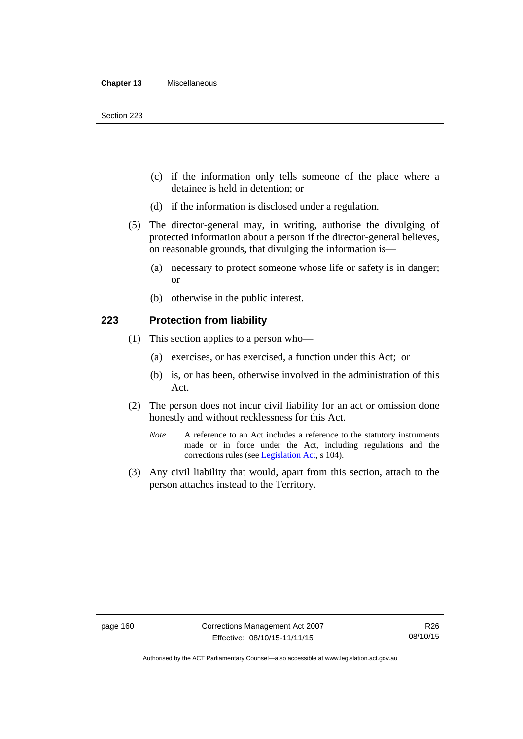- (c) if the information only tells someone of the place where a detainee is held in detention; or
- (d) if the information is disclosed under a regulation.
- (5) The director-general may, in writing, authorise the divulging of protected information about a person if the director-general believes, on reasonable grounds, that divulging the information is—
	- (a) necessary to protect someone whose life or safety is in danger; or
	- (b) otherwise in the public interest.

### **223 Protection from liability**

- (1) This section applies to a person who—
	- (a) exercises, or has exercised, a function under this Act; or
	- (b) is, or has been, otherwise involved in the administration of this Act.
- (2) The person does not incur civil liability for an act or omission done honestly and without recklessness for this Act.
	- *Note* A reference to an Act includes a reference to the statutory instruments made or in force under the Act, including regulations and the corrections rules (see [Legislation Act,](http://www.legislation.act.gov.au/a/2001-14) s 104).
- (3) Any civil liability that would, apart from this section, attach to the person attaches instead to the Territory.

Authorised by the ACT Parliamentary Counsel—also accessible at www.legislation.act.gov.au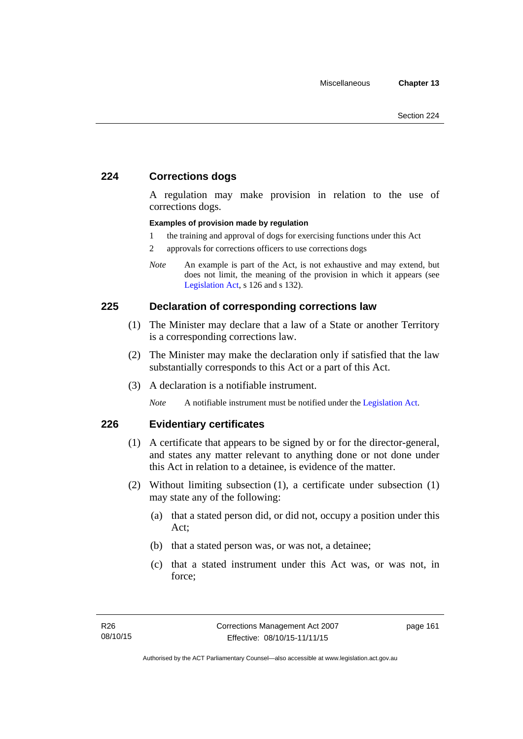# **224 Corrections dogs**

A regulation may make provision in relation to the use of corrections dogs.

### **Examples of provision made by regulation**

- 1 the training and approval of dogs for exercising functions under this Act
- 2 approvals for corrections officers to use corrections dogs
- *Note* An example is part of the Act, is not exhaustive and may extend, but does not limit, the meaning of the provision in which it appears (see [Legislation Act,](http://www.legislation.act.gov.au/a/2001-14) s 126 and s 132).

### **225 Declaration of corresponding corrections law**

- (1) The Minister may declare that a law of a State or another Territory is a corresponding corrections law.
- (2) The Minister may make the declaration only if satisfied that the law substantially corresponds to this Act or a part of this Act.
- (3) A declaration is a notifiable instrument.

*Note* A notifiable instrument must be notified under the [Legislation Act](http://www.legislation.act.gov.au/a/2001-14).

# **226 Evidentiary certificates**

- (1) A certificate that appears to be signed by or for the director-general, and states any matter relevant to anything done or not done under this Act in relation to a detainee, is evidence of the matter.
- (2) Without limiting subsection (1), a certificate under subsection (1) may state any of the following:
	- (a) that a stated person did, or did not, occupy a position under this Act;
	- (b) that a stated person was, or was not, a detainee;
	- (c) that a stated instrument under this Act was, or was not, in force;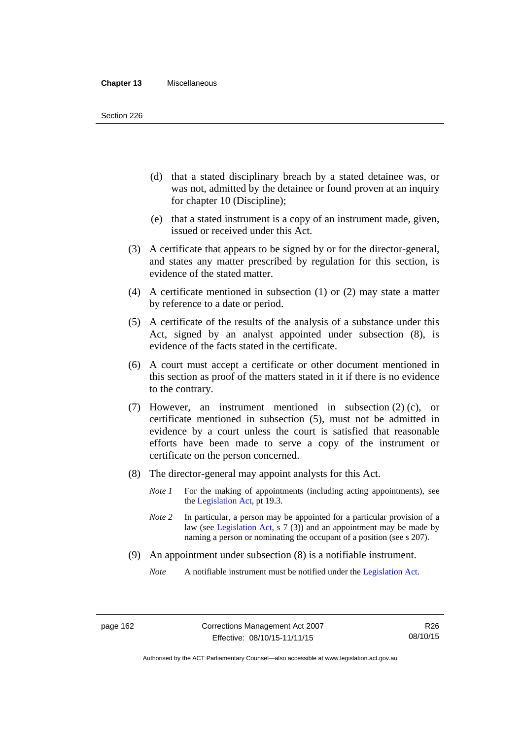- (d) that a stated disciplinary breach by a stated detainee was, or was not, admitted by the detainee or found proven at an inquiry for chapter 10 (Discipline);
- (e) that a stated instrument is a copy of an instrument made, given, issued or received under this Act.
- (3) A certificate that appears to be signed by or for the director-general, and states any matter prescribed by regulation for this section, is evidence of the stated matter.
- (4) A certificate mentioned in subsection (1) or (2) may state a matter by reference to a date or period.
- (5) A certificate of the results of the analysis of a substance under this Act, signed by an analyst appointed under subsection (8), is evidence of the facts stated in the certificate.
- (6) A court must accept a certificate or other document mentioned in this section as proof of the matters stated in it if there is no evidence to the contrary.
- (7) However, an instrument mentioned in subsection (2) (c), or certificate mentioned in subsection (5), must not be admitted in evidence by a court unless the court is satisfied that reasonable efforts have been made to serve a copy of the instrument or certificate on the person concerned.
- (8) The director-general may appoint analysts for this Act.
	- *Note 1* For the making of appointments (including acting appointments), see the [Legislation Act,](http://www.legislation.act.gov.au/a/2001-14) pt 19.3.
	- *Note 2* In particular, a person may be appointed for a particular provision of a law (see [Legislation Act,](http://www.legislation.act.gov.au/a/2001-14) s 7 (3)) and an appointment may be made by naming a person or nominating the occupant of a position (see s 207).
- (9) An appointment under subsection (8) is a notifiable instrument.

*Note* A notifiable instrument must be notified under the [Legislation Act](http://www.legislation.act.gov.au/a/2001-14).

Authorised by the ACT Parliamentary Counsel—also accessible at www.legislation.act.gov.au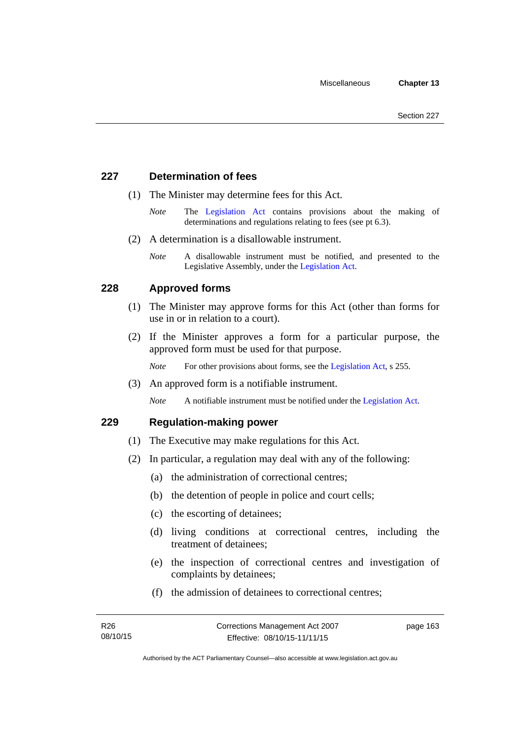# **227 Determination of fees**

- (1) The Minister may determine fees for this Act.
	- *Note* The [Legislation Act](http://www.legislation.act.gov.au/a/2001-14) contains provisions about the making of determinations and regulations relating to fees (see pt 6.3).
- (2) A determination is a disallowable instrument.
	- *Note* A disallowable instrument must be notified, and presented to the Legislative Assembly, under the [Legislation Act.](http://www.legislation.act.gov.au/a/2001-14)

# **228 Approved forms**

- (1) The Minister may approve forms for this Act (other than forms for use in or in relation to a court).
- (2) If the Minister approves a form for a particular purpose, the approved form must be used for that purpose.

*Note* For other provisions about forms, see the [Legislation Act,](http://www.legislation.act.gov.au/a/2001-14) s 255.

(3) An approved form is a notifiable instrument.

*Note* A notifiable instrument must be notified under the [Legislation Act](http://www.legislation.act.gov.au/a/2001-14).

### **229 Regulation-making power**

- (1) The Executive may make regulations for this Act.
- (2) In particular, a regulation may deal with any of the following:
	- (a) the administration of correctional centres;
	- (b) the detention of people in police and court cells;
	- (c) the escorting of detainees;
	- (d) living conditions at correctional centres, including the treatment of detainees;
	- (e) the inspection of correctional centres and investigation of complaints by detainees;
	- (f) the admission of detainees to correctional centres;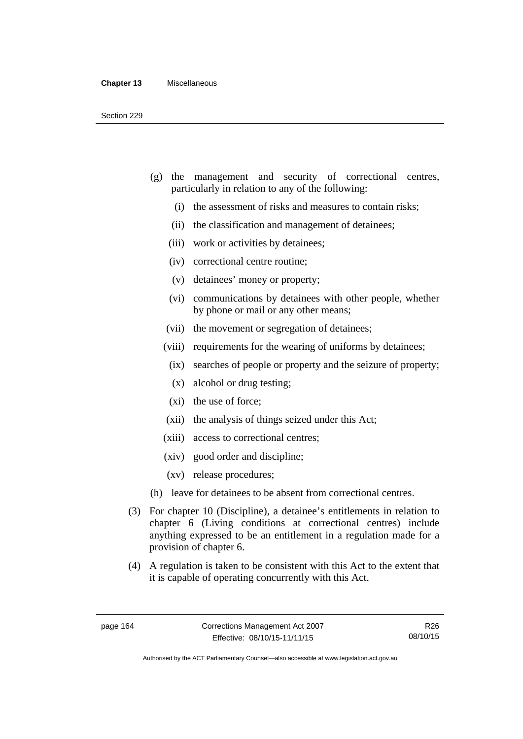- (g) the management and security of correctional centres, particularly in relation to any of the following:
	- (i) the assessment of risks and measures to contain risks;
	- (ii) the classification and management of detainees;
	- (iii) work or activities by detainees;
	- (iv) correctional centre routine;
	- (v) detainees' money or property;
	- (vi) communications by detainees with other people, whether by phone or mail or any other means;
	- (vii) the movement or segregation of detainees;
	- (viii) requirements for the wearing of uniforms by detainees;
	- (ix) searches of people or property and the seizure of property;
	- (x) alcohol or drug testing;
	- (xi) the use of force;
	- (xii) the analysis of things seized under this Act;
	- (xiii) access to correctional centres;
	- (xiv) good order and discipline;
	- (xv) release procedures;
- (h) leave for detainees to be absent from correctional centres.
- (3) For chapter 10 (Discipline), a detainee's entitlements in relation to chapter 6 (Living conditions at correctional centres) include anything expressed to be an entitlement in a regulation made for a provision of chapter 6.
- (4) A regulation is taken to be consistent with this Act to the extent that it is capable of operating concurrently with this Act.

R26 08/10/15

Authorised by the ACT Parliamentary Counsel—also accessible at www.legislation.act.gov.au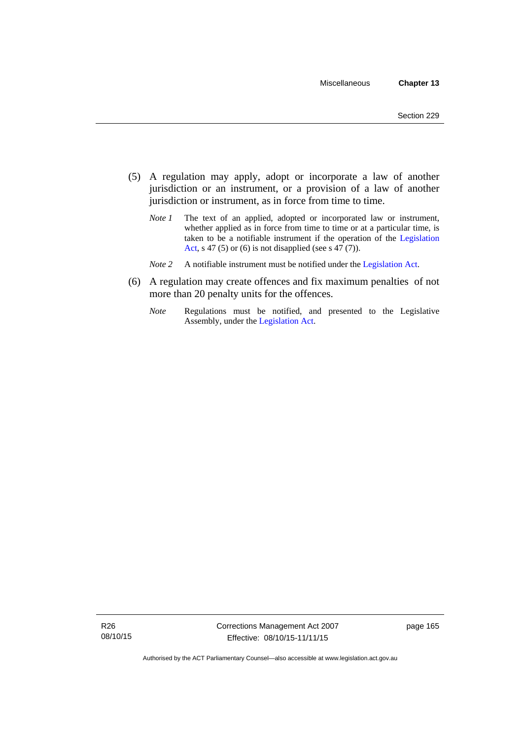- (5) A regulation may apply, adopt or incorporate a law of another jurisdiction or an instrument, or a provision of a law of another jurisdiction or instrument, as in force from time to time.
	- *Note 1* The text of an applied, adopted or incorporated law or instrument, whether applied as in force from time to time or at a particular time, is taken to be a notifiable instrument if the operation of the [Legislation](http://www.legislation.act.gov.au/a/2001-14)  [Act,](http://www.legislation.act.gov.au/a/2001-14) s 47 (5) or (6) is not disapplied (see s 47 (7)).
	- *Note 2* A notifiable instrument must be notified under the [Legislation Act](http://www.legislation.act.gov.au/a/2001-14).
- (6) A regulation may create offences and fix maximum penalties of not more than 20 penalty units for the offences.
	- *Note* Regulations must be notified, and presented to the Legislative Assembly, under the [Legislation Act](http://www.legislation.act.gov.au/a/2001-14).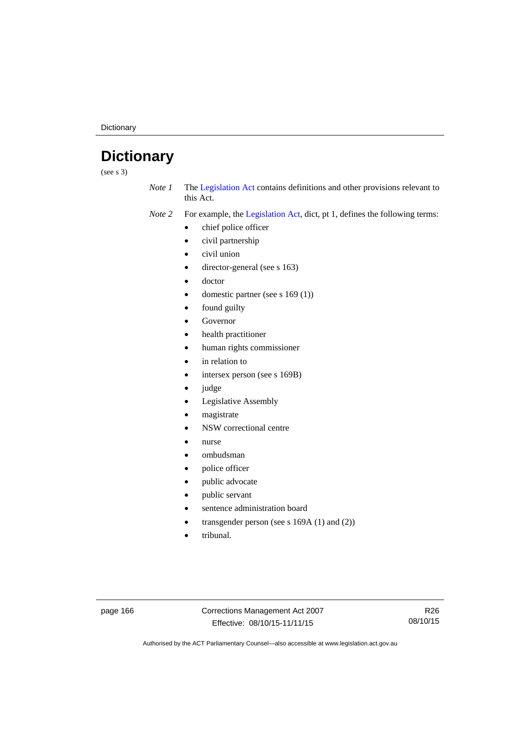**Dictionary** 

# **Dictionary**

(see s 3)

*Note 1* The [Legislation Act](http://www.legislation.act.gov.au/a/2001-14) contains definitions and other provisions relevant to this Act.

*Note 2* For example, the [Legislation Act,](http://www.legislation.act.gov.au/a/2001-14) dict, pt 1, defines the following terms:

- chief police officer
- civil partnership
- civil union
- director-general (see s 163)
- doctor
- domestic partner (see s 169 (1))
- found guilty
- Governor
- health practitioner
- human rights commissioner
- in relation to
- intersex person (see s 169B)
- judge
- Legislative Assembly
- magistrate
- NSW correctional centre
- nurse
- ombudsman
- police officer
- public advocate
- public servant
- sentence administration board
- transgender person (see s 169A (1) and (2))
- tribunal.

page 166 Corrections Management Act 2007 Effective: 08/10/15-11/11/15

R26 08/10/15

Authorised by the ACT Parliamentary Counsel—also accessible at www.legislation.act.gov.au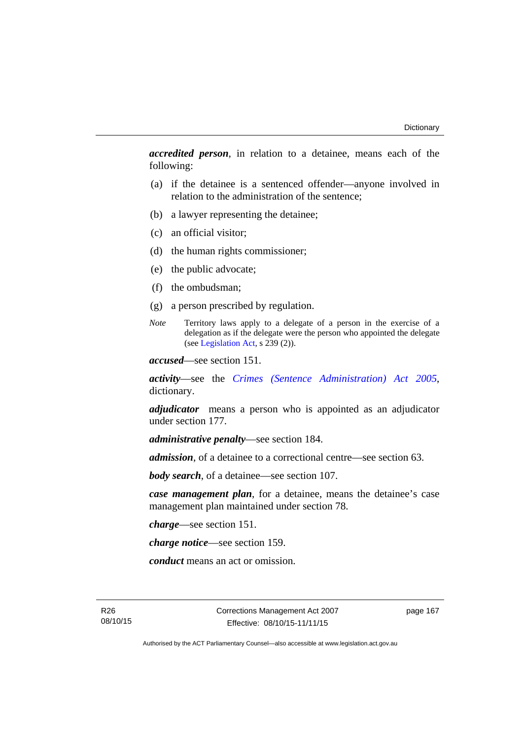*accredited person*, in relation to a detainee, means each of the following:

- (a) if the detainee is a sentenced offender—anyone involved in relation to the administration of the sentence;
- (b) a lawyer representing the detainee;
- (c) an official visitor;
- (d) the human rights commissioner;
- (e) the public advocate;
- (f) the ombudsman;
- (g) a person prescribed by regulation.
- *Note* Territory laws apply to a delegate of a person in the exercise of a delegation as if the delegate were the person who appointed the delegate (see [Legislation Act,](http://www.legislation.act.gov.au/a/2001-14) s 239 (2)).

*accused*—see section 151.

*activity*—see the *[Crimes \(Sentence Administration\) Act 2005](http://www.legislation.act.gov.au/a/2005-59)*, dictionary.

*adjudicator* means a person who is appointed as an adjudicator under section 177.

*administrative penalty*—see section 184.

*admission*, of a detainee to a correctional centre—see section 63.

*body search*, of a detainee—see section 107.

*case management plan*, for a detainee, means the detainee's case management plan maintained under section 78.

*charge*—see section 151.

*charge notice*—see section 159.

*conduct* means an act or omission.

R26 08/10/15 Corrections Management Act 2007 Effective: 08/10/15-11/11/15

page 167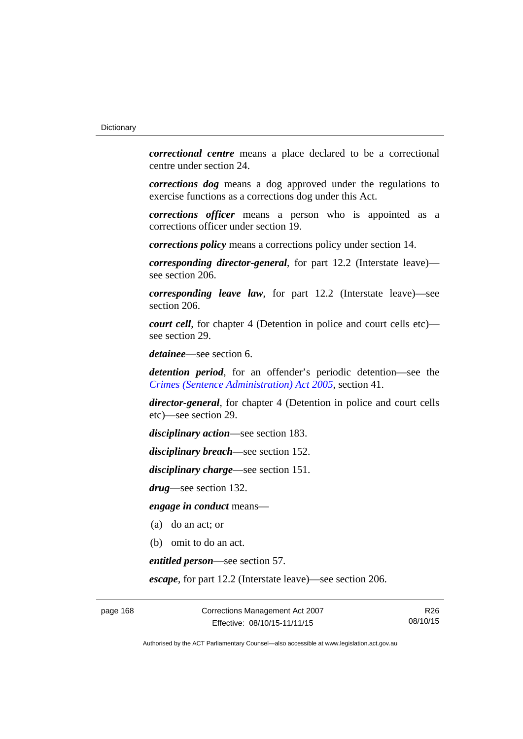*correctional centre* means a place declared to be a correctional centre under section 24.

*corrections dog* means a dog approved under the regulations to exercise functions as a corrections dog under this Act.

*corrections officer* means a person who is appointed as a corrections officer under section 19.

*corrections policy* means a corrections policy under section 14.

*corresponding director-general*, for part 12.2 (Interstate leave) see section 206.

*corresponding leave law*, for part 12.2 (Interstate leave)—see section 206.

*court cell*, for chapter 4 (Detention in police and court cells etc) see section 29.

*detainee*—see section 6.

*detention period*, for an offender's periodic detention—see the *[Crimes \(Sentence Administration\) Act 2005](http://www.legislation.act.gov.au/a/2005-59)*, section 41.

*director-general*, for chapter 4 (Detention in police and court cells etc)—see section 29.

*disciplinary action*—see section 183.

*disciplinary breach*—see section 152.

*disciplinary charge*—see section 151.

*drug*—see section 132.

*engage in conduct* means—

- (a) do an act; or
- (b) omit to do an act.

*entitled person*—see section 57.

*escape*, for part 12.2 (Interstate leave)—see section 206.

page 168 Corrections Management Act 2007 Effective: 08/10/15-11/11/15

R26 08/10/15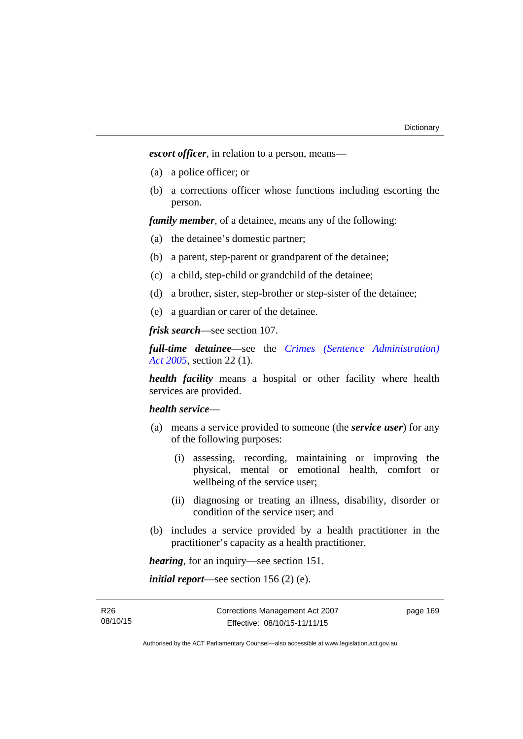*escort officer*, in relation to a person, means—

- (a) a police officer; or
- (b) a corrections officer whose functions including escorting the person.

*family member*, of a detainee, means any of the following:

- (a) the detainee's domestic partner;
- (b) a parent, step-parent or grandparent of the detainee;
- (c) a child, step-child or grandchild of the detainee;
- (d) a brother, sister, step-brother or step-sister of the detainee;
- (e) a guardian or carer of the detainee.

*frisk search*—see section 107.

*full-time detainee*—see the *[Crimes \(Sentence Administration\)](http://www.legislation.act.gov.au/a/2005-59)  [Act 2005](http://www.legislation.act.gov.au/a/2005-59)*, section 22 (1).

*health facility* means a hospital or other facility where health services are provided.

## *health service*—

- (a) means a service provided to someone (the *service user*) for any of the following purposes:
	- (i) assessing, recording, maintaining or improving the physical, mental or emotional health, comfort or wellbeing of the service user;
	- (ii) diagnosing or treating an illness, disability, disorder or condition of the service user; and
- (b) includes a service provided by a health practitioner in the practitioner's capacity as a health practitioner.

*hearing*, for an inquiry—see section 151.

*initial report*—see section 156 (2) (e).

R26 08/10/15 page 169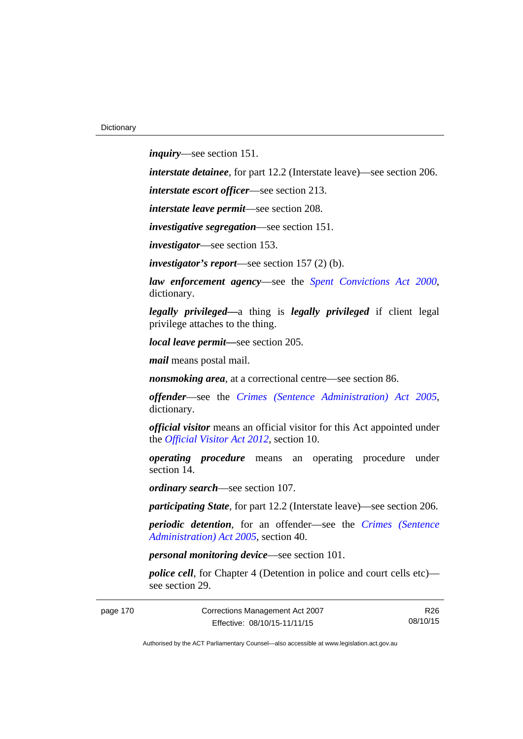*inquiry*—see section 151.

*interstate detainee*, for part 12.2 (Interstate leave)—see section 206.

*interstate escort officer*—see section 213.

*interstate leave permit*—see section 208.

*investigative segregation*—see section 151.

*investigator*—see section 153.

*investigator's report*—see section 157 (2) (b).

*law enforcement agency*—see the *[Spent Convictions Act 2000](http://www.legislation.act.gov.au/a/2000-48)*, dictionary.

*legally privileged—*a thing is *legally privileged* if client legal privilege attaches to the thing.

*local leave permit—*see section 205.

*mail* means postal mail.

*nonsmoking area*, at a correctional centre—see section 86.

*offender*—see the *[Crimes \(Sentence Administration\) Act 2005](http://www.legislation.act.gov.au/a/2005-59)*, dictionary.

*official visitor* means an official visitor for this Act appointed under the *[Official Visitor Act 2012](http://www.legislation.act.gov.au/a/2012-33)*, section 10.

*operating procedure* means an operating procedure under section 14.

*ordinary search*—see section 107.

*participating State*, for part 12.2 (Interstate leave)—see section 206.

*periodic detention*, for an offender—see the *[Crimes \(Sentence](http://www.legislation.act.gov.au/a/2005-59)  [Administration\) Act 2005](http://www.legislation.act.gov.au/a/2005-59)*, section 40.

*personal monitoring device*—see section 101.

*police cell*, for Chapter 4 (Detention in police and court cells etc) see section 29.

page 170 Corrections Management Act 2007 Effective: 08/10/15-11/11/15

R26 08/10/15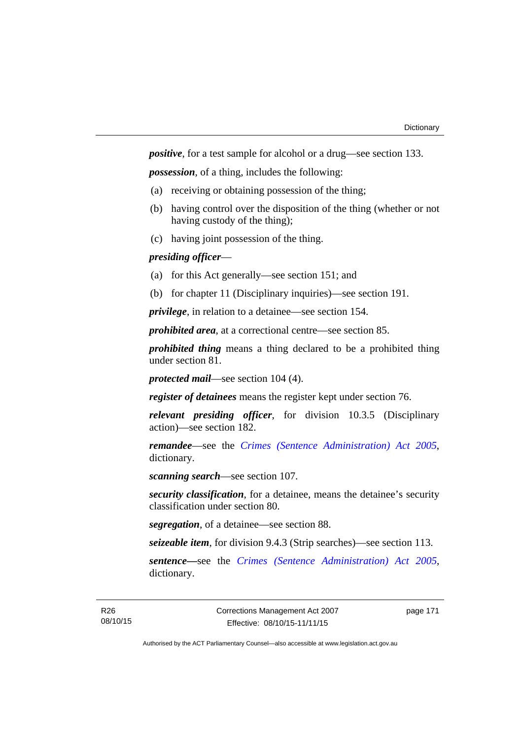*positive*, for a test sample for alcohol or a drug—see section 133.

*possession*, of a thing, includes the following:

- (a) receiving or obtaining possession of the thing;
- (b) having control over the disposition of the thing (whether or not having custody of the thing);
- (c) having joint possession of the thing.

# *presiding officer*—

- (a) for this Act generally—see section 151; and
- (b) for chapter 11 (Disciplinary inquiries)—see section 191.

*privilege*, in relation to a detainee—see section 154.

*prohibited area*, at a correctional centre—see section 85.

*prohibited thing* means a thing declared to be a prohibited thing under section 81.

*protected mail*—see section 104 (4).

*register of detainees* means the register kept under section 76.

*relevant presiding officer*, for division 10.3.5 (Disciplinary action)—see section 182.

*remandee*—see the *[Crimes \(Sentence Administration\) Act 2005](http://www.legislation.act.gov.au/a/2005-59)*, dictionary.

*scanning search*—see section 107.

*security classification*, for a detainee, means the detainee's security classification under section 80.

*segregation*, of a detainee—see section 88.

*seizeable item*, for division 9.4.3 (Strip searches)—see section 113.

*sentence—*see the *[Crimes \(Sentence Administration\) Act 2005](http://www.legislation.act.gov.au/a/2005-59)*, dictionary.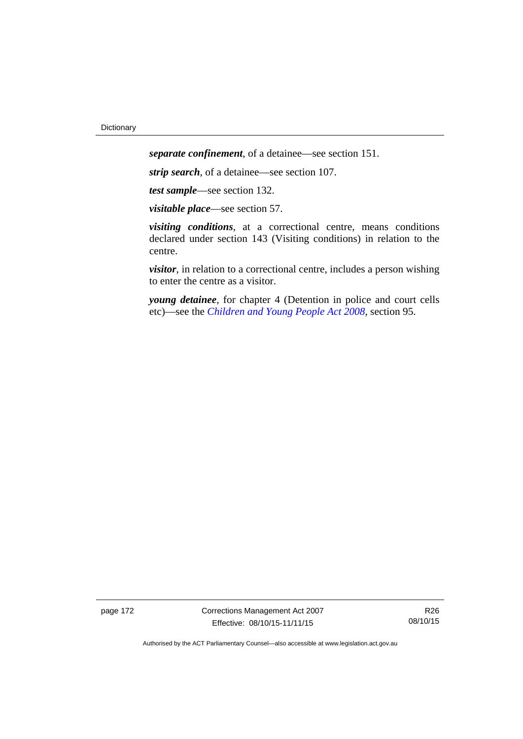*separate confinement*, of a detainee—see section 151.

*strip search*, of a detainee—see section 107.

*test sample*—see section 132.

*visitable place*—see section 57.

*visiting conditions*, at a correctional centre, means conditions declared under section 143 (Visiting conditions) in relation to the centre.

*visitor*, in relation to a correctional centre, includes a person wishing to enter the centre as a visitor.

*young detainee*, for chapter 4 (Detention in police and court cells etc)—see the *[Children and Young People Act 2008](http://www.legislation.act.gov.au/a/2008-19)*, section 95.

page 172 Corrections Management Act 2007 Effective: 08/10/15-11/11/15

R26 08/10/15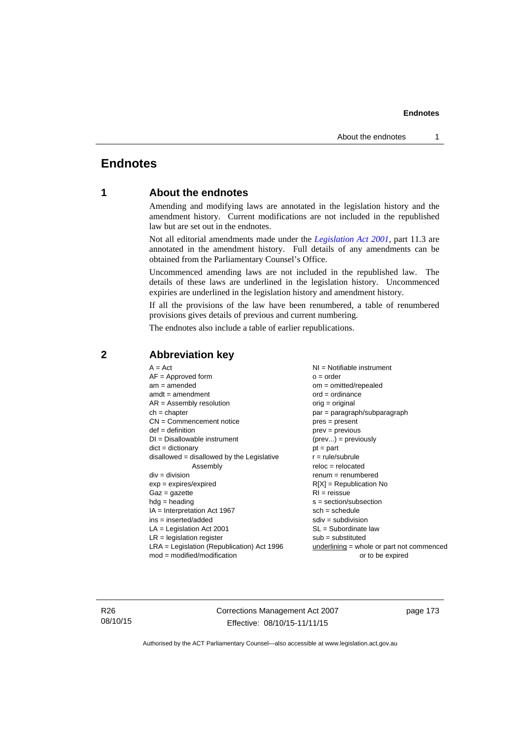# **Endnotes**

# **1 About the endnotes**

Amending and modifying laws are annotated in the legislation history and the amendment history. Current modifications are not included in the republished law but are set out in the endnotes.

Not all editorial amendments made under the *[Legislation Act 2001](http://www.legislation.act.gov.au/a/2001-14)*, part 11.3 are annotated in the amendment history. Full details of any amendments can be obtained from the Parliamentary Counsel's Office.

Uncommenced amending laws are not included in the republished law. The details of these laws are underlined in the legislation history. Uncommenced expiries are underlined in the legislation history and amendment history.

If all the provisions of the law have been renumbered, a table of renumbered provisions gives details of previous and current numbering.

The endnotes also include a table of earlier republications.

| $AF =$ Approved form                         | $o = order$                                 |
|----------------------------------------------|---------------------------------------------|
| $am = amended$                               | $om = omitted/repealed$                     |
| $amdt = amendment$                           | $ord = ordinance$                           |
| $AR = Assembly resolution$                   | $orig = original$                           |
| $ch = chapter$                               | par = paragraph/subparagraph                |
| $CN =$ Commencement notice                   | $pres = present$                            |
| $def = definition$                           | $prev = previous$                           |
| $DI = Disallowable instrument$               | $(\text{prev}) = \text{previously}$         |
| $dict = dictionary$                          | $pt = part$                                 |
| $disallowed = disallowed by the Legislative$ | $r = rule/subrule$                          |
| Assembly                                     | $reloc = relocated$                         |
| $div = division$                             | $renum = renumbered$                        |
| $exp = expires/expired$                      | $R[X]$ = Republication No                   |
| $Gaz = gazette$                              | $RI = reissue$                              |
| $hdg = heading$                              | $s = section/subsection$                    |
| $IA = Interpretation Act 1967$               | $sch = schedule$                            |
| ins = inserted/added                         | $sdiv = subdivision$                        |
| $LA =$ Legislation Act 2001                  | $SL = Subordinate$ law                      |
| $LR =$ legislation register                  | $sub =$ substituted                         |
| LRA = Legislation (Republication) Act 1996   | underlining $=$ whole or part not commenced |
| $mod = modified/modification$                | or to be expired                            |

## **2 Abbreviation key**

R26 08/10/15 Corrections Management Act 2007 Effective: 08/10/15-11/11/15

page 173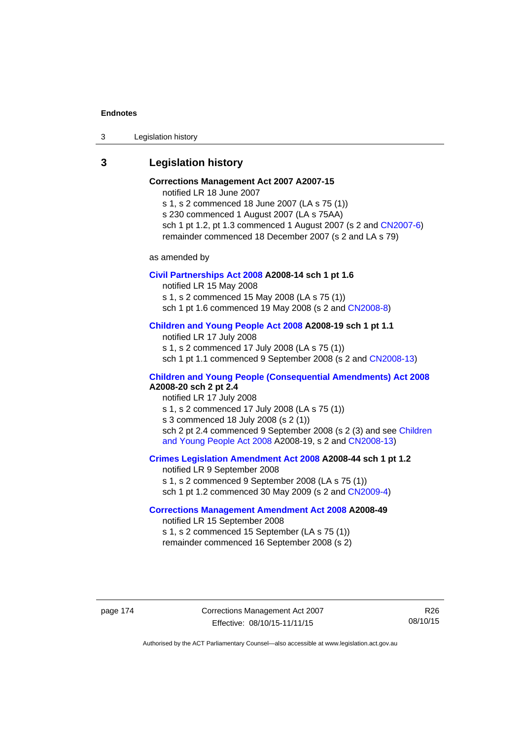3 Legislation history

# **3 Legislation history**

# **Corrections Management Act 2007 A2007-15**

notified LR 18 June 2007

s 1, s 2 commenced 18 June 2007 (LA s 75 (1)) s 230 commenced 1 August 2007 (LA s 75AA) sch 1 pt 1.2, pt 1.3 commenced 1 August 2007 (s 2 and [CN2007-6](http://www.legislation.act.gov.au/cn/2007-6/default.asp)) remainder commenced 18 December 2007 (s 2 and LA s 79)

as amended by

## **[Civil Partnerships Act 2008](http://www.legislation.act.gov.au/a/2008-14) A2008-14 sch 1 pt 1.6**

notified LR 15 May 2008

s 1, s 2 commenced 15 May 2008 (LA s 75 (1))

sch 1 pt 1.6 commenced 19 May 2008 (s 2 and [CN2008-8\)](http://www.legislation.act.gov.au/cn/2008-8/default.asp)

# **[Children and Young People Act 2008](http://www.legislation.act.gov.au/a/2008-19) A2008-19 sch 1 pt 1.1**

notified LR 17 July 2008 s 1, s 2 commenced 17 July 2008 (LA s 75 (1)) sch 1 pt 1.1 commenced 9 September 2008 (s 2 and [CN2008-13\)](http://www.legislation.act.gov.au/cn/2008-13/default.asp)

## **[Children and Young People \(Consequential Amendments\) Act 2008](http://www.legislation.act.gov.au/a/2008-20) A2008-20 sch 2 pt 2.4**

notified LR 17 July 2008 s 1, s 2 commenced 17 July 2008 (LA s 75 (1)) s 3 commenced 18 July 2008 (s 2 (1)) sch 2 pt 2.4 commenced 9 September 2008 (s 2 (3) and see Children [and Young People Act 2008](http://www.legislation.act.gov.au/a/2008-19) A2008-19, s 2 and [CN2008-13](http://www.legislation.act.gov.au/cn/2008-13/default.asp))

## **[Crimes Legislation Amendment Act 2008](http://www.legislation.act.gov.au/a/2008-44) A2008-44 sch 1 pt 1.2**

notified LR 9 September 2008 s 1, s 2 commenced 9 September 2008 (LA s 75 (1)) sch 1 pt 1.2 commenced 30 May 2009 (s 2 and [CN2009-4\)](http://www.legislation.act.gov.au/cn/2009-4/default.asp)

# **[Corrections Management Amendment Act 2008](http://www.legislation.act.gov.au/a/2008-49) A2008-49**

notified LR 15 September 2008 s 1, s 2 commenced 15 September (LA s 75 (1)) remainder commenced 16 September 2008 (s 2)

page 174 Corrections Management Act 2007 Effective: 08/10/15-11/11/15

R26 08/10/15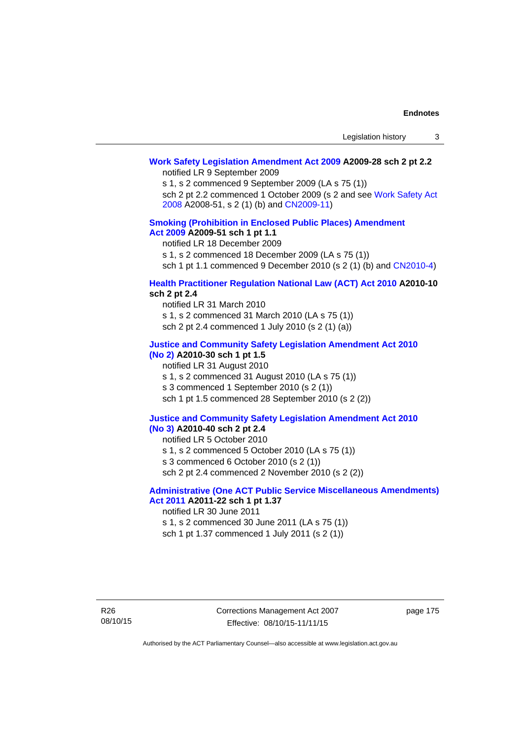# **[Work Safety Legislation Amendment Act 2009](http://www.legislation.act.gov.au/a/2009-28) A2009-28 sch 2 pt 2.2**

notified LR 9 September 2009

s 1, s 2 commenced 9 September 2009 (LA s 75 (1))

sch 2 pt 2.2 commenced 1 October 2009 (s 2 and see [Work Safety Act](http://www.legislation.act.gov.au/a/2008-51)  [2008](http://www.legislation.act.gov.au/a/2008-51) A2008-51, s 2 (1) (b) and [CN2009-11\)](http://www.legislation.act.gov.au/cn/2009-11/default.asp)

## **[Smoking \(Prohibition in Enclosed Public Places\) Amendment](http://www.legislation.act.gov.au/a/2009-51)  [Act 2009](http://www.legislation.act.gov.au/a/2009-51) A2009-51 sch 1 pt 1.1**

notified LR 18 December 2009

s 1, s 2 commenced 18 December 2009 (LA s 75 (1))

sch 1 pt 1.1 commenced 9 December 2010 (s 2 (1) (b) and [CN2010-4\)](http://www.legislation.act.gov.au/cn/2010-4/default.asp)

## **[Health Practitioner Regulation National Law \(ACT\) Act 2010](http://www.legislation.act.gov.au/a/2010-10) A2010-10 sch 2 pt 2.4**

notified LR 31 March 2010 s 1, s 2 commenced 31 March 2010 (LA s 75 (1)) sch 2 pt 2.4 commenced 1 July 2010 (s 2 (1) (a))

## **[Justice and Community Safety Legislation Amendment Act 2010](http://www.legislation.act.gov.au/a/2010-30)**

# **[\(No 2\)](http://www.legislation.act.gov.au/a/2010-30) A2010-30 sch 1 pt 1.5**

notified LR 31 August 2010 s 1, s 2 commenced 31 August 2010 (LA s 75 (1)) s 3 commenced 1 September 2010 (s 2 (1)) sch 1 pt 1.5 commenced 28 September 2010 (s 2 (2))

#### **[Justice and Community Safety Legislation Amendment Act 2010](http://www.legislation.act.gov.au/a/2010-40)  [\(No 3\)](http://www.legislation.act.gov.au/a/2010-40) A2010-40 sch 2 pt 2.4**

notified LR 5 October 2010

s 1, s 2 commenced 5 October 2010 (LA s 75 (1))

s 3 commenced 6 October 2010 (s 2 (1))

sch 2 pt 2.4 commenced 2 November 2010 (s 2 (2))

## **[Administrative \(One ACT Public Service Miscellaneous Amendments\)](http://www.legislation.act.gov.au/a/2011-22)  [Act 2011](http://www.legislation.act.gov.au/a/2011-22) A2011-22 sch 1 pt 1.37**

notified LR 30 June 2011

s 1, s 2 commenced 30 June 2011 (LA s 75 (1)) sch 1 pt 1.37 commenced 1 July 2011 (s 2 (1))

R26 08/10/15 Corrections Management Act 2007 Effective: 08/10/15-11/11/15

page 175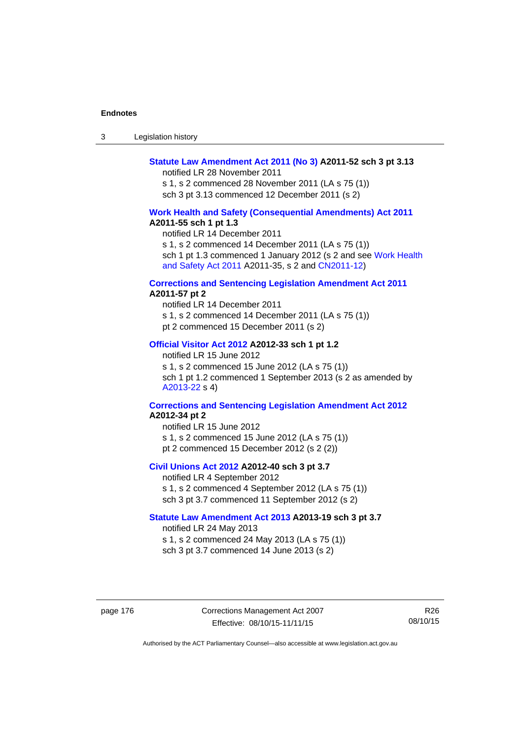| -3 | Legislation history |  |
|----|---------------------|--|
|----|---------------------|--|

## **[Statute Law Amendment Act 2011 \(No 3\)](http://www.legislation.act.gov.au/a/2011-52) A2011-52 sch 3 pt 3.13**

notified LR 28 November 2011

s 1, s 2 commenced 28 November 2011 (LA s 75 (1)) sch 3 pt 3.13 commenced 12 December 2011 (s 2)

## **[Work Health and Safety \(Consequential Amendments\) Act 2011](http://www.legislation.act.gov.au/a/2011-55) A2011-55 sch 1 pt 1.3**

notified LR 14 December 2011

s 1, s 2 commenced 14 December 2011 (LA s 75 (1))

sch 1 pt 1.3 commenced 1 January 2012 (s 2 and see Work Health [and Safety Act 2011](http://www.legislation.act.gov.au/a/2011-35) A2011-35, s 2 and [CN2011-12\)](http://www.legislation.act.gov.au/cn/2011-12/default.asp)

#### **[Corrections and Sentencing Legislation Amendment Act 2011](http://www.legislation.act.gov.au/a/2011-57) A2011-57 pt 2**

notified LR 14 December 2011 s 1, s 2 commenced 14 December 2011 (LA s 75 (1)) pt 2 commenced 15 December 2011 (s 2)

## **[Official Visitor Act 2012](http://www.legislation.act.gov.au/a/2012-33) A2012-33 sch 1 pt 1.2**

notified LR 15 June 2012 s 1, s 2 commenced 15 June 2012 (LA s 75 (1)) sch 1 pt 1.2 commenced 1 September 2013 (s 2 as amended by [A2013-22](http://www.legislation.act.gov.au/a/2013-22) s 4)

## **[Corrections and Sentencing Legislation Amendment Act 2012](http://www.legislation.act.gov.au/a/2012-34) A2012-34 pt 2**

notified LR 15 June 2012 s 1, s 2 commenced 15 June 2012 (LA s 75 (1)) pt 2 commenced 15 December 2012 (s 2 (2))

## **[Civil Unions Act 2012](http://www.legislation.act.gov.au/a/2012-40) A2012-40 sch 3 pt 3.7**

notified LR 4 September 2012 s 1, s 2 commenced 4 September 2012 (LA s 75 (1)) sch 3 pt 3.7 commenced 11 September 2012 (s 2)

## **[Statute Law Amendment Act 2013](http://www.legislation.act.gov.au/a/2013-19) A2013-19 sch 3 pt 3.7**

notified LR 24 May 2013 s 1, s 2 commenced 24 May 2013 (LA s 75 (1)) sch 3 pt 3.7 commenced 14 June 2013 (s 2)

page 176 Corrections Management Act 2007 Effective: 08/10/15-11/11/15

R26 08/10/15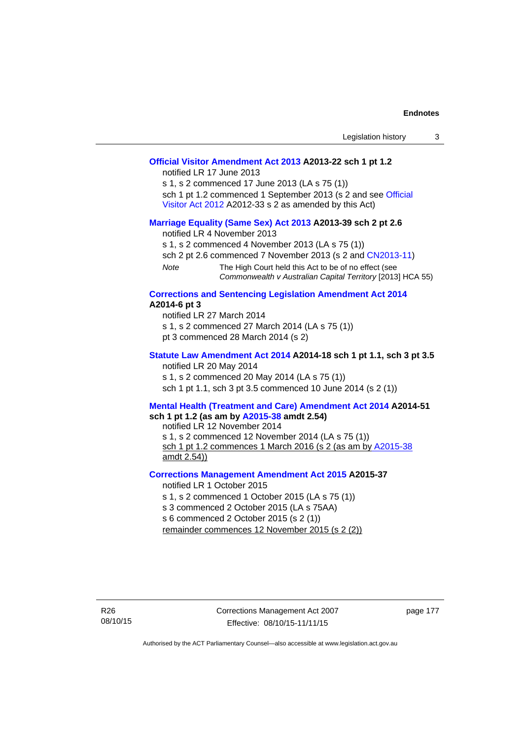|                                                                                                                                                                                                                                                                                 |                                                                                                                                                                                                                                                                                                                                    | Legislation history | 3 |
|---------------------------------------------------------------------------------------------------------------------------------------------------------------------------------------------------------------------------------------------------------------------------------|------------------------------------------------------------------------------------------------------------------------------------------------------------------------------------------------------------------------------------------------------------------------------------------------------------------------------------|---------------------|---|
|                                                                                                                                                                                                                                                                                 | Official Visitor Amendment Act 2013 A2013-22 sch 1 pt 1.2<br>notified LR 17 June 2013<br>s 1, s 2 commenced 17 June 2013 (LA s 75 (1))<br>sch 1 pt 1.2 commenced 1 September 2013 (s 2 and see Official<br>Visitor Act 2012 A2012-33 s 2 as amended by this Act)                                                                   |                     |   |
| <b>Note</b>                                                                                                                                                                                                                                                                     | Marriage Equality (Same Sex) Act 2013 A2013-39 sch 2 pt 2.6<br>notified LR 4 November 2013<br>s 1, s 2 commenced 4 November 2013 (LA s 75 (1))<br>sch 2 pt 2.6 commenced 7 November 2013 (s 2 and CN2013-11)<br>The High Court held this Act to be of no effect (see<br>Commonwealth v Australian Capital Territory [2013] HCA 55) |                     |   |
| A2014-6 pt 3                                                                                                                                                                                                                                                                    | <b>Corrections and Sentencing Legislation Amendment Act 2014</b><br>notified LR 27 March 2014<br>s 1, s 2 commenced 27 March 2014 (LA s 75 (1))<br>pt 3 commenced 28 March 2014 (s 2)                                                                                                                                              |                     |   |
|                                                                                                                                                                                                                                                                                 | Statute Law Amendment Act 2014 A2014-18 sch 1 pt 1.1, sch 3 pt 3.5<br>notified LR 20 May 2014<br>s 1, s 2 commenced 20 May 2014 (LA s 75 (1))<br>sch 1 pt 1.1, sch 3 pt 3.5 commenced 10 June 2014 (s 2 (1))                                                                                                                       |                     |   |
| Mental Health (Treatment and Care) Amendment Act 2014 A2014-51<br>sch 1 pt 1.2 (as am by A2015-38 amdt 2.54)<br>notified LR 12 November 2014<br>s 1, s 2 commenced 12 November 2014 (LA s 75 (1))<br>sch 1 pt 1.2 commences 1 March 2016 (s 2 (as am by A2015-38<br>amdt 2.54)) |                                                                                                                                                                                                                                                                                                                                    |                     |   |
|                                                                                                                                                                                                                                                                                 | <b>Corrections Management Amendment Act 2015 A2015-37</b><br>notified LR 1 October 2015<br>s 1, s 2 commenced 1 October 2015 (LA s 75 (1))<br>s 3 commenced 2 October 2015 (LA s 75AA)<br>s 6 commenced 2 October 2015 (s 2 (1))                                                                                                   |                     |   |

R26 08/10/15 page 177

remainder commences 12 November 2015 (s 2 (2))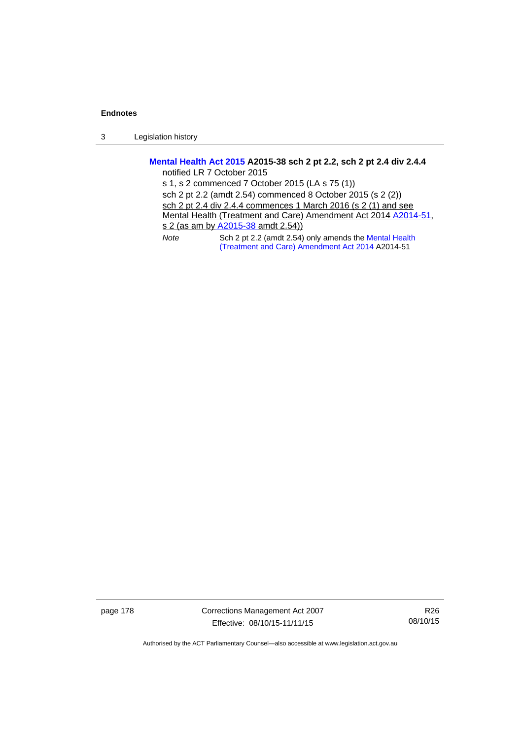3 Legislation history

# **[Mental Health Act 2015](http://www.legislation.act.gov.au/a/2015-38) A2015-38 sch 2 pt 2.2, sch 2 pt 2.4 div 2.4.4**

notified LR 7 October 2015

s 1, s 2 commenced 7 October 2015 (LA s 75 (1)) sch 2 pt 2.2 (amdt 2.54) commenced 8 October 2015 (s 2 (2)) sch 2 pt 2.4 div 2.4.4 commences 1 March 2016 (s 2 (1) and see Mental Health (Treatment and Care) Amendment Act 2014 [A2014-51,](http://www.legislation.act.gov.au/a/2014-51/default.asp) s 2 (as am by [A2015-38](http://www.legislation.act.gov.au/a/2015-38) amdt 2.54)) *Note* Sch 2 pt 2.2 (amdt 2.54) only amends the [Mental Health](http://www.legislation.act.gov.au/a/2014-51/default.asp)  [\(Treatment and Care\) Amendment Act 2014](http://www.legislation.act.gov.au/a/2014-51/default.asp) A2014-51

page 178 Corrections Management Act 2007 Effective: 08/10/15-11/11/15

R26 08/10/15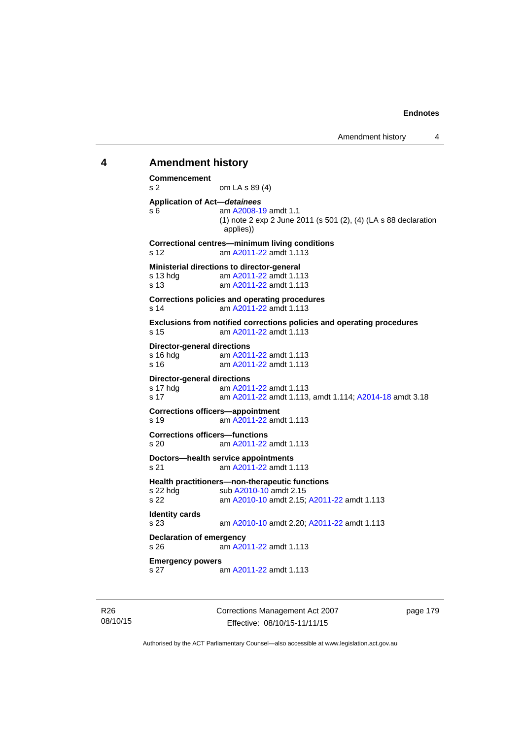# **4 Amendment history Commencement**  s 2 om LA s 89 (4) **Application of Act—***detainees* s 6 am [A2008-19](http://www.legislation.act.gov.au/a/2008-19) amdt 1.1 (1) note 2 exp 2 June 2011 (s 501 (2), (4) (LA s 88 declaration applies)) **Correctional centres—minimum living conditions**  s 12 am [A2011-22](http://www.legislation.act.gov.au/a/2011-22) amdt 1.113 **Ministerial directions to director-general**  s 13 hdg am [A2011-22](http://www.legislation.act.gov.au/a/2011-22) amdt 1.113 s 13 am [A2011-22](http://www.legislation.act.gov.au/a/2011-22) amdt 1.113 **Corrections policies and operating procedures**  s 14 am [A2011-22](http://www.legislation.act.gov.au/a/2011-22) amdt 1.113 **Exclusions from notified corrections policies and operating procedures**  s 15 am [A2011-22](http://www.legislation.act.gov.au/a/2011-22) amdt 1.113 **Director-general directions**  s 16 hdg am [A2011-22](http://www.legislation.act.gov.au/a/2011-22) amdt 1.113 s 16 am [A2011-22](http://www.legislation.act.gov.au/a/2011-22) amdt 1.113 **Director-general directions**  s 17 hdg am [A2011-22](http://www.legislation.act.gov.au/a/2011-22) amdt 1.113 s 17 am [A2011-22](http://www.legislation.act.gov.au/a/2011-22) amdt 1.113, amdt 1.114; [A2014-18](http://www.legislation.act.gov.au/a/2014-18) amdt 3.18 **Corrections officers—appointment**  s 19 am [A2011-22](http://www.legislation.act.gov.au/a/2011-22) amdt 1.113 **Corrections officers—functions**  s 20 am [A2011-22](http://www.legislation.act.gov.au/a/2011-22) amdt 1.113 **Doctors—health service appointments**  s 21 am [A2011-22](http://www.legislation.act.gov.au/a/2011-22) amdt 1.113 **Health practitioners—non-therapeutic functions**  s 22 hdg sub [A2010-10](http://www.legislation.act.gov.au/a/2010-10) amdt 2.15 s 22 am [A2010-10](http://www.legislation.act.gov.au/a/2010-10) amdt 2.15; [A2011-22](http://www.legislation.act.gov.au/a/2011-22) amdt 1.113 **Identity cards**  s 23 am [A2010-10](http://www.legislation.act.gov.au/a/2010-10) amdt 2.20; [A2011-22](http://www.legislation.act.gov.au/a/2011-22) amdt 1.113 **Declaration of emergency**  s 26 am [A2011-22](http://www.legislation.act.gov.au/a/2011-22) amdt 1.113 **Emergency powers**  s 27 am [A2011-22](http://www.legislation.act.gov.au/a/2011-22) amdt 1.113

R26 08/10/15 Corrections Management Act 2007 Effective: 08/10/15-11/11/15

page 179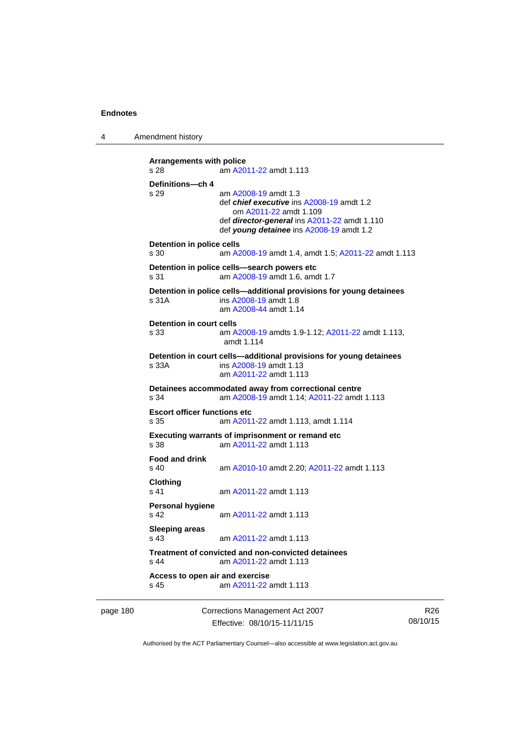4 Amendment history

```
Arrangements with police 
s 28 am A2011-22 amdt 1.113
Definitions—ch 4 
s 29 am A2008-19 amdt 1.3
                def chief executive ins A2008-19 amdt 1.2 
                    om A2011-22 amdt 1.109
                 def director-general ins A2011-22 amdt 1.110 
                 def young detainee ins A2008-19 amdt 1.2 
Detention in police cells 
s 30 am A2008-19 amdt 1.4, amdt 1.5; A2011-22 amdt 1.113
Detention in police cells—search powers etc 
s 31 am A2008-19 amdt 1.6, amdt 1.7 
Detention in police cells—additional provisions for young detainees 
s 31A ins A2008-19 amdt 1.8 
                am A2008-44 amdt 1.14
Detention in court cells 
s 33 am A2008-19 amdts 1.9-1.12; A2011-22 amdt 1.113, 
                amdt 1.114 
Detention in court cells—additional provisions for young detainees 
s 33A ins A2008-19 amdt 1.13 
                 am A2011-22 amdt 1.113
Detainees accommodated away from correctional centre 
s 34 am A2008-19 amdt 1.14; A2011-22 amdt 1.113 
Escort officer functions etc 
s 35 am A2011-22 amdt 1.113, amdt 1.114 
Executing warrants of imprisonment or remand etc 
s 38 am A2011-22 amdt 1.113
Food and drink 
s 40 am A2010-10 amdt 2.20; A2011-22 amdt 1.113 
Clothing 
s 41 A2011-22 amdt 1.113
Personal hygiene 
s 42  A2011-22 amdt 1.113
Sleeping areas 
s 43  A2011-22 amdt 1.113
Treatment of convicted and non-convicted detainees 
s 44 am A2011-22 amdt 1.113
Access to open air and exercise 
s 45 am A2011-22 amdt 1.113
```
page 180 Corrections Management Act 2007 Effective: 08/10/15-11/11/15

R26 08/10/15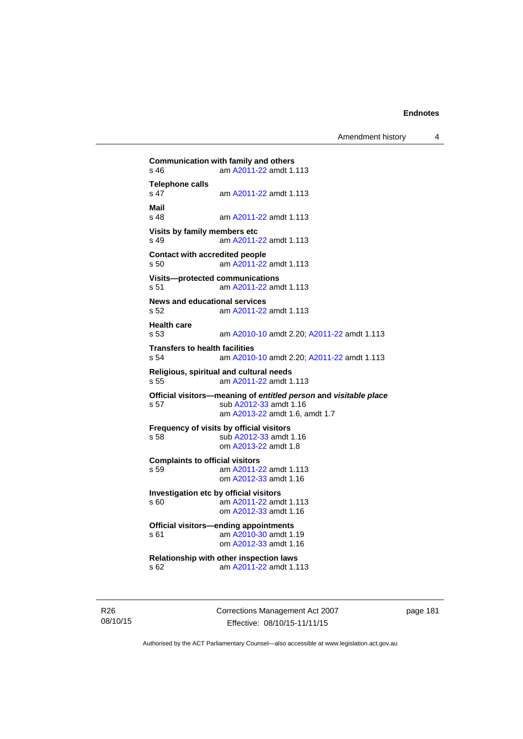Amendment history 4

```
Communication with family and others<br>s 46 am A2011-22 amdt 1.
                A2011-22 amdt 1.113
Telephone calls 
                 s 47 am A2011-22 amdt 1.113
Mail 
                 A2011-22 amdt 1.113
Visits by family members etc 
s 49 am A2011-22 amdt 1.113
Contact with accredited people 
s 50 am A2011-22 amdt 1.113
Visits—protected communications 
s 51 am A2011-22 amdt 1.113
News and educational services 
s 52 am A2011-22 amdt 1.113
Health care 
s 53 am A2010-10 amdt 2.20; A2011-22 amdt 1.113 
Transfers to health facilities 
s 54 am A2010-10 amdt 2.20; A2011-22 amdt 1.113 
Religious, spiritual and cultural needs 
s 55 am A2011-22 amdt 1.113
Official visitors—meaning of entitled person and visitable place 
s 57 sub A2012-33 amdt 1.16 
                  am A2013-22 amdt 1.6, amdt 1.7 
Frequency of visits by official visitors<br>s 58 sub A2012-33 amdt
                 A2012-33 amdt 1.16
                 om A2013-22 amdt 1.8
Complaints to official visitors 
s 59 am A2011-22 amdt 1.113
                 om A2012-33 amdt 1.16
Investigation etc by official visitors 
s 60 am A2011-22 amdt 1.113
                 om A2012-33 amdt 1.16
Official visitors—ending appointments 
 A2010-30 amdt 1.19
                 om A2012-33 amdt 1.16
Relationship with other inspection laws 
s 62 am A2011-22 amdt 1.113
```
R26 08/10/15 Corrections Management Act 2007 Effective: 08/10/15-11/11/15

page 181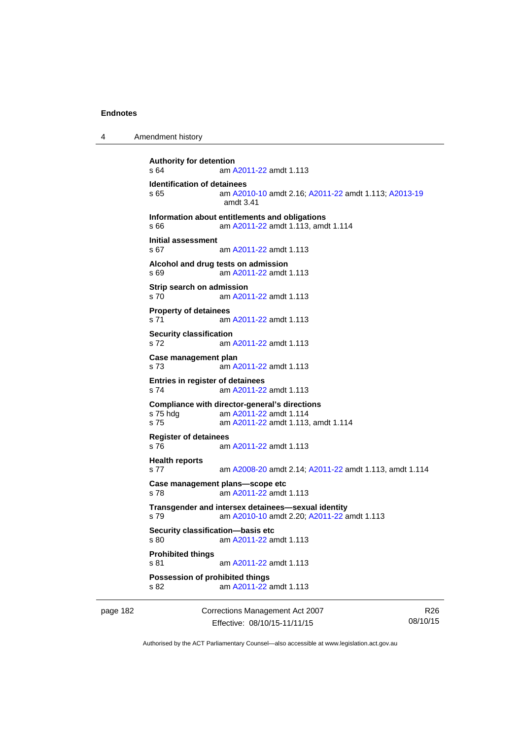4 Amendment history

```
Authority for detention 
s 64 am A2011-22 amdt 1.113
Identification of detainees 
s 65 am A2010-10 amdt 2.16; A2011-22 amdt 1.113; A2013-19
                amdt 3.41
Information about entitlements and obligations 
s 66 am A2011-22 amdt 1.113, amdt 1.114 
Initial assessment 
s 67 am A2011-22 amdt 1.113
Alcohol and drug tests on admission 
s 69 am A2011-22 amdt 1.113
Strip search on admission 
s 70 am A2011-22 amdt 1.113
Property of detainees 
s 71 am A2011-22 amdt 1.113
Security classification 
s 72 am A2011-22 amdt 1.113
Case management plan 
s 73 am A2011-22 amdt 1.113
Entries in register of detainees 
s 74 am A2011-22 amdt 1.113
Compliance with director-general's directions 
s 75 hdg am A2011-22 amdt 1.114
s 75 am A2011-22 amdt 1.113, amdt 1.114 
Register of detainees 
s 76 am A2011-22 amdt 1.113
Health reports 
s 77 am A2008-20 amdt 2.14; A2011-22 amdt 1.113, amdt 1.114 
Case management plans—scope etc 
s 78 am A2011-22 amdt 1.113
Transgender and intersex detainees—sexual identity 
s 79 am A2010-10 amdt 2.20; A2011-22 amdt 1.113 
Security classification—basis etc 
s 80 am A2011-22 amdt 1.113
Prohibited things 
s 81 am A2011-22 amdt 1.113
Possession of prohibited things 
s 82 am A2011-22 amdt 1.113
```
page 182 Corrections Management Act 2007 Effective: 08/10/15-11/11/15

R26 08/10/15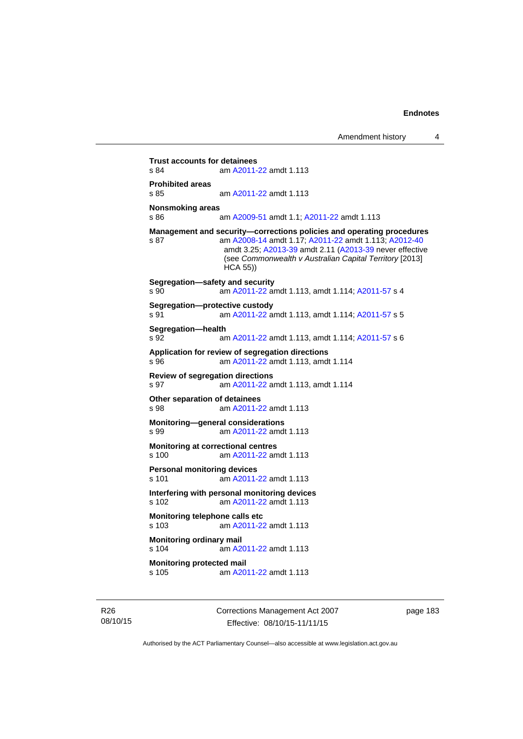**Trust accounts for detainees**<br>s 84 am A2011-am [A2011-22](http://www.legislation.act.gov.au/a/2011-22) amdt 1.113 **Prohibited areas**  s 85 am [A2011-22](http://www.legislation.act.gov.au/a/2011-22) amdt 1.113 **Nonsmoking areas**  s 86 am [A2009-51](http://www.legislation.act.gov.au/a/2009-51) amdt 1.1; [A2011-22](http://www.legislation.act.gov.au/a/2011-22) amdt 1.113 **Management and security—corrections policies and operating procedures**  s 87 am [A2008-14](http://www.legislation.act.gov.au/a/2008-14) amdt 1.17; [A2011-22](http://www.legislation.act.gov.au/a/2011-22) amdt 1.113; [A2012-40](http://www.legislation.act.gov.au/a/2012-40) amdt 3.25; [A2013-39](http://www.legislation.act.gov.au/a/2013-39) amdt 2.11 [\(A2013-39](http://www.legislation.act.gov.au/a/2013-39) never effective (see *Commonwealth v Australian Capital Territory* [2013] HCA 55)) **Segregation—safety and security**  s 90 am [A2011-22](http://www.legislation.act.gov.au/a/2011-22) amdt 1.113, amdt 1.114; [A2011-57](http://www.legislation.act.gov.au/a/2011-57) s 4 **Segregation—protective custody**  s 91 am [A2011-22](http://www.legislation.act.gov.au/a/2011-22) amdt 1.113, amdt 1.114; [A2011-57](http://www.legislation.act.gov.au/a/2011-57) s 5 **Segregation—health**  s 92 am [A2011-22](http://www.legislation.act.gov.au/a/2011-22) amdt 1.113, amdt 1.114; [A2011-57](http://www.legislation.act.gov.au/a/2011-57) s 6 **Application for review of segregation directions**  s 96 am [A2011-22](http://www.legislation.act.gov.au/a/2011-22) amdt 1.113, amdt 1.114 **Review of segregation directions**  s 97 am [A2011-22](http://www.legislation.act.gov.au/a/2011-22) amdt 1.113, amdt 1.114 **Other separation of detainees**  s 98 am [A2011-22](http://www.legislation.act.gov.au/a/2011-22) amdt 1.113 **Monitoring—general considerations**  s 99 am [A2011-22](http://www.legislation.act.gov.au/a/2011-22) amdt 1.113 **Monitoring at correctional centres**  s 100 am [A2011-22](http://www.legislation.act.gov.au/a/2011-22) amdt 1.113 **Personal monitoring devices**  s 101 am [A2011-22](http://www.legislation.act.gov.au/a/2011-22) amdt 1.113 **Interfering with personal monitoring devices**  s 102 am [A2011-22](http://www.legislation.act.gov.au/a/2011-22) amdt 1.113 **Monitoring telephone calls etc**  s 103 am [A2011-22](http://www.legislation.act.gov.au/a/2011-22) amdt 1.113 **Monitoring ordinary mail**  s 104 am [A2011-22](http://www.legislation.act.gov.au/a/2011-22) amdt 1.113 **Monitoring protected mail**<br>s 105 am A20 am [A2011-22](http://www.legislation.act.gov.au/a/2011-22) amdt 1.113

R26 08/10/15 Corrections Management Act 2007 Effective: 08/10/15-11/11/15

page 183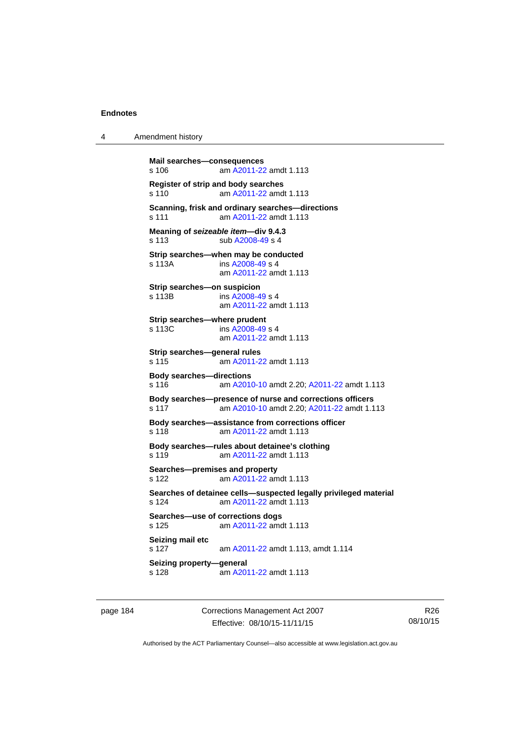4 Amendment history

```
Mail searches—consequences 
s 106 am A2011-22 amdt 1.113
Register of strip and body searches 
s 110 am A2011-22 amdt 1.113
Scanning, frisk and ordinary searches—directions 
s 111 am A2011-22 amdt 1.113
Meaning of seizeable item—div 9.4.3 
s 113 sub A2008-49 s 4 
Strip searches—when may be conducted 
s 113A  A2008-49 s 4
                am A2011-22 amdt 1.113
Strip searches—on suspicion 
s 113B ins A2008-49 s 4
                am A2011-22 amdt 1.113
Strip searches—where prudent 
s 113C ins A2008-49 s 4
                am A2011-22 amdt 1.113
Strip searches—general rules 
s 115 am A2011-22 amdt 1.113
Body searches—directions 
s 116 am A2010-10 amdt 2.20; A2011-22 amdt 1.113 
Body searches—presence of nurse and corrections officers 
s 117 am A2010-10 amdt 2.20; A2011-22 amdt 1.113 
Body searches—assistance from corrections officer 
s 118 am A2011-22 amdt 1.113
Body searches—rules about detainee's clothing 
s 119 am A2011-22 amdt 1.113
Searches—premises and property 
s 122 am A2011-22 amdt 1.113
Searches of detainee cells—suspected legally privileged material 
s 124 am A2011-22 amdt 1.113
Searches—use of corrections dogs 
s 125 am A2011-22 amdt 1.113
Seizing mail etc 
s 127 am A2011-22 amdt 1.113, amdt 1.114 
Seizing property—general 
s 128  A2011-22 amdt 1.113
```
page 184 Corrections Management Act 2007 Effective: 08/10/15-11/11/15

R26 08/10/15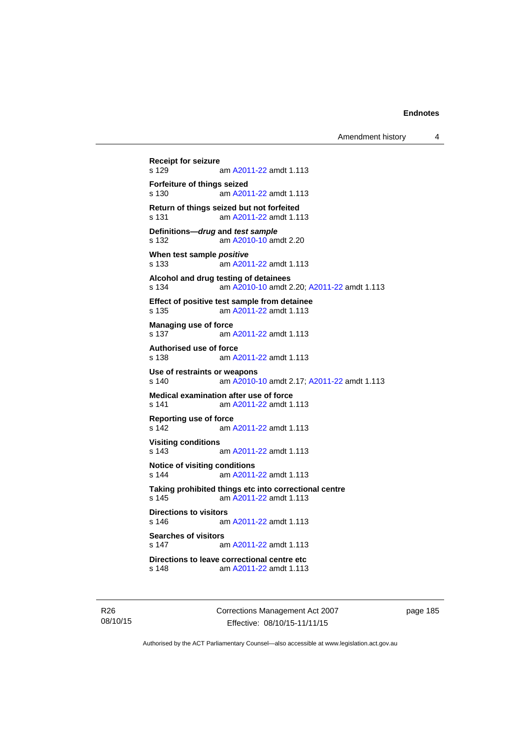```
Receipt for seizure 
               A2011-22 amdt 1.113
Forfeiture of things seized 
s 130 am A2011-22 amdt 1.113
Return of things seized but not forfeited 
s 131 am A2011-22 amdt 1.113
Definitions—drug and test sample
s 132 am A2010-10 amdt 2.20
When test sample positive
s 133 am A2011-22 amdt 1.113
Alcohol and drug testing of detainees 
s 134 am A2010-10 amdt 2.20; A2011-22 amdt 1.113 
Effect of positive test sample from detainee 
s 135 am A2011-22 amdt 1.113
Managing use of force 
s 137 am A2011-22 amdt 1.113
Authorised use of force 
s 138 am A2011-22 amdt 1.113
Use of restraints or weapons 
s 140 am A2010-10 amdt 2.17; A2011-22 amdt 1.113 
Medical examination after use of force 
s 141 am A2011-22 amdt 1.113
Reporting use of force 
s 142 am A2011-22 amdt 1.113
Visiting conditions 
s 143 am A2011-22 amdt 1.113
Notice of visiting conditions 
s 144 am A2011-22 amdt 1.113
Taking prohibited things etc into correctional centre 
 A2011-22 amdt 1.113
Directions to visitors 
s 146 am A2011-22 amdt 1.113
Searches of visitors 
s 147 am A2011-22 amdt 1.113
Directions to leave correctional centre etc 
s 148 am A2011-22 amdt 1.113
```
R26 08/10/15 Corrections Management Act 2007 Effective: 08/10/15-11/11/15

page 185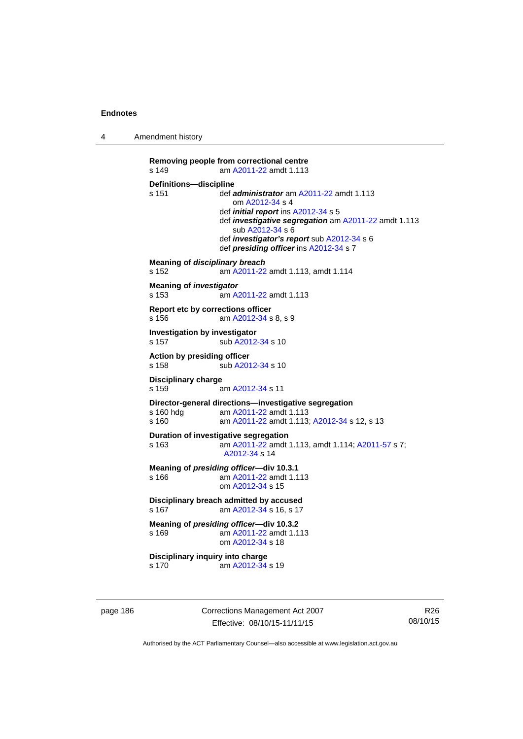4 Amendment history

```
Removing people from correctional centre 
s 149 am A2011-22 amdt 1.113
Definitions—discipline<br>s 151 def a
                 s 151 def administrator am A2011-22 amdt 1.113 
                     om A2012-34 s 4 
                  def initial report ins A2012-34 s 5 
                  def investigative segregation am A2011-22 amdt 1.113 
                     sub A2012-34 s 6 
                  def investigator's report sub A2012-34 s 6 
                  def presiding officer ins A2012-34 s 7 
Meaning of disciplinary breach
s 152 am A2011-22 amdt 1.113, amdt 1.114 
Meaning of investigator
s 153 am A2011-22 amdt 1.113
Report etc by corrections officer 
s 156 am A2012-34 s 8, s 9 
Investigation by investigator 
A2012-34 s 10
Action by presiding officer 
A2012-34 s 10
Disciplinary charge 
s 159 am A2012-34 s 11 
Director-general directions—investigative segregation 
s 160 hdg am A2011-22 amdt 1.113
s 160 am A2011-22 amdt 1.113; A2012-34 s 12, s 13
Duration of investigative segregation 
s 163 am A2011-22 amdt 1.113, amdt 1.114; A2011-57 s 7; 
                  A2012-34 s 14 
Meaning of presiding officer—div 10.3.1 
s 166 am A2011-22 amdt 1.113
                  om A2012-34 s 15 
Disciplinary breach admitted by accused 
 A2012-34 s 16, s 17
Meaning of presiding officer—div 10.3.2 <br>s 169 am A2011-22 amdt 1.1
                  A2011-22 amdt 1.113
                  om A2012-34 s 18 
Disciplinary inquiry into charge 
s 170 am A2012-34 s 19
```
page 186 Corrections Management Act 2007 Effective: 08/10/15-11/11/15

R26 08/10/15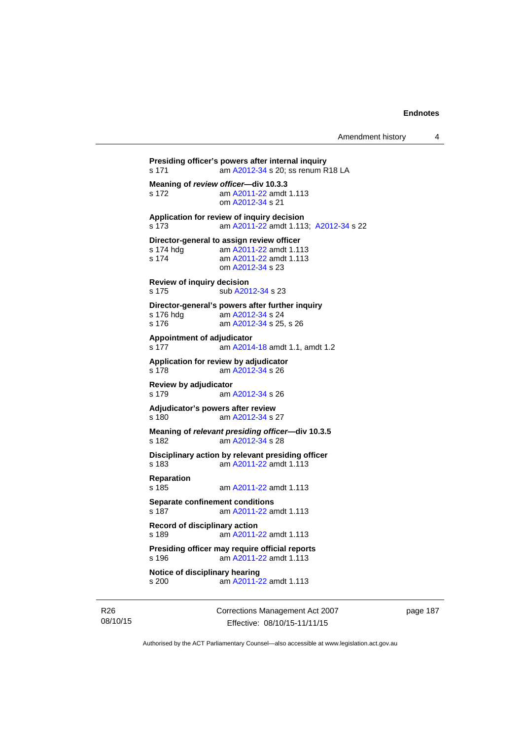```
Presiding officer's powers after internal inquiry 
s 171 am A2012-34 s 20; ss renum R18 LA
Meaning of review officer—div 10.3.3 <br>s 172 am A2011-22 amdt
                A2011-22 amdt 1.113
                 om A2012-34 s 21 
Application for review of inquiry decision 
s 173 am A2011-22 amdt 1.113; A2012-34 s 22 
Director-general to assign review officer<br>s 174 hdg am A2011-22 amdt 1.11
                 A2011-22 amdt 1.113
s 174 am A2011-22 amdt 1.113
                 om A2012-34 s 23 
Review of inquiry decision 
A2012-34 s 23
Director-general's powers after further inquiry 
s 176 hdg<br>s 176  A2012-34 s 25
                 A2012-34 s 25, s 26
Appointment of adjudicator 
s 177 am A2014-18 amdt 1.1, amdt 1.2 
Application for review by adjudicator 
s 178 am A2012-34 s 26 
Review by adjudicator 
s 179 am A2012-34 s 26 
Adjudicator's powers after review 
s 180 am A2012-34 s 27 
Meaning of relevant presiding officer—div 10.3.5 
s 182 am A2012-34 s 28 
Disciplinary action by relevant presiding officer 
s 183 am A2011-22 amdt 1.113
Reparation 
s 185 am A2011-22 amdt 1.113
Separate confinement conditions 
s 187 am A2011-22 amdt 1.113
Record of disciplinary action 
s 189 am A2011-22 amdt 1.113
Presiding officer may require official reports 
s 196 am A2011-22 amdt 1.113
Notice of disciplinary hearing 
s 200 am A2011-22 amdt 1.113
```
R26 08/10/15 Corrections Management Act 2007 Effective: 08/10/15-11/11/15

page 187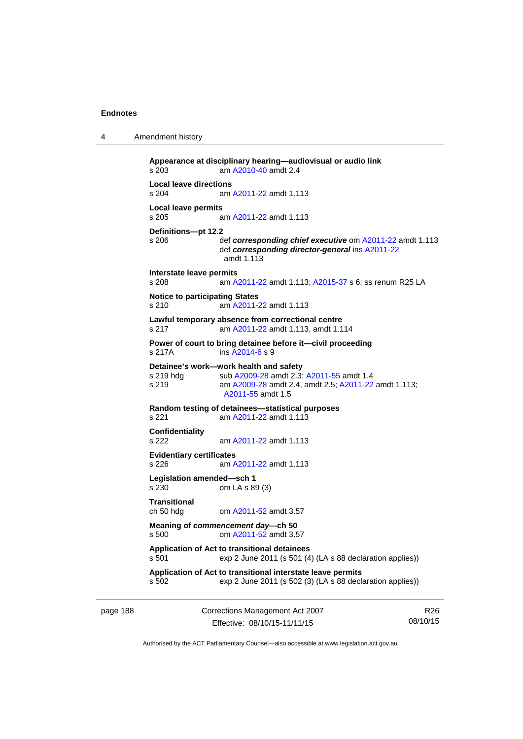4 Amendment history

| s.203                                          | am A2010-40 amdt 2.4                                                                                                                                            |
|------------------------------------------------|-----------------------------------------------------------------------------------------------------------------------------------------------------------------|
| <b>Local leave directions</b><br>s 204         | am A2011-22 amdt 1.113                                                                                                                                          |
| <b>Local leave permits</b>                     |                                                                                                                                                                 |
| s 205                                          | am A2011-22 amdt 1.113                                                                                                                                          |
| Definitions-pt 12.2<br>s 206                   | def corresponding chief executive om A2011-22 amdt 1.113<br>def corresponding director-general ins A2011-22<br>amdt 1.113                                       |
| Interstate leave permits<br>s 208              | am A2011-22 amdt 1.113; A2015-37 s 6; ss renum R25 LA                                                                                                           |
| <b>Notice to participating States</b><br>s 210 | am A2011-22 amdt 1.113                                                                                                                                          |
| s 217                                          | Lawful temporary absence from correctional centre<br>am A2011-22 amdt 1.113, amdt 1.114                                                                         |
| s 217A                                         | Power of court to bring detainee before it-civil proceeding<br>ins A2014-6 s 9                                                                                  |
| s 219 hdg<br>s 219                             | Detainee's work-work health and safety<br>sub A2009-28 amdt 2.3; A2011-55 amdt 1.4<br>am A2009-28 amdt 2.4, amdt 2.5; A2011-22 amdt 1.113;<br>A2011-55 amdt 1.5 |
| s 221                                          | Random testing of detainees—statistical purposes<br>am A2011-22 amdt 1.113                                                                                      |
| Confidentiality<br>s 222                       | am A2011-22 amdt 1.113                                                                                                                                          |
| <b>Evidentiary certificates</b><br>s 226       | am A2011-22 amdt 1.113                                                                                                                                          |
| Legislation amended-sch 1<br>s 230             | om LA s 89 (3)                                                                                                                                                  |
| <b>Transitional</b><br>ch 50 hdg               | om A2011-52 amdt 3.57                                                                                                                                           |
| s 500                                          | Meaning of commencement day—ch 50<br>om A2011-52 amdt 3.57                                                                                                      |
| s 501                                          | Application of Act to transitional detainees<br>exp 2 June 2011 (s 501 (4) (LA s 88 declaration applies))                                                       |
|                                                | Application of Act to transitional interstate leave permits                                                                                                     |

page 188 Corrections Management Act 2007 Effective: 08/10/15-11/11/15

R26 08/10/15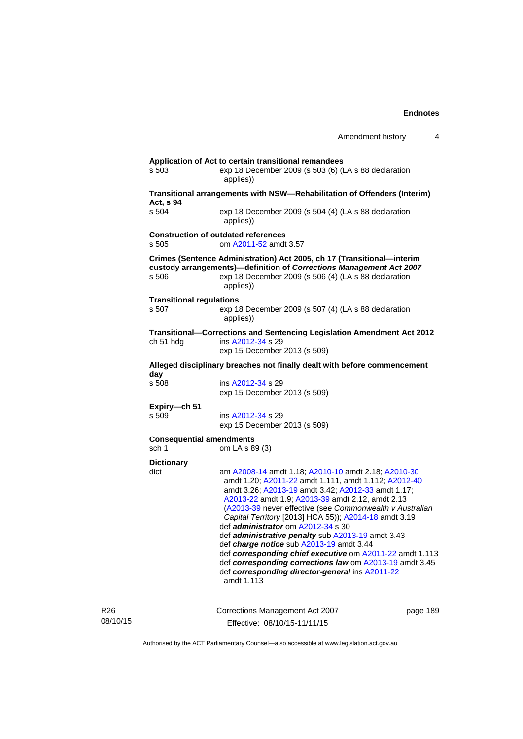| s 503                                    | exp 18 December 2009 (s 503 (6) (LA s 88 declaration<br>applies))                                                                                                                                                                                                                                                                                                                                                                                                                                                                                                                                                                                                                       |
|------------------------------------------|-----------------------------------------------------------------------------------------------------------------------------------------------------------------------------------------------------------------------------------------------------------------------------------------------------------------------------------------------------------------------------------------------------------------------------------------------------------------------------------------------------------------------------------------------------------------------------------------------------------------------------------------------------------------------------------------|
| Act, s 94                                | Transitional arrangements with NSW-Rehabilitation of Offenders (Interim)                                                                                                                                                                                                                                                                                                                                                                                                                                                                                                                                                                                                                |
| s 504                                    | exp 18 December 2009 (s 504 (4) (LA s 88 declaration<br>applies))                                                                                                                                                                                                                                                                                                                                                                                                                                                                                                                                                                                                                       |
| s 505                                    | <b>Construction of outdated references</b><br>om A2011-52 amdt 3.57                                                                                                                                                                                                                                                                                                                                                                                                                                                                                                                                                                                                                     |
| s 506                                    | Crimes (Sentence Administration) Act 2005, ch 17 (Transitional-interim<br>custody arrangements)-definition of Corrections Management Act 2007<br>exp 18 December 2009 (s 506 (4) (LA s 88 declaration<br>applies))                                                                                                                                                                                                                                                                                                                                                                                                                                                                      |
| <b>Transitional regulations</b><br>s 507 | exp 18 December 2009 (s 507 (4) (LA s 88 declaration<br>applies))                                                                                                                                                                                                                                                                                                                                                                                                                                                                                                                                                                                                                       |
| ch 51 hdg                                | Transitional-Corrections and Sentencing Legislation Amendment Act 2012<br>ins A2012-34 s 29<br>exp 15 December 2013 (s 509)                                                                                                                                                                                                                                                                                                                                                                                                                                                                                                                                                             |
|                                          | Alleged disciplinary breaches not finally dealt with before commencement                                                                                                                                                                                                                                                                                                                                                                                                                                                                                                                                                                                                                |
| day<br>s 508                             | ins A2012-34 s 29<br>exp 15 December 2013 (s 509)                                                                                                                                                                                                                                                                                                                                                                                                                                                                                                                                                                                                                                       |
| Expiry-ch 51<br>s 509                    | ins A2012-34 s 29<br>exp 15 December 2013 (s 509)                                                                                                                                                                                                                                                                                                                                                                                                                                                                                                                                                                                                                                       |
| <b>Consequential amendments</b><br>sch 1 | om LA s 89 (3)                                                                                                                                                                                                                                                                                                                                                                                                                                                                                                                                                                                                                                                                          |
| <b>Dictionary</b>                        |                                                                                                                                                                                                                                                                                                                                                                                                                                                                                                                                                                                                                                                                                         |
| dict                                     | am A2008-14 amdt 1.18; A2010-10 amdt 2.18; A2010-30<br>amdt 1.20; A2011-22 amdt 1.111, amdt 1.112; A2012-40<br>amdt 3.26; A2013-19 amdt 3.42; A2012-33 amdt 1.17;<br>A2013-22 amdt 1.9; A2013-39 amdt 2.12, amdt 2.13<br>(A2013-39 never effective (see Commonwealth v Australian<br>Capital Territory [2013] HCA 55)); A2014-18 amdt 3.19<br>def <i>administrator</i> om A2012-34 s 30<br>def administrative penalty sub A2013-19 amdt 3.43<br>def <i>charge notice</i> sub A2013-19 amdt 3.44<br>def corresponding chief executive om A2011-22 amdt 1.113<br>def corresponding corrections law om A2013-19 amdt 3.45<br>def corresponding director-general ins A2011-22<br>amdt 1.113 |

R26 08/10/15 Corrections Management Act 2007 Effective: 08/10/15-11/11/15

page 189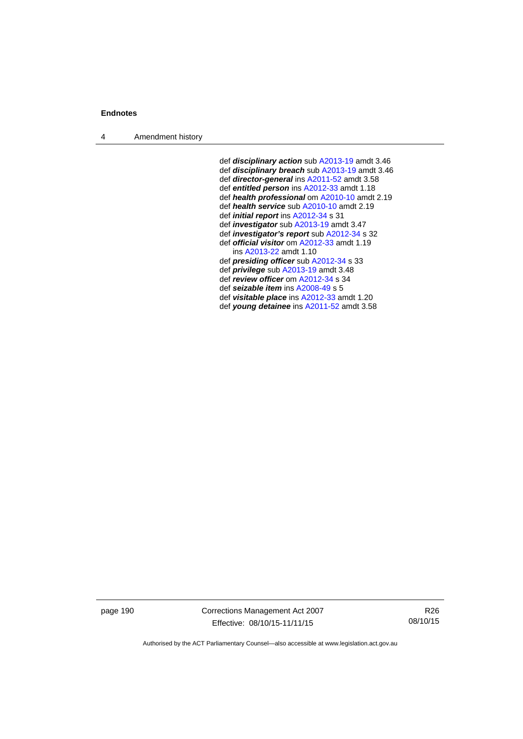4 Amendment history

 def *disciplinary action* sub [A2013-19](http://www.legislation.act.gov.au/a/2013-19) amdt 3.46 def *disciplinary breach* sub [A2013-19](http://www.legislation.act.gov.au/a/2013-19) amdt 3.46 def *director-general* ins [A2011-52](http://www.legislation.act.gov.au/a/2011-52) amdt 3.58 def *entitled person* ins [A2012-33](http://www.legislation.act.gov.au/a/2012-33) amdt 1.18 def *health professional* om [A2010-10](http://www.legislation.act.gov.au/a/2010-10) amdt 2.19 def *health service* sub [A2010-10](http://www.legislation.act.gov.au/a/2010-10) amdt 2.19 def *initial report* ins [A2012-34](http://www.legislation.act.gov.au/a/2012-34) s 31 def *investigator* sub [A2013-19](http://www.legislation.act.gov.au/a/2013-19) amdt 3.47 def *investigator's report* sub [A2012-34](http://www.legislation.act.gov.au/a/2012-34) s 32 def *official visitor* om [A2012-33](http://www.legislation.act.gov.au/a/2012-33) amdt 1.19 ins [A2013-22](http://www.legislation.act.gov.au/a/2013-22) amdt 1.10 def *presiding officer* sub [A2012-34](http://www.legislation.act.gov.au/a/2012-34) s 33 def *privilege* sub [A2013-19](http://www.legislation.act.gov.au/a/2013-19) amdt 3.48 def *review officer* om [A2012-34](http://www.legislation.act.gov.au/a/2012-34) s 34 def *seizable item* ins [A2008-49](http://www.legislation.act.gov.au/a/2008-49) s 5 def *visitable place* ins [A2012-33](http://www.legislation.act.gov.au/a/2012-33) amdt 1.20 def *young detainee* ins [A2011-52](http://www.legislation.act.gov.au/a/2011-52) amdt 3.58

page 190 Corrections Management Act 2007 Effective: 08/10/15-11/11/15

R26 08/10/15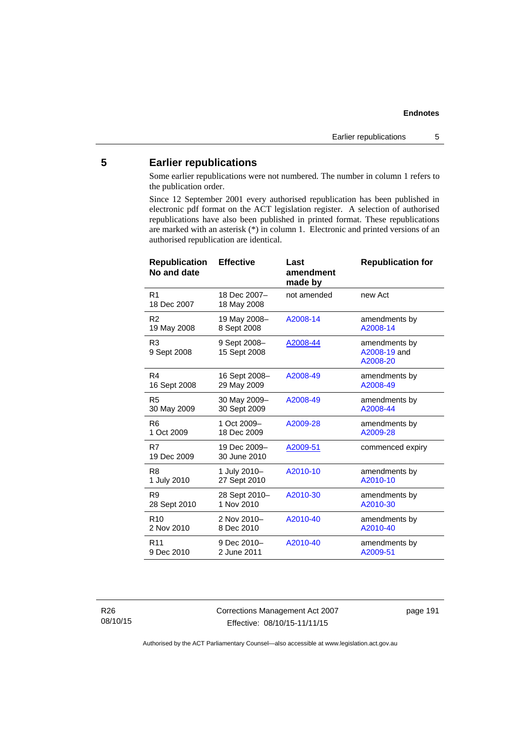# **5 Earlier republications**

Some earlier republications were not numbered. The number in column 1 refers to the publication order.

Since 12 September 2001 every authorised republication has been published in electronic pdf format on the ACT legislation register. A selection of authorised republications have also been published in printed format. These republications are marked with an asterisk (\*) in column 1. Electronic and printed versions of an authorised republication are identical.

| <b>Republication</b><br>No and date | <b>Effective</b>             | Last<br>amendment<br>made by | <b>Republication for</b>                  |
|-------------------------------------|------------------------------|------------------------------|-------------------------------------------|
| R1<br>18 Dec 2007                   | 18 Dec 2007-<br>18 May 2008  | not amended                  | new Act                                   |
| R <sub>2</sub>                      | 19 May 2008-                 | A2008-14                     | amendments by                             |
| 19 May 2008                         | 8 Sept 2008                  |                              | A2008-14                                  |
| R <sub>3</sub><br>9 Sept 2008       | 9 Sept 2008-<br>15 Sept 2008 | A2008-44                     | amendments by<br>A2008-19 and<br>A2008-20 |
| R4                                  | 16 Sept 2008-                | A2008-49                     | amendments by                             |
| 16 Sept 2008                        | 29 May 2009                  |                              | A2008-49                                  |
| R <sub>5</sub>                      | 30 May 2009-                 | A2008-49                     | amendments by                             |
| 30 May 2009                         | 30 Sept 2009                 |                              | A2008-44                                  |
| R <sub>6</sub>                      | 1 Oct 2009-                  | A2009-28                     | amendments by                             |
| 1 Oct 2009                          | 18 Dec 2009                  |                              | A2009-28                                  |
| R7<br>19 Dec 2009                   | 19 Dec 2009-<br>30 June 2010 | A2009-51                     | commenced expiry                          |
| R <sub>8</sub>                      | 1 July 2010-                 | A2010-10                     | amendments by                             |
| 1 July 2010                         | 27 Sept 2010                 |                              | A2010-10                                  |
| R9                                  | 28 Sept 2010-                | A2010-30                     | amendments by                             |
| 28 Sept 2010                        | 1 Nov 2010                   |                              | A2010-30                                  |
| R <sub>10</sub>                     | 2 Nov 2010-                  | A2010-40                     | amendments by                             |
| 2 Nov 2010                          | 8 Dec 2010                   |                              | A2010-40                                  |
| R <sub>11</sub>                     | 9 Dec 2010-                  | A2010-40                     | amendments by                             |
| 9 Dec 2010                          | 2 June 2011                  |                              | A2009-51                                  |

R26 08/10/15 Corrections Management Act 2007 Effective: 08/10/15-11/11/15

page 191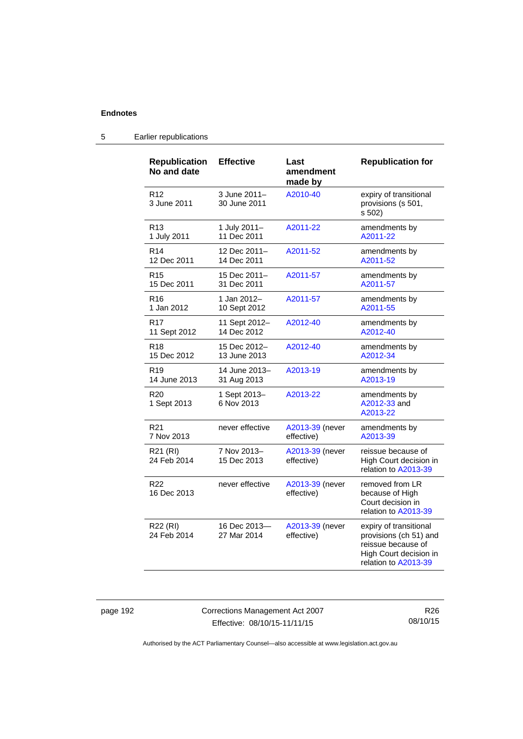| <b>Republication</b><br>No and date | <b>Effective</b>             | Last<br>amendment<br>made by  | <b>Republication for</b>                                                                                                 |
|-------------------------------------|------------------------------|-------------------------------|--------------------------------------------------------------------------------------------------------------------------|
| R <sub>12</sub><br>3 June 2011      | 3 June 2011-<br>30 June 2011 | A2010-40                      | expiry of transitional<br>provisions (s 501,<br>s 502)                                                                   |
| R <sub>13</sub>                     | 1 July 2011-                 | A2011-22                      | amendments by                                                                                                            |
| 1 July 2011                         | 11 Dec 2011                  |                               | A2011-22                                                                                                                 |
| R <sub>14</sub>                     | 12 Dec 2011-                 | A2011-52                      | amendments by                                                                                                            |
| 12 Dec 2011                         | 14 Dec 2011                  |                               | A2011-52                                                                                                                 |
| R <sub>15</sub>                     | 15 Dec 2011-                 | A2011-57                      | amendments by                                                                                                            |
| 15 Dec 2011                         | 31 Dec 2011                  |                               | A2011-57                                                                                                                 |
| R <sub>16</sub>                     | 1 Jan 2012-                  | A2011-57                      | amendments by                                                                                                            |
| 1 Jan 2012                          | 10 Sept 2012                 |                               | A2011-55                                                                                                                 |
| R <sub>17</sub>                     | 11 Sept 2012-                | A2012-40                      | amendments by                                                                                                            |
| 11 Sept 2012                        | 14 Dec 2012                  |                               | A2012-40                                                                                                                 |
| R <sub>18</sub>                     | 15 Dec 2012-                 | A2012-40                      | amendments by                                                                                                            |
| 15 Dec 2012                         | 13 June 2013                 |                               | A2012-34                                                                                                                 |
| R <sub>19</sub>                     | 14 June 2013-                | A2013-19                      | amendments by                                                                                                            |
| 14 June 2013                        | 31 Aug 2013                  |                               | A2013-19                                                                                                                 |
| R <sub>20</sub><br>1 Sept 2013      | 1 Sept 2013-<br>6 Nov 2013   | A2013-22                      | amendments by<br>A2012-33 and<br>A2013-22                                                                                |
| R <sub>21</sub>                     | never effective              | A2013-39 (never               | amendments by                                                                                                            |
| 7 Nov 2013                          |                              | effective)                    | A2013-39                                                                                                                 |
| R21 (RI)<br>24 Feb 2014             | 7 Nov 2013-<br>15 Dec 2013   | A2013-39 (never<br>effective) | reissue because of<br>High Court decision in<br>relation to A2013-39                                                     |
| R <sub>22</sub><br>16 Dec 2013      | never effective              | A2013-39 (never<br>effective) | removed from LR<br>because of High<br>Court decision in<br>relation to A2013-39                                          |
| R22 (RI)<br>24 Feb 2014             | 16 Dec 2013-<br>27 Mar 2014  | A2013-39 (never<br>effective) | expiry of transitional<br>provisions (ch 51) and<br>reissue because of<br>High Court decision in<br>relation to A2013-39 |

# 5 Earlier republications

page 192 Corrections Management Act 2007 Effective: 08/10/15-11/11/15

R26 08/10/15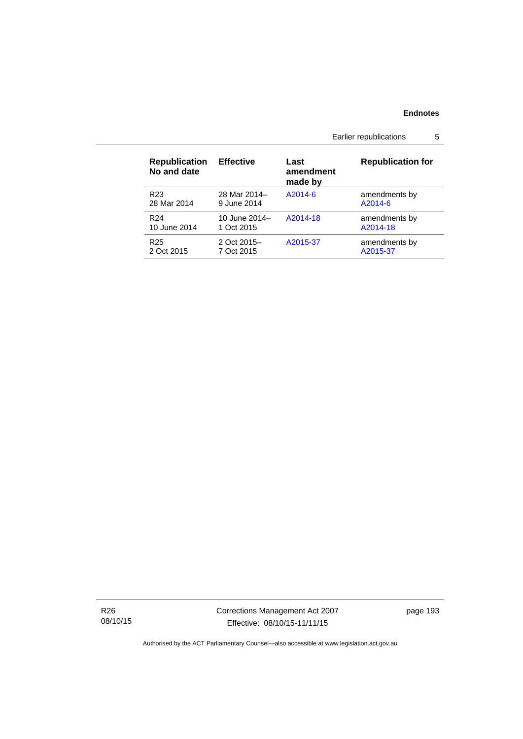Earlier republications 5

| <b>Republication</b><br>No and date | <b>Effective</b> | Last<br>amendment<br>made by | <b>Republication for</b> |
|-------------------------------------|------------------|------------------------------|--------------------------|
| R <sub>23</sub>                     | 28 Mar 2014-     | A2014-6                      | amendments by            |
| 28 Mar 2014                         | 9 June 2014      |                              | A2014-6                  |
| R <sub>24</sub>                     | 10 June $2014-$  | A2014-18                     | amendments by            |
| 10 June 2014                        | 1 Oct 2015       |                              | A2014-18                 |
| R <sub>25</sub>                     | 2 Oct 2015-      | A2015-37                     | amendments by            |
| 2 Oct 2015                          | 7 Oct 2015       |                              | A2015-37                 |

R26 08/10/15 Corrections Management Act 2007 Effective: 08/10/15-11/11/15

page 193